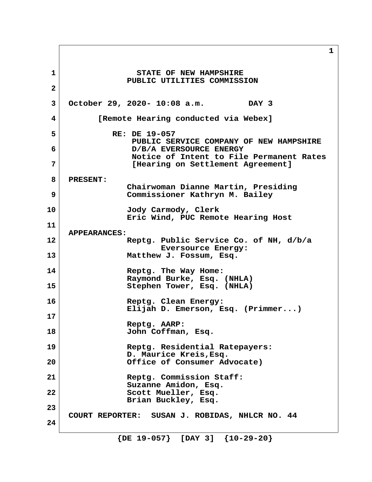**1 1** STATE OF NEW HAMPSHIRE  **PUBLIC UTILITIES COMMISSION 2 3 October 29, 2020- 10:08 a.m. DAY 3 4 [Remote Hearing conducted via Webex] 5** RE: DE 19-057  **PUBLIC SERVICE COMPANY OF NEW HAMPSHIRE 6 D/B/A EVERSOURCE ENERGY Notice of Intent to File Permanent Rates 7 [Hearing on Settlement Agreement] 8 PRESENT: Chairwoman Dianne Martin, Presiding 9 Commissioner Kathryn M. Bailey 10 Jody Carmody, Clerk Eric Wind, PUC Remote Hearing Host 11 APPEARANCES: 12 Reptg. Public Service Co. of NH, d/b/a Eversource Energy: 13 Matthew J. Fossum, Esq. 14 Reptg. The Way Home: Raymond Burke, Esq. (NHLA) 15 Stephen Tower, Esq. (NHLA) 16 Reptg. Clean Energy: Elijah D. Emerson, Esq. (Primmer...) 17 Reptg. AARP: 18 John Coffman, Esq. 19 Reptg. Residential Ratepayers: D. Maurice Kreis,Esq. 20 Office of Consumer Advocate) 21 Reptg. Commission Staff: Suzanne Amidon, Esq. 22 Scott Mueller, Esq. Brian Buckley, Esq. 23 COURT REPORTER: SUSAN J. ROBIDAS, NHLCR NO. 44 24**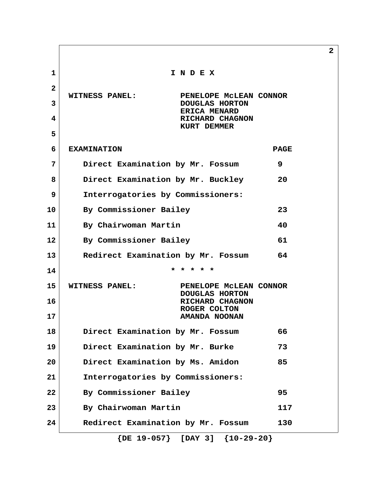**1 I N D E X 2 WITNESS PANEL: PENELOPE McLEAN CONNOR 3** DOUGLAS HORTON  **ERICA MENARD 4 RICHARD CHAGNON KURT DEMMER 5 6 EXAMINATION PAGE 7 Direct Examination by Mr. Fossum 9 8 Direct Examination by Mr. Buckley 20 9 Interrogatories by Commissioners: 10 By Commissioner Bailey 23 11 By Chairwoman Martin 40 12 By Commissioner Bailey 61 13 Redirect Examination by Mr. Fossum 64 14 \* \* \* \* \* 15 WITNESS PANEL: PENELOPE McLEAN CONNOR DOUGLAS HORTON 16** RICHARD CHAGNON  **ROGER COLTON 17 AMANDA NOONAN 18 Direct Examination by Mr. Fossum 66 19 Direct Examination by Mr. Burke 73 20 Direct Examination by Ms. Amidon 85 21 Interrogatories by Commissioners: 22 By Commissioner Bailey 95 23 By Chairwoman Martin 117 24 Redirect Examination by Mr. Fossum 130**

 **{DE 19-057} [DAY 3] {10-29-20}**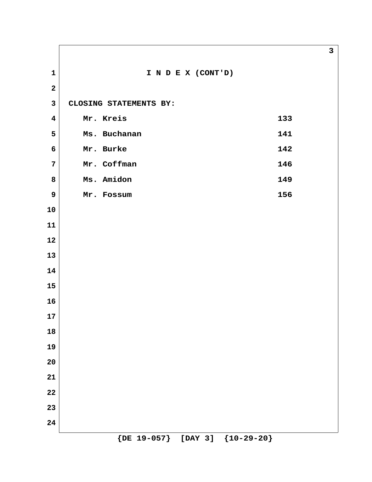**1 I N D E X (CONT'D) 3 CLOSING STATEMENTS BY: 4 Mr. Kreis 133** Ms. Buchanan Mr. Burke 142 7 Mr. Coffman 146 8 Ms. Amidon 149 Mr. Fossum 156  **{DE 19-057} [DAY 3] {10-29-20}**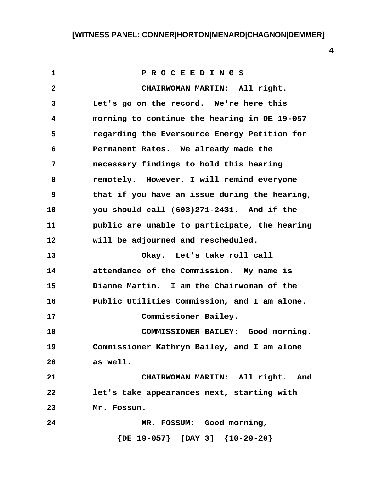**1 P R O C E E D I N G S 2 CHAIRWOMAN MARTIN: All right. 3 Let's go on the record. We're here this 4 morning to continue the hearing in DE 19-057 5 regarding the Eversource Energy Petition for 6 Permanent Rates. We already made the 7 necessary findings to hold this hearing 8 remotely. However, I will remind everyone 9 that if you have an issue during the hearing, 10 you should call (603)271-2431. And if the 11 public are unable to participate, the hearing 12 will be adjourned and rescheduled. 13 Okay. Let's take roll call 14 attendance of the Commission. My name is 15 Dianne Martin. I am the Chairwoman of the 16 Public Utilities Commission, and I am alone. 17 Commissioner Bailey. 18 COMMISSIONER BAILEY: Good morning. 19 Commissioner Kathryn Bailey, and I am alone 20 as well. 21 CHAIRWOMAN MARTIN: All right. And 22 let's take appearances next, starting with 23 Mr. Fossum. 24 MR. FOSSUM: Good morning, {DE 19-057} [DAY 3] {10-29-20}**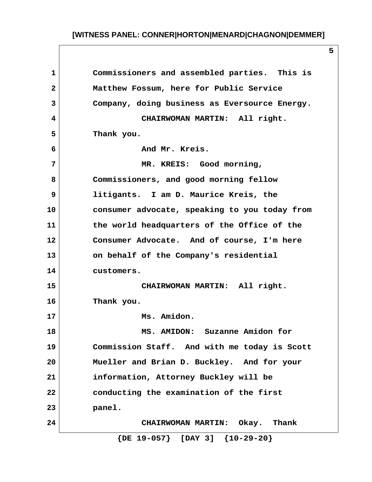| 1            | Commissioners and assembled parties. This is  |
|--------------|-----------------------------------------------|
| $\mathbf{2}$ | Matthew Fossum, here for Public Service       |
| 3            | Company, doing business as Eversource Energy. |
| 4            | CHAIRWOMAN MARTIN: All right.                 |
| 5            | Thank you.                                    |
| 6            | And Mr. Kreis.                                |
| 7            | MR. KREIS: Good morning,                      |
| 8            | Commissioners, and good morning fellow        |
| 9            | litigants. I am D. Maurice Kreis, the         |
| 10           | consumer advocate, speaking to you today from |
| 11           | the world headquarters of the Office of the   |
| 12           | Consumer Advocate. And of course, I'm here    |
| 13           | on behalf of the Company's residential        |
| 14           | customers.                                    |
| 15           | CHAIRWOMAN MARTIN: All right.                 |
| 16           | Thank you.                                    |
| 17           | Ms. Amidon.                                   |
| 18           | MS. AMIDON: Suzanne Amidon for                |
| 19           | Commission Staff. And with me today is Scott  |
| 20           | Mueller and Brian D. Buckley. And for your    |
| 21           | information, Attorney Buckley will be         |
| 22           | conducting the examination of the first       |
| 23           | panel.                                        |
| 24           | CHAIRWOMAN MARTIN: Okay. Thank                |
|              | $\{DE 19-057\}$ [DAY 3] $\{10-29-20\}$        |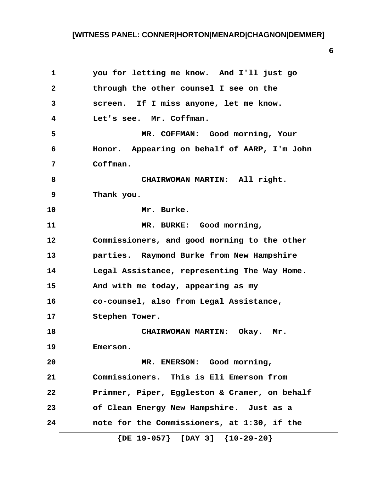**1 you for letting me know. And I'll just go 2 through the other counsel I see on the 3 screen. If I miss anyone, let me know. 4 Let's see. Mr. Coffman. 5 MR. COFFMAN: Good morning, Your 6 Honor. Appearing on behalf of AARP, I'm John 7 Coffman. 8 CHAIRWOMAN MARTIN: All right. 9 Thank you. 10 Mr. Burke. 11 MR. BURKE: Good morning, 12 Commissioners, and good morning to the other 13 parties. Raymond Burke from New Hampshire 14 Legal Assistance, representing The Way Home. 15 And with me today, appearing as my 16 co-counsel, also from Legal Assistance, 17 Stephen Tower. 18 CHAIRWOMAN MARTIN: Okay. Mr. 19 Emerson. 20 MR. EMERSON: Good morning, 21 Commissioners. This is Eli Emerson from 22 Primmer, Piper, Eggleston & Cramer, on behalf 23 of Clean Energy New Hampshire. Just as a 24 note for the Commissioners, at 1:30, if the {DE 19-057} [DAY 3] {10-29-20}**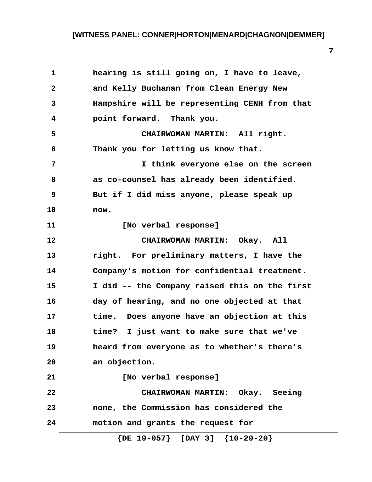| $\mathbf 1$  | hearing is still going on, I have to leave,    |
|--------------|------------------------------------------------|
| $\mathbf{2}$ | and Kelly Buchanan from Clean Energy New       |
| 3            | Hampshire will be representing CENH from that  |
| 4            | point forward. Thank you.                      |
| 5            | CHAIRWOMAN MARTIN: All right.                  |
| 6            | Thank you for letting us know that.            |
| 7            | I think everyone else on the screen            |
| 8            | as co-counsel has already been identified.     |
| 9            | But if I did miss anyone, please speak up      |
| 10           | now.                                           |
| 11           | [No verbal response]                           |
| 12           | CHAIRWOMAN MARTIN: Okay. All                   |
| 13           | right. For preliminary matters, I have the     |
| 14           | Company's motion for confidential treatment.   |
| 15           | I did -- the Company raised this on the first  |
| 16           | day of hearing, and no one objected at that    |
| 17           | time.<br>Does anyone have an objection at this |
| 18           | time?<br>I just want to make sure that we've   |
| 19           | heard from everyone as to whether's there's    |
| 20           | an objection.                                  |
| 21           | [No verbal response]                           |
| 22           | CHAIRWOMAN MARTIN: Okay. Seeing                |
| 23           | none, the Commission has considered the        |
| 24           | motion and grants the request for              |
|              | $\{DE 19-057\}$ [DAY 3] $\{10-29-20\}$         |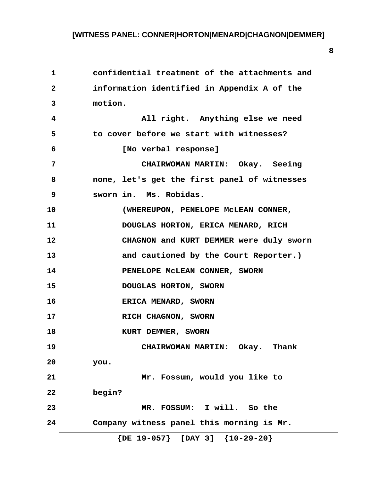**1 confidential treatment of the attachments and 2 information identified in Appendix A of the 3 motion. 4 All right. Anything else we need 5 to cover before we start with witnesses? 6 [No verbal response] 7 CHAIRWOMAN MARTIN: Okay. Seeing 8 none, let's get the first panel of witnesses 9 sworn in. Ms. Robidas. 10 (WHEREUPON, PENELOPE McLEAN CONNER, 11 DOUGLAS HORTON, ERICA MENARD, RICH 12 CHAGNON and KURT DEMMER were duly sworn 13 and cautioned by the Court Reporter.) 14** PENELOPE MCLEAN CONNER, SWORN **15 DOUGLAS HORTON, SWORN 16 ERICA MENARD, SWORN 17 RICH CHAGNON, SWORN 18** KURT DEMMER, SWORN **19 CHAIRWOMAN MARTIN: Okay. Thank 20 you. 21 Mr. Fossum, would you like to 22 begin? 23 MR. FOSSUM: I will. So the 24 Company witness panel this morning is Mr. {DE 19-057} [DAY 3] {10-29-20}**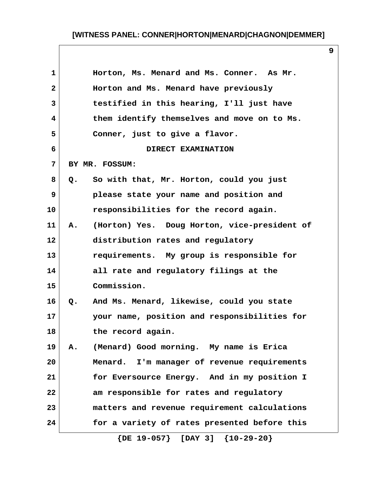**9**

| 1            | Horton, Ms. Menard and Ms. Conner. As Mr.          |
|--------------|----------------------------------------------------|
| $\mathbf{2}$ | Horton and Ms. Menard have previously              |
| 3            | testified in this hearing, I'll just have          |
| 4            | them identify themselves and move on to Ms.        |
| 5            | Conner, just to give a flavor.                     |
| 6            | DIRECT EXAMINATION                                 |
| 7            | BY MR. FOSSUM:                                     |
| 8            | So with that, Mr. Horton, could you just<br>$Q$ .  |
| 9            | please state your name and position and            |
| 10           | responsibilities for the record again.             |
| 11           | (Horton) Yes. Doug Horton, vice-president of<br>Α. |
| 12           | distribution rates and regulatory                  |
| 13           | requirements. My group is responsible for          |
| 14           | all rate and regulatory filings at the             |
| 15           | Commission.                                        |
| 16           | And Ms. Menard, likewise, could you state<br>Q.    |
| 17           | your name, position and responsibilities for       |
| 18           | the record again.                                  |
| 19           | (Menard) Good morning. My name is Erica<br>Α.      |
| 20           | Menard. I'm manager of revenue requirements        |
| 21           | for Eversource Energy. And in my position I        |
| 22           | am responsible for rates and regulatory            |
| 23           | matters and revenue requirement calculations       |
| 24           | for a variety of rates presented before this       |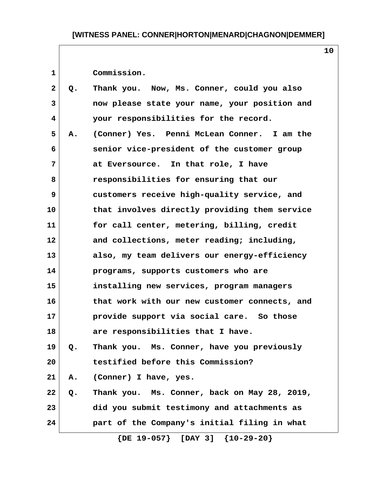1 Commission.

| $\overline{2}$          | Q. | Thank you. Now, Ms. Conner, could you also    |
|-------------------------|----|-----------------------------------------------|
| 3                       |    | now please state your name, your position and |
| $\overline{\mathbf{4}}$ |    | your responsibilities for the record.         |
| 5                       | A. | (Conner) Yes. Penni McLean Conner. I am the   |
| 6                       |    | senior vice-president of the customer group   |
| 7                       |    | at Eversource. In that role, I have           |
| 8                       |    | responsibilities for ensuring that our        |
| 9                       |    | customers receive high-quality service, and   |
| 10                      |    | that involves directly providing them service |
| 11                      |    | for call center, metering, billing, credit    |
| $12 \,$                 |    | and collections, meter reading; including,    |
| 13                      |    | also, my team delivers our energy-efficiency  |
| 14                      |    | programs, supports customers who are          |
| 15                      |    | installing new services, program managers     |
| 16                      |    | that work with our new customer connects, and |
| 17                      |    | provide support via social care. So those     |
| 18                      |    | are responsibilities that I have.             |
| 19                      | Q. | Thank you. Ms. Conner, have you previously    |
| 20                      |    | testified before this Commission?             |
| 21                      | Α. | (Conner) I have, yes.                         |
| 22                      | Q. | Thank you. Ms. Conner, back on May 28, 2019,  |
| 23                      |    | did you submit testimony and attachments as   |
| 24                      |    | part of the Company's initial filing in what  |
|                         |    | $\{DE 19-057\}$ [DAY 3] $\{10-29-20\}$        |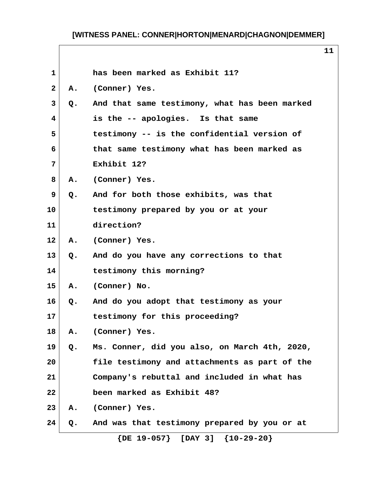$\overline{\phantom{a}}$ 

| $\mathbf{1}$ |               | has been marked as Exhibit 11?                |
|--------------|---------------|-----------------------------------------------|
| 2            | А.            | (Conner) Yes.                                 |
| 3            | Q.            | And that same testimony, what has been marked |
| 4            |               | is the -- apologies. Is that same             |
| 5            |               | testimony -- is the confidential version of   |
| 6            |               | that same testimony what has been marked as   |
| 7            |               | Exhibit 12?                                   |
| 8            |               | A. (Conner) Yes.                              |
| 9            | Q.            | And for both those exhibits, was that         |
| 10           |               | testimony prepared by you or at your          |
| 11           |               | direction?                                    |
| 12           |               | A. (Conner) Yes.                              |
| 13           | $Q_{\bullet}$ | And do you have any corrections to that       |
| 14           |               | testimony this morning?                       |
| 15           |               | A. (Conner) No.                               |
| 16           |               | Q. And do you adopt that testimony as your    |
| 17           |               | testimony for this proceeding?                |
| 18           | Α.            | (Conner) Yes.                                 |
| 19           | Q.            | Ms. Conner, did you also, on March 4th, 2020, |
| 20           |               | file testimony and attachments as part of the |
| 21           |               | Company's rebuttal and included in what has   |
| 22           |               | been marked as Exhibit 48?                    |
| 23           | А.            | (Conner) Yes.                                 |
| 24           | Q.            | And was that testimony prepared by you or at  |
|              |               | $\{DE 19-057\}$ [DAY 3] $\{10-29-20\}$        |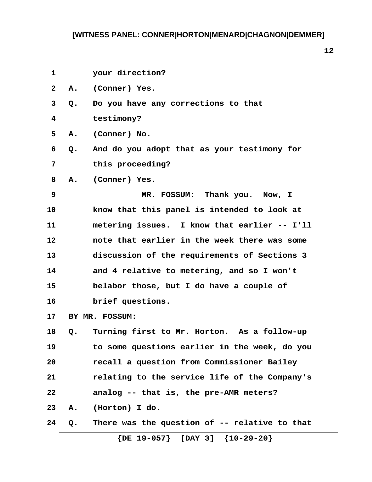$\overline{\phantom{a}}$ 

**12**

|       | your direction?                               |                                 |
|-------|-----------------------------------------------|---------------------------------|
| Α.    |                                               |                                 |
| $Q$ . | Do you have any corrections to that           |                                 |
|       | testimony?                                    |                                 |
| Α.    | (Conner) No.                                  |                                 |
| Q.    | And do you adopt that as your testimony for   |                                 |
|       | this proceeding?                              |                                 |
| Α.    | (Conner) Yes.                                 |                                 |
|       | MR. FOSSUM: Thank you. Now, I                 |                                 |
|       | know that this panel is intended to look at   |                                 |
|       | metering issues. I know that earlier -- I'll  |                                 |
|       | note that earlier in the week there was some  |                                 |
|       | discussion of the requirements of Sections 3  |                                 |
|       | and 4 relative to metering, and so I won't    |                                 |
|       | belabor those, but I do have a couple of      |                                 |
|       | brief questions.                              |                                 |
|       |                                               |                                 |
| $Q$ . | Turning first to Mr. Horton. As a follow-up   |                                 |
|       | to some questions earlier in the week, do you |                                 |
|       | recall a question from Commissioner Bailey    |                                 |
|       | relating to the service life of the Company's |                                 |
|       | analog -- that is, the pre-AMR meters?        |                                 |
| Α.    | (Horton) I do.                                |                                 |
| Q.    | There was the question of -- relative to that |                                 |
|       |                                               | (Conner) Yes.<br>BY MR. FOSSUM: |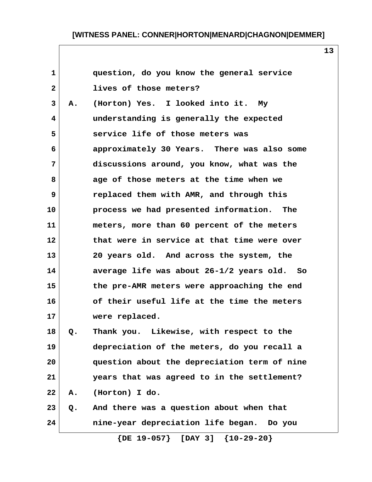**13**

| 1              |    | question, do you know the general service    |
|----------------|----|----------------------------------------------|
| $\mathbf{2}$   |    | lives of those meters?                       |
| 3              | Α. | (Horton) Yes. I looked into it.<br>Мy        |
| $\overline{4}$ |    | understanding is generally the expected      |
| 5              |    | service life of those meters was             |
| 6              |    | approximately 30 Years. There was also some  |
| 7              |    | discussions around, you know, what was the   |
| 8              |    | age of those meters at the time when we      |
| 9              |    | replaced them with AMR, and through this     |
| 10             |    | process we had presented information.<br>The |
| 11             |    | meters, more than 60 percent of the meters   |
| 12             |    | that were in service at that time were over  |
| 13             |    | 20 years old. And across the system, the     |
| 14             |    | average life was about 26-1/2 years old. So  |
| 15             |    | the pre-AMR meters were approaching the end  |
| 16             |    | of their useful life at the time the meters  |
| 17             |    | were replaced.                               |
| 18             | o. | Thank you. Likewise, with respect to the     |
| 19             |    | depreciation of the meters, do you recall a  |
| 20             |    | question about the depreciation term of nine |
| 21             |    | years that was agreed to in the settlement?  |
| 22             | Α. | (Horton) I do.                               |
| 23             | Q. | And there was a question about when that     |
| 24             |    | nine-year depreciation life began. Do you    |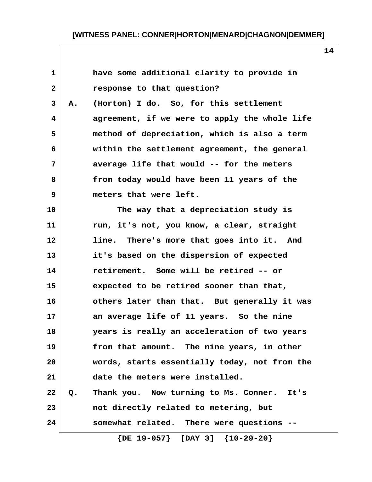| 1            |    | have some additional clarity to provide in    |
|--------------|----|-----------------------------------------------|
| $\mathbf{2}$ |    | response to that question?                    |
| 3            | Α. | (Horton) I do. So, for this settlement        |
| 4            |    | agreement, if we were to apply the whole life |
| 5            |    | method of depreciation, which is also a term  |
| 6            |    | within the settlement agreement, the general  |
| 7            |    | average life that would -- for the meters     |
| 8            |    | from today would have been 11 years of the    |
| 9            |    | meters that were left.                        |
| 10           |    | The way that a depreciation study is          |
| 11           |    | run, it's not, you know, a clear, straight    |
| 12           |    | line. There's more that goes into it. And     |
| 13           |    | it's based on the dispersion of expected      |
| 14           |    | retirement. Some will be retired -- or        |
| 15           |    | expected to be retired sooner than that,      |
| 16           |    | others later than that. But generally it was  |
| 17           |    | an average life of 11 years. So the nine      |
| 18           |    | years is really an acceleration of two years  |
| 19           |    | from that amount. The nine years, in other    |
| 20           |    | words, starts essentially today, not from the |
| 21           |    | date the meters were installed.               |
| 22           | Q. | Thank you. Now turning to Ms. Conner. It's    |
| 23           |    | not directly related to metering, but         |
| 24           |    | somewhat related. There were questions --     |
|              |    | $\{DE 19-057\}$ [DAY 3] $\{10-29-20\}$        |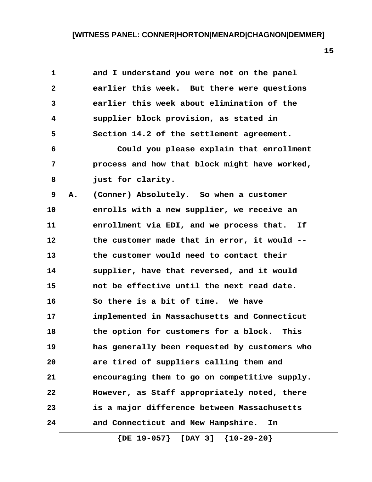| $\mathbf{1}$      |    | and I understand you were not on the panel    |  |
|-------------------|----|-----------------------------------------------|--|
| $\mathbf{2}$      |    | earlier this week. But there were questions   |  |
| $\mathbf{3}$      |    | earlier this week about elimination of the    |  |
| $\overline{4}$    |    | supplier block provision, as stated in        |  |
| 5                 |    | Section 14.2 of the settlement agreement.     |  |
| 6                 |    | Could you please explain that enrollment      |  |
| 7                 |    | process and how that block might have worked, |  |
| 8                 |    | just for clarity.                             |  |
| 9                 | Α. | (Conner) Absolutely. So when a customer       |  |
| 10                |    | enrolls with a new supplier, we receive an    |  |
| 11                |    | enrollment via EDI, and we process that. If   |  |
| $12 \overline{ }$ |    | the customer made that in error, it would --  |  |
| 13                |    | the customer would need to contact their      |  |
| 14                |    | supplier, have that reversed, and it would    |  |
| 15                |    | not be effective until the next read date.    |  |
| 16                |    | So there is a bit of time. We have            |  |
| 17                |    | implemented in Massachusetts and Connecticut  |  |
| 18                |    | the option for customers for a block.<br>This |  |
| 19                |    | has generally been requested by customers who |  |
| 20                |    | are tired of suppliers calling them and       |  |
| 21                |    | encouraging them to go on competitive supply. |  |
| 22                |    | However, as Staff appropriately noted, there  |  |
| 23                |    | is a major difference between Massachusetts   |  |
| 24                |    | and Connecticut and New Hampshire.<br>In      |  |

 **{DE 19-057} [DAY 3] {10-29-20}**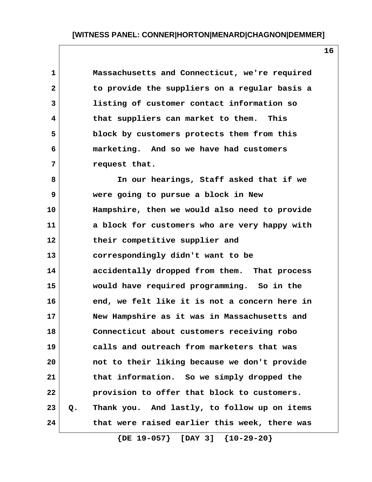**1 Massachusetts and Connecticut, we're required 2 to provide the suppliers on a regular basis a 3 listing of customer contact information so 4 that suppliers can market to them. This 5 block by customers protects them from this 6 marketing. And so we have had customers 7 request that.**

 **8 In our hearings, Staff asked that if we 9 were going to pursue a block in New 10 Hampshire, then we would also need to provide 11 a block for customers who are very happy with 12 their competitive supplier and 13 correspondingly didn't want to be 14 accidentally dropped from them. That process 15 would have required programming. So in the 16 end, we felt like it is not a concern here in 17 New Hampshire as it was in Massachusetts and 18 Connecticut about customers receiving robo 19 calls and outreach from marketers that was 20 not to their liking because we don't provide 21 that information. So we simply dropped the 22 provision to offer that block to customers. 23 Q. Thank you. And lastly, to follow up on items 24 that were raised earlier this week, there was**

 **{DE 19-057} [DAY 3] {10-29-20}**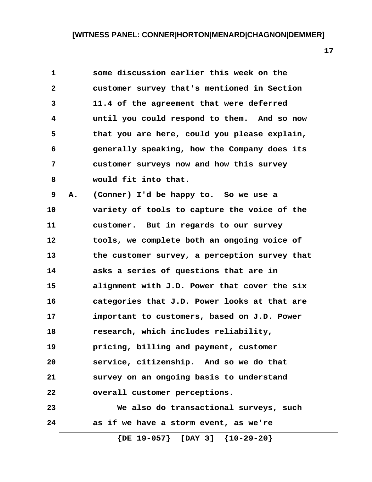| $\mathbf{1}$ |    | some discussion earlier this week on the      |
|--------------|----|-----------------------------------------------|
| $\mathbf{2}$ |    | customer survey that's mentioned in Section   |
| 3            |    | 11.4 of the agreement that were deferred      |
| 4            |    | until you could respond to them. And so now   |
| 5            |    | that you are here, could you please explain,  |
| 6            |    | generally speaking, how the Company does its  |
| 7            |    | customer surveys now and how this survey      |
| 8            |    | would fit into that.                          |
| 9            | Α. | (Conner) I'd be happy to. So we use a         |
| 10           |    | variety of tools to capture the voice of the  |
| 11           |    | customer. But in regards to our survey        |
| 12           |    | tools, we complete both an ongoing voice of   |
| 13           |    | the customer survey, a perception survey that |
| 14           |    | asks a series of questions that are in        |
| 15           |    | alignment with J.D. Power that cover the six  |
| 16           |    | categories that J.D. Power looks at that are  |
| 17           |    | important to customers, based on J.D. Power   |
| 18           |    | research, which includes reliability,         |
| 19           |    | pricing, billing and payment, customer        |
| 20           |    | service, citizenship. And so we do that       |
| 21           |    | survey on an ongoing basis to understand      |
| 22           |    | overall customer perceptions.                 |
| 23           |    | We also do transactional surveys, such        |
| 24           |    | as if we have a storm event, as we're         |

 **{DE 19-057} [DAY 3] {10-29-20}**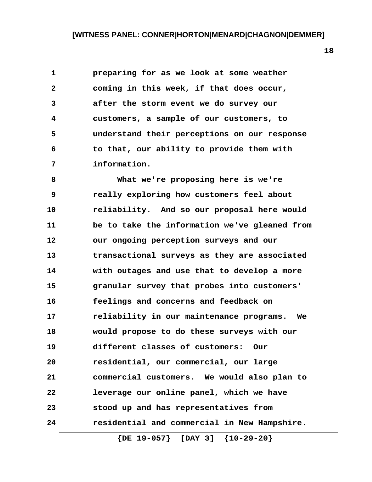| $\mathbf{1}$ | preparing for as we look at some weather     |
|--------------|----------------------------------------------|
| $\mathbf{2}$ | coming in this week, if that does occur,     |
| 3            | after the storm event we do survey our       |
| 4            | customers, a sample of our customers, to     |
| 5            | understand their perceptions on our response |
| 6            | to that, our ability to provide them with    |
| 7            | information.                                 |

 **8 What we're proposing here is we're 9 really exploring how customers feel about 10 reliability. And so our proposal here would 11 be to take the information we've gleaned from 12 our ongoing perception surveys and our 13 transactional surveys as they are associated 14 with outages and use that to develop a more 15 granular survey that probes into customers' 16 feelings and concerns and feedback on 17 reliability in our maintenance programs. We 18 would propose to do these surveys with our 19 different classes of customers: Our 20 residential, our commercial, our large 21 commercial customers. We would also plan to 22 leverage our online panel, which we have 23 stood up and has representatives from 24 residential and commercial in New Hampshire.**

 **{DE 19-057} [DAY 3] {10-29-20}**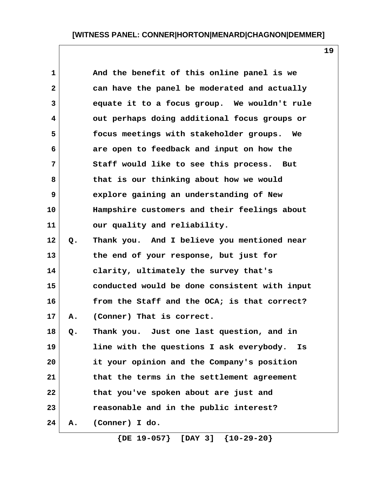| $\mathbf 1$    |    | And the benefit of this online panel is we     |
|----------------|----|------------------------------------------------|
| $\overline{2}$ |    | can have the panel be moderated and actually   |
| 3              |    | equate it to a focus group. We wouldn't rule   |
| 4              |    | out perhaps doing additional focus groups or   |
| 5              |    | focus meetings with stakeholder groups. We     |
| 6              |    | are open to feedback and input on how the      |
| 7              |    | Staff would like to see this process. But      |
| 8              |    | that is our thinking about how we would        |
| 9              |    | explore gaining an understanding of New        |
| 10             |    | Hampshire customers and their feelings about   |
| 11             |    | our quality and reliability.                   |
| 12             | Q. | Thank you. And I believe you mentioned near    |
| 13             |    | the end of your response, but just for         |
| 14             |    | clarity, ultimately the survey that's          |
| 15             |    | conducted would be done consistent with input  |
| 16             |    | from the Staff and the OCA; is that correct?   |
| 17             | Α. | (Conner) That is correct.                      |
| 18             | Q. | Thank you. Just one last question, and in      |
| 19             |    | line with the questions I ask everybody.<br>Is |
| 20             |    | it your opinion and the Company's position     |
| 21             |    | that the terms in the settlement agreement     |
| 22             |    | that you've spoken about are just and          |
| 23             |    | reasonable and in the public interest?         |
| 24             | Α. | (Conner) I do.                                 |

 **{DE 19-057} [DAY 3] {10-29-20}**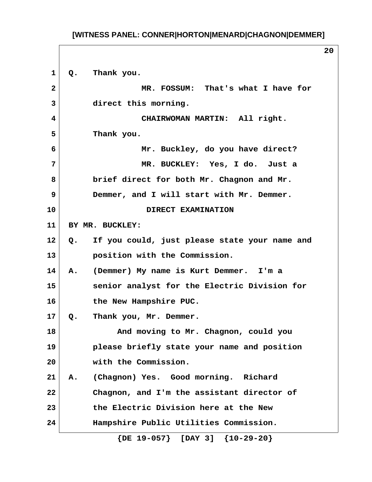**20**

 **1 Q. Thank you. 2 MR. FOSSUM: That's what I have for 3 direct this morning. 4 CHAIRWOMAN MARTIN: All right. 5 Thank you. 6 Mr. Buckley, do you have direct? 7 MR. BUCKLEY: Yes, I do. Just a 8 brief direct for both Mr. Chagnon and Mr. 9 Demmer, and I will start with Mr. Demmer. 10 DIRECT EXAMINATION 11 BY MR. BUCKLEY: 12 Q. If you could, just please state your name and 13 position with the Commission. 14 A. (Demmer) My name is Kurt Demmer. I'm a 15 senior analyst for the Electric Division for 16 the New Hampshire PUC. 17 Q. Thank you, Mr. Demmer. 18 And moving to Mr. Chagnon, could you 19 please briefly state your name and position 20 with the Commission. 21 A. (Chagnon) Yes. Good morning. Richard 22 Chagnon, and I'm the assistant director of 23 the Electric Division here at the New 24 Hampshire Public Utilities Commission.**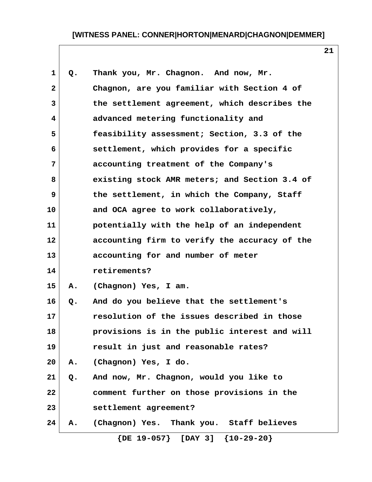| $\mathbf{1}$   | Q. | Thank you, Mr. Chagnon. And now, Mr.          |
|----------------|----|-----------------------------------------------|
| $\overline{2}$ |    | Chagnon, are you familiar with Section 4 of   |
| 3              |    | the settlement agreement, which describes the |
| 4              |    | advanced metering functionality and           |
| 5              |    | feasibility assessment; Section, 3.3 of the   |
| 6              |    | settlement, which provides for a specific     |
| 7              |    | accounting treatment of the Company's         |
| 8              |    | existing stock AMR meters; and Section 3.4 of |
| 9              |    | the settlement, in which the Company, Staff   |
| 10             |    | and OCA agree to work collaboratively,        |
| 11             |    | potentially with the help of an independent   |
| 12             |    | accounting firm to verify the accuracy of the |
| 13             |    | accounting for and number of meter            |
| 14             |    | retirements?                                  |
| 15             | Α. | (Chagnon) Yes, I am.                          |
| 16             | Q. | And do you believe that the settlement's      |
| 17             |    | resolution of the issues described in those   |
| 18             |    | provisions is in the public interest and will |
| 19             |    | result in just and reasonable rates?          |
| 20             | Α. | (Chagnon) Yes, I do.                          |
| 21             | Q. | And now, Mr. Chagnon, would you like to       |
| 22             |    | comment further on those provisions in the    |
| 23             |    | settlement agreement?                         |
| 24             | Α. | (Chagnon) Yes. Thank you. Staff believes      |
|                |    | $\{DE 19-057\}$ [DAY 3] $\{10-29-20\}$        |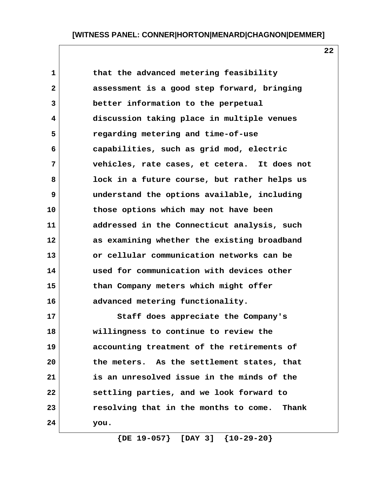**22**

| $\mathbf 1$    | that the advanced metering feasibility         |
|----------------|------------------------------------------------|
| $\overline{2}$ | assessment is a good step forward, bringing    |
| 3              | better information to the perpetual            |
| 4              | discussion taking place in multiple venues     |
| 5              | regarding metering and time-of-use             |
| 6              | capabilities, such as grid mod, electric       |
| 7              | vehicles, rate cases, et cetera. It does not   |
| 8              | lock in a future course, but rather helps us   |
| 9              | understand the options available, including    |
| 10             | those options which may not have been          |
| 11             | addressed in the Connecticut analysis, such    |
| 12             | as examining whether the existing broadband    |
| 13             | or cellular communication networks can be      |
| 14             | used for communication with devices other      |
| 15             | than Company meters which might offer          |
| 16             | advanced metering functionality.               |
| 17             | Staff does appreciate the Company's            |
| 18             | willingness to continue to review the          |
| 19             | accounting treatment of the retirements of     |
| 20             | the meters. As the settlement states, that     |
| 21             | is an unresolved issue in the minds of the     |
| 22             | settling parties, and we look forward to       |
| 23             | resolving that in the months to come.<br>Thank |
| 24             | you.                                           |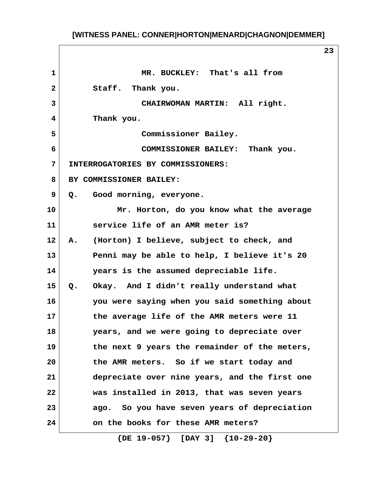**23**

 **1 MR. BUCKLEY: That's all from 2 Staff. Thank you. 3 CHAIRWOMAN MARTIN: All right. 4 Thank you. 5 Commissioner Bailey. 6 COMMISSIONER BAILEY: Thank you. 7 INTERROGATORIES BY COMMISSIONERS: 8 BY COMMISSIONER BAILEY: 9 Q. Good morning, everyone. 10 Mr. Horton, do you know what the average 11 service life of an AMR meter is? 12 A. (Horton) I believe, subject to check, and 13 Penni may be able to help, I believe it's 20 14 years is the assumed depreciable life. 15 Q. Okay. And I didn't really understand what 16 you were saying when you said something about 17 the average life of the AMR meters were 11 18 years, and we were going to depreciate over 19 the next 9 years the remainder of the meters, 20 the AMR meters. So if we start today and 21 depreciate over nine years, and the first one 22 was installed in 2013, that was seven years 23 ago. So you have seven years of depreciation 24 on the books for these AMR meters?**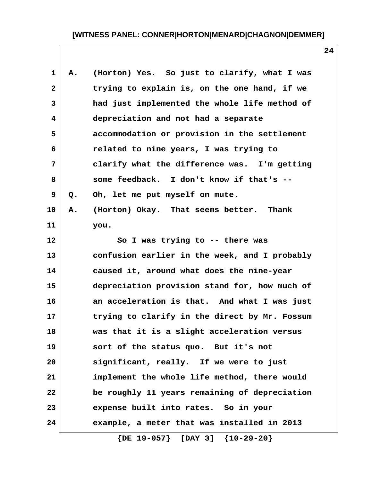| 1              | Α. | (Horton) Yes. So just to clarify, what I was  |
|----------------|----|-----------------------------------------------|
| $\overline{2}$ |    | trying to explain is, on the one hand, if we  |
| 3              |    | had just implemented the whole life method of |
| 4              |    | depreciation and not had a separate           |
| 5              |    | accommodation or provision in the settlement  |
| 6              |    | related to nine years, I was trying to        |
| 7              |    | clarify what the difference was. I'm getting  |
| 8              |    | some feedback. I don't know if that's --      |
| 9              | Q. | Oh, let me put myself on mute.                |
| 10             | Α. | (Horton) Okay. That seems better. Thank       |
| 11             |    | you.                                          |
| 12             |    | So I was trying to -- there was               |
| 13             |    | confusion earlier in the week, and I probably |
| 14             |    | caused it, around what does the nine-year     |
| 15             |    | depreciation provision stand for, how much of |
| 16             |    | an acceleration is that. And what I was just  |
| 17             |    | trying to clarify in the direct by Mr. Fossum |
| 18             |    | was that it is a slight acceleration versus   |
| 19             |    | sort of the status quo. But it's not          |
| 20             |    | significant, really. If we were to just       |
| 21             |    | implement the whole life method, there would  |
| 22             |    | be roughly 11 years remaining of depreciation |
| 23             |    | expense built into rates. So in your          |
| 24             |    | example, a meter that was installed in 2013   |
|                |    |                                               |

 **{DE 19-057} [DAY 3] {10-29-20}**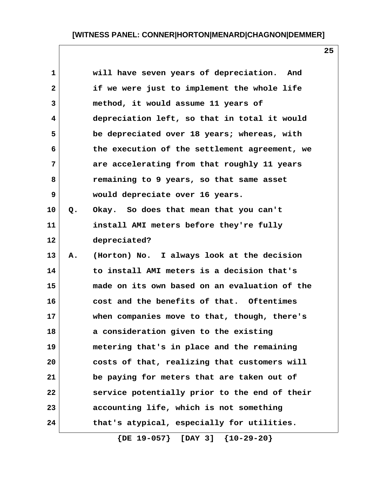**25**

| $\mathbf{1}$ |    | will have seven years of depreciation. And    |
|--------------|----|-----------------------------------------------|
| $\mathbf{2}$ |    | if we were just to implement the whole life   |
| 3            |    | method, it would assume 11 years of           |
| 4            |    | depreciation left, so that in total it would  |
| 5            |    | be depreciated over 18 years; whereas, with   |
| 6            |    | the execution of the settlement agreement, we |
| 7            |    | are accelerating from that roughly 11 years   |
| 8            |    | remaining to 9 years, so that same asset      |
| 9            |    | would depreciate over 16 years.               |
| 10           | Q. | Okay. So does that mean that you can't        |
| 11           |    | install AMI meters before they're fully       |
| 12           |    | depreciated?                                  |
| 13           | Α. | (Horton) No. I always look at the decision    |
| 14           |    | to install AMI meters is a decision that's    |
| 15           |    | made on its own based on an evaluation of the |
| 16           |    | cost and the benefits of that. Oftentimes     |
| 17           |    | when companies move to that, though, there's  |
| 18           |    | a consideration given to the existing         |
| 19           |    | metering that's in place and the remaining    |
| 20           |    | costs of that, realizing that customers will  |
| 21           |    | be paying for meters that are taken out of    |
| 22           |    | service potentially prior to the end of their |
| 23           |    | accounting life, which is not something       |
| 24           |    | that's atypical, especially for utilities.    |
|              |    |                                               |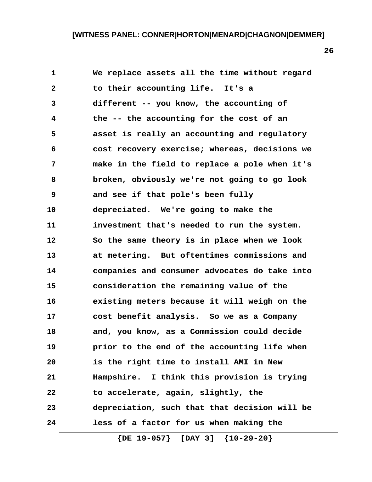| $\mathbf{1}$ | We replace assets all the time without regard |
|--------------|-----------------------------------------------|
| $\mathbf{2}$ | to their accounting life. It's a              |
| 3            | different -- you know, the accounting of      |
| 4            | the -- the accounting for the cost of an      |
| 5            | asset is really an accounting and regulatory  |
| 6            | cost recovery exercise; whereas, decisions we |
| 7            | make in the field to replace a pole when it's |
| 8            | broken, obviously we're not going to go look  |
| 9            | and see if that pole's been fully             |
| 10           | depreciated. We're going to make the          |
| 11           | investment that's needed to run the system.   |
| 12           | So the same theory is in place when we look   |
| 13           | at metering. But oftentimes commissions and   |
| 14           | companies and consumer advocates do take into |
| 15           | consideration the remaining value of the      |
| 16           | existing meters because it will weigh on the  |
| 17           | cost benefit analysis. So we as a Company     |
| 18           | and, you know, as a Commission could decide   |
| 19           | prior to the end of the accounting life when  |
| 20           | is the right time to install AMI in New       |
| 21           | Hampshire. I think this provision is trying   |
| 22           | to accelerate, again, slightly, the           |
| 23           | depreciation, such that that decision will be |
| 24           | less of a factor for us when making the       |

 **{DE 19-057} [DAY 3] {10-29-20}**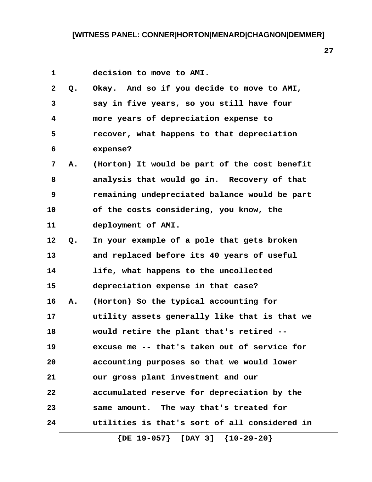1 decision to move to AMI.

| $\mathbf{2}$            | Q. | Okay. And so if you decide to move to AMI,    |
|-------------------------|----|-----------------------------------------------|
| 3                       |    | say in five years, so you still have four     |
| $\overline{\mathbf{4}}$ |    | more years of depreciation expense to         |
| 5                       |    | recover, what happens to that depreciation    |
| 6                       |    | expense?                                      |
| 7                       | Α. | (Horton) It would be part of the cost benefit |
| 8                       |    | analysis that would go in. Recovery of that   |
| 9                       |    | remaining undepreciated balance would be part |
| 10                      |    | of the costs considering, you know, the       |
| 11                      |    | deployment of AMI.                            |
| 12                      | Q. | In your example of a pole that gets broken    |
| 13                      |    | and replaced before its 40 years of useful    |
| 14                      |    | life, what happens to the uncollected         |
| 15                      |    | depreciation expense in that case?            |
| 16                      | Α. | (Horton) So the typical accounting for        |
| 17                      |    | utility assets generally like that is that we |
| 18                      |    | would retire the plant that's retired --      |
| 19                      |    | excuse me -- that's taken out of service for  |
| 20                      |    | accounting purposes so that we would lower    |
| 21                      |    | our gross plant investment and our            |
| 22                      |    | accumulated reserve for depreciation by the   |
| 23                      |    | same amount. The way that's treated for       |
| 24                      |    | utilities is that's sort of all considered in |

 **{DE 19-057} [DAY 3] {10-29-20}**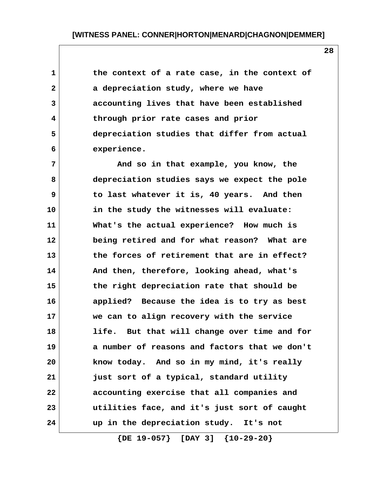1 **1** the context of a rate case, in the context of  **2 a depreciation study, where we have 3 accounting lives that have been established 4 through prior rate cases and prior 5 depreciation studies that differ from actual 6 experience.**

 **7 And so in that example, you know, the 8 depreciation studies says we expect the pole 9 to last whatever it is, 40 years. And then 10 in the study the witnesses will evaluate: 11 What's the actual experience? How much is 12 being retired and for what reason? What are 13 the forces of retirement that are in effect? 14 And then, therefore, looking ahead, what's 15 the right depreciation rate that should be 16 applied? Because the idea is to try as best 17 we can to align recovery with the service 18 life. But that will change over time and for 19 a number of reasons and factors that we don't 20 know today. And so in my mind, it's really 21 just sort of a typical, standard utility 22 accounting exercise that all companies and 23 utilities face, and it's just sort of caught 24 up in the depreciation study. It's not**

 **{DE 19-057} [DAY 3] {10-29-20}**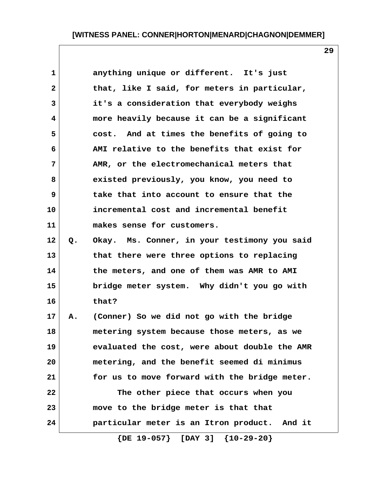| $\mathbf 1$  |    | anything unique or different. It's just       |
|--------------|----|-----------------------------------------------|
| $\mathbf{2}$ |    | that, like I said, for meters in particular,  |
| 3            |    | it's a consideration that everybody weighs    |
| 4            |    | more heavily because it can be a significant  |
| 5            |    | cost. And at times the benefits of going to   |
| 6            |    | AMI relative to the benefits that exist for   |
| 7            |    | AMR, or the electromechanical meters that     |
| 8            |    | existed previously, you know, you need to     |
| 9            |    | take that into account to ensure that the     |
| 10           |    | incremental cost and incremental benefit      |
| 11           |    | makes sense for customers.                    |
| 12           | Q. | Okay. Ms. Conner, in your testimony you said  |
| 13           |    | that there were three options to replacing    |
| 14           |    | the meters, and one of them was AMR to AMI    |
| 15           |    | bridge meter system. Why didn't you go with   |
| 16           |    | that?                                         |
| 17           | Α. | (Conner) So we did not go with the bridge     |
| 18           |    | metering system because those meters, as we   |
| 19           |    | evaluated the cost, were about double the AMR |
| 20           |    | metering, and the benefit seemed di minimus   |
| 21           |    | for us to move forward with the bridge meter. |
| 22           |    | The other piece that occurs when you          |
| 23           |    | move to the bridge meter is that that         |
| 24           |    | particular meter is an Itron product. And it  |
|              |    | $\{DE 19-057\}$ [DAY 3] $\{10-29-20\}$        |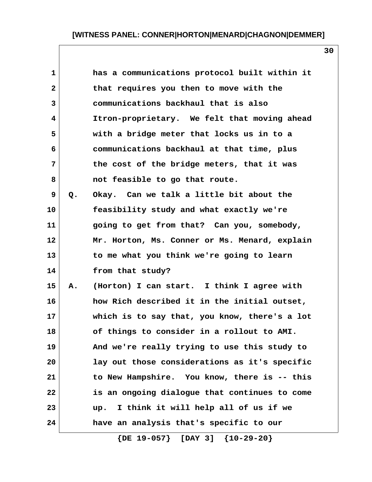| 1                       |    | has a communications protocol built within it |
|-------------------------|----|-----------------------------------------------|
| $\mathbf{2}$            |    | that requires you then to move with the       |
| $\overline{\mathbf{3}}$ |    | communications backhaul that is also          |
| 4                       |    | Itron-proprietary. We felt that moving ahead  |
| 5                       |    | with a bridge meter that locks us in to a     |
| 6                       |    | communications backhaul at that time, plus    |
| 7                       |    | the cost of the bridge meters, that it was    |
| 8                       |    | not feasible to go that route.                |
| 9                       | Q. | Okay. Can we talk a little bit about the      |
| 10                      |    | feasibility study and what exactly we're      |
| 11                      |    | going to get from that? Can you, somebody,    |
| 12                      |    | Mr. Horton, Ms. Conner or Ms. Menard, explain |
| 13                      |    | to me what you think we're going to learn     |
| 14                      |    | from that study?                              |
| 15                      | Α. | (Horton) I can start. I think I agree with    |
| 16                      |    | how Rich described it in the initial outset,  |
| 17                      |    | which is to say that, you know, there's a lot |
| 18                      |    | of things to consider in a rollout to AMI.    |
| 19                      |    | And we're really trying to use this study to  |
| 20                      |    | lay out those considerations as it's specific |
| 21                      |    | to New Hampshire. You know, there is -- this  |
| 22                      |    | is an ongoing dialogue that continues to come |
| 23                      |    | I think it will help all of us if we<br>up.   |
| 24                      |    | have an analysis that's specific to our       |
|                         |    |                                               |

 **{DE 19-057} [DAY 3] {10-29-20}**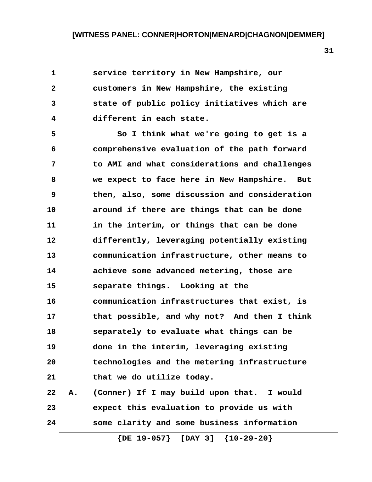| $\mathbf 1$  | service territory in New Hampshire, our          |  |
|--------------|--------------------------------------------------|--|
| $\mathbf{2}$ | customers in New Hampshire, the existing         |  |
| 3            | state of public policy initiatives which are     |  |
| 4            | different in each state.                         |  |
| 5            | So I think what we're going to get is a          |  |
| 6            | comprehensive evaluation of the path forward     |  |
| 7            | to AMI and what considerations and challenges    |  |
| 8            | we expect to face here in New Hampshire.<br>But  |  |
| 9            | then, also, some discussion and consideration    |  |
| 10           | around if there are things that can be done      |  |
| 11           | in the interim, or things that can be done       |  |
| 12           | differently, leveraging potentially existing     |  |
| 13           | communication infrastructure, other means to     |  |
| 14           | achieve some advanced metering, those are        |  |
| 15           | separate things. Looking at the                  |  |
| 16           | communication infrastructures that exist, is     |  |
| 17           | that possible, and why not? And then I think     |  |
| 18           | separately to evaluate what things can be        |  |
| 19           | done in the interim, leveraging existing         |  |
| 20           | technologies and the metering infrastructure     |  |
| 21           | that we do utilize today.                        |  |
| 22           | (Conner) If I may build upon that. I would<br>Α. |  |
| 23           | expect this evaluation to provide us with        |  |
| 24           | some clarity and some business information       |  |
|              |                                                  |  |

 **{DE 19-057} [DAY 3] {10-29-20}**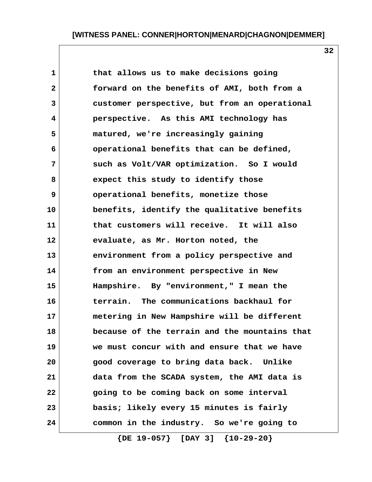**32**

| $\mathbf{1}$ | that allows us to make decisions going        |
|--------------|-----------------------------------------------|
| $\mathbf{2}$ | forward on the benefits of AMI, both from a   |
| 3            | customer perspective, but from an operational |
| 4            | perspective. As this AMI technology has       |
| 5            | matured, we're increasingly gaining           |
| 6            | operational benefits that can be defined,     |
| 7            | such as Volt/VAR optimization. So I would     |
| 8            | expect this study to identify those           |
| 9            | operational benefits, monetize those          |
| 10           | benefits, identify the qualitative benefits   |
| 11           | that customers will receive. It will also     |
| 12           | evaluate, as Mr. Horton noted, the            |
| 13           | environment from a policy perspective and     |
| 14           | from an environment perspective in New        |
| 15           | Hampshire. By "environment," I mean the       |
| 16           | terrain. The communications backhaul for      |
| 17           | metering in New Hampshire will be different   |
| 18           | because of the terrain and the mountains that |
| 19           | we must concur with and ensure that we have   |
| 20           | good coverage to bring data back. Unlike      |
| 21           | data from the SCADA system, the AMI data is   |
| 22           | going to be coming back on some interval      |
| 23           | basis; likely every 15 minutes is fairly      |
| 24           | common in the industry. So we're going to     |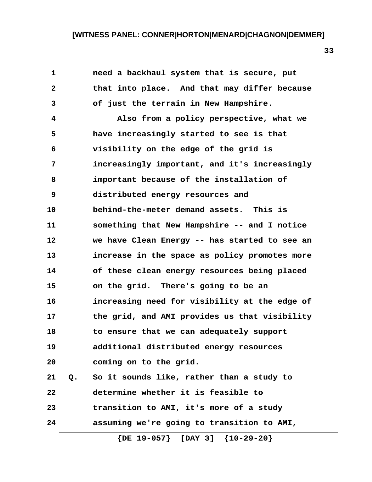| 1              |    | need a backhaul system that is secure, put    |
|----------------|----|-----------------------------------------------|
| $\overline{2}$ |    | that into place. And that may differ because  |
| 3              |    | of just the terrain in New Hampshire.         |
| 4              |    | Also from a policy perspective, what we       |
| 5              |    | have increasingly started to see is that      |
| 6              |    | visibility on the edge of the grid is         |
| 7              |    | increasingly important, and it's increasingly |
| 8              |    | important because of the installation of      |
| 9              |    | distributed energy resources and              |
| 10             |    | behind-the-meter demand assets. This is       |
| 11             |    | something that New Hampshire -- and I notice  |
| 12             |    | we have Clean Energy -- has started to see an |
| 13             |    | increase in the space as policy promotes more |
| 14             |    | of these clean energy resources being placed  |
| 15             |    | on the grid. There's going to be an           |
| 16             |    | increasing need for visibility at the edge of |
| 17             |    | the grid, and AMI provides us that visibility |
| 18             |    | to ensure that we can adequately support      |
| 19             |    | additional distributed energy resources       |
| 20             |    | coming on to the grid.                        |
| 21             | Q. | So it sounds like, rather than a study to     |
| 22             |    | determine whether it is feasible to           |
| 23             |    | transition to AMI, it's more of a study       |
| 24             |    | assuming we're going to transition to AMI,    |
|                |    | $\{DE 19-057\}$ [DAY 3] $\{10-29-20\}$        |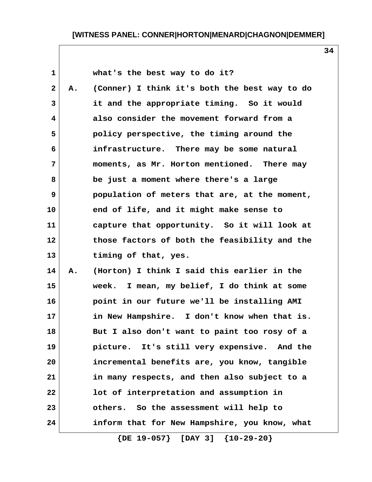**1 what's the best way to do it?**

 **2 A. (Conner) I think it's both the best way to do 3 it and the appropriate timing. So it would 4 also consider the movement forward from a 5 policy perspective, the timing around the 6 infrastructure. There may be some natural 7 moments, as Mr. Horton mentioned. There may 8 be just a moment where there's a large 9 population of meters that are, at the moment, 10 end of life, and it might make sense to 11 capture that opportunity. So it will look at 12 those factors of both the feasibility and the 13 timing of that, yes.**

**14 A. (Horton) I think I said this earlier in the 15 week. I mean, my belief, I do think at some 16 point in our future we'll be installing AMI 17 in New Hampshire. I don't know when that is. 18 But I also don't want to paint too rosy of a 19 picture. It's still very expensive. And the 20 incremental benefits are, you know, tangible 21 in many respects, and then also subject to a 22 lot of interpretation and assumption in 23 others. So the assessment will help to 24 inform that for New Hampshire, you know, what**

 **{DE 19-057} [DAY 3] {10-29-20}**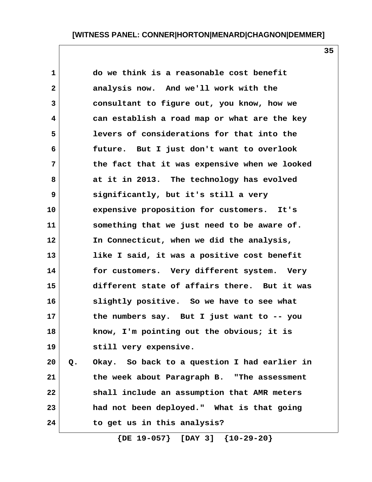| $\mathbf{1}$   | do we think is a reasonable cost benefit           |
|----------------|----------------------------------------------------|
| $\overline{2}$ | analysis now. And we'll work with the              |
| 3              | consultant to figure out, you know, how we         |
| 4              | can establish a road map or what are the key       |
| 5              | levers of considerations for that into the         |
| 6              | future. But I just don't want to overlook          |
| 7              | the fact that it was expensive when we looked      |
| 8              | at it in 2013. The technology has evolved          |
| 9              | significantly, but it's still a very               |
| 10             | expensive proposition for customers.<br>It's       |
| 11             | something that we just need to be aware of.        |
| 12             | In Connecticut, when we did the analysis,          |
| 13             | like I said, it was a positive cost benefit        |
| 14             | for customers. Very different system. Very         |
| 15             | different state of affairs there. But it was       |
| 16             | slightly positive. So we have to see what          |
| 17             | the numbers say. But I just want to -- you         |
| 18             | know, I'm pointing out the obvious; it is          |
| 19             | still very expensive.                              |
| 20             | Okay. So back to a question I had earlier in<br>Q. |

**21 the week about Paragraph B. "The assessment 22 shall include an assumption that AMR meters 23 had not been deployed." What is that going 24 to get us in this analysis?**

 **{DE 19-057} [DAY 3] {10-29-20}**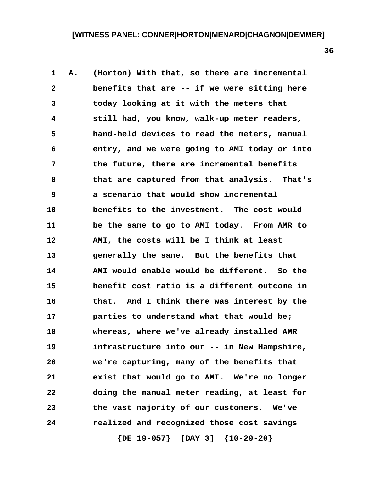1 A. (Horton) With that, so there are incremental  **2 benefits that are -- if we were sitting here 3 today looking at it with the meters that 4 still had, you know, walk-up meter readers, 5 hand-held devices to read the meters, manual 6 entry, and we were going to AMI today or into 7 the future, there are incremental benefits 8 that are captured from that analysis. That's 9 a scenario that would show incremental 10 benefits to the investment. The cost would 11 be the same to go to AMI today. From AMR to 12 AMI, the costs will be I think at least 13 generally the same. But the benefits that 14 AMI would enable would be different. So the 15 benefit cost ratio is a different outcome in 16 that. And I think there was interest by the 17 parties to understand what that would be; 18 whereas, where we've already installed AMR 19 infrastructure into our -- in New Hampshire, 20 we're capturing, many of the benefits that 21 exist that would go to AMI. We're no longer 22 doing the manual meter reading, at least for 23 the vast majority of our customers. We've 24 realized and recognized those cost savings**

 **{DE 19-057} [DAY 3] {10-29-20}**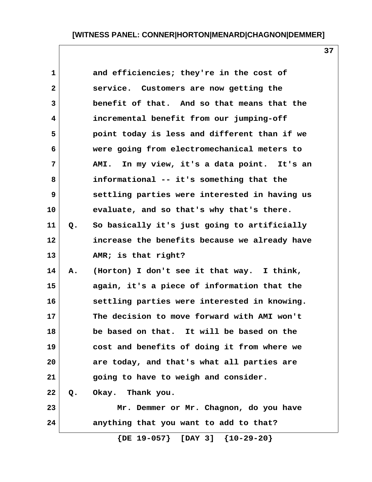| $\mathbf 1$    |    | and efficiencies; they're in the cost of      |
|----------------|----|-----------------------------------------------|
| $\overline{2}$ |    | service. Customers are now getting the        |
| 3              |    | benefit of that. And so that means that the   |
| 4              |    | incremental benefit from our jumping-off      |
| 5              |    | point today is less and different than if we  |
| 6              |    | were going from electromechanical meters to   |
| 7              |    | AMI. In my view, it's a data point. It's an   |
| 8              |    | informational -- it's something that the      |
| 9              |    | settling parties were interested in having us |
| 10             |    | evaluate, and so that's why that's there.     |
| 11             | Q. | So basically it's just going to artificially  |
| 12             |    | increase the benefits because we already have |
| 13             |    | AMR; is that right?                           |
| 14             | Α. | (Horton) I don't see it that way. I think,    |
| 15             |    | again, it's a piece of information that the   |
| 16             |    | settling parties were interested in knowing.  |
| 17             |    | The decision to move forward with AMI won't   |
| 18             |    | be based on that. It will be based on the     |
| 19             |    | cost and benefits of doing it from where we   |
| 20             |    | are today, and that's what all parties are    |
| 21             |    | going to have to weigh and consider.          |
| 22             |    | Q. Okay. Thank you.                           |
| 23             |    | Mr. Demmer or Mr. Chagnon, do you have        |
| 24             |    | anything that you want to add to that?        |
|                |    | $\{DE 19-057\}$ [DAY 3] $\{10-29-20\}$        |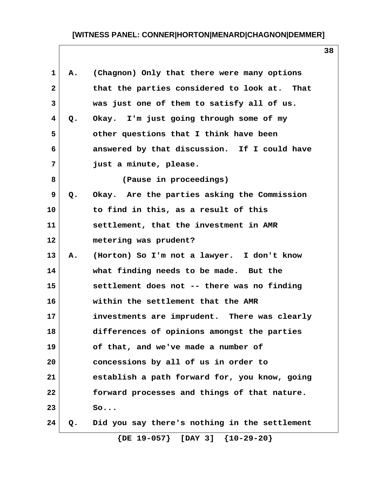| 1  | Α.    | (Chagnon) Only that there were many options   |
|----|-------|-----------------------------------------------|
| 2  |       | that the parties considered to look at. That  |
| 3  |       | was just one of them to satisfy all of us.    |
| 4  | Q.    | Okay. I'm just going through some of my       |
| 5  |       | other questions that I think have been        |
| 6  |       | answered by that discussion. If I could have  |
| 7  |       | just a minute, please.                        |
| 8  |       | (Pause in proceedings)                        |
| 9  | $Q$ . | Okay. Are the parties asking the Commission   |
| 10 |       | to find in this, as a result of this          |
| 11 |       | settlement, that the investment in AMR        |
| 12 |       | metering was prudent?                         |
| 13 | Α.    | (Horton) So I'm not a lawyer. I don't know    |
| 14 |       | what finding needs to be made. But the        |
| 15 |       | settlement does not -- there was no finding   |
| 16 |       | within the settlement that the AMR            |
| 17 |       | investments are imprudent. There was clearly  |
| 18 |       | differences of opinions amongst the parties   |
| 19 |       | of that, and we've made a number of           |
| 20 |       | concessions by all of us in order to          |
| 21 |       | establish a path forward for, you know, going |
| 22 |       | forward processes and things of that nature.  |
| 23 |       | So                                            |
| 24 | Q.    | Did you say there's nothing in the settlement |
|    |       |                                               |

 **{DE 19-057} [DAY 3] {10-29-20}**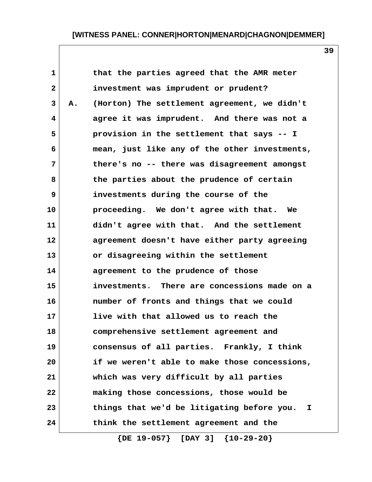| $\mathbf{1}$ |    | that the parties agreed that the AMR meter      |
|--------------|----|-------------------------------------------------|
| $\mathbf{2}$ |    | investment was imprudent or prudent?            |
| 3            | Α. | (Horton) The settlement agreement, we didn't    |
| 4            |    | agree it was imprudent. And there was not a     |
| 5            |    | provision in the settlement that says -- I      |
| 6            |    | mean, just like any of the other investments,   |
| 7            |    | there's no -- there was disagreement amongst    |
| 8            |    | the parties about the prudence of certain       |
| 9            |    | investments during the course of the            |
| 10           |    | proceeding. We don't agree with that. We        |
| 11           |    | didn't agree with that. And the settlement      |
| 12           |    | agreement doesn't have either party agreeing    |
| 13           |    | or disagreeing within the settlement            |
| 14           |    | agreement to the prudence of those              |
| 15           |    | investments. There are concessions made on a    |
| 16           |    | number of fronts and things that we could       |
| 17           |    | live with that allowed us to reach the          |
| 18           |    | comprehensive settlement agreement and          |
| 19           |    | consensus of all parties. Frankly, I think      |
| 20           |    | if we weren't able to make those concessions,   |
| 21           |    | which was very difficult by all parties         |
| 22           |    | making those concessions, those would be        |
| 23           |    | things that we'd be litigating before you.<br>I |
| 24           |    | think the settlement agreement and the          |
|              |    |                                                 |

 **{DE 19-057} [DAY 3] {10-29-20}**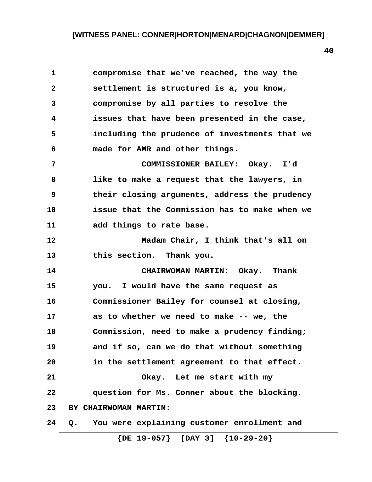| 1                       | compromise that we've reached, the way the        |
|-------------------------|---------------------------------------------------|
| $\mathbf{2}$            | settlement is structured is a, you know,          |
| $\overline{\mathbf{3}}$ | compromise by all parties to resolve the          |
| 4                       | issues that have been presented in the case,      |
| 5                       | including the prudence of investments that we     |
| 6                       | made for AMR and other things.                    |
| 7                       | COMMISSIONER BAILEY: Okay. I'd                    |
| 8                       | like to make a request that the lawyers, in       |
| 9                       | their closing arguments, address the prudency     |
| 10                      | issue that the Commission has to make when we     |
| 11                      | add things to rate base.                          |
| 12                      | Madam Chair, I think that's all on                |
| 13                      | this section. Thank you.                          |
| 14                      | CHAIRWOMAN MARTIN: Okay. Thank                    |
| 15                      | you. I would have the same request as             |
| 16                      | Commissioner Bailey for counsel at closing,       |
| 17                      | as to whether we need to make -- we, the          |
| 18                      | Commission, need to make a prudency finding;      |
| 19                      | and if so, can we do that without something       |
| 20                      | in the settlement agreement to that effect.       |
| 21                      | Okay. Let me start with my                        |
| 22                      | question for Ms. Conner about the blocking.       |
| 23                      | BY CHAIRWOMAN MARTIN:                             |
| 24                      | You were explaining customer enrollment and<br>Q. |

 **{DE 19-057} [DAY 3] {10-29-20}**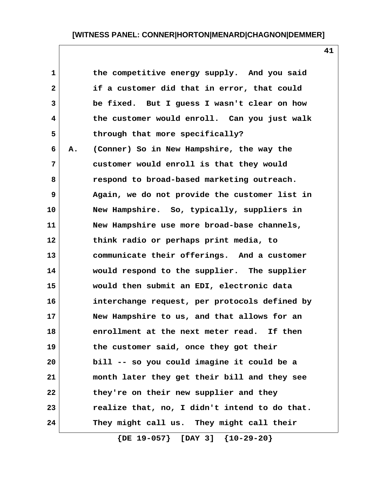**41**

| $\mathbf{1}$ |    | the competitive energy supply. And you said   |
|--------------|----|-----------------------------------------------|
| $\mathbf{2}$ |    | if a customer did that in error, that could   |
| 3            |    | be fixed. But I guess I wasn't clear on how   |
| 4            |    | the customer would enroll. Can you just walk  |
| 5            |    | through that more specifically?               |
| 6            | А. | (Conner) So in New Hampshire, the way the     |
| 7            |    | customer would enroll is that they would      |
| 8            |    | respond to broad-based marketing outreach.    |
| 9            |    | Again, we do not provide the customer list in |
| 10           |    | New Hampshire. So, typically, suppliers in    |
| 11           |    | New Hampshire use more broad-base channels,   |
| 12           |    | think radio or perhaps print media, to        |
| 13           |    | communicate their offerings. And a customer   |
| 14           |    | would respond to the supplier. The supplier   |
| 15           |    | would then submit an EDI, electronic data     |
| 16           |    | interchange request, per protocols defined by |
| 17           |    | New Hampshire to us, and that allows for an   |
| 18           |    | enrollment at the next meter read.<br>If then |
| 19           |    | the customer said, once they got their        |
| 20           |    | bill -- so you could imagine it could be a    |
| 21           |    | month later they get their bill and they see  |
| 22           |    | they're on their new supplier and they        |
| 23           |    | realize that, no, I didn't intend to do that. |
| 24           |    | They might call us. They might call their     |

 **{DE 19-057} [DAY 3] {10-29-20}**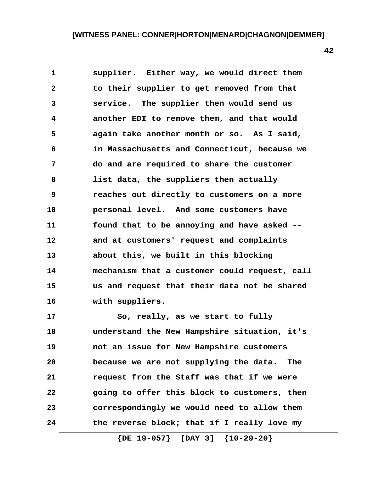**1 supplier. Either way, we would direct them 2 to their supplier to get removed from that 3 service. The supplier then would send us 4 another EDI to remove them, and that would 5 again take another month or so. As I said, 6 in Massachusetts and Connecticut, because we 7 do and are required to share the customer 8 list data, the suppliers then actually 9 reaches out directly to customers on a more 10 personal level. And some customers have 11 found that to be annoying and have asked -- 12 and at customers' request and complaints 13 about this, we built in this blocking 14 mechanism that a customer could request, call 15 us and request that their data not be shared 16 with suppliers.**

**17 So, really, as we start to fully 18 understand the New Hampshire situation, it's 19 not an issue for New Hampshire customers 20 because we are not supplying the data. The 21 request from the Staff was that if we were 22 going to offer this block to customers, then 23 correspondingly we would need to allow them 24 the reverse block; that if I really love my**

 **{DE 19-057} [DAY 3] {10-29-20}**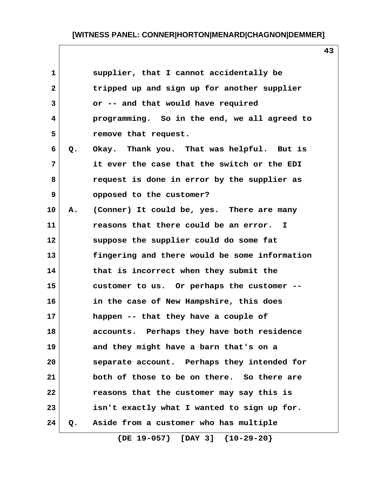**43**

|    | supplier, that I cannot accidentally be       |
|----|-----------------------------------------------|
|    | tripped up and sign up for another supplier   |
|    | or -- and that would have required            |
|    | programming. So in the end, we all agreed to  |
|    | remove that request.                          |
| Q. | Okay. Thank you. That was helpful. But is     |
|    | it ever the case that the switch or the EDI   |
|    | request is done in error by the supplier as   |
|    | opposed to the customer?                      |
| Α. | (Conner) It could be, yes. There are many     |
|    | reasons that there could be an error. I       |
|    | suppose the supplier could do some fat        |
|    | fingering and there would be some information |
|    | that is incorrect when they submit the        |
|    | customer to us. Or perhaps the customer --    |
|    | in the case of New Hampshire, this does       |
|    | happen -- that they have a couple of          |
|    | accounts. Perhaps they have both residence    |
|    | and they might have a barn that's on a        |
|    | separate account. Perhaps they intended for   |
|    | both of those to be on there. So there are    |
|    | reasons that the customer may say this is     |
|    | isn't exactly what I wanted to sign up for.   |
| Q. | Aside from a customer who has multiple        |
|    |                                               |

 **{DE 19-057} [DAY 3] {10-29-20}**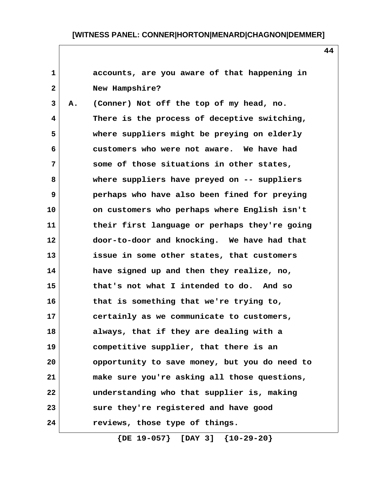**1 accounts, are you aware of that happening in 2 New Hampshire? 3 A. (Conner) Not off the top of my head, no. 4 There is the process of deceptive switching, 5 where suppliers might be preying on elderly 6 customers who were not aware. We have had 7 some of those situations in other states, 8 where suppliers have preyed on -- suppliers 9 perhaps who have also been fined for preying 10 on customers who perhaps where English isn't 11 their first language or perhaps they're going 12 door-to-door and knocking. We have had that 13 issue in some other states, that customers 14 have signed up and then they realize, no, 15 that's not what I intended to do. And so 16 that is something that we're trying to, 17 certainly as we communicate to customers, 18 always, that if they are dealing with a 19 competitive supplier, that there is an 20 opportunity to save money, but you do need to 21 make sure you're asking all those questions, 22 understanding who that supplier is, making 23 sure they're registered and have good 24 reviews, those type of things.**

 **{DE 19-057} [DAY 3] {10-29-20}**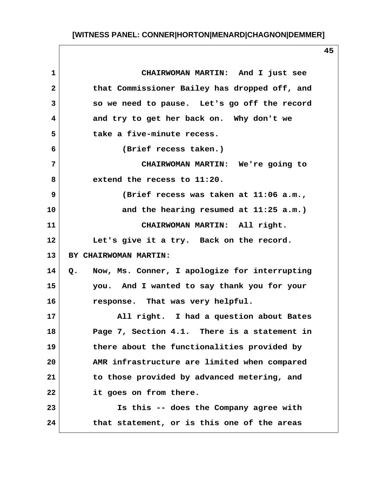| 1              | CHAIRWOMAN MARTIN: And I just see                |
|----------------|--------------------------------------------------|
| $\mathbf{2}$   | that Commissioner Bailey has dropped off, and    |
| $\overline{3}$ | so we need to pause. Let's go off the record     |
| 4              | and try to get her back on. Why don't we         |
| 5              | take a five-minute recess.                       |
| 6              | (Brief recess taken.)                            |
| 7              | CHAIRWOMAN MARTIN: We're going to                |
| 8              | extend the recess to 11:20.                      |
| 9              | (Brief recess was taken at 11:06 a.m.,           |
| 10             | and the hearing resumed at 11:25 a.m.)           |
| 11             | CHAIRWOMAN MARTIN: All right.                    |
| 12             | Let's give it a try. Back on the record.         |
| 13             | BY CHAIRWOMAN MARTIN:                            |
| 14             | Q. Now, Ms. Conner, I apologize for interrupting |
| 15             | you. And I wanted to say thank you for your      |
| 16             | response. That was very helpful.                 |
| 17             | All right. I had a question about Bates          |
| 18             | Page 7, Section 4.1. There is a statement in     |
| 19             | there about the functionalities provided by      |
| 20             | AMR infrastructure are limited when compared     |
| 21             | to those provided by advanced metering, and      |
| 22             | it goes on from there.                           |
| 23             | Is this -- does the Company agree with           |
| 24             | that statement, or is this one of the areas      |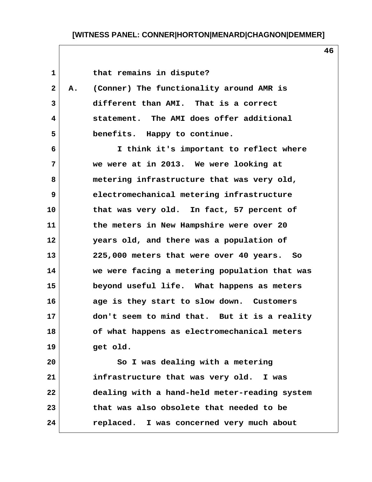1 that remains in dispute?  **2 A. (Conner) The functionality around AMR is 3 different than AMI. That is a correct 4 statement. The AMI does offer additional 5 benefits. Happy to continue. 6 I think it's important to reflect where 7 we were at in 2013. We were looking at 8 metering infrastructure that was very old, 9 electromechanical metering infrastructure 10 that was very old. In fact, 57 percent of 11 the meters in New Hampshire were over 20 12 years old, and there was a population of 13 225,000 meters that were over 40 years. So 14 we were facing a metering population that was 15 beyond useful life. What happens as meters 16 age is they start to slow down. Customers 17 don't seem to mind that. But it is a reality 18 of what happens as electromechanical meters 19 get old. 20 So I was dealing with a metering 21 infrastructure that was very old. I was 22 dealing with a hand-held meter-reading system 23 that was also obsolete that needed to be 24 replaced. I was concerned very much about**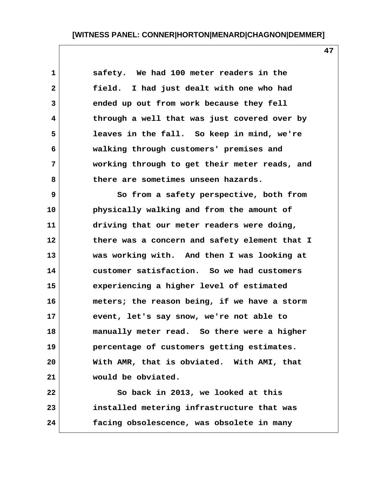**47**

 **1 safety. We had 100 meter readers in the 2 field. I had just dealt with one who had 3 ended up out from work because they fell 4 through a well that was just covered over by 5 leaves in the fall. So keep in mind, we're 6 walking through customers' premises and 7 working through to get their meter reads, and 8 there are sometimes unseen hazards.**

 **9 So from a safety perspective, both from 10 physically walking and from the amount of 11 driving that our meter readers were doing, 12 there was a concern and safety element that I 13 was working with. And then I was looking at 14 customer satisfaction. So we had customers 15 experiencing a higher level of estimated 16 meters; the reason being, if we have a storm 17 event, let's say snow, we're not able to 18 manually meter read. So there were a higher 19 percentage of customers getting estimates. 20 With AMR, that is obviated. With AMI, that 21 would be obviated.**

**22 So back in 2013, we looked at this 23 installed metering infrastructure that was 24 facing obsolescence, was obsolete in many**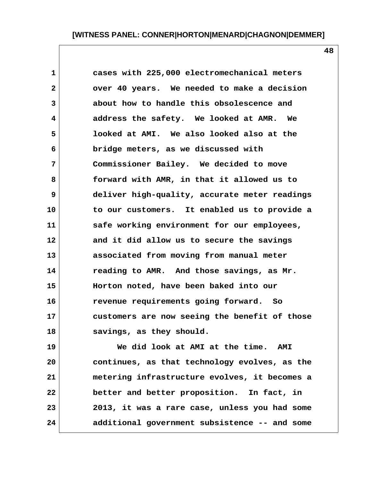**1 cases with 225,000 electromechanical meters 2 over 40 years. We needed to make a decision 3 about how to handle this obsolescence and 4 address the safety. We looked at AMR. We 5 looked at AMI. We also looked also at the 6 bridge meters, as we discussed with 7 Commissioner Bailey. We decided to move 8 forward with AMR, in that it allowed us to 9 deliver high-quality, accurate meter readings 10 to our customers. It enabled us to provide a 11 safe working environment for our employees, 12 and it did allow us to secure the savings 13 associated from moving from manual meter 14 reading to AMR. And those savings, as Mr. 15 Horton noted, have been baked into our 16 revenue requirements going forward. So 17 customers are now seeing the benefit of those 18 savings, as they should.**

**19 We did look at AMI at the time. AMI 20 continues, as that technology evolves, as the 21 metering infrastructure evolves, it becomes a 22 better and better proposition. In fact, in 23 2013, it was a rare case, unless you had some 24 additional government subsistence -- and some**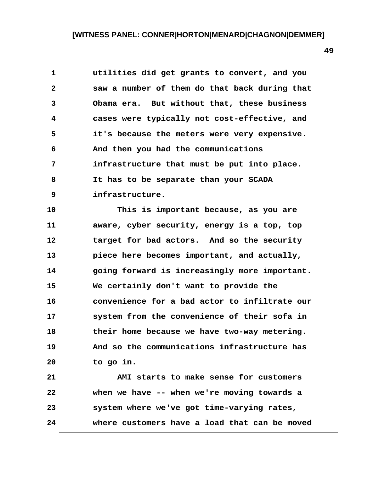| $\mathbf 1$             | utilities did get grants to convert, and you  |
|-------------------------|-----------------------------------------------|
| $\overline{2}$          | saw a number of them do that back during that |
| $\overline{3}$          | Obama era. But without that, these business   |
| $\overline{\mathbf{4}}$ | cases were typically not cost-effective, and  |
| 5                       | it's because the meters were very expensive.  |
| 6                       | And then you had the communications           |
| 7                       | infrastructure that must be put into place.   |
| 8                       | It has to be separate than your SCADA         |
| 9                       | infrastructure.                               |

**10 This is important because, as you are 11 aware, cyber security, energy is a top, top 12 target for bad actors. And so the security 13 piece here becomes important, and actually, 14 going forward is increasingly more important. 15 We certainly don't want to provide the 16 convenience for a bad actor to infiltrate our 17 system from the convenience of their sofa in 18 their home because we have two-way metering. 19 And so the communications infrastructure has 20 to go in.**

**21 AMI starts to make sense for customers 22 when we have -- when we're moving towards a 23 system where we've got time-varying rates, 24 where customers have a load that can be moved**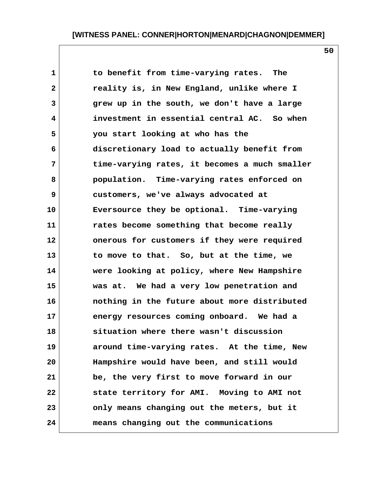1 to benefit from time-varying rates. The  **2 reality is, in New England, unlike where I 3 grew up in the south, we don't have a large 4 investment in essential central AC. So when 5 you start looking at who has the 6 discretionary load to actually benefit from 7 time-varying rates, it becomes a much smaller 8 population. Time-varying rates enforced on 9 customers, we've always advocated at 10 Eversource they be optional. Time-varying 11 rates become something that become really 12 onerous for customers if they were required 13 to move to that. So, but at the time, we 14 were looking at policy, where New Hampshire 15 was at. We had a very low penetration and 16 nothing in the future about more distributed 17 energy resources coming onboard. We had a 18 situation where there wasn't discussion 19 around time-varying rates. At the time, New 20 Hampshire would have been, and still would 21 be, the very first to move forward in our 22 state territory for AMI. Moving to AMI not 23 only means changing out the meters, but it 24 means changing out the communications**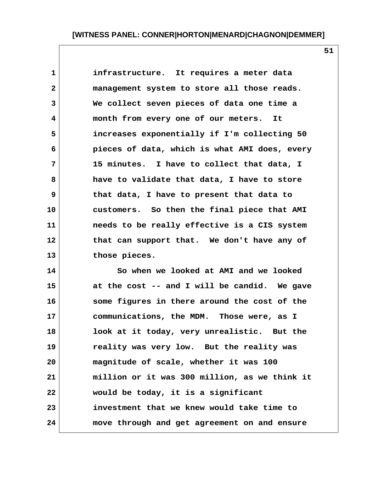**1 infrastructure. It requires a meter data 2 management system to store all those reads. 3 We collect seven pieces of data one time a 4 month from every one of our meters. It 5 increases exponentially if I'm collecting 50 6 pieces of data, which is what AMI does, every 7 15 minutes. I have to collect that data, I 8 have to validate that data, I have to store 9 that data, I have to present that data to 10 customers. So then the final piece that AMI 11 needs to be really effective is a CIS system 12 that can support that. We don't have any of 13 those pieces.**

**14 So when we looked at AMI and we looked 15 at the cost -- and I will be candid. We gave 16 some figures in there around the cost of the 17 communications, the MDM. Those were, as I 18 look at it today, very unrealistic. But the 19 reality was very low. But the reality was 20 magnitude of scale, whether it was 100 21 million or it was 300 million, as we think it 22 would be today, it is a significant 23 investment that we knew would take time to 24 move through and get agreement on and ensure**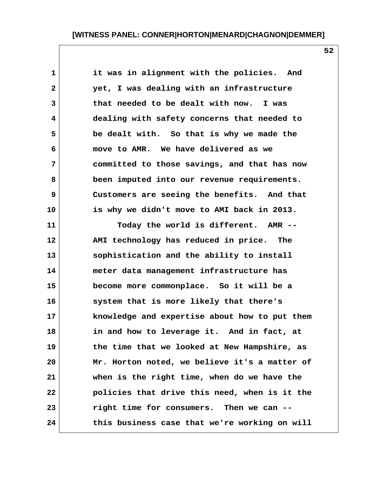**1 it was in alignment with the policies. And 2 yet, I was dealing with an infrastructure 3 that needed to be dealt with now. I was 4 dealing with safety concerns that needed to 5 be dealt with. So that is why we made the 6 move to AMR. We have delivered as we 7 committed to those savings, and that has now 8 been imputed into our revenue requirements. 9 Customers are seeing the benefits. And that 10 is why we didn't move to AMI back in 2013. 11 Today the world is different. AMR -- 12 AMI technology has reduced in price. The 13 sophistication and the ability to install 14 meter data management infrastructure has 15 become more commonplace. So it will be a 16 system that is more likely that there's 17 knowledge and expertise about how to put them 18 in and how to leverage it. And in fact, at 19 the time that we looked at New Hampshire, as 20 Mr. Horton noted, we believe it's a matter of 21 when is the right time, when do we have the 22 policies that drive this need, when is it the 23 right time for consumers. Then we can -- 24 this business case that we're working on will**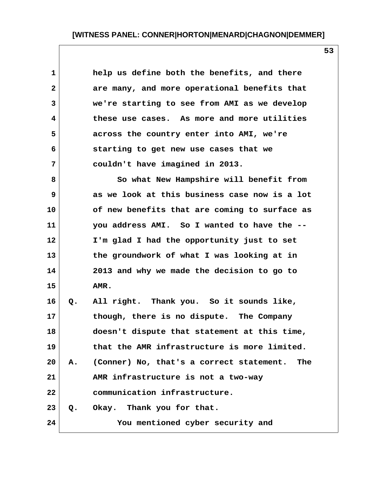**1 help us define both the benefits, and there 2 are many, and more operational benefits that 3 we're starting to see from AMI as we develop 4 these use cases. As more and more utilities 5 across the country enter into AMI, we're 6 starting to get new use cases that we 7 couldn't have imagined in 2013.**

 **8 So what New Hampshire will benefit from 9 as we look at this business case now is a lot 10 of new benefits that are coming to surface as 11 you address AMI. So I wanted to have the -- 12 I'm glad I had the opportunity just to set 13 the groundwork of what I was looking at in 14 2013 and why we made the decision to go to 15 AMR. 16 Q. All right. Thank you. So it sounds like, 17 though, there is no dispute. The Company 18 doesn't dispute that statement at this time, 19 that the AMR infrastructure is more limited. 20 A. (Conner) No, that's a correct statement. The 21 AMR infrastructure is not a two-way 22 communication infrastructure. 23 Q. Okay. Thank you for that. 24 You mentioned cyber security and**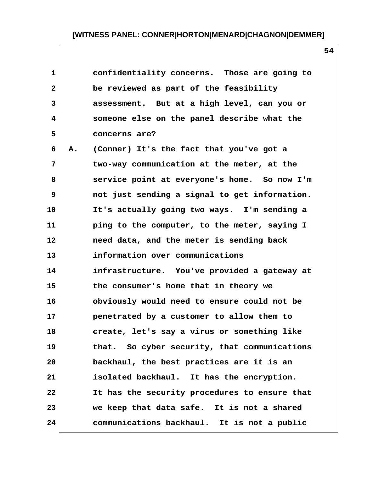| 1            |    | confidentiality concerns. Those are going to  |
|--------------|----|-----------------------------------------------|
| $\mathbf{2}$ |    | be reviewed as part of the feasibility        |
| 3            |    | assessment. But at a high level, can you or   |
| 4            |    | someone else on the panel describe what the   |
| 5            |    | concerns are?                                 |
| 6            | Α. | (Conner) It's the fact that you've got a      |
| 7            |    | two-way communication at the meter, at the    |
| 8            |    | service point at everyone's home. So now I'm  |
| 9            |    | not just sending a signal to get information. |
| 10           |    | It's actually going two ways. I'm sending a   |
| 11           |    | ping to the computer, to the meter, saying I  |
| 12           |    | need data, and the meter is sending back      |
| 13           |    | information over communications               |
| 14           |    | infrastructure. You've provided a gateway at  |
| 15           |    | the consumer's home that in theory we         |
| 16           |    | obviously would need to ensure could not be   |
| 17           |    | penetrated by a customer to allow them to     |
| 18           |    | create, let's say a virus or something like   |
| 19           |    | that. So cyber security, that communications  |
| 20           |    | backhaul, the best practices are it is an     |
| 21           |    | isolated backhaul. It has the encryption.     |
| 22           |    | It has the security procedures to ensure that |
| 23           |    | we keep that data safe. It is not a shared    |
| 24           |    | communications backhaul. It is not a public   |
|              |    |                                               |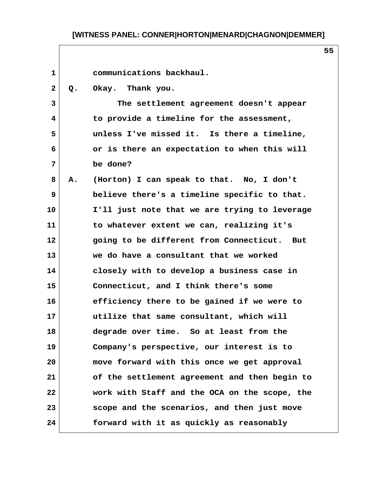| $\mathbf{1}$   |    | communications backhaul.                      |
|----------------|----|-----------------------------------------------|
| $\mathbf{2}$   | Q. | Okay. Thank you.                              |
| $\overline{3}$ |    | The settlement agreement doesn't appear       |
| 4              |    | to provide a timeline for the assessment,     |
| 5              |    | unless I've missed it. Is there a timeline,   |
| 6              |    | or is there an expectation to when this will  |
| 7              |    | be done?                                      |
| 8              | Α. | (Horton) I can speak to that. No, I don't     |
| 9              |    | believe there's a timeline specific to that.  |
| 10             |    | I'll just note that we are trying to leverage |
| 11             |    | to whatever extent we can, realizing it's     |
| 12             |    | going to be different from Connecticut. But   |
| 13             |    | we do have a consultant that we worked        |
| 14             |    | closely with to develop a business case in    |
| 15             |    | Connecticut, and I think there's some         |
| 16             |    | efficiency there to be gained if we were to   |
| 17             |    | utilize that same consultant, which will      |
| 18             |    | degrade over time. So at least from the       |
| 19             |    | Company's perspective, our interest is to     |
| 20             |    | move forward with this once we get approval   |
| 21             |    | of the settlement agreement and then begin to |
| 22             |    | work with Staff and the OCA on the scope, the |
| 23             |    | scope and the scenarios, and then just move   |
| 24             |    | forward with it as quickly as reasonably      |

 $\mathsf{l}$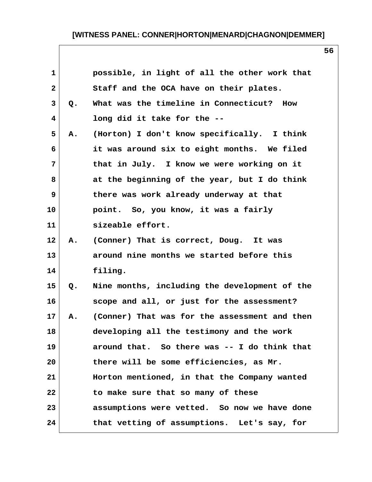| $\mathbf{1}$   |    | possible, in light of all the other work that |
|----------------|----|-----------------------------------------------|
| $\mathbf{2}$   |    | Staff and the OCA have on their plates.       |
| 3              | Q. | What was the timeline in Connecticut? How     |
| 4              |    | long did it take for the --                   |
| 5              | Α. | (Horton) I don't know specifically. I think   |
| 6              |    | it was around six to eight months. We filed   |
| $7\phantom{.}$ |    | that in July. I know we were working on it    |
| 8              |    | at the beginning of the year, but I do think  |
| 9              |    | there was work already underway at that       |
| 10             |    | point. So, you know, it was a fairly          |
| 11             |    | sizeable effort.                              |
| 12             | Α. | (Conner) That is correct, Doug. It was        |
| 13             |    | around nine months we started before this     |
| 14             |    | filing.                                       |
| 15             | Q. | Nine months, including the development of the |
| 16             |    | scope and all, or just for the assessment?    |
| 17             | Α. | (Conner) That was for the assessment and then |
| 18             |    | developing all the testimony and the work     |
| 19             |    | around that. So there was -- I do think that  |
| 20             |    | there will be some efficiencies, as Mr.       |
| 21             |    | Horton mentioned, in that the Company wanted  |
| 22             |    | to make sure that so many of these            |
| 23             |    | assumptions were vetted. So now we have done  |
| 24             |    | that vetting of assumptions. Let's say, for   |

 $\mathsf{l}$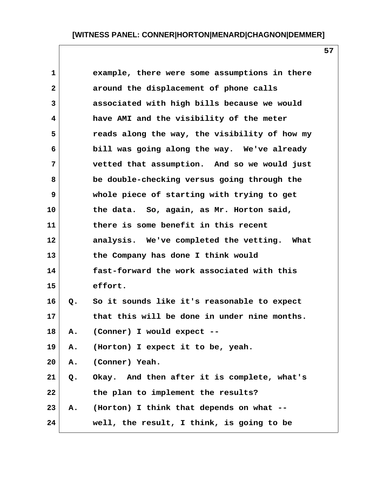| $\mathbf{1}$ |    | example, there were some assumptions in there |
|--------------|----|-----------------------------------------------|
| $\mathbf{2}$ |    | around the displacement of phone calls        |
| 3            |    | associated with high bills because we would   |
| 4            |    | have AMI and the visibility of the meter      |
| 5            |    | reads along the way, the visibility of how my |
| 6            |    | bill was going along the way. We've already   |
| 7            |    | vetted that assumption. And so we would just  |
| 8            |    | be double-checking versus going through the   |
| 9            |    | whole piece of starting with trying to get    |
| 10           |    | the data. So, again, as Mr. Horton said,      |
| 11           |    | there is some benefit in this recent          |
| 12           |    | analysis. We've completed the vetting. What   |
| 13           |    | the Company has done I think would            |
| 14           |    | fast-forward the work associated with this    |
| 15           |    | effort.                                       |
| 16           | Q. | So it sounds like it's reasonable to expect   |
| 17           |    | that this will be done in under nine months.  |
| 18           | Α. | (Conner) I would expect --                    |
| 19           | Α. | (Horton) I expect it to be, yeah.             |
| 20           | Α. | (Conner) Yeah.                                |
| 21           | Q. | Okay. And then after it is complete, what's   |
| 22           |    | the plan to implement the results?            |
| 23           | Α. | (Horton) I think that depends on what --      |
| 24           |    | well, the result, I think, is going to be     |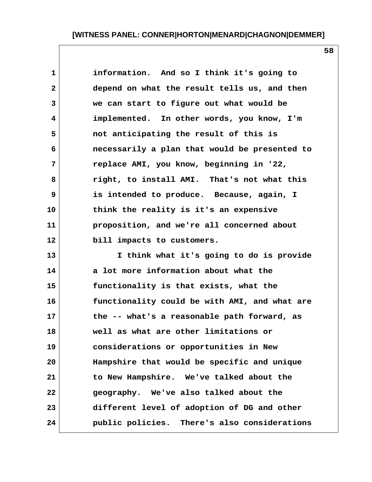**58**

 **1 information. And so I think it's going to 2 depend on what the result tells us, and then 3 we can start to figure out what would be 4 implemented. In other words, you know, I'm 5 not anticipating the result of this is 6 necessarily a plan that would be presented to 7 replace AMI, you know, beginning in '22, 8 right, to install AMI. That's not what this 9 is intended to produce. Because, again, I 10 think the reality is it's an expensive 11 proposition, and we're all concerned about 12 bill impacts to customers. 13 I think what it's going to do is provide 14 a lot more information about what the 15 functionality is that exists, what the 16 functionality could be with AMI, and what are 17 the -- what's a reasonable path forward, as 18 well as what are other limitations or 19 considerations or opportunities in New 20 Hampshire that would be specific and unique 21 to New Hampshire. We've talked about the 22 geography. We've also talked about the 23 different level of adoption of DG and other 24 public policies. There's also considerations**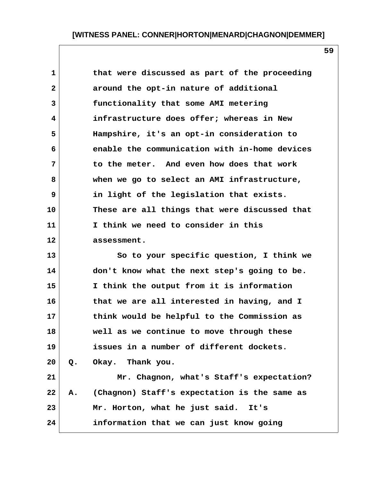**1 that were discussed as part of the proceeding 2 around the opt-in nature of additional 3 functionality that some AMI metering 4 infrastructure does offer; whereas in New 5 Hampshire, it's an opt-in consideration to 6 enable the communication with in-home devices 7 to the meter. And even how does that work 8 when we go to select an AMI infrastructure, 9 in light of the legislation that exists. 10 These are all things that were discussed that 11 I think we need to consider in this 12 assessment.**

**13 So to your specific question, I think we 14 don't know what the next step's going to be. 15 I think the output from it is information 16 that we are all interested in having, and I 17 think would be helpful to the Commission as 18 well as we continue to move through these 19 issues in a number of different dockets. 20 Q. Okay. Thank you. 21 Mr. Chagnon, what's Staff's expectation? 22 A. (Chagnon) Staff's expectation is the same as 23 Mr. Horton, what he just said. It's 24 information that we can just know going**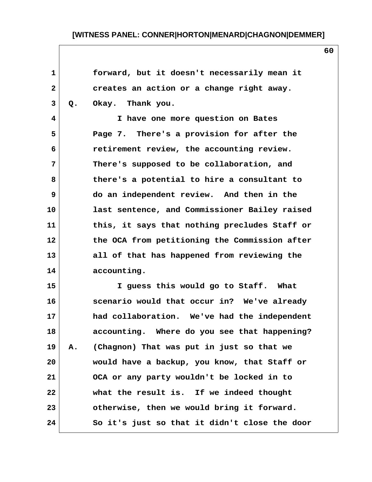| $\mathbf{1}$ |    | forward, but it doesn't necessarily mean it   |  |
|--------------|----|-----------------------------------------------|--|
| $\mathbf{2}$ |    | creates an action or a change right away.     |  |
| 3            | Q. | Okay. Thank you.                              |  |
| 4            |    | I have one more question on Bates             |  |
| 5            |    | Page 7. There's a provision for after the     |  |
| 6            |    | retirement review, the accounting review.     |  |
| 7            |    | There's supposed to be collaboration, and     |  |
| 8            |    | there's a potential to hire a consultant to   |  |
| 9            |    | do an independent review. And then in the     |  |
| 10           |    | last sentence, and Commissioner Bailey raised |  |
| 11           |    | this, it says that nothing precludes Staff or |  |
| 12           |    | the OCA from petitioning the Commission after |  |
| 13           |    | all of that has happened from reviewing the   |  |
| 14           |    | accounting.                                   |  |
| 15           |    |                                               |  |
|              |    | I guess this would go to Staff. What          |  |
| 16           |    | scenario would that occur in? We've already   |  |
| 17           |    | had collaboration. We've had the independent  |  |
| 18           |    | accounting. Where do you see that happening?  |  |
| 19           | Α. | (Chagnon) That was put in just so that we     |  |
| 20           |    | would have a backup, you know, that Staff or  |  |
| 21           |    | OCA or any party wouldn't be locked in to     |  |
| 22           |    | what the result is. If we indeed thought      |  |
| 23           |    | otherwise, then we would bring it forward.    |  |
| 24           |    | So it's just so that it didn't close the door |  |
|              |    |                                               |  |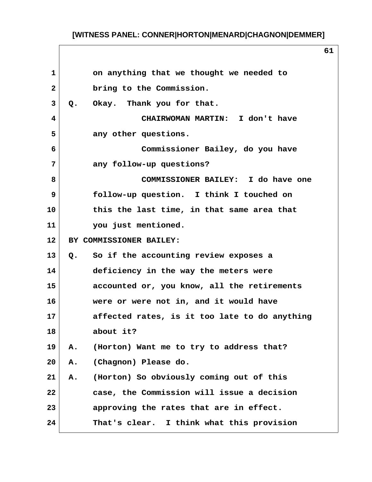| $\mathbf{1}$ | on anything that we thought we needed to               |  |
|--------------|--------------------------------------------------------|--|
| $\mathbf{2}$ | bring to the Commission.                               |  |
| 3            | Okay. Thank you for that.<br>Q.                        |  |
| 4            | CHAIRWOMAN MARTIN: I don't have                        |  |
| 5            | any other questions.                                   |  |
| 6            | Commissioner Bailey, do you have                       |  |
| 7            | any follow-up questions?                               |  |
| 8            | COMMISSIONER BAILEY: I do have one                     |  |
| 9            | follow-up question. I think I touched on               |  |
| 10           | this the last time, in that same area that             |  |
| 11           | you just mentioned.                                    |  |
| 12           | BY COMMISSIONER BAILEY:                                |  |
| 13           | So if the accounting review exposes a<br>$Q_{\bullet}$ |  |
| 14           | deficiency in the way the meters were                  |  |
| 15           | accounted or, you know, all the retirements            |  |
| 16           | were or were not in, and it would have                 |  |
| 17           | affected rates, is it too late to do anything          |  |
| 18           | about it?                                              |  |
| 19           | (Horton) Want me to try to address that?<br>Α.         |  |
| 20           | (Chagnon) Please do.<br>Α.                             |  |
| 21           | (Horton) So obviously coming out of this<br>Α.         |  |
| 22           | case, the Commission will issue a decision             |  |
| 23           | approving the rates that are in effect.                |  |
| 24           | That's clear. I think what this provision              |  |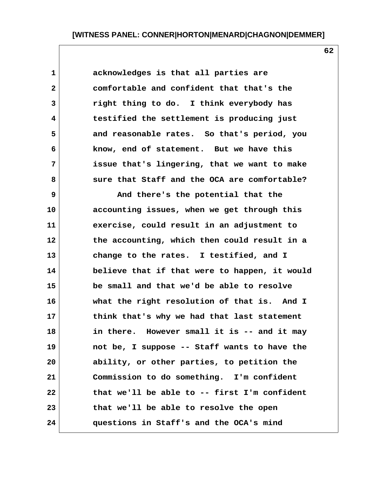**1 acknowledges is that all parties are 2 comfortable and confident that that's the 3 right thing to do. I think everybody has 4 testified the settlement is producing just 5 and reasonable rates. So that's period, you 6 know, end of statement. But we have this 7 issue that's lingering, that we want to make 8 sure that Staff and the OCA are comfortable?**

 **9 And there's the potential that the 10 accounting issues, when we get through this 11 exercise, could result in an adjustment to 12 the accounting, which then could result in a 13 change to the rates. I testified, and I 14 believe that if that were to happen, it would 15 be small and that we'd be able to resolve 16 what the right resolution of that is. And I 17 think that's why we had that last statement 18 in there. However small it is -- and it may 19 not be, I suppose -- Staff wants to have the 20 ability, or other parties, to petition the 21 Commission to do something. I'm confident 22 that we'll be able to -- first I'm confident 23 that we'll be able to resolve the open 24 questions in Staff's and the OCA's mind**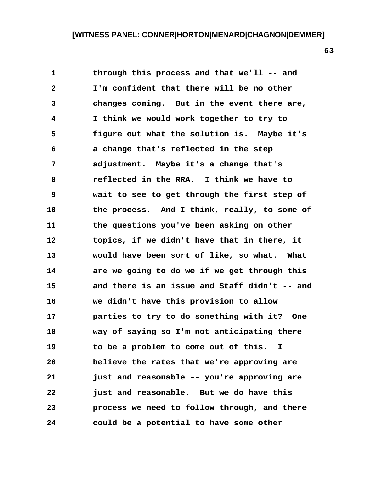**1 through this process and that we'll -- and 2 I'm confident that there will be no other 3 changes coming. But in the event there are, 4 I think we would work together to try to 5 figure out what the solution is. Maybe it's 6 a change that's reflected in the step 7 adjustment. Maybe it's a change that's 8 reflected in the RRA. I think we have to 9 wait to see to get through the first step of 10 the process. And I think, really, to some of 11 the questions you've been asking on other 12 topics, if we didn't have that in there, it 13 would have been sort of like, so what. What 14 are we going to do we if we get through this 15 and there is an issue and Staff didn't -- and 16 we didn't have this provision to allow 17 parties to try to do something with it? One 18 way of saying so I'm not anticipating there 19 to be a problem to come out of this. I 20 believe the rates that we're approving are 21 just and reasonable -- you're approving are 22 just and reasonable. But we do have this 23 process we need to follow through, and there 24 could be a potential to have some other**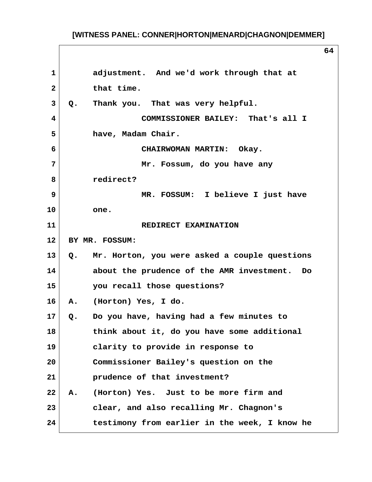**1 adjustment. And we'd work through that at 2 that time. 3 Q. Thank you. That was very helpful. 4 COMMISSIONER BAILEY: That's all I 5 have, Madam Chair. 6 CHAIRWOMAN MARTIN: Okay. 7 Mr. Fossum, do you have any 8 redirect? 9 MR. FOSSUM: I believe I just have 10 one. 11** REDIRECT EXAMINATION **12 BY MR. FOSSUM: 13 Q. Mr. Horton, you were asked a couple questions 14 about the prudence of the AMR investment. Do 15 you recall those questions? 16 A. (Horton) Yes, I do. 17 Q. Do you have, having had a few minutes to 18 think about it, do you have some additional 19 clarity to provide in response to 20 Commissioner Bailey's question on the 21 prudence of that investment? 22 A. (Horton) Yes. Just to be more firm and 23 clear, and also recalling Mr. Chagnon's 24 testimony from earlier in the week, I know he**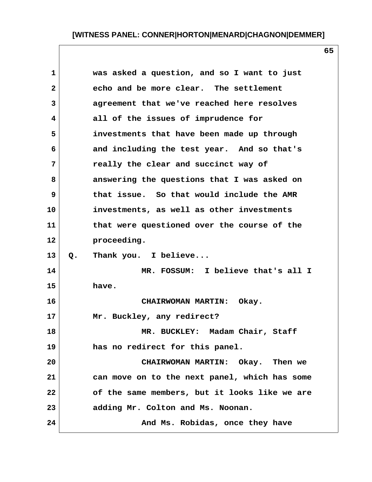| 1              |             | was asked a question, and so I want to just   |
|----------------|-------------|-----------------------------------------------|
| $\mathbf{2}$   |             | echo and be more clear. The settlement        |
| $\overline{3}$ |             | agreement that we've reached here resolves    |
| 4              |             | all of the issues of imprudence for           |
| 5              |             | investments that have been made up through    |
| 6              |             | and including the test year. And so that's    |
| 7              |             | really the clear and succinct way of          |
| 8              |             | answering the questions that I was asked on   |
| 9              |             | that issue. So that would include the AMR     |
| 10             |             | investments, as well as other investments     |
| 11             |             | that were questioned over the course of the   |
| 12             | proceeding. |                                               |
| 13             | $Q$ .       | Thank you. I believe                          |
| 14             |             | MR. FOSSUM: I believe that's all I            |
| 15             | have.       |                                               |
| 16             |             | <b>CHAIRWOMAN MARTIN:</b><br>Okay.            |
| 17             |             | Mr. Buckley, any redirect?                    |
| 18             |             | MR. BUCKLEY: Madam Chair, Staff               |
| 19             |             | has no redirect for this panel.               |
| 20             |             | CHAIRWOMAN MARTIN: Okay. Then we              |
| 21             |             | can move on to the next panel, which has some |
| 22             |             | of the same members, but it looks like we are |
| 23             |             | adding Mr. Colton and Ms. Noonan.             |
| 24             |             | And Ms. Robidas, once they have               |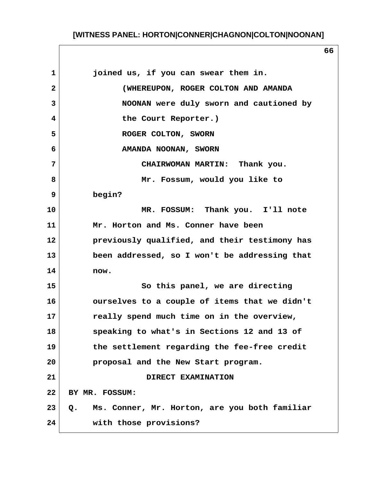# **[WITNESS PANEL: HORTON|CONNER|CHAGNON|COLTON|NOONAN]**

| $\mathbf{1}$ | joined us, if you can swear them in.                |
|--------------|-----------------------------------------------------|
| $\mathbf{2}$ | (WHEREUPON, ROGER COLTON AND AMANDA                 |
| 3            | NOONAN were duly sworn and cautioned by             |
| 4            | the Court Reporter.)                                |
| 5            | ROGER COLTON, SWORN                                 |
| 6            | AMANDA NOONAN, SWORN                                |
| 7            | CHAIRWOMAN MARTIN: Thank you.                       |
| 8            | Mr. Fossum, would you like to                       |
| 9            | begin?                                              |
| 10           | MR. FOSSUM: Thank you. I'll note                    |
| 11           | Mr. Horton and Ms. Conner have been                 |
| 12           | previously qualified, and their testimony has       |
| 13           | been addressed, so I won't be addressing that       |
| 14           | now.                                                |
| 15           | So this panel, we are directing                     |
| 16           | ourselves to a couple of items that we didn't       |
| 17           | really spend much time on in the overview,          |
| 18           | speaking to what's in Sections 12 and 13 of         |
| 19           | the settlement regarding the fee-free credit        |
| 20           | proposal and the New Start program.                 |
| 21           | DIRECT EXAMINATION                                  |
| 22           | BY MR. FOSSUM:                                      |
| 23           | Ms. Conner, Mr. Horton, are you both familiar<br>Q. |
| 24           | with those provisions?                              |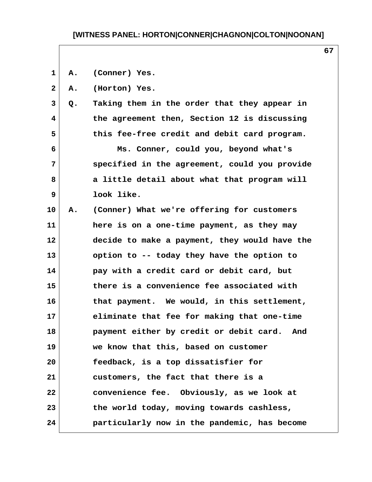### **[WITNESS PANEL: HORTON|CONNER|CHAGNON|COLTON|NOONAN]**

 **1 A. (Conner) Yes.**

 **2 A. (Horton) Yes.**

 **3 Q. Taking them in the order that they appear in 4 the agreement then, Section 12 is discussing 5 this fee-free credit and debit card program.**

 **6 Ms. Conner, could you, beyond what's 7 specified in the agreement, could you provide 8 a little detail about what that program will 9 look like.**

**10 A. (Conner) What we're offering for customers 11 here is on a one-time payment, as they may 12 decide to make a payment, they would have the 13 option to -- today they have the option to 14 pay with a credit card or debit card, but 15 there is a convenience fee associated with 16 that payment. We would, in this settlement, 17 eliminate that fee for making that one-time 18 payment either by credit or debit card. And 19 we know that this, based on customer 20 feedback, is a top dissatisfier for 21 customers, the fact that there is a 22 convenience fee. Obviously, as we look at 23 the world today, moving towards cashless, 24 particularly now in the pandemic, has become**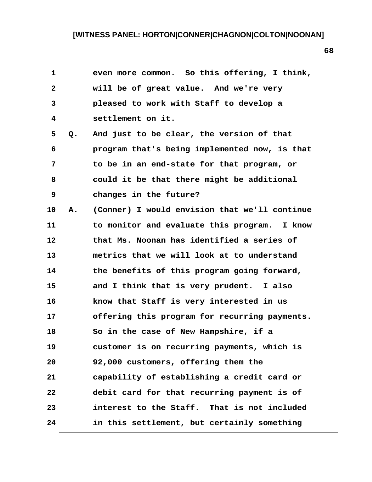|    | even more common. So this offering, I think,  |
|----|-----------------------------------------------|
|    | will be of great value. And we're very        |
|    | pleased to work with Staff to develop a       |
|    | settlement on it.                             |
| Q. | And just to be clear, the version of that     |
|    | program that's being implemented now, is that |
|    | to be in an end-state for that program, or    |
|    | could it be that there might be additional    |
|    | changes in the future?                        |
| Α. | (Conner) I would envision that we'll continue |
|    | to monitor and evaluate this program. I know  |
|    | that Ms. Noonan has identified a series of    |
|    | metrics that we will look at to understand    |
|    | the benefits of this program going forward,   |
|    | and I think that is very prudent. I also      |
|    | know that Staff is very interested in us      |
|    | offering this program for recurring payments. |
|    | So in the case of New Hampshire, if a         |
|    | customer is on recurring payments, which is   |
|    | 92,000 customers, offering them the           |
|    | capability of establishing a credit card or   |
|    | debit card for that recurring payment is of   |
|    | interest to the Staff. That is not included   |
|    | in this settlement, but certainly something   |
|    |                                               |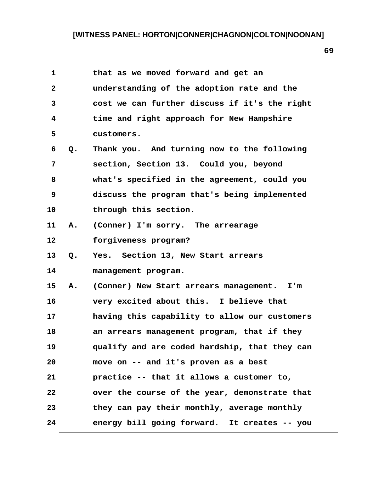# **[WITNESS PANEL: HORTON|CONNER|CHAGNON|COLTON|NOONAN]**

| $\mathbf{1}$ |       | that as we moved forward and get an           |  |
|--------------|-------|-----------------------------------------------|--|
| $\mathbf{2}$ |       | understanding of the adoption rate and the    |  |
| 3            |       | cost we can further discuss if it's the right |  |
| 4            |       | time and right approach for New Hampshire     |  |
| 5            |       | customers.                                    |  |
| 6            | $Q$ . | Thank you. And turning now to the following   |  |
| 7            |       | section, Section 13. Could you, beyond        |  |
| 8            |       | what's specified in the agreement, could you  |  |
| 9            |       | discuss the program that's being implemented  |  |
| 10           |       | through this section.                         |  |
| 11           | Α.    | (Conner) I'm sorry. The arrearage             |  |
| 12           |       | forgiveness program?                          |  |
| 13           | $Q$ . | Yes. Section 13, New Start arrears            |  |
| 14           |       | management program.                           |  |
| 15           | Α.    | (Conner) New Start arrears management. I'm    |  |
| 16           |       | very excited about this. I believe that       |  |
| 17           |       | having this capability to allow our customers |  |
| 18           |       | an arrears management program, that if they   |  |
| 19           |       | qualify and are coded hardship, that they can |  |
| 20           |       | move on -- and it's proven as a best          |  |
| 21           |       | practice -- that it allows a customer to,     |  |
| 22           |       | over the course of the year, demonstrate that |  |
| 23           |       | they can pay their monthly, average monthly   |  |
| 24           |       | energy bill going forward. It creates -- you  |  |
|              |       |                                               |  |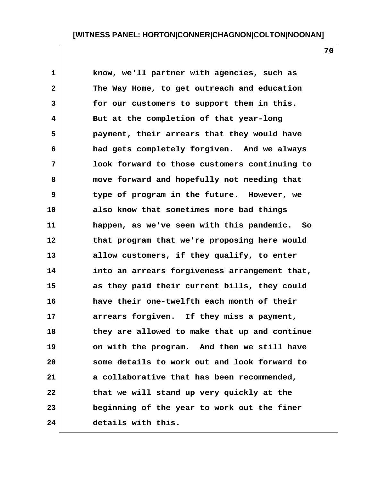**1 know, we'll partner with agencies, such as 2 The Way Home, to get outreach and education 3 for our customers to support them in this. 4 But at the completion of that year-long 5 payment, their arrears that they would have 6 had gets completely forgiven. And we always 7 look forward to those customers continuing to 8 move forward and hopefully not needing that 9 type of program in the future. However, we 10 also know that sometimes more bad things 11 happen, as we've seen with this pandemic. So 12 that program that we're proposing here would 13 allow customers, if they qualify, to enter 14 into an arrears forgiveness arrangement that, 15 as they paid their current bills, they could 16 have their one-twelfth each month of their 17 arrears forgiven. If they miss a payment, 18 they are allowed to make that up and continue 19 on with the program. And then we still have 20 some details to work out and look forward to 21 a collaborative that has been recommended, 22 that we will stand up very quickly at the 23 beginning of the year to work out the finer 24 details with this.**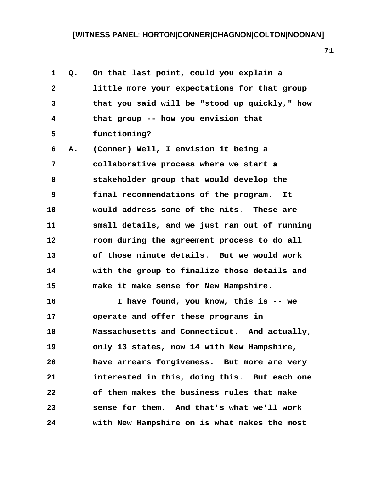# **[WITNESS PANEL: HORTON|CONNER|CHAGNON|COLTON|NOONAN]**

| $\mathbf 1$  | Q. | On that last point, could you explain a       |
|--------------|----|-----------------------------------------------|
| $\mathbf{2}$ |    | little more your expectations for that group  |
| 3            |    | that you said will be "stood up quickly," how |
| 4            |    | that group -- how you envision that           |
| 5            |    | functioning?                                  |
| 6            | Α. | (Conner) Well, I envision it being a          |
| 7            |    | collaborative process where we start a        |
| 8            |    | stakeholder group that would develop the      |
| 9            |    | final recommendations of the program.<br>It   |
| 10           |    | would address some of the nits. These are     |
| 11           |    | small details, and we just ran out of running |
| 12           |    | room during the agreement process to do all   |
| 13           |    | of those minute details. But we would work    |
| 14           |    | with the group to finalize those details and  |
| 15           |    | make it make sense for New Hampshire.         |
| 16           |    | I have found, you know, this is -- we         |
| 17           |    | operate and offer these programs in           |
| 18           |    | Massachusetts and Connecticut. And actually,  |
| 19           |    | only 13 states, now 14 with New Hampshire,    |
| 20           |    | have arrears forgiveness. But more are very   |
| 21           |    | interested in this, doing this. But each one  |
| 22           |    | of them makes the business rules that make    |
| 23           |    | sense for them. And that's what we'll work    |
| 24           |    | with New Hampshire on is what makes the most  |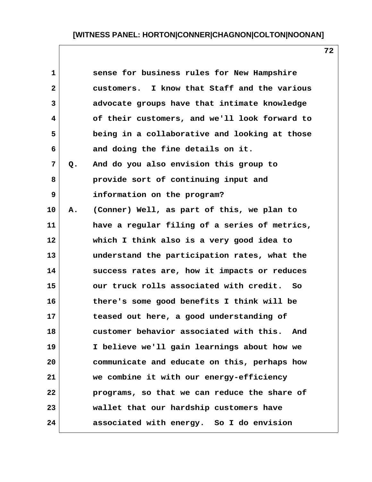| 1            |    | sense for business rules for New Hampshire     |
|--------------|----|------------------------------------------------|
| $\mathbf{2}$ |    | customers. I know that Staff and the various   |
| 3            |    | advocate groups have that intimate knowledge   |
| 4            |    | of their customers, and we'll look forward to  |
| 5            |    | being in a collaborative and looking at those  |
| 6            |    | and doing the fine details on it.              |
| 7            | Q. | And do you also envision this group to         |
| 8            |    | provide sort of continuing input and           |
| 9            |    | information on the program?                    |
| 10           | Α. | (Conner) Well, as part of this, we plan to     |
| 11           |    | have a regular filing of a series of metrics,  |
| 12           |    | which I think also is a very good idea to      |
| 13           |    | understand the participation rates, what the   |
| 14           |    | success rates are, how it impacts or reduces   |
| 15           |    | our truck rolls associated with credit. So     |
| 16           |    | there's some good benefits I think will be     |
| 17           |    | teased out here, a good understanding of       |
| 18           |    | customer behavior associated with this.<br>And |
| 19           |    | I believe we'll gain learnings about how we    |
| 20           |    | communicate and educate on this, perhaps how   |
| 21           |    | we combine it with our energy-efficiency       |
| 22           |    | programs, so that we can reduce the share of   |
| 23           |    | wallet that our hardship customers have        |
| 24           |    | associated with energy. So I do envision       |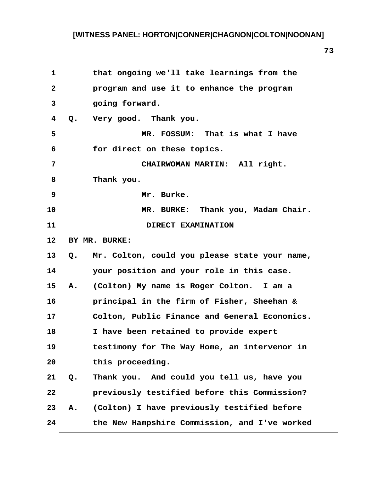| $\mathbf{1}$ | that ongoing we'll take learnings from the          |
|--------------|-----------------------------------------------------|
| $\mathbf{2}$ | program and use it to enhance the program           |
| 3            | going forward.                                      |
| 4            | Very good. Thank you.<br>$Q$ .                      |
| 5            | MR. FOSSUM: That is what I have                     |
| 6            | for direct on these topics.                         |
| 7            | CHAIRWOMAN MARTIN: All right.                       |
| 8            | Thank you.                                          |
| 9            | Mr. Burke.                                          |
| 10           | MR. BURKE: Thank you, Madam Chair.                  |
| 11           | DIRECT EXAMINATION                                  |
| 12           | BY MR. BURKE:                                       |
| 13           | Mr. Colton, could you please state your name,<br>Q. |
| 14           | your position and your role in this case.           |
| 15           | (Colton) My name is Roger Colton. I am a<br>Α.      |
| 16           | principal in the firm of Fisher, Sheehan &          |
| 17           | Colton, Public Finance and General Economics.       |
| 18           | I have been retained to provide expert              |
| 19           | testimony for The Way Home, an intervenor in        |
| 20           | this proceeding.                                    |
| 21           | Thank you. And could you tell us, have you<br>Q.    |
| 22           | previously testified before this Commission?        |
| 23           | (Colton) I have previously testified before<br>Α.   |
| 24           | the New Hampshire Commission, and I've worked       |
|              |                                                     |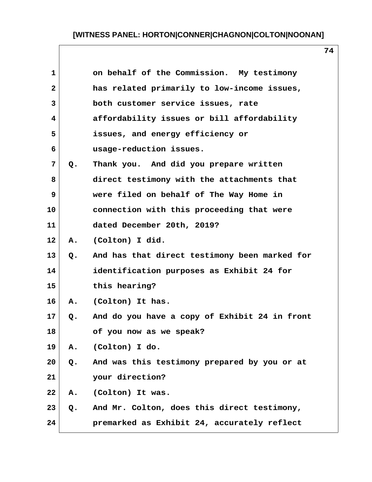| 1            |               | on behalf of the Commission. My testimony     |
|--------------|---------------|-----------------------------------------------|
| $\mathbf{2}$ |               | has related primarily to low-income issues,   |
| 3            |               | both customer service issues, rate            |
| 4            |               | affordability issues or bill affordability    |
| 5            |               | issues, and energy efficiency or              |
| 6            |               | usage-reduction issues.                       |
| 7            | $Q$ .         | Thank you. And did you prepare written        |
| 8            |               | direct testimony with the attachments that    |
| 9            |               | were filed on behalf of The Way Home in       |
| 10           |               | connection with this proceeding that were     |
| 11           |               | dated December 20th, 2019?                    |
| 12           | Α.            | (Colton) I did.                               |
| 13           | $Q_{\bullet}$ | And has that direct testimony been marked for |
| 14           |               | identification purposes as Exhibit 24 for     |
| 15           |               | this hearing?                                 |
| 16           |               | A. (Colton) It has.                           |
| $17\,$       | Q.            | And do you have a copy of Exhibit 24 in front |
| 18           |               | of you now as we speak?                       |
| 19           | Α.            | (Colton) I do.                                |
| 20           | Q.            | And was this testimony prepared by you or at  |
| 21           |               | your direction?                               |
| 22           | Α.            | (Colton) It was.                              |
| 23           | Q.            | And Mr. Colton, does this direct testimony,   |
| 24           |               | premarked as Exhibit 24, accurately reflect   |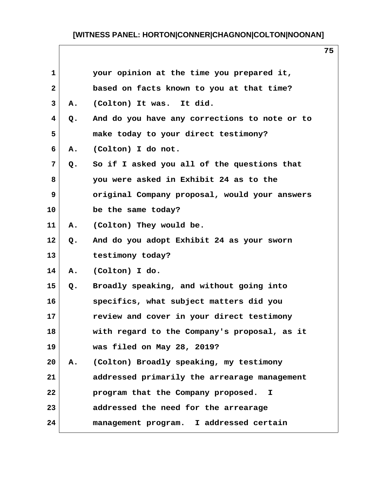| $\mathbf{1}$ |               | your opinion at the time you prepared it,     |
|--------------|---------------|-----------------------------------------------|
| $\mathbf{2}$ |               | based on facts known to you at that time?     |
| 3            | А.            | (Colton) It was. It did.                      |
| 4            | Q.            | And do you have any corrections to note or to |
| 5            |               | make today to your direct testimony?          |
| 6            | A.            | (Colton) I do not.                            |
| 7            | Q.            | So if I asked you all of the questions that   |
| 8            |               | you were asked in Exhibit 24 as to the        |
| 9            |               | original Company proposal, would your answers |
| 10           |               | be the same today?                            |
| 11           | A.            | (Colton) They would be.                       |
| 12           | $Q_{\bullet}$ | And do you adopt Exhibit 24 as your sworn     |
| 13           |               | testimony today?                              |
| 14           | Α.            | (Colton) I do.                                |
| 15           | Q.            | Broadly speaking, and without going into      |
| 16           |               | specifics, what subject matters did you       |
| 17           |               | review and cover in your direct testimony     |
| 18           |               | with regard to the Company's proposal, as it  |
| 19           |               | was filed on May 28, 2019?                    |
| 20           |               | A. (Colton) Broadly speaking, my testimony    |
| 21           |               | addressed primarily the arrearage management  |
| 22           |               | program that the Company proposed.<br>I.      |
| 23           |               | addressed the need for the arrearage          |
| 24           |               | management program. I addressed certain       |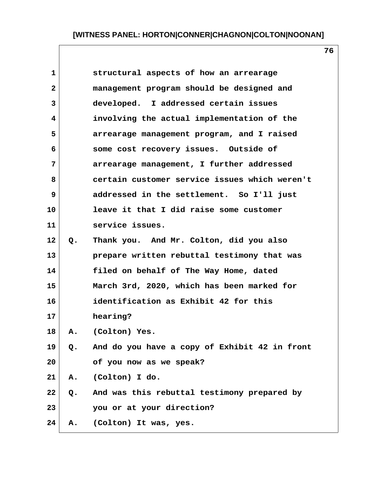| $\mathbf{1}$ |               | structural aspects of how an arrearage        |  |
|--------------|---------------|-----------------------------------------------|--|
| $\mathbf{2}$ |               | management program should be designed and     |  |
| 3            |               | developed. I addressed certain issues         |  |
| 4            |               | involving the actual implementation of the    |  |
| 5            |               | arrearage management program, and I raised    |  |
| 6            |               | some cost recovery issues. Outside of         |  |
| 7            |               | arrearage management, I further addressed     |  |
| 8            |               | certain customer service issues which weren't |  |
| 9            |               | addressed in the settlement. So I'll just     |  |
| 10           |               | leave it that I did raise some customer       |  |
| 11           |               | service issues.                               |  |
| 12           | Q.            | Thank you. And Mr. Colton, did you also       |  |
| 13           |               | prepare written rebuttal testimony that was   |  |
| 14           |               | filed on behalf of The Way Home, dated        |  |
| 15           |               | March 3rd, 2020, which has been marked for    |  |
| 16           |               | identification as Exhibit 42 for this         |  |
| 17           |               | hearing?                                      |  |
| 18           | Α.            | (Colton) Yes.                                 |  |
| 19           | Q.            | And do you have a copy of Exhibit 42 in front |  |
| 20           |               | of you now as we speak?                       |  |
| 21           |               | A. (Colton) I do.                             |  |
| 22           | $Q_{\bullet}$ | And was this rebuttal testimony prepared by   |  |
| 23           |               | you or at your direction?                     |  |
| 24           | Α.            | (Colton) It was, yes.                         |  |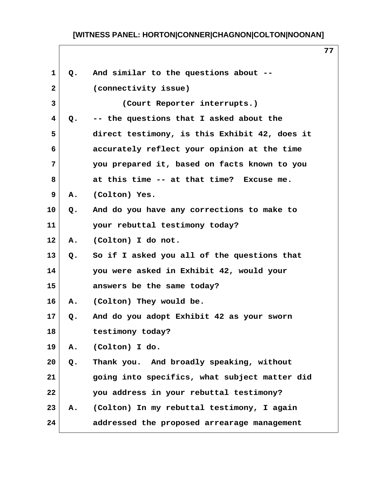| $\mathbf 1$  | Q. | And similar to the questions about --         |
|--------------|----|-----------------------------------------------|
| $\mathbf{2}$ |    | (connectivity issue)                          |
| 3            |    | (Court Reporter interrupts.)                  |
| 4            | Q. | -- the questions that I asked about the       |
| 5            |    | direct testimony, is this Exhibit 42, does it |
| 6            |    | accurately reflect your opinion at the time   |
| 7            |    | you prepared it, based on facts known to you  |
| 8            |    | at this time -- at that time? Excuse me.      |
| 9            | Α. | (Colton) Yes.                                 |
| 10           | Q. | And do you have any corrections to make to    |
| 11           |    | your rebuttal testimony today?                |
| 12           | Α. | (Colton) I do not.                            |
| 13           | Q. | So if I asked you all of the questions that   |
| 14           |    | you were asked in Exhibit 42, would your      |
| 15           |    | answers be the same today?                    |
| 16           | Α. | (Colton) They would be.                       |
| 17           | Q. | And do you adopt Exhibit 42 as your sworn     |
| 18           |    | testimony today?                              |
| 19           | Α. | (Colton) I do.                                |
| 20           | Q. | Thank you. And broadly speaking, without      |
| 21           |    | going into specifics, what subject matter did |
| 22           |    | you address in your rebuttal testimony?       |
| 23           | Α. | (Colton) In my rebuttal testimony, I again    |
| 24           |    | addressed the proposed arrearage management   |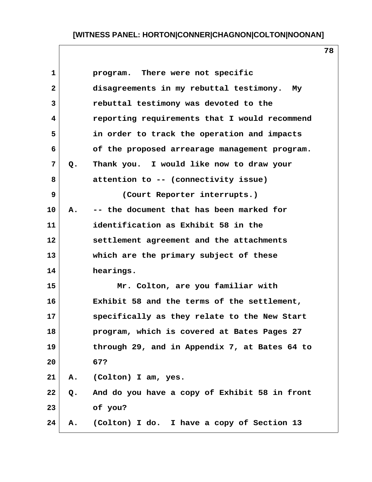| $\mathbf{1}$   |               | program. There were not specific              |
|----------------|---------------|-----------------------------------------------|
| $\overline{2}$ |               | disagreements in my rebuttal testimony. My    |
| 3              |               | rebuttal testimony was devoted to the         |
| 4              |               | reporting requirements that I would recommend |
| 5              |               | in order to track the operation and impacts   |
| 6              |               | of the proposed arrearage management program. |
| 7              | Q.            | Thank you. I would like now to draw your      |
| 8              |               | attention to -- (connectivity issue)          |
| 9              |               | (Court Reporter interrupts.)                  |
| 10             | A.            | -- the document that has been marked for      |
| 11             |               | identification as Exhibit 58 in the           |
| 12             |               | settlement agreement and the attachments      |
| 13             |               | which are the primary subject of these        |
| 14             |               | hearings.                                     |
| 15             |               | Mr. Colton, are you familiar with             |
| 16             |               | Exhibit 58 and the terms of the settlement,   |
| 17             |               | specifically as they relate to the New Start  |
| 18             |               | program, which is covered at Bates Pages 27   |
| 19             |               | through 29, and in Appendix 7, at Bates 64 to |
| 20             |               | 67?                                           |
| 21             | Α.            | (Colton) I am, yes.                           |
| 22             | $Q_{\bullet}$ | And do you have a copy of Exhibit 58 in front |
| 23             |               | of you?                                       |
| 24             | Α.            | (Colton) I do. I have a copy of Section 13    |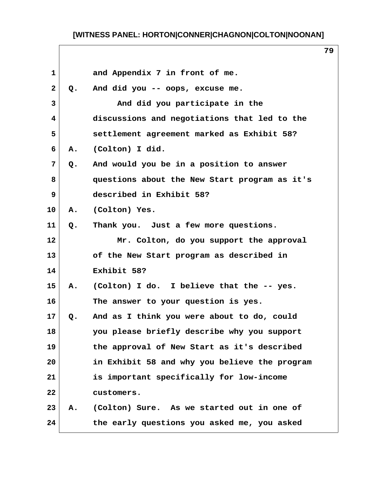| $\mathbf 1$  |               | and Appendix 7 in front of me.                |
|--------------|---------------|-----------------------------------------------|
| $\mathbf{2}$ | $Q_{\bullet}$ | And did you -- oops, excuse me.               |
| 3            |               | And did you participate in the                |
| 4            |               | discussions and negotiations that led to the  |
| 5            |               | settlement agreement marked as Exhibit 58?    |
| 6            | A.            | (Colton) I did.                               |
| 7            | Q.            | And would you be in a position to answer      |
| 8            |               | questions about the New Start program as it's |
| 9            |               | described in Exhibit 58?                      |
| 10           | Α.            | (Colton) Yes.                                 |
| 11           | $Q$ .         | Thank you. Just a few more questions.         |
| 12           |               | Mr. Colton, do you support the approval       |
| 13           |               | of the New Start program as described in      |
| 14           |               | Exhibit 58?                                   |
| 15           | Α.            | (Colton) I do. I believe that the -- yes.     |
| 16           |               | The answer to your question is yes.           |
| 17           | Q.            | And as I think you were about to do, could    |
| 18           |               | you please briefly describe why you support   |
| 19           |               | the approval of New Start as it's described   |
| 20           |               | in Exhibit 58 and why you believe the program |
| 21           |               | is important specifically for low-income      |
| 22           |               | customers.                                    |
| 23           | А.            | (Colton) Sure. As we started out in one of    |
| 24           |               | the early questions you asked me, you asked   |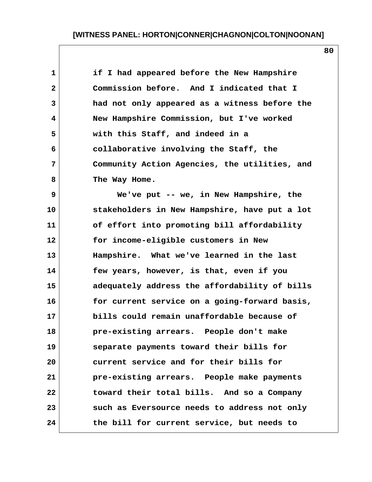**1 if I had appeared before the New Hampshire 2 Commission before. And I indicated that I 3 had not only appeared as a witness before the 4 New Hampshire Commission, but I've worked 5 with this Staff, and indeed in a 6 collaborative involving the Staff, the 7 Community Action Agencies, the utilities, and 8 The Way Home. 9 We've put -- we, in New Hampshire, the 10 stakeholders in New Hampshire, have put a lot 11 of effort into promoting bill affordability 12 for income-eligible customers in New 13 Hampshire. What we've learned in the last 14 few years, however, is that, even if you 15 adequately address the affordability of bills 16 for current service on a going-forward basis, 17 bills could remain unaffordable because of 18 pre-existing arrears. People don't make 19 separate payments toward their bills for 20 current service and for their bills for 21 pre-existing arrears. People make payments 22 toward their total bills. And so a Company 23 such as Eversource needs to address not only 24 the bill for current service, but needs to**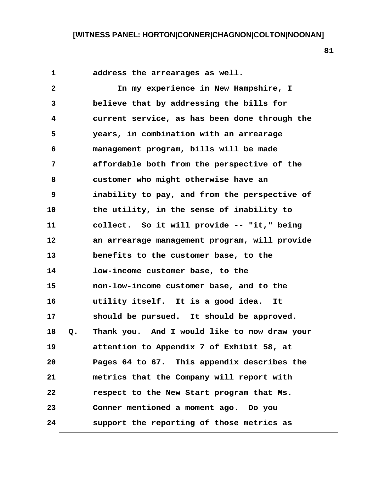1 address the arrearages as well.  **2 In my experience in New Hampshire, I 3 believe that by addressing the bills for 4 current service, as has been done through the 5 years, in combination with an arrearage 6 management program, bills will be made 7 affordable both from the perspective of the 8 customer who might otherwise have an 9 inability to pay, and from the perspective of 10 the utility, in the sense of inability to 11 collect. So it will provide -- "it," being 12 an arrearage management program, will provide 13 benefits to the customer base, to the 14 low-income customer base, to the 15 non-low-income customer base, and to the 16 utility itself. It is a good idea. It 17 should be pursued. It should be approved. 18 Q. Thank you. And I would like to now draw your 19 attention to Appendix 7 of Exhibit 58, at 20 Pages 64 to 67. This appendix describes the 21 metrics that the Company will report with 22 respect to the New Start program that Ms. 23 Conner mentioned a moment ago. Do you 24 support the reporting of those metrics as**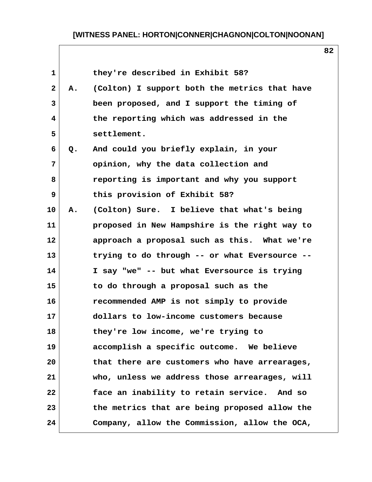| $\mathbf{1}$ |    | they're described in Exhibit 58?              |
|--------------|----|-----------------------------------------------|
| $\mathbf{2}$ | Α. | (Colton) I support both the metrics that have |
| 3            |    | been proposed, and I support the timing of    |
| 4            |    | the reporting which was addressed in the      |
| 5            |    | settlement.                                   |
| 6            | Q. | And could you briefly explain, in your        |
| 7            |    | opinion, why the data collection and          |
| 8            |    | reporting is important and why you support    |
| 9            |    | this provision of Exhibit 58?                 |
| 10           | Α. | (Colton) Sure. I believe that what's being    |
| 11           |    | proposed in New Hampshire is the right way to |
| 12           |    | approach a proposal such as this. What we're  |
| 13           |    | trying to do through -- or what Eversource -- |
| 14           |    | I say "we" -- but what Eversource is trying   |
| 15           |    | to do through a proposal such as the          |
| 16           |    | recommended AMP is not simply to provide      |
| 17           |    | dollars to low-income customers because       |
| 18           |    | they're low income, we're trying to           |
| 19           |    | accomplish a specific outcome. We believe     |
| 20           |    | that there are customers who have arrearages, |
| 21           |    | who, unless we address those arrearages, will |
| 22           |    | face an inability to retain service. And so   |
| 23           |    | the metrics that are being proposed allow the |
| 24           |    | Company, allow the Commission, allow the OCA, |

 $\mathbf{I}$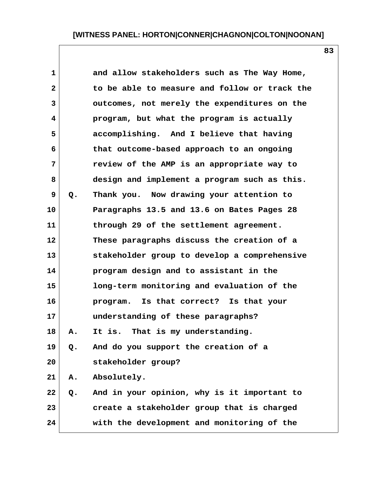| $\mathbf{1}$ |       | and allow stakeholders such as The Way Home,  |
|--------------|-------|-----------------------------------------------|
| $\mathbf{2}$ |       | to be able to measure and follow or track the |
| 3            |       | outcomes, not merely the expenditures on the  |
| 4            |       | program, but what the program is actually     |
| 5            |       | accomplishing. And I believe that having      |
| 6            |       | that outcome-based approach to an ongoing     |
| 7            |       | review of the AMP is an appropriate way to    |
| 8            |       | design and implement a program such as this.  |
| 9            | Q.    | Thank you. Now drawing your attention to      |
| 10           |       | Paragraphs 13.5 and 13.6 on Bates Pages 28    |
| 11           |       | through 29 of the settlement agreement.       |
| 12           |       | These paragraphs discuss the creation of a    |
| 13           |       | stakeholder group to develop a comprehensive  |
| 14           |       | program design and to assistant in the        |
| 15           |       | long-term monitoring and evaluation of the    |
| 16           |       | Is that correct? Is that your<br>program.     |
| 17           |       | understanding of these paragraphs?            |
| 18           | А.    | That is my understanding.<br>It is.           |
| 19           | $Q$ . | And do you support the creation of a          |
| 20           |       | stakeholder group?                            |
| 21           | Α.    | Absolutely.                                   |
| 22           | Q.    | And in your opinion, why is it important to   |
| 23           |       | create a stakeholder group that is charged    |
| 24           |       | with the development and monitoring of the    |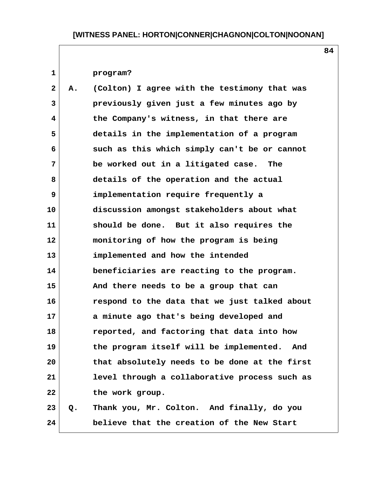**84**

### **1 program?**

 **2 A. (Colton) I agree with the testimony that was 3 previously given just a few minutes ago by 4 the Company's witness, in that there are 5 details in the implementation of a program 6 such as this which simply can't be or cannot 7 be worked out in a litigated case. The 8 details of the operation and the actual 9 implementation require frequently a 10 discussion amongst stakeholders about what 11 should be done. But it also requires the 12 monitoring of how the program is being 13 implemented and how the intended 14 beneficiaries are reacting to the program. 15 And there needs to be a group that can 16 respond to the data that we just talked about 17 a minute ago that's being developed and 18 reported, and factoring that data into how 19 the program itself will be implemented. And 20 that absolutely needs to be done at the first 21 level through a collaborative process such as 22 the work group. 23 Q. Thank you, Mr. Colton. And finally, do you**

**24 believe that the creation of the New Start**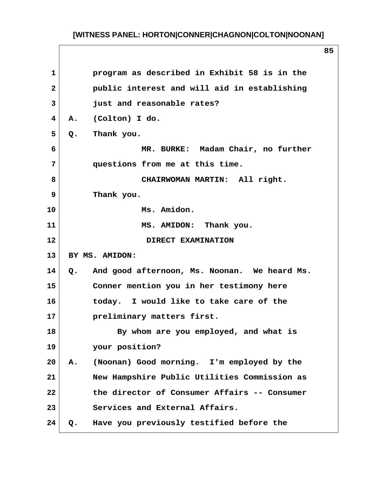| $\mathbf{1}$   | program as described in Exhibit 58 is in the                  |
|----------------|---------------------------------------------------------------|
| $\overline{2}$ | public interest and will aid in establishing                  |
| 3              | just and reasonable rates?                                    |
| $\overline{4}$ | A. (Colton) I do.                                             |
| 5              | Thank you.<br>$Q_{\bullet}$                                   |
| 6              | MR. BURKE: Madam Chair, no further                            |
| 7              | questions from me at this time.                               |
| 8              | CHAIRWOMAN MARTIN: All right.                                 |
| $\mathbf{9}$   | Thank you.                                                    |
| 10             | Ms. Amidon.                                                   |
| 11             | MS. AMIDON: Thank you.                                        |
| 12             | DIRECT EXAMINATION                                            |
| 13             | BY MS. AMIDON:                                                |
|                |                                                               |
| 14             | And good afternoon, Ms. Noonan. We heard Ms.<br>$Q_{\bullet}$ |
| 15             | Conner mention you in her testimony here                      |
| 16             | today. I would like to take care of the                       |
| 17             | preliminary matters first.                                    |
| 18             | By whom are you employed, and what is                         |
| 19             | your position?                                                |
| 20             | (Noonan) Good morning. I'm employed by the<br>Α.              |
| 21             | New Hampshire Public Utilities Commission as                  |
| 22             | the director of Consumer Affairs -- Consumer                  |
| 23             | Services and External Affairs.                                |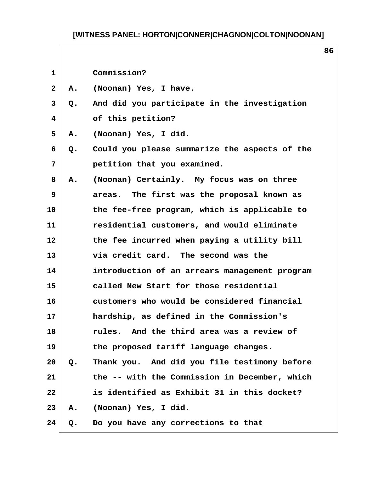$\overline{\phantom{a}}$ 

| 1            |    | Commission?                                   |  |
|--------------|----|-----------------------------------------------|--|
| $\mathbf{2}$ | Α. | (Noonan) Yes, I have.                         |  |
| 3            | Q. | And did you participate in the investigation  |  |
| 4            |    | of this petition?                             |  |
| 5            | Α. | (Noonan) Yes, I did.                          |  |
| 6            | Q. | Could you please summarize the aspects of the |  |
| 7            |    | petition that you examined.                   |  |
| 8            | Α. | (Noonan) Certainly. My focus was on three     |  |
| 9            |    | areas. The first was the proposal known as    |  |
| 10           |    | the fee-free program, which is applicable to  |  |
| 11           |    | residential customers, and would eliminate    |  |
| 12           |    | the fee incurred when paying a utility bill   |  |
| 13           |    | via credit card. The second was the           |  |
| 14           |    | introduction of an arrears management program |  |
| 15           |    | called New Start for those residential        |  |
| 16           |    | customers who would be considered financial   |  |
| 17           |    | hardship, as defined in the Commission's      |  |
| 18           |    | rules. And the third area was a review of     |  |
| 19           |    | the proposed tariff language changes.         |  |
| 20           | Q. | Thank you. And did you file testimony before  |  |
| 21           |    | the -- with the Commission in December, which |  |
| 22           |    | is identified as Exhibit 31 in this docket?   |  |
| 23           | Α. | (Noonan) Yes, I did.                          |  |
| 24           | Q. | Do you have any corrections to that           |  |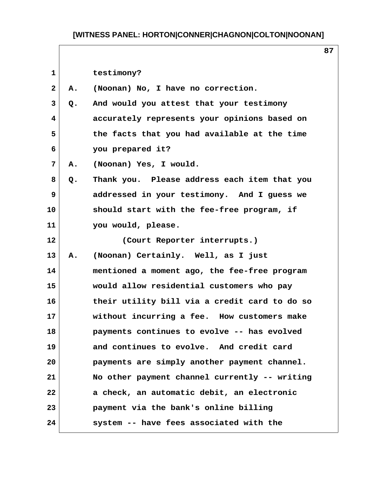| 1  |    | testimony?                                    |  |
|----|----|-----------------------------------------------|--|
| 2  | Α. | (Noonan) No, I have no correction.            |  |
| 3  | Q. | And would you attest that your testimony      |  |
| 4  |    | accurately represents your opinions based on  |  |
| 5  |    | the facts that you had available at the time  |  |
| 6  |    | you prepared it?                              |  |
| 7  | Α. | (Noonan) Yes, I would.                        |  |
| 8  | Q. | Thank you. Please address each item that you  |  |
| 9  |    | addressed in your testimony. And I guess we   |  |
| 10 |    | should start with the fee-free program, if    |  |
| 11 |    | you would, please.                            |  |
| 12 |    | (Court Reporter interrupts.)                  |  |
| 13 | Α. | (Noonan) Certainly. Well, as I just           |  |
| 14 |    | mentioned a moment ago, the fee-free program  |  |
| 15 |    | would allow residential customers who pay     |  |
| 16 |    | their utility bill via a credit card to do so |  |
| 17 |    | without incurring a fee. How customers make   |  |
| 18 |    | payments continues to evolve -- has evolved   |  |
| 19 |    | and continues to evolve. And credit card      |  |
| 20 |    | payments are simply another payment channel.  |  |
| 21 |    | No other payment channel currently -- writing |  |
| 22 |    | a check, an automatic debit, an electronic    |  |
| 23 |    | payment via the bank's online billing         |  |
| 24 |    | system -- have fees associated with the       |  |

 $\mathbf{I}$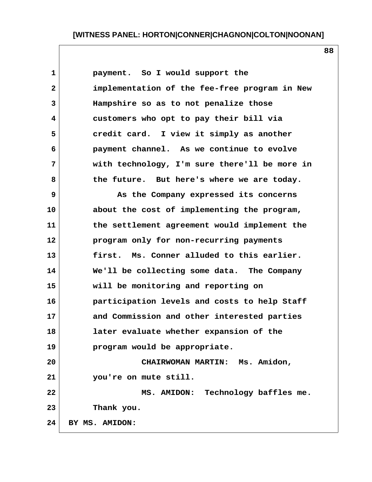1 **payment.** So I would support the  **2 implementation of the fee-free program in New 3 Hampshire so as to not penalize those 4 customers who opt to pay their bill via 5 credit card. I view it simply as another 6 payment channel. As we continue to evolve 7 with technology, I'm sure there'll be more in 8 the future. But here's where we are today. 9 As the Company expressed its concerns 10 about the cost of implementing the program, 11 the settlement agreement would implement the 12 program only for non-recurring payments 13 first. Ms. Conner alluded to this earlier. 14 We'll be collecting some data. The Company 15 will be monitoring and reporting on 16 participation levels and costs to help Staff 17 and Commission and other interested parties 18 later evaluate whether expansion of the 19 program would be appropriate. 20 CHAIRWOMAN MARTIN: Ms. Amidon, 21 you're on mute still. 22 MS. AMIDON: Technology baffles me. 23 Thank you. 24 BY MS. AMIDON:**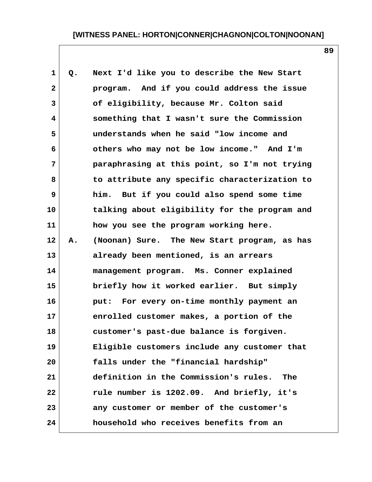| $\mathbf{1}$ | Q. | Next I'd like you to describe the New Start   |
|--------------|----|-----------------------------------------------|
| $\mathbf{2}$ |    | program. And if you could address the issue   |
| 3            |    | of eligibility, because Mr. Colton said       |
| 4            |    | something that I wasn't sure the Commission   |
| 5            |    | understands when he said "low income and      |
| 6            |    | others who may not be low income." And I'm    |
| 7            |    | paraphrasing at this point, so I'm not trying |
| 8            |    | to attribute any specific characterization to |
| 9            |    | him. But if you could also spend some time    |
| 10           |    | talking about eligibility for the program and |
| 11           |    | how you see the program working here.         |
| 12           | Α. | (Noonan) Sure. The New Start program, as has  |
| 13           |    | already been mentioned, is an arrears         |
| 14           |    | management program. Ms. Conner explained      |
| 15           |    | briefly how it worked earlier. But simply     |
| 16           |    | put: For every on-time monthly payment an     |
| 17           |    | enrolled customer makes, a portion of the     |
| 18           |    | customer's past-due balance is forgiven.      |
| 19           |    | Eligible customers include any customer that  |
| 20           |    | falls under the "financial hardship"          |
| 21           |    | definition in the Commission's rules.<br>The  |
| 22           |    | rule number is 1202.09. And briefly, it's     |
| 23           |    | any customer or member of the customer's      |
| 24           |    | household who receives benefits from an       |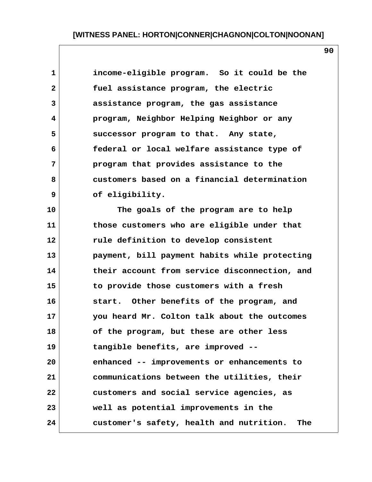**1 income-eligible program. So it could be the 2 fuel assistance program, the electric 3 assistance program, the gas assistance 4 program, Neighbor Helping Neighbor or any 5 successor program to that. Any state, 6 federal or local welfare assistance type of 7 program that provides assistance to the 8 customers based on a financial determination 9 of eligibility.**

**10 The goals of the program are to help 11 those customers who are eligible under that 12 rule definition to develop consistent 13 payment, bill payment habits while protecting 14 their account from service disconnection, and 15 to provide those customers with a fresh 16 start. Other benefits of the program, and 17 you heard Mr. Colton talk about the outcomes 18 of the program, but these are other less 19 tangible benefits, are improved -- 20 enhanced -- improvements or enhancements to 21 communications between the utilities, their 22 customers and social service agencies, as 23 well as potential improvements in the 24 customer's safety, health and nutrition. The**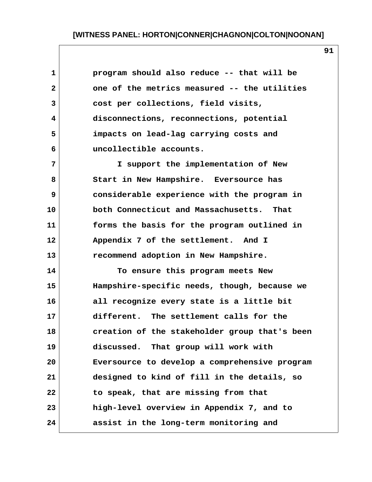| $\mathbf{1}$ | program should also reduce -- that will be    |
|--------------|-----------------------------------------------|
| $\mathbf{2}$ | one of the metrics measured -- the utilities  |
| 3            | cost per collections, field visits,           |
| 4            | disconnections, reconnections, potential      |
| 5            | impacts on lead-lag carrying costs and        |
| 6            | uncollectible accounts.                       |
| 7            | I support the implementation of New           |
| 8            | Start in New Hampshire. Eversource has        |
| 9            | considerable experience with the program in   |
| 10           | both Connecticut and Massachusetts. That      |
| 11           | forms the basis for the program outlined in   |
| 12           | Appendix 7 of the settlement. And I           |
| 13           | recommend adoption in New Hampshire.          |
| 14           | To ensure this program meets New              |
| 15           | Hampshire-specific needs, though, because we  |
| 16           | all recognize every state is a little bit     |
| 17           | different. The settlement calls for the       |
| 18           | creation of the stakeholder group that's been |
| 19           | discussed. That group will work with          |
| 20           | Eversource to develop a comprehensive program |
| 21           | designed to kind of fill in the details, so   |
| 22           | to speak, that are missing from that          |
| 23           | high-level overview in Appendix 7, and to     |
| 24           | assist in the long-term monitoring and        |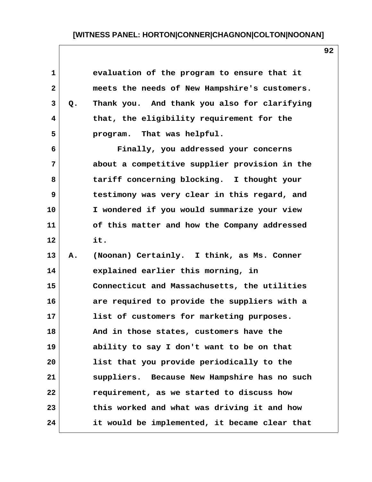| 1            |               | evaluation of the program to ensure that it   |  |
|--------------|---------------|-----------------------------------------------|--|
| $\mathbf{2}$ |               | meets the needs of New Hampshire's customers. |  |
| 3            | $Q_{\bullet}$ | Thank you. And thank you also for clarifying  |  |
| 4            |               | that, the eligibility requirement for the     |  |
| 5            |               | program. That was helpful.                    |  |
| 6            |               | Finally, you addressed your concerns          |  |
| 7            |               | about a competitive supplier provision in the |  |
| 8            |               | tariff concerning blocking. I thought your    |  |
| 9            |               | testimony was very clear in this regard, and  |  |
| 10           |               | I wondered if you would summarize your view   |  |
| 11           |               | of this matter and how the Company addressed  |  |
| 12           |               | it.                                           |  |
| 13           | Α.            | (Noonan) Certainly. I think, as Ms. Conner    |  |
| 14           |               | explained earlier this morning, in            |  |
| 15           |               | Connecticut and Massachusetts, the utilities  |  |
| 16           |               | are required to provide the suppliers with a  |  |
| 17           |               | list of customers for marketing purposes.     |  |
| 18           |               | And in those states, customers have the       |  |
| 19           |               | ability to say I don't want to be on that     |  |
| 20           |               | list that you provide periodically to the     |  |
| 21           |               | suppliers. Because New Hampshire has no such  |  |
| 22           |               | requirement, as we started to discuss how     |  |
| 23           |               | this worked and what was driving it and how   |  |
| 24           |               | it would be implemented, it became clear that |  |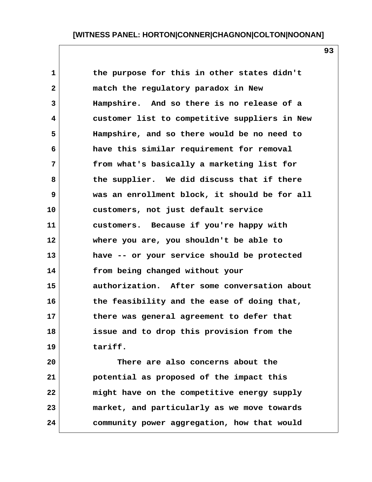| $\mathbf{1}$ | the purpose for this in other states didn't   |
|--------------|-----------------------------------------------|
| $\mathbf{2}$ | match the regulatory paradox in New           |
| 3            | Hampshire. And so there is no release of a    |
| 4            | customer list to competitive suppliers in New |
| 5            | Hampshire, and so there would be no need to   |
| 6            | have this similar requirement for removal     |
| 7            | from what's basically a marketing list for    |
| 8            | the supplier. We did discuss that if there    |
| 9            | was an enrollment block, it should be for all |
| 10           | customers, not just default service           |
| 11           | customers. Because if you're happy with       |
| 12           | where you are, you shouldn't be able to       |
| 13           | have -- or your service should be protected   |
| 14           | from being changed without your               |
| 15           | authorization. After some conversation about  |
| 16           | the feasibility and the ease of doing that,   |
| 17           | there was general agreement to defer that     |
| 18           | issue and to drop this provision from the     |
| 19           | tariff.                                       |
| 20           | There are also concerns about the             |
| 21           | potential as proposed of the impact this      |
| 22           | might have on the competitive energy supply   |

**23 market, and particularly as we move towards**

**24 community power aggregation, how that would**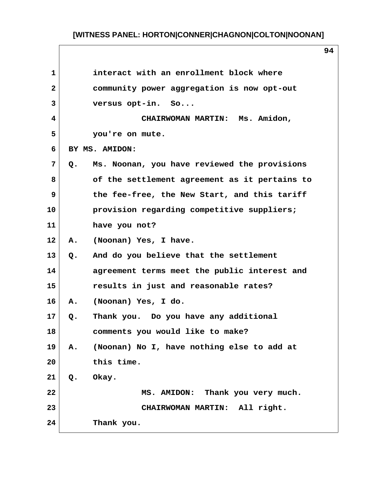| $\mathbf{1}$ |       | interact with an enrollment block where       |
|--------------|-------|-----------------------------------------------|
| $\mathbf{2}$ |       | community power aggregation is now opt-out    |
| 3            |       | versus opt-in. So                             |
| 4            |       | CHAIRWOMAN MARTIN: Ms. Amidon,                |
| 5            |       | you're on mute.                               |
| 6            |       | BY MS. AMIDON:                                |
| 7            | Q.    | Ms. Noonan, you have reviewed the provisions  |
| 8            |       | of the settlement agreement as it pertains to |
| 9            |       | the fee-free, the New Start, and this tariff  |
| 10           |       | provision regarding competitive suppliers;    |
| 11           |       | have you not?                                 |
| 12           | Α.    | (Noonan) Yes, I have.                         |
| 13           | $Q$ . | And do you believe that the settlement        |
| 14           |       | agreement terms meet the public interest and  |
| 15           |       | results in just and reasonable rates?         |
| 16           | Α.    | (Noonan) Yes, I do.                           |
| 17           | Q.    | Thank you. Do you have any additional         |
| 18           |       | comments you would like to make?              |
| 19           | A.    | (Noonan) No I, have nothing else to add at    |
| 20           |       | this time.                                    |
| 21           | $Q$ . | Okay.                                         |
| 22           |       | MS. AMIDON: Thank you very much.              |
| 23           |       | CHAIRWOMAN MARTIN: All right.                 |
| 24           |       | Thank you.                                    |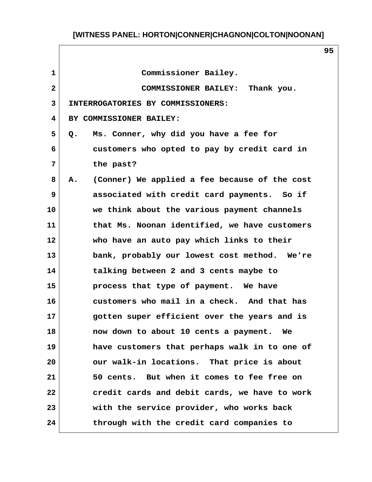| $\mathbf{1}$   | Commissioner Bailey.                                |
|----------------|-----------------------------------------------------|
| $\overline{a}$ | COMMISSIONER BAILEY: Thank you.                     |
| 3              | INTERROGATORIES BY COMMISSIONERS:                   |
| 4              | BY COMMISSIONER BAILEY:                             |
| 5              | Ms. Conner, why did you have a fee for<br>Q.        |
| 6              | customers who opted to pay by credit card in        |
| 7              | the past?                                           |
| 8              | (Conner) We applied a fee because of the cost<br>Α. |
| 9              | associated with credit card payments. So if         |
| 10             | we think about the various payment channels         |
| 11             | that Ms. Noonan identified, we have customers       |
| 12             | who have an auto pay which links to their           |
| 13             | bank, probably our lowest cost method. We're        |
| 14             | talking between 2 and 3 cents maybe to              |
| 15             | process that type of payment. We have               |
| 16             | customers who mail in a check. And that has         |
| 17             | gotten super efficient over the years and is        |
| 18             | now down to about 10 cents a payment.<br>Wе         |
| 19             | have customers that perhaps walk in to one of       |
| 20             | our walk-in locations. That price is about          |
| 21             | 50 cents. But when it comes to fee free on          |
| 22             | credit cards and debit cards, we have to work       |
| 23             | with the service provider, who works back           |
| 24             | through with the credit card companies to           |

 $\mathbf{I}$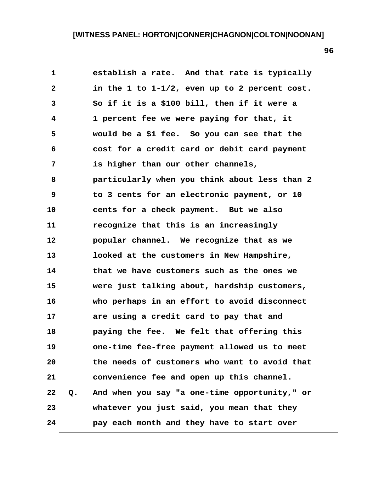| $\mathbf{1}$ | establish a rate. And that rate is typically        |  |
|--------------|-----------------------------------------------------|--|
| $\mathbf{2}$ | in the 1 to $1-1/2$ , even up to 2 percent cost.    |  |
| 3            | So if it is a \$100 bill, then if it were a         |  |
| 4            | 1 percent fee we were paying for that, it           |  |
| 5            | would be a \$1 fee. So you can see that the         |  |
| 6            | cost for a credit card or debit card payment        |  |
| 7            | is higher than our other channels,                  |  |
| 8            | particularly when you think about less than 2       |  |
| 9            | to 3 cents for an electronic payment, or 10         |  |
| 10           | cents for a check payment. But we also              |  |
|              | 11<br>recognize that this is an increasingly        |  |
| 12           | popular channel. We recognize that as we            |  |
| 13           | looked at the customers in New Hampshire,           |  |
|              | 14<br>that we have customers such as the ones we    |  |
|              | 15<br>were just talking about, hardship customers,  |  |
| 16           | who perhaps in an effort to avoid disconnect        |  |
|              | 17<br>are using a credit card to pay that and       |  |
| 18           | paying the fee. We felt that offering this          |  |
|              | 19<br>one-time fee-free payment allowed us to meet  |  |
| 20           | the needs of customers who want to avoid that       |  |
| 21           | convenience fee and open up this channel.           |  |
| 22           | And when you say "a one-time opportunity," or<br>Q. |  |
| 23           | whatever you just said, you mean that they          |  |
| 24           | pay each month and they have to start over          |  |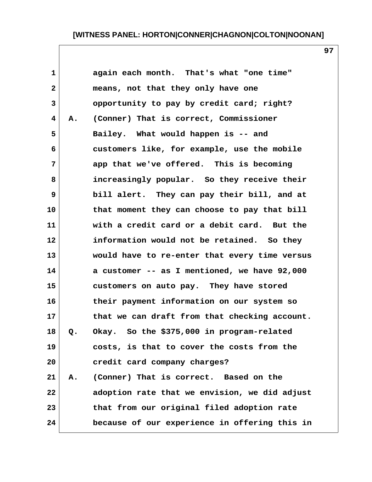**1 again each month. That's what "one time" 2 means, not that they only have one 3 opportunity to pay by credit card; right? 4 A. (Conner) That is correct, Commissioner** 5 Bailey. What would happen is -- and  **6 customers like, for example, use the mobile 7 app that we've offered. This is becoming 8 increasingly popular. So they receive their 9 bill alert. They can pay their bill, and at 10 that moment they can choose to pay that bill 11 with a credit card or a debit card. But the 12 information would not be retained. So they 13 would have to re-enter that every time versus 14 a customer -- as I mentioned, we have 92,000 15 customers on auto pay. They have stored 16 their payment information on our system so 17 that we can draft from that checking account. 18 Q. Okay. So the \$375,000 in program-related 19 costs, is that to cover the costs from the 20 credit card company charges? 21 A. (Conner) That is correct. Based on the 22 adoption rate that we envision, we did adjust 23 that from our original filed adoption rate 24 because of our experience in offering this in**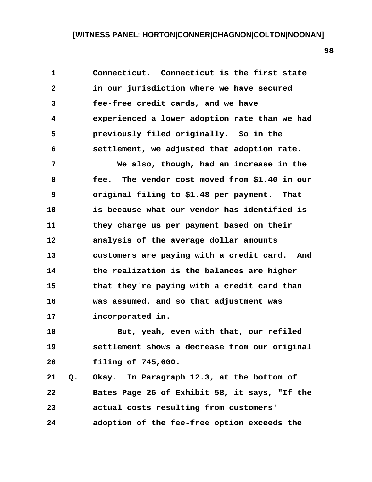**1 Connecticut. Connecticut is the first state 2 in our jurisdiction where we have secured 3 fee-free credit cards, and we have 4 experienced a lower adoption rate than we had 5 previously filed originally. So in the 6 settlement, we adjusted that adoption rate. 7 We also, though, had an increase in the 8 fee. The vendor cost moved from \$1.40 in our 9 original filing to \$1.48 per payment. That 10 is because what our vendor has identified is 11 they charge us per payment based on their 12 analysis of the average dollar amounts 13 customers are paying with a credit card. And 14 the realization is the balances are higher 15 that they're paying with a credit card than 16 was assumed, and so that adjustment was 17 incorporated in. 18 But, yeah, even with that, our refiled 19 settlement shows a decrease from our original 20 filing of 745,000. 21 Q. Okay. In Paragraph 12.3, at the bottom of 22 Bates Page 26 of Exhibit 58, it says, "If the 23 actual costs resulting from customers' 24 adoption of the fee-free option exceeds the**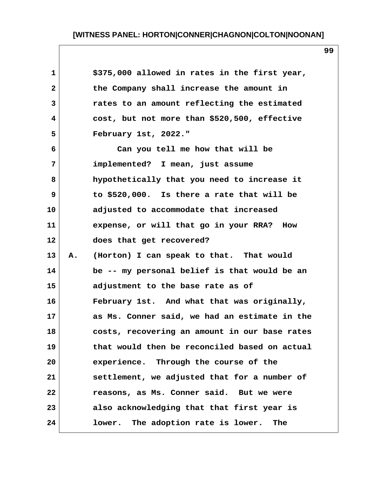| $\mathbf 1$  |    | \$375,000 allowed in rates in the first year,    |
|--------------|----|--------------------------------------------------|
| $\mathbf{2}$ |    | the Company shall increase the amount in         |
| 3            |    | rates to an amount reflecting the estimated      |
| 4            |    | cost, but not more than \$520,500, effective     |
| 5            |    | February 1st, 2022."                             |
| 6            |    | Can you tell me how that will be                 |
| 7            |    | implemented? I mean, just assume                 |
| 8            |    | hypothetically that you need to increase it      |
| 9            |    | to \$520,000. Is there a rate that will be       |
| 10           |    | adjusted to accommodate that increased           |
| 11           |    | expense, or will that go in your RRA? How        |
| 12           |    | does that get recovered?                         |
| 13           | Α. | (Horton) I can speak to that. That would         |
| 14           |    | be -- my personal belief is that would be an     |
| 15           |    | adjustment to the base rate as of                |
| 16           |    | February 1st. And what that was originally,      |
| 17           |    | as Ms. Conner said, we had an estimate in the    |
| 18           |    | costs, recovering an amount in our base rates    |
| 19           |    | that would then be reconciled based on actual    |
| 20           |    | experience. Through the course of the            |
| 21           |    | settlement, we adjusted that for a number of     |
| 22           |    | reasons, as Ms. Conner said. But we were         |
| 23           |    | also acknowledging that that first year is       |
| 24           |    | lower. The adoption rate is lower.<br><b>The</b> |

 $\mathsf{l}$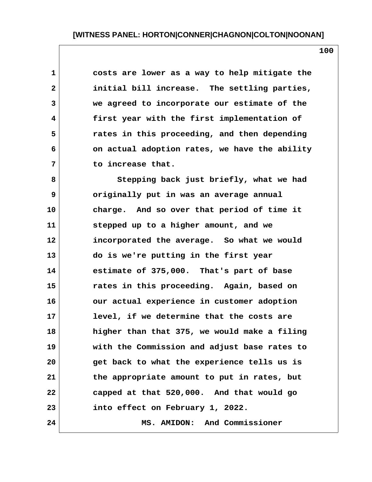**1 costs are lower as a way to help mitigate the 2 initial bill increase. The settling parties, 3 we agreed to incorporate our estimate of the 4 first year with the first implementation of 5 rates in this proceeding, and then depending 6 on actual adoption rates, we have the ability 7 to increase that.**

 **8 Stepping back just briefly, what we had 9 originally put in was an average annual 10 charge. And so over that period of time it 11 stepped up to a higher amount, and we 12 incorporated the average. So what we would 13 do is we're putting in the first year 14 estimate of 375,000. That's part of base 15 rates in this proceeding. Again, based on 16 our actual experience in customer adoption 17 level, if we determine that the costs are 18 higher than that 375, we would make a filing 19 with the Commission and adjust base rates to 20 get back to what the experience tells us is 21 the appropriate amount to put in rates, but 22 capped at that 520,000. And that would go 23 into effect on February 1, 2022. 24 MS. AMIDON: And Commissioner**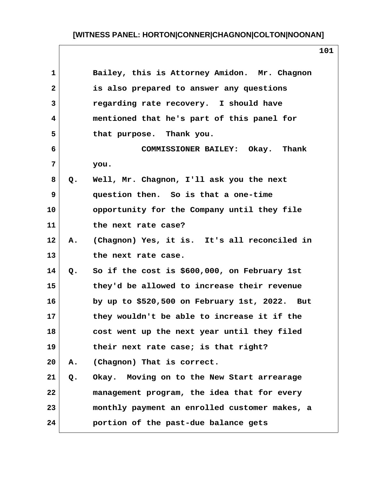| $\mathbf{1}$            |    | Bailey, this is Attorney Amidon. Mr. Chagnon  |
|-------------------------|----|-----------------------------------------------|
| $\overline{\mathbf{2}}$ |    | is also prepared to answer any questions      |
| 3                       |    | regarding rate recovery. I should have        |
| 4                       |    | mentioned that he's part of this panel for    |
| 5                       |    | that purpose. Thank you.                      |
| 6                       |    | COMMISSIONER BAILEY: Okay. Thank              |
| 7                       |    | you.                                          |
| 8                       | Q. | Well, Mr. Chagnon, I'll ask you the next      |
| 9                       |    | question then. So is that a one-time          |
| 10                      |    | opportunity for the Company until they file   |
| 11                      |    | the next rate case?                           |
| 12                      | Α. | (Chagnon) Yes, it is. It's all reconciled in  |
| 13                      |    | the next rate case.                           |
| 14                      | Q. | So if the cost is \$600,000, on February 1st  |
| 15                      |    | they'd be allowed to increase their revenue   |
| 16                      |    | by up to \$520,500 on February 1st, 2022. But |
| 17                      |    | they wouldn't be able to increase it if the   |
| 18                      |    | cost went up the next year until they filed   |
| 19                      |    | their next rate case; is that right?          |
| 20                      | Α. | (Chagnon) That is correct.                    |
| 21                      | Q. | Okay. Moving on to the New Start arrearage    |
| 22                      |    | management program, the idea that for every   |
| 23                      |    | monthly payment an enrolled customer makes, a |
| 24                      |    | portion of the past-due balance gets          |
|                         |    |                                               |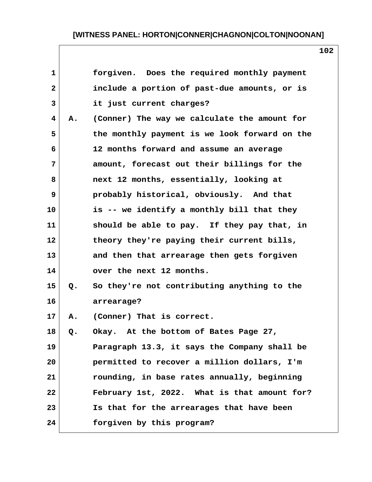| $\mathbf{1}$ |    | forgiven. Does the required monthly payment   |  |
|--------------|----|-----------------------------------------------|--|
| $\mathbf{2}$ |    | include a portion of past-due amounts, or is  |  |
| 3            |    | it just current charges?                      |  |
| 4            | Α. | (Conner) The way we calculate the amount for  |  |
| 5            |    | the monthly payment is we look forward on the |  |
| 6            |    | 12 months forward and assume an average       |  |
| 7            |    | amount, forecast out their billings for the   |  |
| 8            |    | next 12 months, essentially, looking at       |  |
| 9            |    | probably historical, obviously. And that      |  |
| 10           |    | is -- we identify a monthly bill that they    |  |
| 11           |    | should be able to pay. If they pay that, in   |  |
| 12           |    | theory they're paying their current bills,    |  |
| 13           |    | and then that arrearage then gets forgiven    |  |
| 14           |    | over the next 12 months.                      |  |
| 15           | Q. | So they're not contributing anything to the   |  |
| 16           |    | arrearage?                                    |  |
| 17           | Α. | (Conner) That is correct.                     |  |
| 18           | Q. | Okay. At the bottom of Bates Page 27,         |  |
| 19           |    | Paragraph 13.3, it says the Company shall be  |  |
| 20           |    | permitted to recover a million dollars, I'm   |  |
| 21           |    | rounding, in base rates annually, beginning   |  |
| 22           |    | February 1st, 2022. What is that amount for?  |  |
| 23           |    | Is that for the arrearages that have been     |  |
| 24           |    | forgiven by this program?                     |  |

 $\mathbf{I}$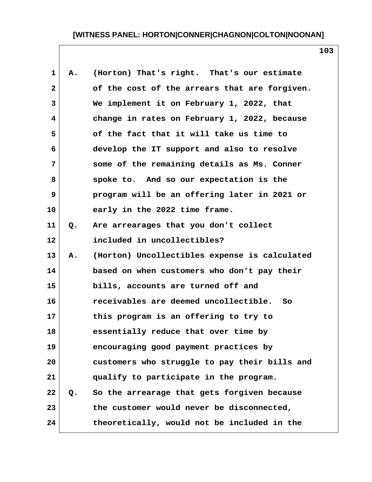| $\mathbf 1$    | Α.    | (Horton) That's right. That's our estimate    |
|----------------|-------|-----------------------------------------------|
| $\overline{2}$ |       | of the cost of the arrears that are forgiven. |
| 3              |       | We implement it on February 1, 2022, that     |
| 4              |       | change in rates on February 1, 2022, because  |
| 5              |       | of the fact that it will take us time to      |
| 6              |       | develop the IT support and also to resolve    |
| 7              |       | some of the remaining details as Ms. Conner   |
| 8              |       | spoke to. And so our expectation is the       |
| 9              |       | program will be an offering later in 2021 or  |
| 10             |       | early in the 2022 time frame.                 |
| 11             | Q.    | Are arrearages that you don't collect         |
| 12             |       | included in uncollectibles?                   |
| 13             | Α.    | (Horton) Uncollectibles expense is calculated |
| 14             |       | based on when customers who don't pay their   |
| 15             |       | bills, accounts are turned off and            |
| 16             |       | receivables are deemed uncollectible.<br>- So |
| 17             |       | this program is an offering to try to         |
| 18             |       | essentially reduce that over time by          |
| 19             |       | encouraging good payment practices by         |
| 20             |       | customers who struggle to pay their bills and |
| 21             |       | qualify to participate in the program.        |
| 22             | $Q$ . | So the arrearage that gets forgiven because   |
| 23             |       | the customer would never be disconnected,     |
| 24             |       | theoretically, would not be included in the   |
|                |       |                                               |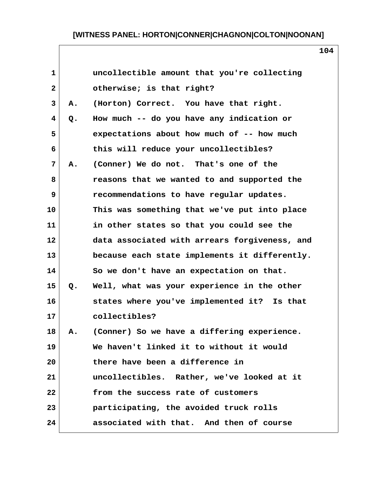|    | uncollectible amount that you're collecting   |
|----|-----------------------------------------------|
|    | otherwise; is that right?                     |
| Α. | (Horton) Correct. You have that right.        |
| Q. | How much -- do you have any indication or     |
|    | expectations about how much of -- how much    |
|    | this will reduce your uncollectibles?         |
| Α. | (Conner) We do not. That's one of the         |
|    | reasons that we wanted to and supported the   |
|    | recommendations to have regular updates.      |
|    | This was something that we've put into place  |
|    | in other states so that you could see the     |
|    | data associated with arrears forgiveness, and |
|    | because each state implements it differently. |
|    | So we don't have an expectation on that.      |
| Q. | Well, what was your experience in the other   |
|    | states where you've implemented it? Is that   |
|    | collectibles?                                 |
|    | (Conner) So we have a differing experience.   |
|    | We haven't linked it to without it would      |
|    | there have been a difference in               |
|    | uncollectibles. Rather, we've looked at it    |
|    | from the success rate of customers            |
|    | participating, the avoided truck rolls        |
|    | associated with that. And then of course      |
|    |                                               |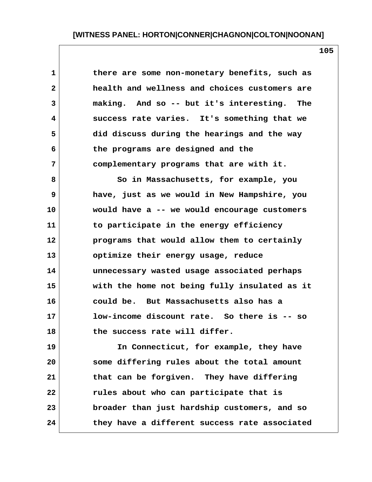**105**

 **1 there are some non-monetary benefits, such as 2 health and wellness and choices customers are 3 making. And so -- but it's interesting. The 4 success rate varies. It's something that we 5 did discuss during the hearings and the way 6 the programs are designed and the 7 complementary programs that are with it.**

 **8 So in Massachusetts, for example, you 9 have, just as we would in New Hampshire, you 10 would have a -- we would encourage customers 11 to participate in the energy efficiency 12 programs that would allow them to certainly 13 optimize their energy usage, reduce 14 unnecessary wasted usage associated perhaps 15 with the home not being fully insulated as it 16 could be. But Massachusetts also has a 17 low-income discount rate. So there is -- so 18 the success rate will differ.**

**19 In Connecticut, for example, they have 20 some differing rules about the total amount 21 that can be forgiven. They have differing 22 rules about who can participate that is 23 broader than just hardship customers, and so 24 they have a different success rate associated**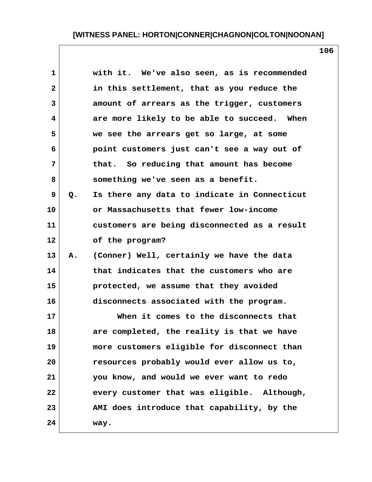| 1  |    | with it. We've also seen, as is recommended  |
|----|----|----------------------------------------------|
| 2  |    | in this settlement, that as you reduce the   |
| 3  |    | amount of arrears as the trigger, customers  |
| 4  |    | are more likely to be able to succeed. When  |
| 5  |    | we see the arrears get so large, at some     |
| 6  |    | point customers just can't see a way out of  |
| 7  |    | that. So reducing that amount has become     |
| 8  |    | something we've seen as a benefit.           |
| 9  | Q. | Is there any data to indicate in Connecticut |
| 10 |    | or Massachusetts that fewer low-income       |
| 11 |    | customers are being disconnected as a result |
| 12 |    | of the program?                              |
| 13 | Α. | (Conner) Well, certainly we have the data    |
| 14 |    | that indicates that the customers who are    |
| 15 |    | protected, we assume that they avoided       |
| 16 |    | disconnects associated with the program.     |
| 17 |    | When it comes to the disconnects that        |
| 18 |    | are completed, the reality is that we have   |
| 19 |    | more customers eligible for disconnect than  |
| 20 |    | resources probably would ever allow us to,   |
| 21 |    | you know, and would we ever want to redo     |
| 22 |    | every customer that was eligible. Although,  |
| 23 |    | AMI does introduce that capability, by the   |
| 24 |    | way.                                         |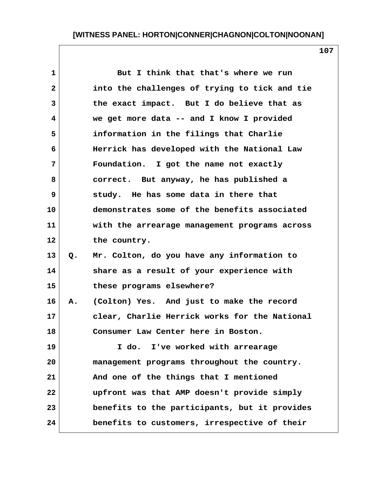|    | But I think that that's where we run          |                                              |
|----|-----------------------------------------------|----------------------------------------------|
|    | into the challenges of trying to tick and tie |                                              |
|    | the exact impact. But I do believe that as    |                                              |
|    | we get more data -- and I know I provided     |                                              |
|    | information in the filings that Charlie       |                                              |
|    | Herrick has developed with the National Law   |                                              |
|    | Foundation. I got the name not exactly        |                                              |
|    | correct. But anyway, he has published a       |                                              |
|    | study. He has some data in there that         |                                              |
|    | demonstrates some of the benefits associated  |                                              |
|    | with the arrearage management programs across |                                              |
|    | the country.                                  |                                              |
| Q. | Mr. Colton, do you have any information to    |                                              |
|    | share as a result of your experience with     |                                              |
|    | these programs elsewhere?                     |                                              |
|    |                                               |                                              |
|    | clear, Charlie Herrick works for the National |                                              |
|    | Consumer Law Center here in Boston.           |                                              |
|    | I do. I've worked with arrearage              |                                              |
|    | management programs throughout the country.   |                                              |
|    | And one of the things that I mentioned        |                                              |
|    | upfront was that AMP doesn't provide simply   |                                              |
|    | benefits to the participants, but it provides |                                              |
|    | benefits to customers, irrespective of their  |                                              |
|    |                                               | A. (Colton) Yes. And just to make the record |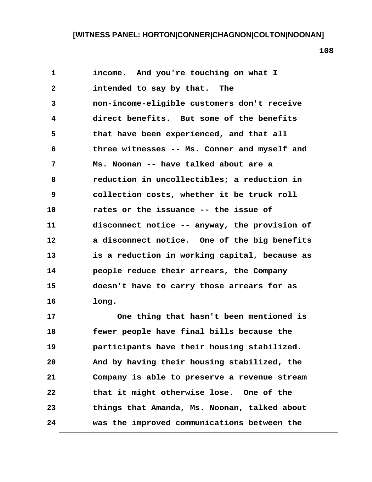**1 income. And you're touching on what I 2 intended to say by that. The 3 non-income-eligible customers don't receive 4 direct benefits. But some of the benefits 5 that have been experienced, and that all 6 three witnesses -- Ms. Conner and myself and 7 Ms. Noonan -- have talked about are a 8 reduction in uncollectibles; a reduction in 9 collection costs, whether it be truck roll 10 rates or the issuance -- the issue of 11 disconnect notice -- anyway, the provision of 12 a disconnect notice. One of the big benefits 13 is a reduction in working capital, because as 14 people reduce their arrears, the Company 15 doesn't have to carry those arrears for as 16 long.**

**17 One thing that hasn't been mentioned is 18 fewer people have final bills because the 19 participants have their housing stabilized. 20 And by having their housing stabilized, the 21 Company is able to preserve a revenue stream 22 that it might otherwise lose. One of the 23 things that Amanda, Ms. Noonan, talked about 24 was the improved communications between the**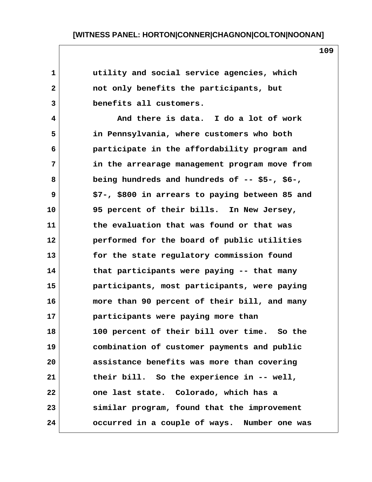| 1            | utility and social service agencies, which      |
|--------------|-------------------------------------------------|
| $\mathbf{2}$ | not only benefits the participants, but         |
| 3            | benefits all customers.                         |
| 4            | And there is data. I do a lot of work           |
| 5            | in Pennsylvania, where customers who both       |
| 6            | participate in the affordability program and    |
| 7            | in the arrearage management program move from   |
| 8            | being hundreds and hundreds of -- \$5-, \$6-,   |
| 9            | \$7-, \$800 in arrears to paying between 85 and |
| 10           | 95 percent of their bills. In New Jersey,       |
| 11           | the evaluation that was found or that was       |
| 12           | performed for the board of public utilities     |
| 13           | for the state regulatory commission found       |
| 14           | that participants were paying -- that many      |
| 15           | participants, most participants, were paying    |
| 16           | more than 90 percent of their bill, and many    |
| 17           | participants were paying more than              |
| 18           | 100 percent of their bill over time.<br>So the  |
| 19           | combination of customer payments and public     |
| 20           | assistance benefits was more than covering      |
| 21           | their bill. So the experience in -- well,       |
| 22           | one last state. Colorado, which has a           |
| 23           | similar program, found that the improvement     |
| 24           | occurred in a couple of ways. Number one was    |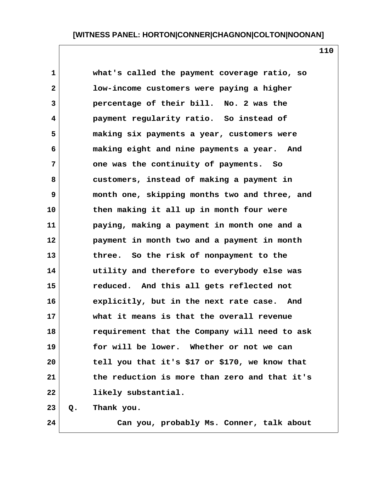**1 what's called the payment coverage ratio, so 2 low-income customers were paying a higher 3 percentage of their bill. No. 2 was the 4 payment regularity ratio. So instead of 5 making six payments a year, customers were 6 making eight and nine payments a year. And 7 one was the continuity of payments. So 8 customers, instead of making a payment in 9 month one, skipping months two and three, and 10 then making it all up in month four were 11 paying, making a payment in month one and a 12 payment in month two and a payment in month 13 three. So the risk of nonpayment to the 14 utility and therefore to everybody else was 15 reduced. And this all gets reflected not 16 explicitly, but in the next rate case. And 17 what it means is that the overall revenue 18 requirement that the Company will need to ask 19 for will be lower. Whether or not we can 20 tell you that it's \$17 or \$170, we know that 21 the reduction is more than zero and that it's 22 likely substantial. 23 Q. Thank you.**

**24 Can you, probably Ms. Conner, talk about**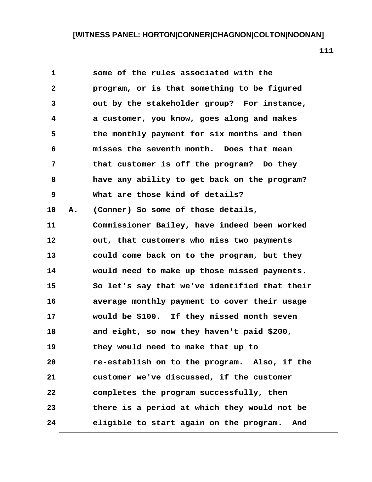|    | some of the rules associated with the          |
|----|------------------------------------------------|
|    | program, or is that something to be figured    |
|    | out by the stakeholder group? For instance,    |
|    | a customer, you know, goes along and makes     |
|    | the monthly payment for six months and then    |
|    | misses the seventh month. Does that mean       |
|    | that customer is off the program? Do they      |
|    | have any ability to get back on the program?   |
|    | What are those kind of details?                |
| Α. | (Conner) So some of those details,             |
|    | Commissioner Bailey, have indeed been worked   |
|    | out, that customers who miss two payments      |
|    | could come back on to the program, but they    |
|    | would need to make up those missed payments.   |
|    | So let's say that we've identified that their  |
|    | average monthly payment to cover their usage   |
|    | would be \$100. If they missed month seven     |
|    | and eight, so now they haven't paid \$200,     |
|    | they would need to make that up to             |
|    | re-establish on to the program. Also, if the   |
|    | customer we've discussed, if the customer      |
|    | completes the program successfully, then       |
|    | there is a period at which they would not be   |
|    | eligible to start again on the program.<br>And |
|    |                                                |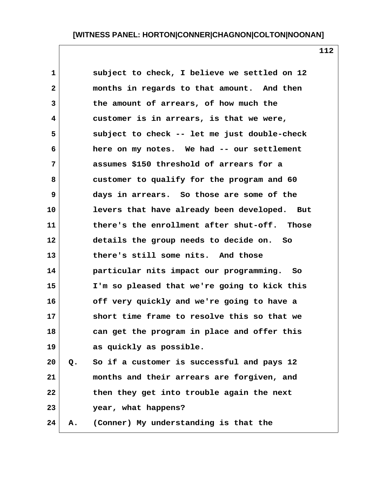1 subject to check, I believe we settled on 12  **2 months in regards to that amount. And then 3 the amount of arrears, of how much the 4 customer is in arrears, is that we were, 5 subject to check -- let me just double-check 6 here on my notes. We had -- our settlement 7 assumes \$150 threshold of arrears for a 8 customer to qualify for the program and 60 9 days in arrears. So those are some of the 10 levers that have already been developed. But 11 there's the enrollment after shut-off. Those 12 details the group needs to decide on. So 13 there's still some nits. And those 14 particular nits impact our programming. So 15 I'm so pleased that we're going to kick this 16 off very quickly and we're going to have a 17 short time frame to resolve this so that we 18 can get the program in place and offer this 19 as quickly as possible. 20 Q. So if a customer is successful and pays 12**

**21 months and their arrears are forgiven, and 22 then they get into trouble again the next 23 year, what happens?**

**24 A. (Conner) My understanding is that the**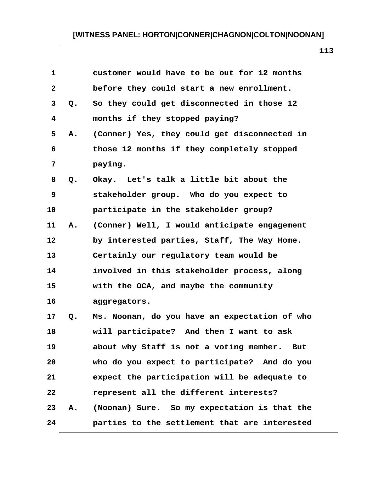| $\mathbf{1}$   |    | customer would have to be out for 12 months   |
|----------------|----|-----------------------------------------------|
| $\mathbf{2}$   |    | before they could start a new enrollment.     |
| 3              | Q. | So they could get disconnected in those 12    |
| 4              |    | months if they stopped paying?                |
| 5              | Α. | (Conner) Yes, they could get disconnected in  |
| 6              |    | those 12 months if they completely stopped    |
| $\overline{7}$ |    | paying.                                       |
| 8              | Q. | Okay. Let's talk a little bit about the       |
| 9              |    | stakeholder group. Who do you expect to       |
| 10             |    | participate in the stakeholder group?         |
| 11             | Α. | (Conner) Well, I would anticipate engagement  |
| 12             |    | by interested parties, Staff, The Way Home.   |
| 13             |    | Certainly our regulatory team would be        |
| 14             |    | involved in this stakeholder process, along   |
| 15             |    | with the OCA, and maybe the community         |
| 16             |    | aggregators.                                  |
| 17             | Q. | Ms. Noonan, do you have an expectation of who |
| 18             |    | will participate? And then I want to ask      |
| 19             |    | about why Staff is not a voting member. But   |
| 20             |    | who do you expect to participate? And do you  |
| 21             |    | expect the participation will be adequate to  |
| 22             |    | represent all the different interests?        |
| 23             | Α. | (Noonan) Sure. So my expectation is that the  |
| 24             |    | parties to the settlement that are interested |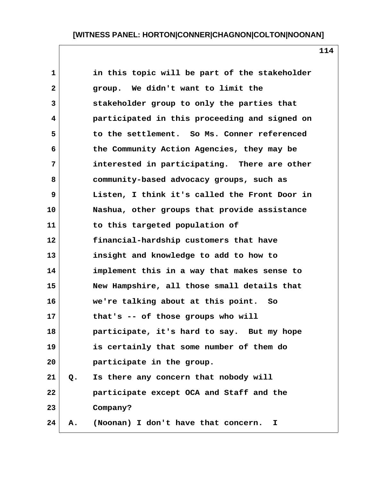| $\mathbf{1}$    |    | in this topic will be part of the stakeholder |
|-----------------|----|-----------------------------------------------|
| $\mathbf{2}$    |    | group. We didn't want to limit the            |
| 3               |    | stakeholder group to only the parties that    |
| 4               |    | participated in this proceeding and signed on |
| 5               |    | to the settlement. So Ms. Conner referenced   |
| 6               |    | the Community Action Agencies, they may be    |
| 7               |    | interested in participating. There are other  |
| 8               |    | community-based advocacy groups, such as      |
| 9               |    | Listen, I think it's called the Front Door in |
| 10              |    | Nashua, other groups that provide assistance  |
| 11              |    | to this targeted population of                |
| 12 <sub>2</sub> |    | financial-hardship customers that have        |
| 13              |    | insight and knowledge to add to how to        |
| 14              |    | implement this in a way that makes sense to   |
| 15              |    | New Hampshire, all those small details that   |
| 16              |    | we're talking about at this point. So         |
| 17              |    | that's -- of those groups who will            |
| 18              |    | participate, it's hard to say. But my hope    |
| 19              |    | is certainly that some number of them do      |
| 20              |    | participate in the group.                     |
| 21              | Q. | Is there any concern that nobody will         |
| 22              |    | participate except OCA and Staff and the      |
| 23              |    | Company?                                      |
| 24              | Α. | (Noonan) I don't have that concern.<br>I.     |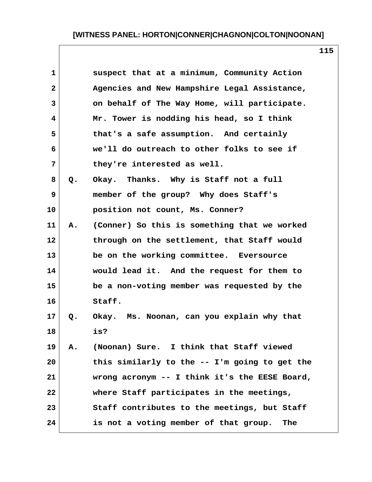| $\mathbf{1}$ |       | suspect that at a minimum, Community Action    |
|--------------|-------|------------------------------------------------|
| $\mathbf{2}$ |       | Agencies and New Hampshire Legal Assistance,   |
| 3            |       | on behalf of The Way Home, will participate.   |
| 4            |       | Mr. Tower is nodding his head, so I think      |
| 5            |       | that's a safe assumption. And certainly        |
| 6            |       | we'll do outreach to other folks to see if     |
| 7            |       | they're interested as well.                    |
| 8            | $Q$ . | Okay. Thanks. Why is Staff not a full          |
| 9            |       | member of the group? Why does Staff's          |
| 10           |       | position not count, Ms. Conner?                |
| 11           | Α.    | (Conner) So this is something that we worked   |
| 12           |       | through on the settlement, that Staff would    |
| 13           |       | be on the working committee. Eversource        |
| 14           |       | would lead it. And the request for them to     |
| 15           |       | be a non-voting member was requested by the    |
| 16           |       | Staff.                                         |
| 17           | Q.    | Okay. Ms. Noonan, can you explain why that     |
| 18           |       | is?                                            |
| 19           | Α.    | (Noonan) Sure. I think that Staff viewed       |
| 20           |       | this similarly to the -- I'm going to get the  |
| 21           |       | wrong acronym $-$ I think it's the EESE Board, |
| 22           |       | where Staff participates in the meetings,      |
| 23           |       | Staff contributes to the meetings, but Staff   |
| 24           |       | is not a voting member of that group. The      |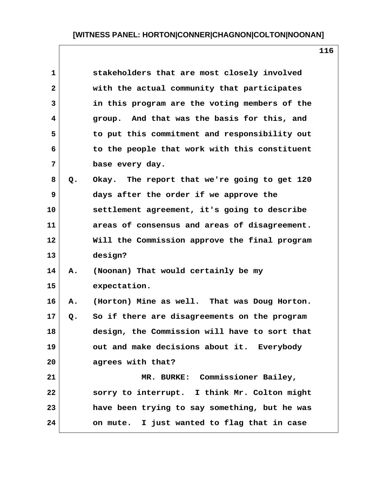| $\mathbf{1}$   |       | stakeholders that are most closely involved   |
|----------------|-------|-----------------------------------------------|
| $\overline{2}$ |       | with the actual community that participates   |
| 3              |       | in this program are the voting members of the |
| 4              |       | group. And that was the basis for this, and   |
| 5              |       | to put this commitment and responsibility out |
| 6              |       | to the people that work with this constituent |
| $\overline{7}$ |       | base every day.                               |
| 8              | Q.    | Okay. The report that we're going to get 120  |
| 9              |       | days after the order if we approve the        |
| 10             |       | settlement agreement, it's going to describe  |
| 11             |       | areas of consensus and areas of disagreement. |
| 12             |       | Will the Commission approve the final program |
| 13             |       | design?                                       |
| 14             | Α.    | (Noonan) That would certainly be my           |
| 15             |       | expectation.                                  |
| 16             | Α.    | (Horton) Mine as well. That was Doug Horton.  |
| 17             | $Q$ . | So if there are disagreements on the program  |
| 18             |       | design, the Commission will have to sort that |
| 19             |       | out and make decisions about it. Everybody    |
| 20             |       | agrees with that?                             |
| 21             |       | MR. BURKE: Commissioner Bailey,               |
| 22             |       | sorry to interrupt. I think Mr. Colton might  |
| 23             |       | have been trying to say something, but he was |
| 24             |       | on mute. I just wanted to flag that in case   |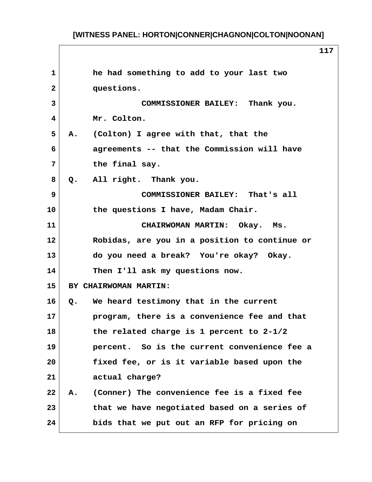**1 he had something to add to your last two 2 questions. 3 COMMISSIONER BAILEY: Thank you. 4 Mr. Colton. 5 A. (Colton) I agree with that, that the 6 agreements -- that the Commission will have 7 the final say. 8 Q. All right. Thank you. 9 COMMISSIONER BAILEY: That's all 10 the questions I have, Madam Chair. 11 CHAIRWOMAN MARTIN: Okay. Ms. 12 Robidas, are you in a position to continue or 13 do you need a break? You're okay? Okay. 14 Then I'll ask my questions now. 15 BY CHAIRWOMAN MARTIN: 16 Q. We heard testimony that in the current 17 program, there is a convenience fee and that 18 the related charge is 1 percent to 2-1/2 19 percent. So is the current convenience fee a 20 fixed fee, or is it variable based upon the 21 actual charge? 22 A. (Conner) The convenience fee is a fixed fee 23 that we have negotiated based on a series of 24 bids that we put out an RFP for pricing on**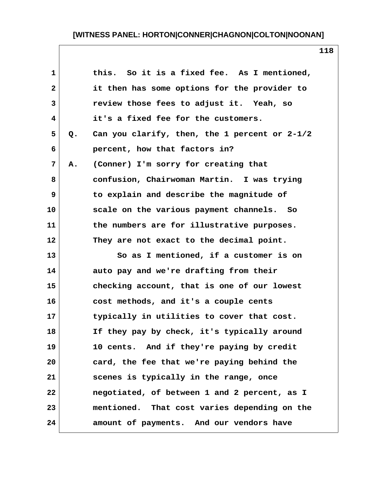| $\mathbf{1}$   |    | this. So it is a fixed fee. As I mentioned,   |
|----------------|----|-----------------------------------------------|
| $\mathbf{2}$   |    | it then has some options for the provider to  |
| 3              |    | review those fees to adjust it. Yeah, so      |
| 4              |    | it's a fixed fee for the customers.           |
| 5              | Q. | Can you clarify, then, the 1 percent or 2-1/2 |
| 6              |    | percent, how that factors in?                 |
| $\overline{7}$ | Α. | (Conner) I'm sorry for creating that          |
| 8              |    | confusion, Chairwoman Martin. I was trying    |
| 9              |    | to explain and describe the magnitude of      |
| 10             |    | scale on the various payment channels. So     |
| 11             |    | the numbers are for illustrative purposes.    |
| 12             |    | They are not exact to the decimal point.      |
| 13             |    | So as I mentioned, if a customer is on        |
| 14             |    | auto pay and we're drafting from their        |
| 15             |    | checking account, that is one of our lowest   |
| 16             |    | cost methods, and it's a couple cents         |
| 17             |    | typically in utilities to cover that cost.    |
| 18             |    | If they pay by check, it's typically around   |
| 19             |    | 10 cents. And if they're paying by credit     |
| 20             |    | card, the fee that we're paying behind the    |
| 21             |    | scenes is typically in the range, once        |
| 22             |    | negotiated, of between 1 and 2 percent, as I  |
| 23             |    | mentioned. That cost varies depending on the  |
| 24             |    | amount of payments. And our vendors have      |

 $\mathbf{I}$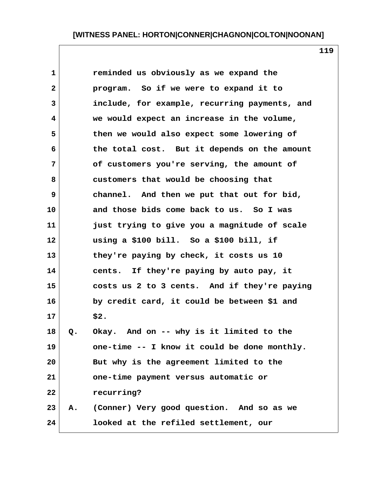**1 reminded us obviously as we expand the 2 program. So if we were to expand it to 3 include, for example, recurring payments, and 4 we would expect an increase in the volume, 5 then we would also expect some lowering of 6 the total cost. But it depends on the amount 7 of customers you're serving, the amount of 8 customers that would be choosing that 9 channel. And then we put that out for bid, 10 and those bids come back to us. So I was 11 just trying to give you a magnitude of scale 12 using a \$100 bill. So a \$100 bill, if 13 they're paying by check, it costs us 10 14 cents. If they're paying by auto pay, it 15 costs us 2 to 3 cents. And if they're paying 16 by credit card, it could be between \$1 and 17 \$2. 18 Q. Okay. And on -- why is it limited to the 19 one-time -- I know it could be done monthly. 20 But why is the agreement limited to the 21 one-time payment versus automatic or 22 recurring? 23 A. (Conner) Very good question. And so as we 24 looked at the refiled settlement, our**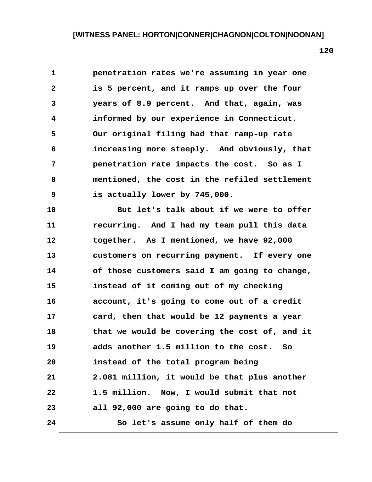| $\mathbf 1$  | penetration rates we're assuming in year one  |
|--------------|-----------------------------------------------|
| $\mathbf{2}$ | is 5 percent, and it ramps up over the four   |
| 3            | years of 8.9 percent. And that, again, was    |
| 4            | informed by our experience in Connecticut.    |
| 5            | Our original filing had that ramp-up rate     |
| 6            | increasing more steeply. And obviously, that  |
| 7            | penetration rate impacts the cost. So as I    |
| 8            | mentioned, the cost in the refiled settlement |
| 9            | is actually lower by 745,000.                 |
| 10           | But let's talk about if we were to offer      |
| 11           | recurring. And I had my team pull this data   |
| 12           | together. As I mentioned, we have 92,000      |
| 13           | customers on recurring payment. If every one  |
| 14           | of those customers said I am going to change, |
| 15           | instead of it coming out of my checking       |
| 16           | account, it's going to come out of a credit   |
| 17           | card, then that would be 12 payments a year   |
| 18           | that we would be covering the cost of, and it |
| 19           | adds another 1.5 million to the cost. So      |
| 20           | instead of the total program being            |
| 21           | 2.081 million, it would be that plus another  |
| 22           | 1.5 million. Now, I would submit that not     |
| 23           | all 92,000 are going to do that.              |
| 24           | So let's assume only half of them do          |

 $\mathsf{l}$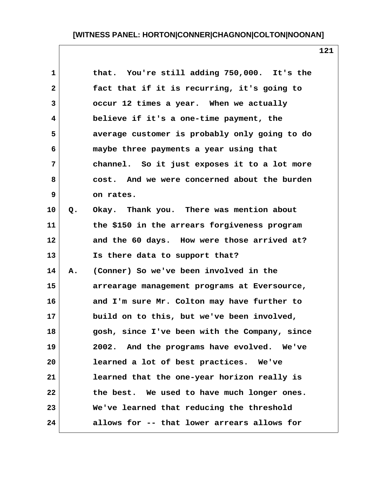| $\mathbf{1}$ |       | that. You're still adding 750,000. It's the   |
|--------------|-------|-----------------------------------------------|
| $\mathbf{2}$ |       | fact that if it is recurring, it's going to   |
| 3            |       | occur 12 times a year. When we actually       |
| 4            |       | believe if it's a one-time payment, the       |
| 5            |       | average customer is probably only going to do |
| 6            |       | maybe three payments a year using that        |
| 7            |       | channel. So it just exposes it to a lot more  |
| 8            |       | cost. And we were concerned about the burden  |
| 9            |       | on rates.                                     |
| 10           | $Q$ . | Okay. Thank you. There was mention about      |
| 11           |       | the \$150 in the arrears forgiveness program  |
| 12           |       | and the 60 days. How were those arrived at?   |
| 13           |       | Is there data to support that?                |
| 14           | Α.    | (Conner) So we've been involved in the        |
| 15           |       | arrearage management programs at Eversource,  |
| 16           |       | and I'm sure Mr. Colton may have further to   |
| 17           |       | build on to this, but we've been involved,    |
| 18           |       | gosh, since I've been with the Company, since |
| 19           |       | 2002. And the programs have evolved. We've    |
| 20           |       | learned a lot of best practices. We've        |
| 21           |       | learned that the one-year horizon really is   |
| 22           |       | the best. We used to have much longer ones.   |
| 23           |       | We've learned that reducing the threshold     |
| 24           |       | allows for -- that lower arrears allows for   |
|              |       |                                               |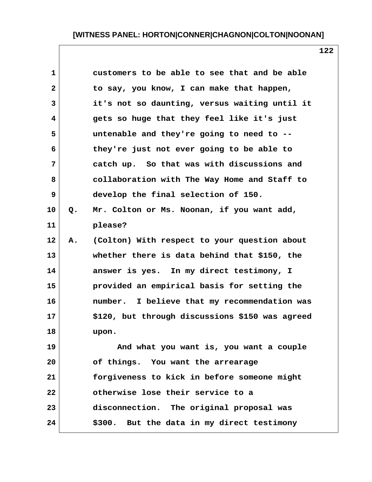| $\mathbf{1}$            |    | customers to be able to see that and be able    |
|-------------------------|----|-------------------------------------------------|
| $\overline{\mathbf{2}}$ |    | to say, you know, I can make that happen,       |
| 3                       |    | it's not so daunting, versus waiting until it   |
| 4                       |    | gets so huge that they feel like it's just      |
| 5                       |    | untenable and they're going to need to --       |
| 6                       |    | they're just not ever going to be able to       |
| 7                       |    | catch up. So that was with discussions and      |
| 8                       |    | collaboration with The Way Home and Staff to    |
| 9                       |    | develop the final selection of 150.             |
| 10                      | Q. | Mr. Colton or Ms. Noonan, if you want add,      |
| 11                      |    | please?                                         |
| 12                      | Α. | (Colton) With respect to your question about    |
| 13                      |    | whether there is data behind that \$150, the    |
| 14                      |    | answer is yes. In my direct testimony, I        |
| 15                      |    | provided an empirical basis for setting the     |
| 16                      |    | number. I believe that my recommendation was    |
| 17                      |    | \$120, but through discussions \$150 was agreed |
| 18                      |    | upon.                                           |
| 19                      |    | And what you want is, you want a couple         |
| 20                      |    | of things. You want the arrearage               |
| 21                      |    | forgiveness to kick in before someone might     |
| 22                      |    | otherwise lose their service to a               |
| 23                      |    | disconnection. The original proposal was        |
| 24                      |    | \$300. But the data in my direct testimony      |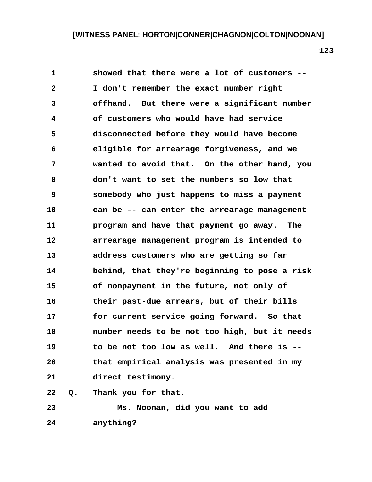| $\mathbf{1}$ |       | showed that there were a lot of customers --  |
|--------------|-------|-----------------------------------------------|
| $\mathbf{2}$ |       | I don't remember the exact number right       |
| 3            |       | offhand. But there were a significant number  |
| 4            |       | of customers who would have had service       |
| 5            |       | disconnected before they would have become    |
| 6            |       | eligible for arrearage forgiveness, and we    |
| 7            |       | wanted to avoid that. On the other hand, you  |
| 8            |       | don't want to set the numbers so low that     |
| 9            |       | somebody who just happens to miss a payment   |
| 10           |       | can be -- can enter the arrearage management  |
| 11           |       | program and have that payment go away. The    |
| 12           |       | arrearage management program is intended to   |
| 13           |       | address customers who are getting so far      |
| 14           |       | behind, that they're beginning to pose a risk |
| 15           |       | of nonpayment in the future, not only of      |
| 16           |       | their past-due arrears, but of their bills    |
| 17           |       | for current service going forward. So that    |
| 18           |       | number needs to be not too high, but it needs |
| 19           |       | to be not too low as well. And there is --    |
| 20           |       | that empirical analysis was presented in my   |
| 21           |       | direct testimony.                             |
| 22           | $Q$ . | Thank you for that.                           |
| 23           |       | Ms. Noonan, did you want to add               |
| 24           |       | anything?                                     |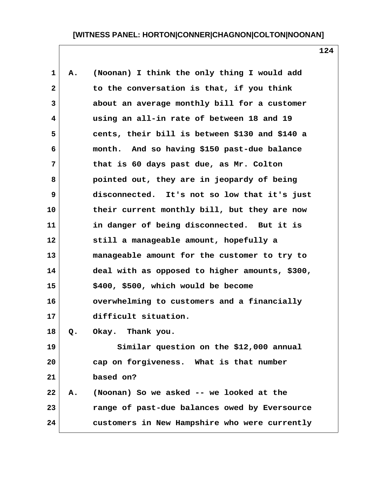| 1            | Α. | (Noonan) I think the only thing I would add    |
|--------------|----|------------------------------------------------|
| $\mathbf{2}$ |    | to the conversation is that, if you think      |
| 3            |    | about an average monthly bill for a customer   |
| 4            |    | using an all-in rate of between 18 and 19      |
| 5            |    | cents, their bill is between \$130 and \$140 a |
| 6            |    | month. And so having \$150 past-due balance    |
| 7            |    | that is 60 days past due, as Mr. Colton        |
| 8            |    | pointed out, they are in jeopardy of being     |
| 9            |    | disconnected. It's not so low that it's just   |
| 10           |    | their current monthly bill, but they are now   |
| 11           |    | in danger of being disconnected. But it is     |
| 12           |    | still a manageable amount, hopefully a         |
| 13           |    | manageable amount for the customer to try to   |
| 14           |    | deal with as opposed to higher amounts, \$300, |
| 15           |    | \$400, \$500, which would be become            |
| 16           |    | overwhelming to customers and a financially    |
| 17           |    | difficult situation.                           |
| 18           | Q. | Okay. Thank you.                               |
| 19           |    | Similar question on the \$12,000 annual        |
| 20           |    | cap on forgiveness. What is that number        |
| 21           |    | based on?                                      |
| 22           | Α. | (Noonan) So we asked -- we looked at the       |
| 23           |    | range of past-due balances owed by Eversource  |
| 24           |    | customers in New Hampshire who were currently  |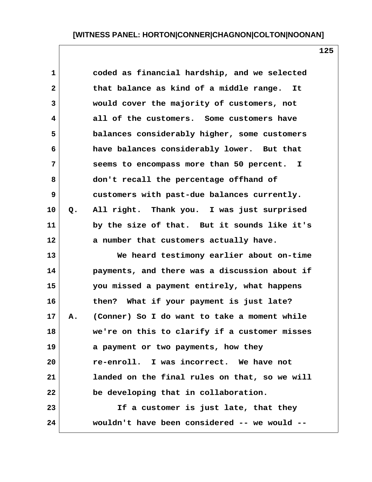| $\mathbf 1$  |    | coded as financial hardship, and we selected  |
|--------------|----|-----------------------------------------------|
| $\mathbf{2}$ |    | that balance as kind of a middle range.<br>It |
| 3            |    | would cover the majority of customers, not    |
| 4            |    | all of the customers. Some customers have     |
| 5            |    | balances considerably higher, some customers  |
| 6            |    | have balances considerably lower. But that    |
| 7            |    | seems to encompass more than 50 percent. I    |
| 8            |    | don't recall the percentage offhand of        |
| 9            |    | customers with past-due balances currently.   |
| 10           | Q. | All right. Thank you. I was just surprised    |
| 11           |    | by the size of that. But it sounds like it's  |
| 12           |    | a number that customers actually have.        |
| 13           |    | We heard testimony earlier about on-time      |
| 14           |    | payments, and there was a discussion about if |
| 15           |    | you missed a payment entirely, what happens   |
| 16           |    | then? What if your payment is just late?      |
| 17           | Α. | (Conner) So I do want to take a moment while  |
| 18           |    | we're on this to clarify if a customer misses |
| 19           |    | a payment or two payments, how they           |
| 20           |    | re-enroll. I was incorrect. We have not       |
| 21           |    | landed on the final rules on that, so we will |
| 22           |    | be developing that in collaboration.          |
| 23           |    | If a customer is just late, that they         |
| 24           |    | wouldn't have been considered -- we would --  |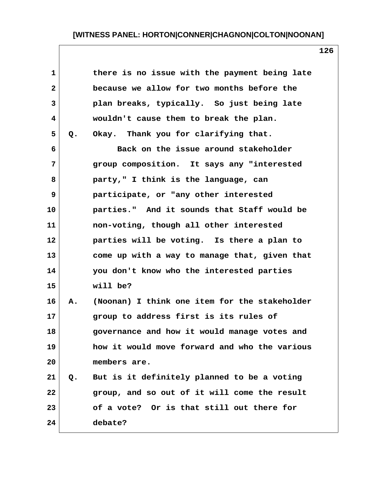| $\mathbf 1$  |    | there is no issue with the payment being late |
|--------------|----|-----------------------------------------------|
| $\mathbf{2}$ |    | because we allow for two months before the    |
| 3            |    | plan breaks, typically. So just being late    |
| 4            |    | wouldn't cause them to break the plan.        |
| 5            | Q. | Okay. Thank you for clarifying that.          |
| 6            |    | Back on the issue around stakeholder          |
| 7            |    | group composition. It says any "interested    |
| 8            |    | party," I think is the language, can          |
| 9            |    | participate, or "any other interested         |
| 10           |    | parties." And it sounds that Staff would be   |
| 11           |    | non-voting, though all other interested       |
| 12           |    | parties will be voting. Is there a plan to    |
| 13           |    | come up with a way to manage that, given that |
| 14           |    | you don't know who the interested parties     |
| 15           |    | will be?                                      |
| 16           | Α. | (Noonan) I think one item for the stakeholder |
| 17           |    | group to address first is its rules of        |
| 18           |    | governance and how it would manage votes and  |
| 19           |    | how it would move forward and who the various |
| 20           |    | members are.                                  |
| 21           | Q. | But is it definitely planned to be a voting   |
| 22           |    | group, and so out of it will come the result  |
| 23           |    | of a vote? Or is that still out there for     |
| 24           |    | debate?                                       |
|              |    |                                               |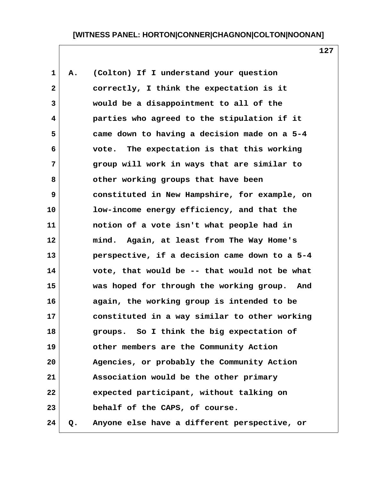| $\mathbf{1}$ | Α. | (Colton) If I understand your question        |  |
|--------------|----|-----------------------------------------------|--|
| $\mathbf{2}$ |    | correctly, I think the expectation is it      |  |
| 3            |    | would be a disappointment to all of the       |  |
| 4            |    | parties who agreed to the stipulation if it   |  |
| 5            |    | came down to having a decision made on a 5-4  |  |
| 6            |    | vote. The expectation is that this working    |  |
| 7            |    | group will work in ways that are similar to   |  |
| 8            |    | other working groups that have been           |  |
| 9            |    | constituted in New Hampshire, for example, on |  |
| 10           |    | low-income energy efficiency, and that the    |  |
| 11           |    | notion of a vote isn't what people had in     |  |
| 12           |    | mind. Again, at least from The Way Home's     |  |
| 13           |    | perspective, if a decision came down to a 5-4 |  |
| 14           |    | vote, that would be -- that would not be what |  |
| 15           |    | was hoped for through the working group. And  |  |
| 16           |    | again, the working group is intended to be    |  |
| 17           |    | constituted in a way similar to other working |  |
| 18           |    | groups. So I think the big expectation of     |  |
| 19           |    | other members are the Community Action        |  |
| 20           |    | Agencies, or probably the Community Action    |  |
| 21           |    | Association would be the other primary        |  |
| 22           |    | expected participant, without talking on      |  |
| 23           |    | behalf of the CAPS, of course.                |  |
| 24           | Q. | Anyone else have a different perspective, or  |  |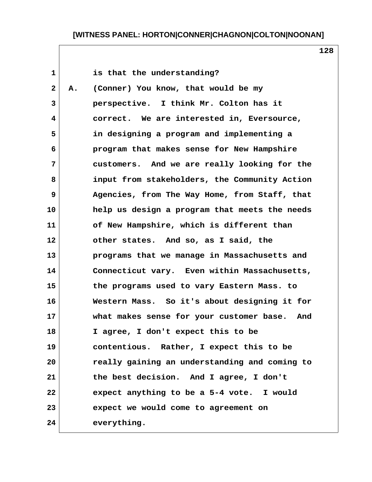| $\mathbf{1}$    |    | is that the understanding?                    |
|-----------------|----|-----------------------------------------------|
| $\mathbf{2}$    | А. | (Conner) You know, that would be my           |
| 3               |    | perspective. I think Mr. Colton has it        |
| 4               |    | correct. We are interested in, Eversource,    |
| 5               |    | in designing a program and implementing a     |
| 6               |    | program that makes sense for New Hampshire    |
| 7               |    | customers. And we are really looking for the  |
| 8               |    | input from stakeholders, the Community Action |
| 9               |    | Agencies, from The Way Home, from Staff, that |
| 10              |    | help us design a program that meets the needs |
| 11              |    | of New Hampshire, which is different than     |
| 12 <sub>2</sub> |    | other states. And so, as I said, the          |
| 13              |    | programs that we manage in Massachusetts and  |
| 14              |    | Connecticut vary. Even within Massachusetts,  |
| 15              |    | the programs used to vary Eastern Mass. to    |
| 16              |    | Western Mass. So it's about designing it for  |
| $17 \,$         |    | what makes sense for your customer base. And  |
| 18              |    | I agree, I don't expect this to be            |
| 19              |    | contentious. Rather, I expect this to be      |
| 20              |    | really gaining an understanding and coming to |
| 21              |    | the best decision. And I agree, I don't       |
| 22              |    | expect anything to be a 5-4 vote. I would     |
| 23              |    | expect we would come to agreement on          |
| 24              |    | everything.                                   |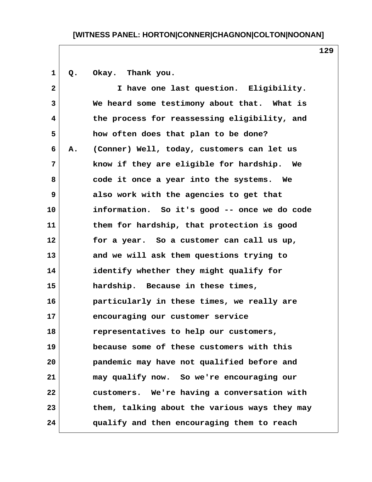1 Q. Okay. Thank you.  **2 I have one last question. Eligibility. 3 We heard some testimony about that. What is 4 the process for reassessing eligibility, and 5 how often does that plan to be done? 6 A. (Conner) Well, today, customers can let us 7 know if they are eligible for hardship. We 8 code it once a year into the systems. We 9 also work with the agencies to get that 10 information. So it's good -- once we do code 11 them for hardship, that protection is good 12 for a year. So a customer can call us up, 13 and we will ask them questions trying to 14 identify whether they might qualify for 15 hardship. Because in these times, 16 particularly in these times, we really are 17 encouraging our customer service 18 representatives to help our customers, 19 because some of these customers with this 20 pandemic may have not qualified before and 21 may qualify now. So we're encouraging our 22 customers. We're having a conversation with 23 them, talking about the various ways they may 24 qualify and then encouraging them to reach**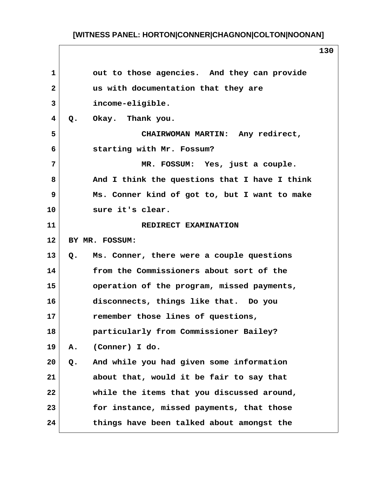| 1              | out to those agencies. And they can provide     |
|----------------|-------------------------------------------------|
| $\mathbf{2}$   | us with documentation that they are             |
| $\overline{3}$ | income-eligible.                                |
| 4              | Okay. Thank you.<br>Q.                          |
| 5              | CHAIRWOMAN MARTIN: Any redirect,                |
| 6              | starting with Mr. Fossum?                       |
| 7              | MR. FOSSUM: Yes, just a couple.                 |
| 8              | And I think the questions that I have I think   |
| 9              | Ms. Conner kind of got to, but I want to make   |
| 10             | sure it's clear.                                |
| 11             | REDIRECT EXAMINATION                            |
| 12             | BY MR. FOSSUM:                                  |
| 13             | Ms. Conner, there were a couple questions<br>Q. |
|                |                                                 |
| 14             | from the Commissioners about sort of the        |
|                | operation of the program, missed payments,      |
| 16             | disconnects, things like that. Do you           |
| 17             | remember those lines of questions,              |
|                | particularly from Commissioner Bailey?          |
| 19             | (Conner) I do.<br>Α.                            |
| 20             | And while you had given some information<br>Q.  |
| 21             | about that, would it be fair to say that        |
| 22             | while the items that you discussed around,      |
| 15<br>18<br>23 | for instance, missed payments, that those       |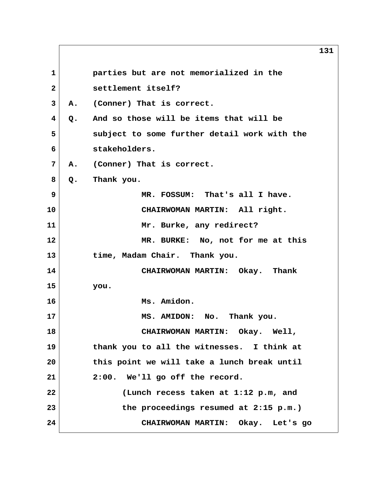**131 1 parties but are not memorialized in the 2 settlement itself? 3 A. (Conner) That is correct. 4 Q. And so those will be items that will be 5 subject to some further detail work with the 6 stakeholders. 7 A. (Conner) That is correct. 8 Q. Thank you. 9 MR. FOSSUM: That's all I have. 10 CHAIRWOMAN MARTIN: All right. 11 Mr. Burke, any redirect? 12 MR. BURKE: No, not for me at this 13 time, Madam Chair. Thank you. 14 CHAIRWOMAN MARTIN: Okay. Thank 15 you. 16 Ms. Amidon. 17 MS. AMIDON: No. Thank you. 18 CHAIRWOMAN MARTIN: Okay. Well, 19 thank you to all the witnesses. I think at 20 this point we will take a lunch break until 21 2:00. We'll go off the record. 22 (Lunch recess taken at 1:12 p.m, and 23 the proceedings resumed at 2:15 p.m.) 24 CHAIRWOMAN MARTIN: Okay. Let's go**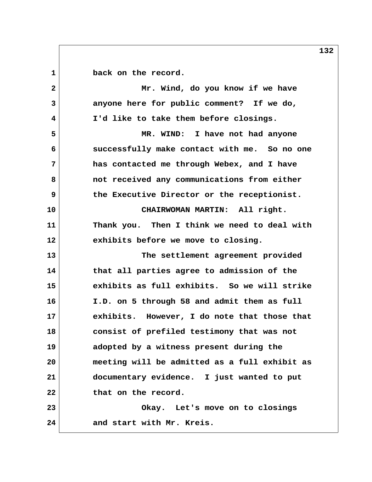1 **back** on the record.  **2 Mr. Wind, do you know if we have 3 anyone here for public comment? If we do, 4 I'd like to take them before closings. 5 MR. WIND: I have not had anyone 6 successfully make contact with me. So no one 7 has contacted me through Webex, and I have 8 not received any communications from either 9 the Executive Director or the receptionist. 10 CHAIRWOMAN MARTIN: All right. 11 Thank you. Then I think we need to deal with 12 exhibits before we move to closing. 13 The settlement agreement provided 14 that all parties agree to admission of the 15 exhibits as full exhibits. So we will strike 16 I.D. on 5 through 58 and admit them as full 17 exhibits. However, I do note that those that 18 consist of prefiled testimony that was not 19 adopted by a witness present during the 20 meeting will be admitted as a full exhibit as 21 documentary evidence. I just wanted to put 22 that on the record. 23 Okay. Let's move on to closings 24 and start with Mr. Kreis.**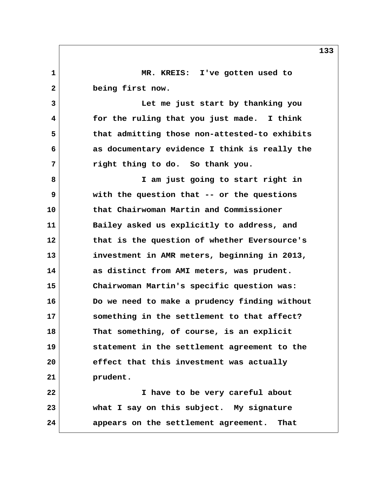**1 MR. KREIS: I've gotten used to 2 being first now. 3 Let me just start by thanking you 4 for the ruling that you just made. I think 5 that admitting those non-attested-to exhibits 6 as documentary evidence I think is really the 7 right thing to do. So thank you. 8 I am just going to start right in 9 with the question that -- or the questions 10 that Chairwoman Martin and Commissioner 11 Bailey asked us explicitly to address, and 12 that is the question of whether Eversource's 13 investment in AMR meters, beginning in 2013, 14 as distinct from AMI meters, was prudent. 15 Chairwoman Martin's specific question was: 16 Do we need to make a prudency finding without 17 something in the settlement to that affect? 18 That something, of course, is an explicit 19 statement in the settlement agreement to the 20 effect that this investment was actually 21 prudent. 22 I have to be very careful about 23 what I say on this subject. My signature 24 appears on the settlement agreement. That**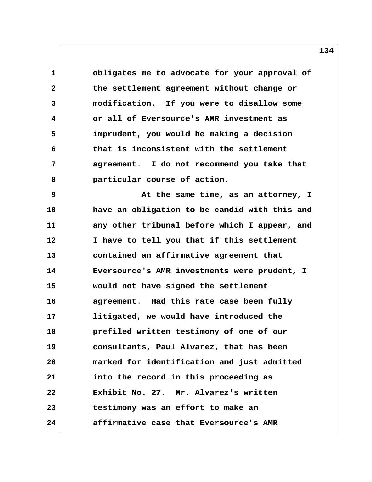**1 obligates me to advocate for your approval of 2 the settlement agreement without change or 3 modification. If you were to disallow some 4 or all of Eversource's AMR investment as 5 imprudent, you would be making a decision 6 that is inconsistent with the settlement 7 agreement. I do not recommend you take that 8 particular course of action.**

**9** At the same time, as an attorney, I **10 have an obligation to be candid with this and 11 any other tribunal before which I appear, and 12 I have to tell you that if this settlement 13 contained an affirmative agreement that 14 Eversource's AMR investments were prudent, I 15 would not have signed the settlement 16 agreement. Had this rate case been fully 17 litigated, we would have introduced the 18 prefiled written testimony of one of our 19 consultants, Paul Alvarez, that has been 20 marked for identification and just admitted 21 into the record in this proceeding as 22 Exhibit No. 27. Mr. Alvarez's written 23 testimony was an effort to make an 24 affirmative case that Eversource's AMR**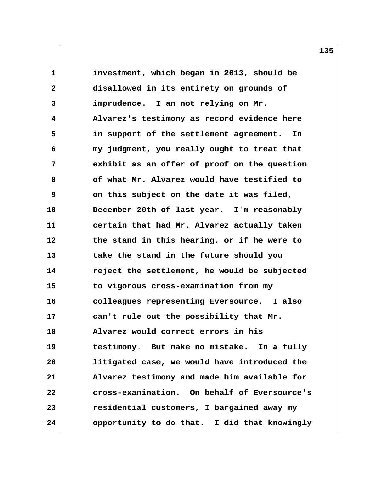**1 investment, which began in 2013, should be 2 disallowed in its entirety on grounds of 3 imprudence. I am not relying on Mr. 4 Alvarez's testimony as record evidence here 5 in support of the settlement agreement. In 6 my judgment, you really ought to treat that 7 exhibit as an offer of proof on the question 8 of what Mr. Alvarez would have testified to 9 on this subject on the date it was filed, 10 December 20th of last year. I'm reasonably 11 certain that had Mr. Alvarez actually taken 12 the stand in this hearing, or if he were to 13 take the stand in the future should you 14 reject the settlement, he would be subjected 15 to vigorous cross-examination from my 16 colleagues representing Eversource. I also 17 can't rule out the possibility that Mr. 18 Alvarez would correct errors in his 19 testimony. But make no mistake. In a fully 20 litigated case, we would have introduced the 21 Alvarez testimony and made him available for 22 cross-examination. On behalf of Eversource's 23 residential customers, I bargained away my 24 opportunity to do that. I did that knowingly**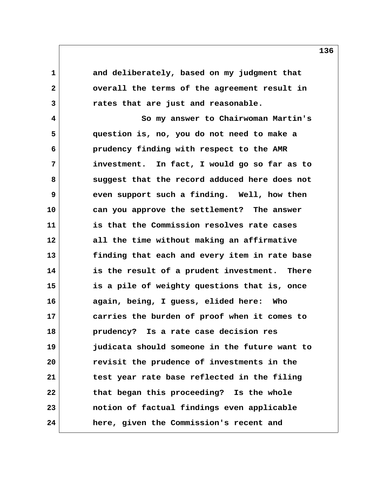**1 and deliberately, based on my judgment that 2 overall the terms of the agreement result in 3 rates that are just and reasonable.**

 **4 So my answer to Chairwoman Martin's 5 question is, no, you do not need to make a 6 prudency finding with respect to the AMR 7 investment. In fact, I would go so far as to 8 suggest that the record adduced here does not 9 even support such a finding. Well, how then 10 can you approve the settlement? The answer 11 is that the Commission resolves rate cases 12 all the time without making an affirmative 13 finding that each and every item in rate base 14 is the result of a prudent investment. There 15 is a pile of weighty questions that is, once 16 again, being, I guess, elided here: Who 17 carries the burden of proof when it comes to 18 prudency? Is a rate case decision res 19 judicata should someone in the future want to 20 revisit the prudence of investments in the 21 test year rate base reflected in the filing 22 that began this proceeding? Is the whole 23 notion of factual findings even applicable 24 here, given the Commission's recent and**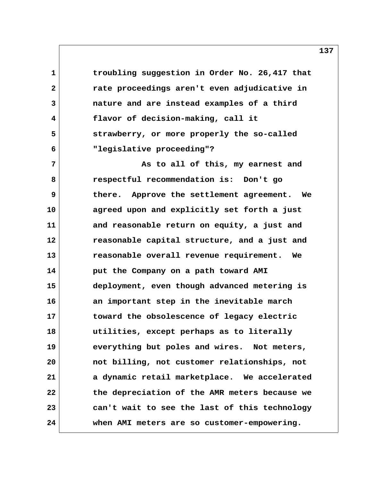**1 troubling suggestion in Order No. 26,417 that 2 rate proceedings aren't even adjudicative in 3 nature and are instead examples of a third 4 flavor of decision-making, call it 5 strawberry, or more properly the so-called 6 "legislative proceeding"?**

 **7 As to all of this, my earnest and 8 respectful recommendation is: Don't go 9 there. Approve the settlement agreement. We 10 agreed upon and explicitly set forth a just 11 and reasonable return on equity, a just and 12 reasonable capital structure, and a just and 13 reasonable overall revenue requirement. We 14 put the Company on a path toward AMI 15 deployment, even though advanced metering is 16 an important step in the inevitable march 17 toward the obsolescence of legacy electric 18 utilities, except perhaps as to literally 19 everything but poles and wires. Not meters, 20 not billing, not customer relationships, not 21 a dynamic retail marketplace. We accelerated 22 the depreciation of the AMR meters because we 23 can't wait to see the last of this technology 24 when AMI meters are so customer-empowering.**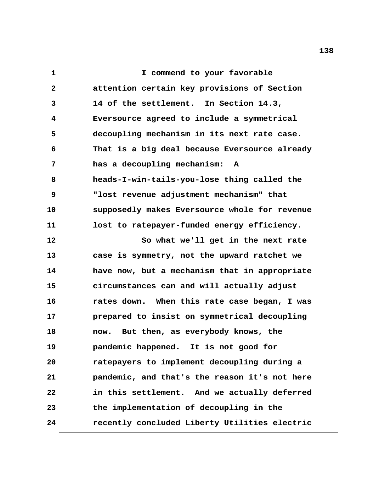**1 I commend to your favorable 2 attention certain key provisions of Section 3 14 of the settlement. In Section 14.3, 4 Eversource agreed to include a symmetrical 5 decoupling mechanism in its next rate case. 6 That is a big deal because Eversource already 7 has a decoupling mechanism: A 8 heads-I-win-tails-you-lose thing called the 9 "lost revenue adjustment mechanism" that 10 supposedly makes Eversource whole for revenue 11 lost to ratepayer-funded energy efficiency. 12 So what we'll get in the next rate 13 case is symmetry, not the upward ratchet we 14 have now, but a mechanism that in appropriate 15 circumstances can and will actually adjust 16 rates down. When this rate case began, I was 17 prepared to insist on symmetrical decoupling 18 now. But then, as everybody knows, the 19 pandemic happened. It is not good for 20 ratepayers to implement decoupling during a 21 pandemic, and that's the reason it's not here 22 in this settlement. And we actually deferred 23 the implementation of decoupling in the 24 recently concluded Liberty Utilities electric**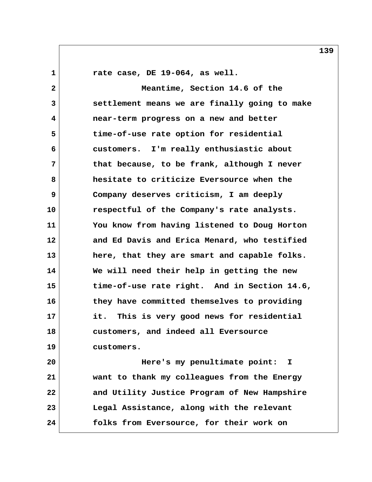**1 rate case, DE 19-064, as well.**

 **2 Meantime, Section 14.6 of the 3 settlement means we are finally going to make 4 near-term progress on a new and better 5 time-of-use rate option for residential 6 customers. I'm really enthusiastic about 7 that because, to be frank, although I never 8 hesitate to criticize Eversource when the 9 Company deserves criticism, I am deeply 10 respectful of the Company's rate analysts. 11 You know from having listened to Doug Horton 12 and Ed Davis and Erica Menard, who testified 13 here, that they are smart and capable folks. 14 We will need their help in getting the new 15 time-of-use rate right. And in Section 14.6, 16 they have committed themselves to providing 17 it. This is very good news for residential 18 customers, and indeed all Eversource 19 customers. 20 Here's my penultimate point: I 21 want to thank my colleagues from the Energy 22 and Utility Justice Program of New Hampshire 23 Legal Assistance, along with the relevant**

**24 folks from Eversource, for their work on**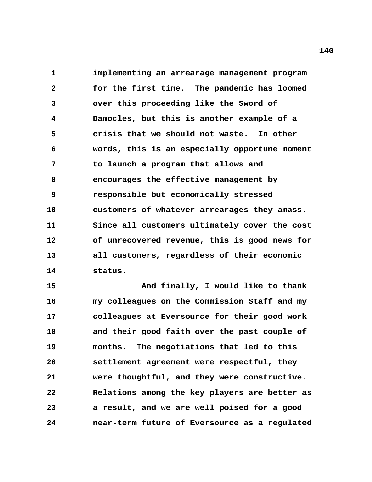**1 implementing an arrearage management program 2 for the first time. The pandemic has loomed 3 over this proceeding like the Sword of 4 Damocles, but this is another example of a 5 crisis that we should not waste. In other 6 words, this is an especially opportune moment 7 to launch a program that allows and 8 encourages the effective management by 9 responsible but economically stressed 10 customers of whatever arrearages they amass. 11 Since all customers ultimately cover the cost 12 of unrecovered revenue, this is good news for 13 all customers, regardless of their economic 14 status.**

15 And finally, I would like to thank **16 my colleagues on the Commission Staff and my 17 colleagues at Eversource for their good work 18 and their good faith over the past couple of 19 months. The negotiations that led to this 20 settlement agreement were respectful, they 21 were thoughtful, and they were constructive. 22 Relations among the key players are better as 23 a result, and we are well poised for a good 24 near-term future of Eversource as a regulated**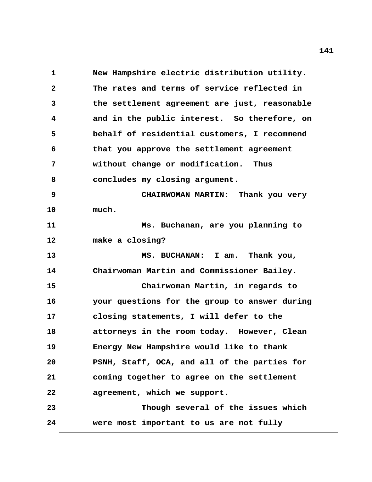1 New Hampshire electric distribution utility.  **2 The rates and terms of service reflected in 3 the settlement agreement are just, reasonable 4 and in the public interest. So therefore, on 5 behalf of residential customers, I recommend 6 that you approve the settlement agreement 7 without change or modification. Thus 8 concludes my closing argument. 9 CHAIRWOMAN MARTIN: Thank you very 10 much. 11 Ms. Buchanan, are you planning to 12 make a closing? 13 MS. BUCHANAN: I am. Thank you, 14 Chairwoman Martin and Commissioner Bailey. 15 Chairwoman Martin, in regards to 16 your questions for the group to answer during 17 closing statements, I will defer to the 18 attorneys in the room today. However, Clean 19 Energy New Hampshire would like to thank 20 PSNH, Staff, OCA, and all of the parties for 21 coming together to agree on the settlement 22 agreement, which we support. 23 Though several of the issues which 24 were most important to us are not fully**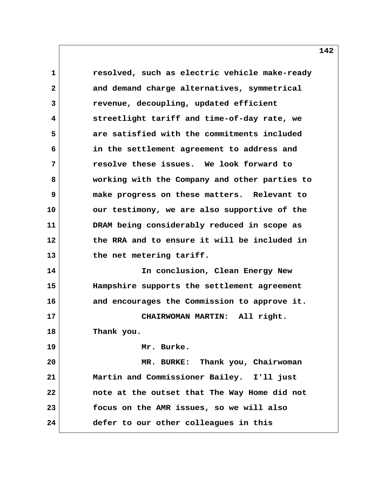**1 resolved, such as electric vehicle make-ready 2 and demand charge alternatives, symmetrical 3 revenue, decoupling, updated efficient 4 streetlight tariff and time-of-day rate, we 5 are satisfied with the commitments included 6 in the settlement agreement to address and 7 resolve these issues. We look forward to 8 working with the Company and other parties to 9 make progress on these matters. Relevant to 10 our testimony, we are also supportive of the 11 DRAM being considerably reduced in scope as 12 the RRA and to ensure it will be included in 13 the net metering tariff. 14 In conclusion, Clean Energy New 15 Hampshire supports the settlement agreement 16 and encourages the Commission to approve it. 17 CHAIRWOMAN MARTIN: All right. 18 Thank you. 19 Mr. Burke. 20 MR. BURKE: Thank you, Chairwoman 21 Martin and Commissioner Bailey. I'll just 22 note at the outset that The Way Home did not 23 focus on the AMR issues, so we will also 24 defer to our other colleagues in this**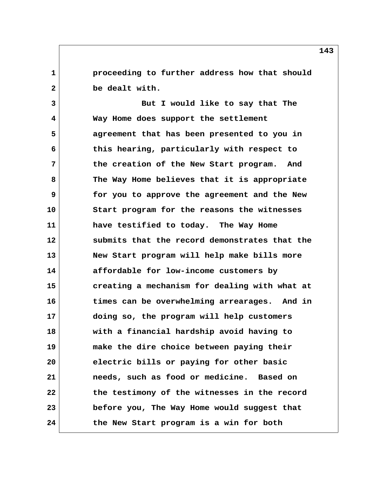**1 proceeding to further address how that should 2 be dealt with.**

 **3 But I would like to say that The 4 Way Home does support the settlement 5 agreement that has been presented to you in 6 this hearing, particularly with respect to 7 the creation of the New Start program. And 8 The Way Home believes that it is appropriate 9 for you to approve the agreement and the New 10 Start program for the reasons the witnesses 11 have testified to today. The Way Home 12 submits that the record demonstrates that the 13 New Start program will help make bills more 14 affordable for low-income customers by 15 creating a mechanism for dealing with what at 16 times can be overwhelming arrearages. And in 17 doing so, the program will help customers 18 with a financial hardship avoid having to 19 make the dire choice between paying their 20 electric bills or paying for other basic 21 needs, such as food or medicine. Based on 22 the testimony of the witnesses in the record 23 before you, The Way Home would suggest that 24 the New Start program is a win for both**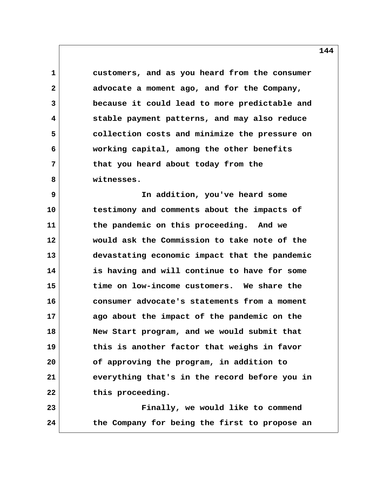**1 customers, and as you heard from the consumer 2 advocate a moment ago, and for the Company, 3 because it could lead to more predictable and 4 stable payment patterns, and may also reduce 5 collection costs and minimize the pressure on 6 working capital, among the other benefits 7 that you heard about today from the 8 witnesses.**

 **9 In addition, you've heard some 10 testimony and comments about the impacts of 11 the pandemic on this proceeding. And we 12 would ask the Commission to take note of the 13 devastating economic impact that the pandemic 14 is having and will continue to have for some 15 time on low-income customers. We share the 16 consumer advocate's statements from a moment 17 ago about the impact of the pandemic on the 18 New Start program, and we would submit that 19 this is another factor that weighs in favor 20 of approving the program, in addition to 21 everything that's in the record before you in 22 this proceeding.**

**23 Finally, we would like to commend 24 the Company for being the first to propose an**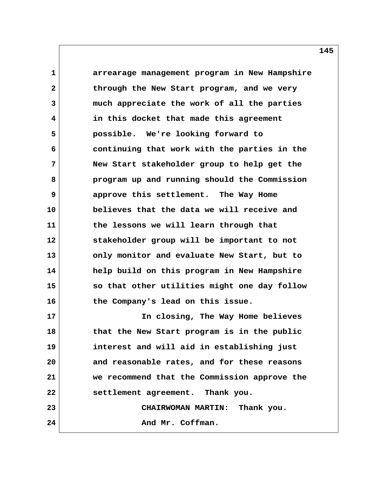**1 arrearage management program in New Hampshire 2 through the New Start program, and we very 3 much appreciate the work of all the parties 4 in this docket that made this agreement 5 possible. We're looking forward to 6 continuing that work with the parties in the 7 New Start stakeholder group to help get the 8 program up and running should the Commission 9 approve this settlement. The Way Home 10 believes that the data we will receive and 11 the lessons we will learn through that 12 stakeholder group will be important to not 13 only monitor and evaluate New Start, but to 14 help build on this program in New Hampshire 15 so that other utilities might one day follow 16 the Company's lead on this issue. 17 In closing, The Way Home believes 18 that the New Start program is in the public 19 interest and will aid in establishing just 20 and reasonable rates, and for these reasons 21 we recommend that the Commission approve the 22 settlement agreement. Thank you.**

**23 CHAIRWOMAN MARTIN: Thank you.** 24 And Mr. Coffman.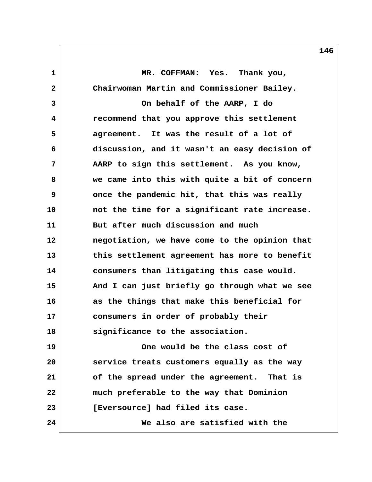**1 MR. COFFMAN: Yes. Thank you, 2 Chairwoman Martin and Commissioner Bailey. 3 On behalf of the AARP, I do 4 recommend that you approve this settlement 5 agreement. It was the result of a lot of 6 discussion, and it wasn't an easy decision of 7 AARP to sign this settlement. As you know, 8 we came into this with quite a bit of concern 9 once the pandemic hit, that this was really 10 not the time for a significant rate increase. 11 But after much discussion and much 12 negotiation, we have come to the opinion that 13 this settlement agreement has more to benefit 14 consumers than litigating this case would. 15 And I can just briefly go through what we see 16 as the things that make this beneficial for 17 consumers in order of probably their 18 significance to the association. 19 One would be the class cost of 20 service treats customers equally as the way 21 of the spread under the agreement. That is 22 much preferable to the way that Dominion 23 [Eversource] had filed its case. 24 We also are satisfied with the**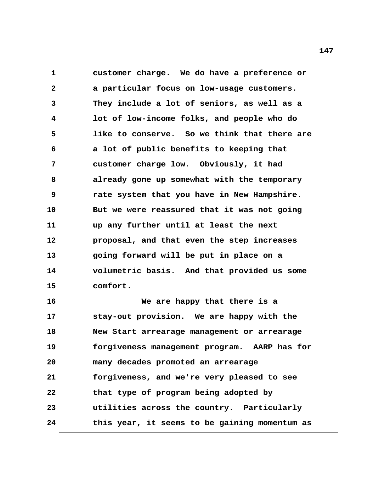**1 customer charge. We do have a preference or 2 a particular focus on low-usage customers. 3 They include a lot of seniors, as well as a 4 lot of low-income folks, and people who do 5 like to conserve. So we think that there are 6 a lot of public benefits to keeping that 7 customer charge low. Obviously, it had 8 already gone up somewhat with the temporary 9 rate system that you have in New Hampshire. 10 But we were reassured that it was not going 11 up any further until at least the next 12 proposal, and that even the step increases 13 going forward will be put in place on a 14 volumetric basis. And that provided us some 15 comfort. 16 We are happy that there is a 17 stay-out provision. We are happy with the 18 New Start arrearage management or arrearage 19 forgiveness management program. AARP has for 20 many decades promoted an arrearage 21 forgiveness, and we're very pleased to see**

**22 that type of program being adopted by 23 utilities across the country. Particularly 24 this year, it seems to be gaining momentum as**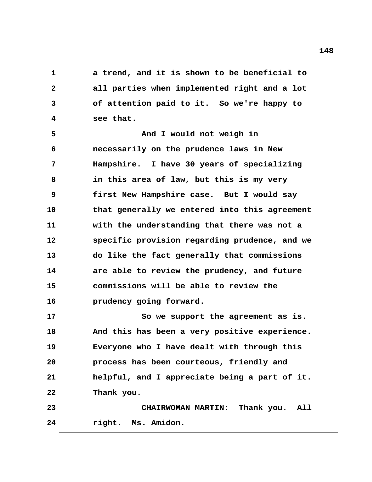**1 a trend, and it is shown to be beneficial to 2 all parties when implemented right and a lot 3 of attention paid to it. So we're happy to 4 see that. 5** And I would not weigh in

 **6 necessarily on the prudence laws in New 7 Hampshire. I have 30 years of specializing 8 in this area of law, but this is my very 9 first New Hampshire case. But I would say 10 that generally we entered into this agreement 11 with the understanding that there was not a 12 specific provision regarding prudence, and we 13 do like the fact generally that commissions 14 are able to review the prudency, and future 15 commissions will be able to review the 16 prudency going forward.**

**17 So we support the agreement as is. 18 And this has been a very positive experience. 19 Everyone who I have dealt with through this 20 process has been courteous, friendly and 21 helpful, and I appreciate being a part of it. 22 Thank you. 23 CHAIRWOMAN MARTIN: Thank you. All**

**24 right. Ms. Amidon.**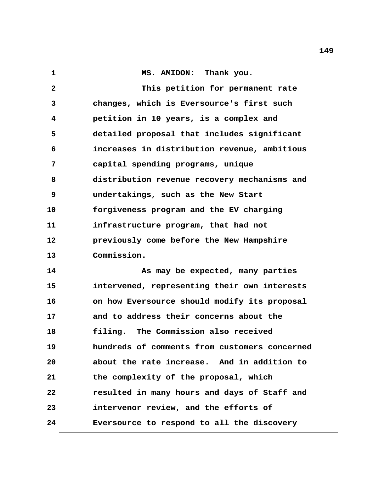1 MS. AMIDON: Thank you.  **2 This petition for permanent rate 3 changes, which is Eversource's first such 4 petition in 10 years, is a complex and 5 detailed proposal that includes significant 6 increases in distribution revenue, ambitious 7 capital spending programs, unique 8 distribution revenue recovery mechanisms and 9 undertakings, such as the New Start 10 forgiveness program and the EV charging 11 infrastructure program, that had not 12 previously come before the New Hampshire 13 Commission. 14 As may be expected, many parties 15 intervened, representing their own interests 16 on how Eversource should modify its proposal 17 and to address their concerns about the 18 filing. The Commission also received 19 hundreds of comments from customers concerned 20 about the rate increase. And in addition to 21 the complexity of the proposal, which 22 resulted in many hours and days of Staff and 23 intervenor review, and the efforts of 24 Eversource to respond to all the discovery**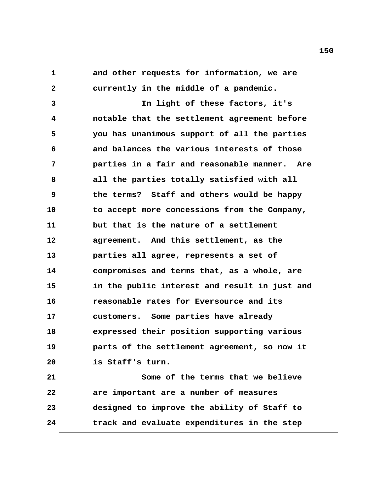1 and other requests for information, we are  **2 currently in the middle of a pandemic.**

 **3 In light of these factors, it's 4 notable that the settlement agreement before 5 you has unanimous support of all the parties 6 and balances the various interests of those 7 parties in a fair and reasonable manner. Are 8 all the parties totally satisfied with all 9 the terms? Staff and others would be happy 10 to accept more concessions from the Company, 11 but that is the nature of a settlement 12 agreement. And this settlement, as the 13 parties all agree, represents a set of 14 compromises and terms that, as a whole, are 15 in the public interest and result in just and 16 reasonable rates for Eversource and its 17 customers. Some parties have already 18 expressed their position supporting various 19 parts of the settlement agreement, so now it 20 is Staff's turn. 21 Some of the terms that we believe**

**22 are important are a number of measures 23 designed to improve the ability of Staff to 24 track and evaluate expenditures in the step**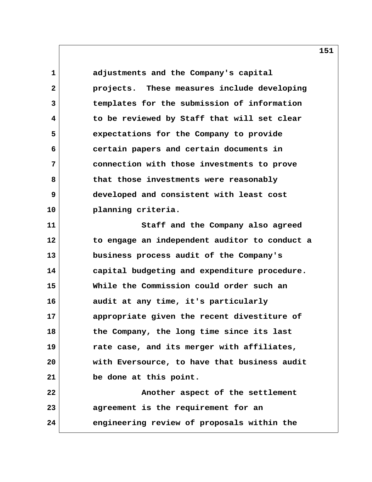**1 adjustments and the Company's capital 2 projects. These measures include developing 3 templates for the submission of information 4 to be reviewed by Staff that will set clear 5 expectations for the Company to provide 6 certain papers and certain documents in 7 connection with those investments to prove 8 that those investments were reasonably 9 developed and consistent with least cost 10 planning criteria. 11 Staff and the Company also agreed 12 to engage an independent auditor to conduct a 13 business process audit of the Company's 14 capital budgeting and expenditure procedure. 15 While the Commission could order such an 16 audit at any time, it's particularly 17 appropriate given the recent divestiture of 18 the Company, the long time since its last 19 rate case, and its merger with affiliates, 20 with Eversource, to have that business audit 21 be done at this point. 22 Another aspect of the settlement 23 agreement is the requirement for an 24 engineering review of proposals within the**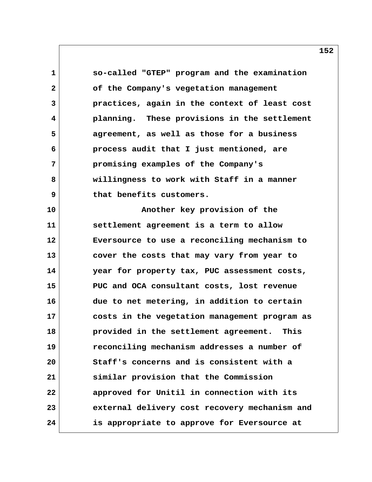**1 so-called "GTEP" program and the examination 2 of the Company's vegetation management 3 practices, again in the context of least cost 4 planning. These provisions in the settlement 5 agreement, as well as those for a business 6 process audit that I just mentioned, are 7 promising examples of the Company's 8 willingness to work with Staff in a manner 9 that benefits customers. 10 Another key provision of the 11 settlement agreement is a term to allow 12 Eversource to use a reconciling mechanism to 13 cover the costs that may vary from year to 14 year for property tax, PUC assessment costs, 15 PUC and OCA consultant costs, lost revenue 16 due to net metering, in addition to certain 17 costs in the vegetation management program as 18 provided in the settlement agreement. This 19 reconciling mechanism addresses a number of 20 Staff's concerns and is consistent with a 21 similar provision that the Commission 22 approved for Unitil in connection with its 23 external delivery cost recovery mechanism and 24 is appropriate to approve for Eversource at**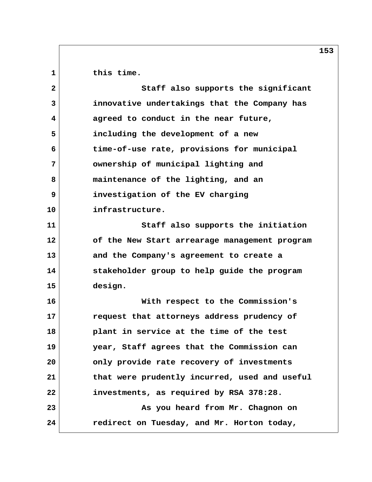1 this time.

| $\overline{2}$    | Staff also supports the significant           |
|-------------------|-----------------------------------------------|
| 3                 | innovative undertakings that the Company has  |
| 4                 | agreed to conduct in the near future,         |
| 5                 | including the development of a new            |
| 6                 | time-of-use rate, provisions for municipal    |
| 7                 | ownership of municipal lighting and           |
| 8                 | maintenance of the lighting, and an           |
| 9                 | investigation of the EV charging              |
| 10                | infrastructure.                               |
| 11                | Staff also supports the initiation            |
| $12 \overline{ }$ | of the New Start arrearage management program |
| 13                | and the Company's agreement to create a       |
| 14                | stakeholder group to help guide the program   |
| 15                | design.                                       |
| 16                | With respect to the Commission's              |
| 17                | request that attorneys address prudency of    |
| 18                | plant in service at the time of the test      |
| 19                | year, Staff agrees that the Commission can    |
| 20                | only provide rate recovery of investments     |
| 21                | that were prudently incurred, used and useful |
| 22                | investments, as required by RSA 378:28.       |
| 23                | As you heard from Mr. Chagnon on              |
| 24                | redirect on Tuesday, and Mr. Horton today,    |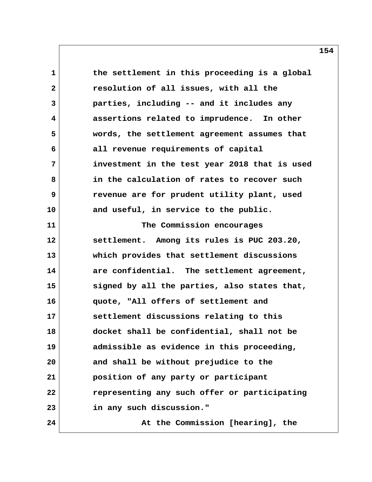1 the settlement in this proceeding is a global  **2 resolution of all issues, with all the 3 parties, including -- and it includes any 4 assertions related to imprudence. In other 5 words, the settlement agreement assumes that 6 all revenue requirements of capital 7 investment in the test year 2018 that is used 8 in the calculation of rates to recover such 9 revenue are for prudent utility plant, used 10 and useful, in service to the public. 11 The Commission encourages 12 settlement. Among its rules is PUC 203.20, 13 which provides that settlement discussions 14 are confidential. The settlement agreement, 15 signed by all the parties, also states that, 16 quote, "All offers of settlement and 17 settlement discussions relating to this 18 docket shall be confidential, shall not be 19 admissible as evidence in this proceeding, 20 and shall be without prejudice to the 21 position of any party or participant 22 representing any such offer or participating 23 in any such discussion." 24 At the Commission [hearing], the**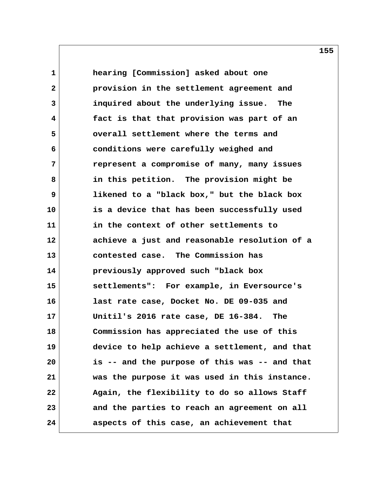**1 hearing [Commission] asked about one 2 provision in the settlement agreement and 3 inquired about the underlying issue. The 4 fact is that that provision was part of an 5 overall settlement where the terms and 6 conditions were carefully weighed and 7 represent a compromise of many, many issues 8 in this petition. The provision might be 9 likened to a "black box," but the black box 10 is a device that has been successfully used 11 in the context of other settlements to 12 achieve a just and reasonable resolution of a 13 contested case. The Commission has 14 previously approved such "black box 15 settlements": For example, in Eversource's 16 last rate case, Docket No. DE 09-035 and 17 Unitil's 2016 rate case, DE 16-384. The 18 Commission has appreciated the use of this 19 device to help achieve a settlement, and that 20 is -- and the purpose of this was -- and that 21 was the purpose it was used in this instance. 22 Again, the flexibility to do so allows Staff 23 and the parties to reach an agreement on all 24 aspects of this case, an achievement that**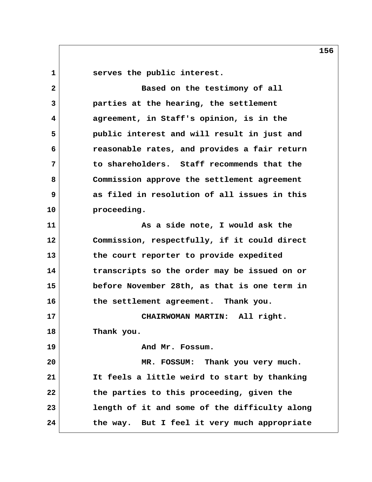1 **Serves** the public interest.

 **2 Based on the testimony of all 3 parties at the hearing, the settlement 4 agreement, in Staff's opinion, is in the 5 public interest and will result in just and 6 reasonable rates, and provides a fair return 7 to shareholders. Staff recommends that the 8 Commission approve the settlement agreement 9 as filed in resolution of all issues in this 10 proceeding. 11 As a side note, I would ask the 12 Commission, respectfully, if it could direct 13 the court reporter to provide expedited 14 transcripts so the order may be issued on or 15 before November 28th, as that is one term in 16 the settlement agreement. Thank you. 17 CHAIRWOMAN MARTIN: All right. 18 Thank you. 19 And Mr. Fossum. 20 MR. FOSSUM: Thank you very much. 21 It feels a little weird to start by thanking 22 the parties to this proceeding, given the 23 length of it and some of the difficulty along 24 the way. But I feel it very much appropriate**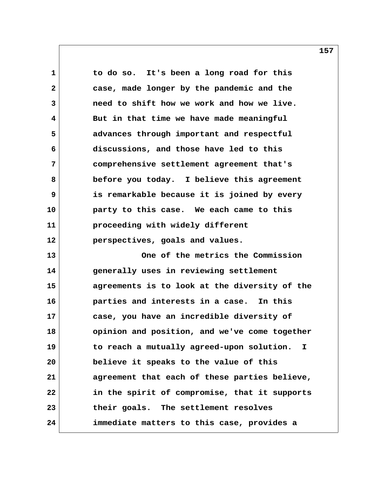**1 to do so. It's been a long road for this 2 case, made longer by the pandemic and the 3 need to shift how we work and how we live. 4 But in that time we have made meaningful 5 advances through important and respectful 6 discussions, and those have led to this 7 comprehensive settlement agreement that's 8 before you today. I believe this agreement 9 is remarkable because it is joined by every 10 party to this case. We each came to this 11 proceeding with widely different 12 perspectives, goals and values. 13 One of the metrics the Commission 14 generally uses in reviewing settlement 15 agreements is to look at the diversity of the 16 parties and interests in a case. In this 17 case, you have an incredible diversity of 18 opinion and position, and we've come together 19 to reach a mutually agreed-upon solution. I 20 believe it speaks to the value of this 21 agreement that each of these parties believe, 22 in the spirit of compromise, that it supports 23 their goals. The settlement resolves 24 immediate matters to this case, provides a**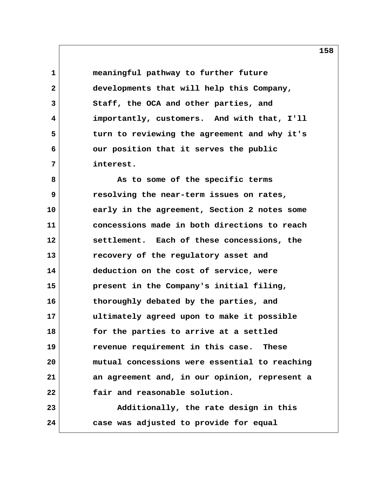**1 meaningful pathway to further future 2 developments that will help this Company, 3 Staff, the OCA and other parties, and 4 importantly, customers. And with that, I'll 5 turn to reviewing the agreement and why it's 6 our position that it serves the public 7 interest.**

 **8 As to some of the specific terms 9 resolving the near-term issues on rates, 10 early in the agreement, Section 2 notes some 11 concessions made in both directions to reach 12 settlement. Each of these concessions, the 13 recovery of the regulatory asset and 14 deduction on the cost of service, were 15 present in the Company's initial filing, 16 thoroughly debated by the parties, and 17 ultimately agreed upon to make it possible 18 for the parties to arrive at a settled 19 revenue requirement in this case. These 20 mutual concessions were essential to reaching 21 an agreement and, in our opinion, represent a 22 fair and reasonable solution. 23 Additionally, the rate design in this 24 case was adjusted to provide for equal**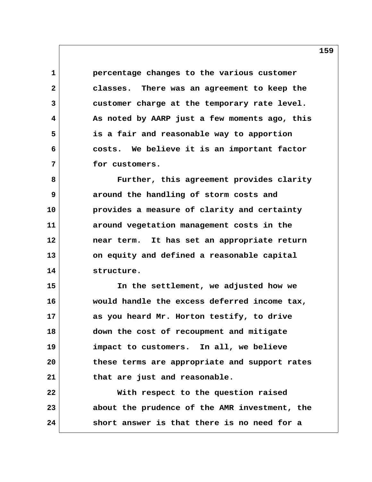**1 percentage changes to the various customer 2 classes. There was an agreement to keep the 3 customer charge at the temporary rate level. 4 As noted by AARP just a few moments ago, this 5 is a fair and reasonable way to apportion 6 costs. We believe it is an important factor 7 for customers.**

 **8 Further, this agreement provides clarity 9 around the handling of storm costs and 10 provides a measure of clarity and certainty 11 around vegetation management costs in the 12 near term. It has set an appropriate return 13 on equity and defined a reasonable capital 14 structure.**

**15 In the settlement, we adjusted how we 16 would handle the excess deferred income tax, 17 as you heard Mr. Horton testify, to drive 18 down the cost of recoupment and mitigate 19 impact to customers. In all, we believe 20 these terms are appropriate and support rates 21 that are just and reasonable. 22 With respect to the question raised**

**23 about the prudence of the AMR investment, the 24 short answer is that there is no need for a**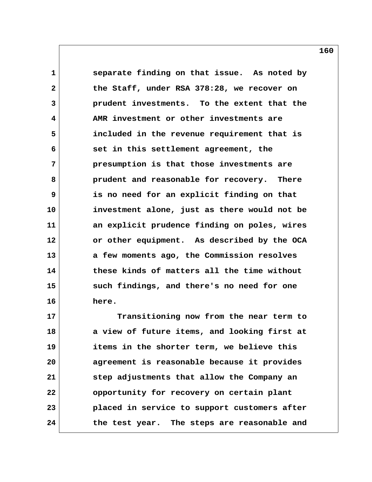**1 separate finding on that issue. As noted by 2 the Staff, under RSA 378:28, we recover on 3 prudent investments. To the extent that the 4 AMR investment or other investments are 5 included in the revenue requirement that is 6 set in this settlement agreement, the 7 presumption is that those investments are 8 prudent and reasonable for recovery. There 9 is no need for an explicit finding on that 10 investment alone, just as there would not be 11 an explicit prudence finding on poles, wires 12 or other equipment. As described by the OCA 13 a few moments ago, the Commission resolves 14 these kinds of matters all the time without 15 such findings, and there's no need for one 16 here.**

**17 Transitioning now from the near term to 18 a view of future items, and looking first at 19 items in the shorter term, we believe this 20 agreement is reasonable because it provides 21 step adjustments that allow the Company an 22 opportunity for recovery on certain plant 23 placed in service to support customers after 24 the test year. The steps are reasonable and**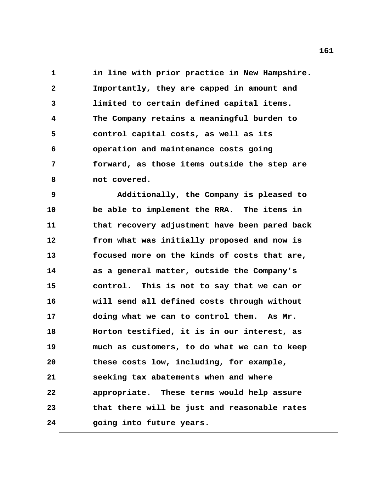**1 in line with prior practice in New Hampshire. 2 Importantly, they are capped in amount and 3 limited to certain defined capital items. 4 The Company retains a meaningful burden to 5 control capital costs, as well as its 6 operation and maintenance costs going 7 forward, as those items outside the step are** 8 **not covered.** 

 **9 Additionally, the Company is pleased to 10 be able to implement the RRA. The items in 11 that recovery adjustment have been pared back 12 from what was initially proposed and now is 13 focused more on the kinds of costs that are, 14 as a general matter, outside the Company's 15 control. This is not to say that we can or 16 will send all defined costs through without 17 doing what we can to control them. As Mr. 18 Horton testified, it is in our interest, as 19 much as customers, to do what we can to keep 20 these costs low, including, for example, 21 seeking tax abatements when and where 22 appropriate. These terms would help assure 23 that there will be just and reasonable rates 24 going into future years.**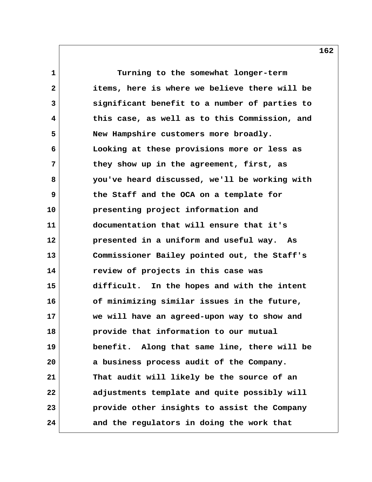**1 Turning to the somewhat longer-term 2 items, here is where we believe there will be 3 significant benefit to a number of parties to 4 this case, as well as to this Commission, and 5 New Hampshire customers more broadly. 6 Looking at these provisions more or less as 7 they show up in the agreement, first, as 8 you've heard discussed, we'll be working with 9 the Staff and the OCA on a template for 10 presenting project information and 11 documentation that will ensure that it's 12 presented in a uniform and useful way. As 13 Commissioner Bailey pointed out, the Staff's 14 review of projects in this case was 15 difficult. In the hopes and with the intent 16 of minimizing similar issues in the future, 17 we will have an agreed-upon way to show and 18 provide that information to our mutual 19 benefit. Along that same line, there will be 20 a business process audit of the Company. 21 That audit will likely be the source of an 22 adjustments template and quite possibly will 23 provide other insights to assist the Company 24 and the regulators in doing the work that**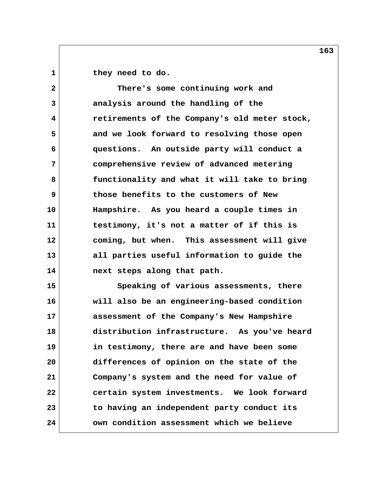1 they need to do.

 **2 There's some continuing work and 3 analysis around the handling of the 4 retirements of the Company's old meter stock, 5 and we look forward to resolving those open 6 questions. An outside party will conduct a 7 comprehensive review of advanced metering 8 functionality and what it will take to bring 9 those benefits to the customers of New 10 Hampshire. As you heard a couple times in 11 testimony, it's not a matter of if this is 12 coming, but when. This assessment will give 13 all parties useful information to guide the 14 next steps along that path. 15 Speaking of various assessments, there 16 will also be an engineering-based condition 17 assessment of the Company's New Hampshire 18 distribution infrastructure. As you've heard**

**19 in testimony, there are and have been some 20 differences of opinion on the state of the 21 Company's system and the need for value of 22 certain system investments. We look forward 23 to having an independent party conduct its 24 own condition assessment which we believe**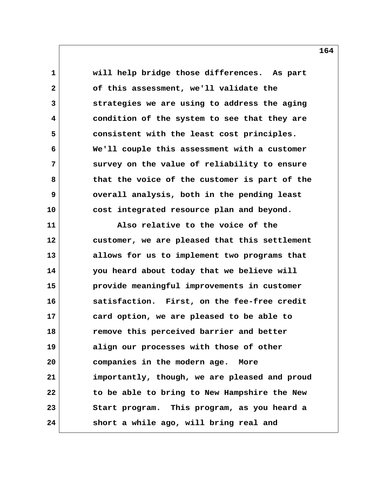**1 will help bridge those differences. As part 2 of this assessment, we'll validate the 3 strategies we are using to address the aging 4 condition of the system to see that they are 5 consistent with the least cost principles. 6 We'll couple this assessment with a customer 7 survey on the value of reliability to ensure 8 that the voice of the customer is part of the 9 overall analysis, both in the pending least 10 cost integrated resource plan and beyond. 11 Also relative to the voice of the 12 customer, we are pleased that this settlement 13 allows for us to implement two programs that**

**14 you heard about today that we believe will 15 provide meaningful improvements in customer 16 satisfaction. First, on the fee-free credit 17 card option, we are pleased to be able to 18 remove this perceived barrier and better 19 align our processes with those of other 20 companies in the modern age. More 21 importantly, though, we are pleased and proud 22 to be able to bring to New Hampshire the New 23 Start program. This program, as you heard a 24 short a while ago, will bring real and**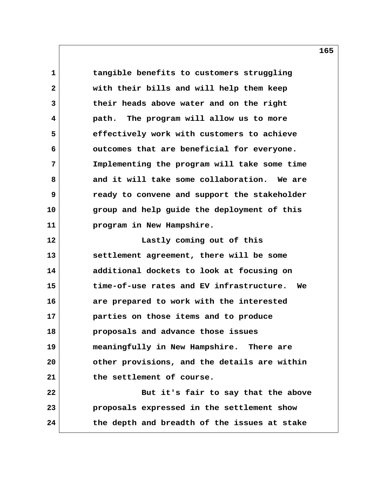**1 tangible benefits to customers struggling 2 with their bills and will help them keep 3 their heads above water and on the right 4 path. The program will allow us to more 5 effectively work with customers to achieve 6 outcomes that are beneficial for everyone. 7 Implementing the program will take some time 8 and it will take some collaboration. We are 9 ready to convene and support the stakeholder 10 group and help guide the deployment of this 11 program in New Hampshire. 12 Lastly coming out of this 13 settlement agreement, there will be some 14 additional dockets to look at focusing on 15 time-of-use rates and EV infrastructure. We 16 are prepared to work with the interested 17 parties on those items and to produce 18 proposals and advance those issues 19 meaningfully in New Hampshire. There are 20 other provisions, and the details are within 21 the settlement of course. 22 But it's fair to say that the above**

**23 proposals expressed in the settlement show 24 the depth and breadth of the issues at stake**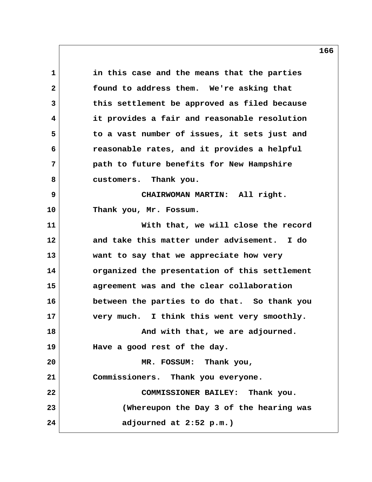**1 in this case and the means that the parties 2 found to address them. We're asking that 3 this settlement be approved as filed because 4 it provides a fair and reasonable resolution 5 to a vast number of issues, it sets just and 6 reasonable rates, and it provides a helpful 7 path to future benefits for New Hampshire 8 customers. Thank you. 9 CHAIRWOMAN MARTIN: All right. 10 Thank you, Mr. Fossum. 11 With that, we will close the record 12 and take this matter under advisement. I do 13 want to say that we appreciate how very 14 organized the presentation of this settlement 15 agreement was and the clear collaboration 16 between the parties to do that. So thank you 17 very much. I think this went very smoothly. 18 And with that, we are adjourned. 19 Have a good rest of the day. 20 MR. FOSSUM: Thank you, 21 Commissioners. Thank you everyone. 22 COMMISSIONER BAILEY: Thank you. 23 (Whereupon the Day 3 of the hearing was 24 adjourned at 2:52 p.m.)**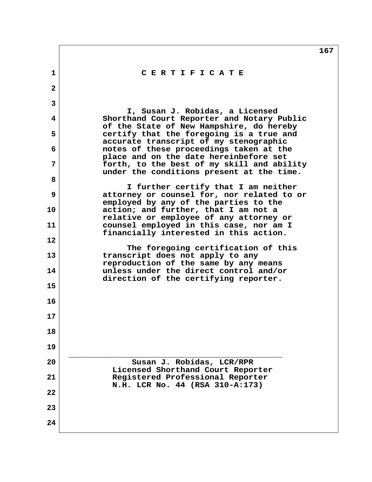|              |                                                                                                                            | 167 |
|--------------|----------------------------------------------------------------------------------------------------------------------------|-----|
| $\mathbf{1}$ | CERTIFICATE                                                                                                                |     |
| $\mathbf{2}$ |                                                                                                                            |     |
| 3            | I, Susan J. Robidas, a Licensed                                                                                            |     |
| 4            | Shorthand Court Reporter and Notary Public<br>of the State of New Hampshire, do hereby                                     |     |
| 5            | certify that the foregoing is a true and<br>accurate transcript of my stenographic                                         |     |
| 6            | notes of these proceedings taken at the<br>place and on the date hereinbefore set                                          |     |
| 7            | forth, to the best of my skill and ability<br>under the conditions present at the time.                                    |     |
| 8            |                                                                                                                            |     |
| 9            | I further certify that I am neither<br>attorney or counsel for, nor related to or<br>employed by any of the parties to the |     |
| 10           | action; and further, that I am not a<br>relative or employee of any attorney or                                            |     |
| 11           | counsel employed in this case, nor am I<br>financially interested in this action.                                          |     |
| 12           |                                                                                                                            |     |
| 13           | The foregoing certification of this<br>transcript does not apply to any<br>reproduction of the same by any means           |     |
| 14           | unless under the direct control and/or<br>direction of the certifying reporter.                                            |     |
| 15           |                                                                                                                            |     |
| 16           |                                                                                                                            |     |
| 17           |                                                                                                                            |     |
| 18           |                                                                                                                            |     |
| 19           |                                                                                                                            |     |
| 20           | Susan J. Robidas, LCR/RPR<br>Licensed Shorthand Court Reporter                                                             |     |
| 21           | Registered Professional Reporter<br>N.H. LCR No. 44 (RSA 310-A:173)                                                        |     |
| 22           |                                                                                                                            |     |
| 23           |                                                                                                                            |     |
| 24           |                                                                                                                            |     |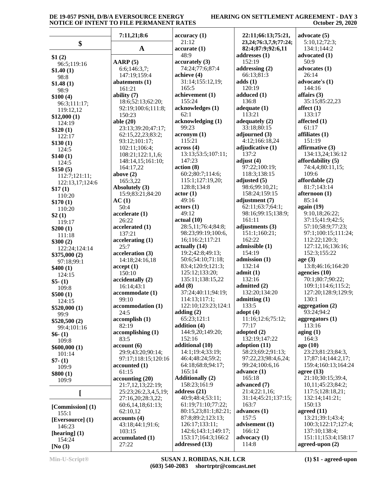## **HEARING ON SETTLEMENT AGREEMENT - DAY 3 October 29, 2020**

|                               | 7:11,21;8:6                        | accuracy(1)                              | 22:11;66:13;75:21,           | advocate $(5)$                           |
|-------------------------------|------------------------------------|------------------------------------------|------------------------------|------------------------------------------|
| \$                            |                                    | 21:12                                    | 23, 24; 76: 3, 7, 9; 77: 24; | 5:10,12;72:3;                            |
|                               | $\mathbf A$                        | accurate(1)                              | 82:4;87:9;92:6,11            | 134:1;144:2                              |
| \$1(2)                        |                                    | 48:9                                     | addresses (1)                | advocated (1)                            |
| 96:5;119:16                   | AARP (5)                           | accuracy (3)                             | 152:19                       | 50:9                                     |
| \$1.40(1)                     | 6:6;146:3,7;                       | 74:24;77:6;87:4                          | addressing $(2)$             | advocates (1)<br>26:14                   |
| 98:8                          | 147:19;159:4<br>abatements (1)     | achieve (4)<br>31:14;155:12,19;          | 66:13:81:3<br>adds(1)        | advocate's (1)                           |
| \$1.48(1)                     | 161:21                             | 165:5                                    | 120:19                       | 144:16                                   |
| 98:9<br>\$100(4)              | ability $(7)$                      | achievement (1)                          | adduced (1)                  | affairs $(3)$                            |
| 96:3;111:17;                  | 18:6;52:13;62:20;                  | 155:24                                   | 136:8                        | 35:15;85:22,23                           |
| 119:12,12                     | 92:19;100:6;111:8;                 | acknowledges (1)                         | adequate $(1)$               | affect $(1)$                             |
| \$12,000(1)                   | 150:23                             | 62:1                                     | 113:21                       | 133:17                                   |
| 124:19                        | able $(20)$                        | acknowledging (1)                        | adequately (2)               | affected $(1)$                           |
| \$120(1)                      | 23:13;39:20;47:17;                 | 99:23                                    | 33:18;80:15                  | 61:17                                    |
| 122:17                        | 62:15,22,23;83:2;                  | acronym(1)                               | adjourned $(3)$              | affiliates (1)                           |
| \$130(1)                      | 93:12;101:17;                      | 115:21                                   | 4:12;166:18,24               | 151:19<br>affirmative $(3)$              |
| 124:5                         | 102:11;106:4;<br>108:21;122:1,1,6; | across(4)<br>13:13;53:5;107:11;          | adjudicative (1)<br>137:2    | 134:13,24;136:12                         |
| \$140(1)                      | 148:14,15;161:10;                  | 147:23                                   | adjust $(4)$                 | affordability (5)                        |
| 124:5                         | 164:17,22                          | action (8)                               | 97:22;100:19;                | 74:4,4;80:11,15;                         |
| \$150(5)<br>112:7;121:11;     | above $(2)$                        | 60:2;80:7;114:6;                         | 118:3;138:15                 | 109:6                                    |
| 122:13,17;124:6               | 165:3,22                           | 115:1;127:19,20;                         | adjusted $(5)$               | affordable (2)                           |
| \$17(1)                       | Absolutely (3)                     | 128:8;134:8                              | 98:6;99:10,21;               | 81:7;143:14                              |
| 110:20                        | 15:9;83:21;84:20                   | actor(1)                                 | 158:24;159:15                | afternoon (1)                            |
| \$170(1)                      | AC(1)                              | 49:16                                    | adjustment (7)               | 85:14                                    |
| 110:20                        | 50:4                               | actors (1)                               | 62:11;63:7;64:1;             | again (19)                               |
| \$2(1)                        | accelerate(1)                      | 49:12                                    | 98:16;99:15;138:9;           | 9:10,18;26:22;                           |
| 119:17                        | 26:22                              | actual(10)                               | 161:11<br>adjustments (3)    | 37:15;41:9;42:5;                         |
| \$200(1)                      | accelerated (1)<br>137:21          | 28:5,11;76:4;84:8;<br>98:23;99:19;100:6, | 151:1;160:21;                | 57:10;58:9;77:23;<br>97:1;100:15;111:24; |
| 111:18                        | accelerating (1)                   | 16;116:2;117:21                          | 162:22                       | 112:22;120:3;                            |
| \$300(2)                      | 25:7                               | actually(14)                             | admissible (1)               | 127:12,16;136:16;                        |
| 122:24;124:14<br>\$375,000(2) | acceleration (3)                   | 19:2;42:8;49:13;                         | 154:19                       | 152:3;155:22                             |
| 97:18;99:1                    | 14:18;24:16,18                     | 50:6;54:10;71:18;                        | admission (1)                | age(3)                                   |
| \$400(1)                      | accept(1)                          | 83:4;120:9;121:3;                        | 132:14                       | 13:8;46:16;164:20                        |
| 124:15                        | 150:10                             | 125:12;133:20;                           | admit(1)                     | agencies (10)                            |
| $$5-(1)$                      | accidentally (2)                   | 135:11;138:15,22                         | 132:16                       | 70:1;80:7;90:22;                         |
| 109:8                         | 16:14;43:1                         | add(8)                                   | admitted (2)                 | 109:1;114:6;115:2;                       |
| \$500(1)                      | accommodate (1)                    | 37:24;40:11;94:19;                       | 132:20;134:20                | 127:20;128:9;129:9;                      |
| 124:15                        | 99:10<br>accommodation (1)         | 114:13;117:1;<br>122:10;123:23;124:1     | admitting (1)<br>133:5       | 130:1<br>aggregation (2)                 |
| \$520,000(1)                  | 24:5                               | adding $(2)$                             | adopt $(4)$                  | 93:24;94:2                               |
| 99:9                          | accomplish(1)                      | 65:23;121:1                              | 11:16;12:6;75:12;            | aggregators $(1)$                        |
| \$520,500(2)<br>99:4;101:16   | 82:19                              | addition (4)                             | 77:17                        | 113:16                                   |
| $$6- (1)$                     | accomplishing(1)                   | 144:9,20;149:20;                         | adopted $(2)$                | aging $(1)$                              |
| 109:8                         | 83:5                               | 152:16                                   | 132:19;147:22                | 164:3                                    |
| \$600,000(1)                  | account(6)                         | additional (10)                          | adoption (11)                | ago (10)                                 |
| 101:14                        | 29:9;43:20;90:14;                  | 14:1;19:4;33:19;                         | 58:23;69:2;91:13;            | 23:23;81:23;84:3,                        |
| $$7-(1)$                      | 97:17;118:15;120:16                | 46:4;48:24;59:2;                         | 97:22,23;98:4,6,24;          | 17;87:14;144:2,17;                       |
| 109:9                         | accounted(1)                       | 64:18;68:8;94:17;                        | 99:24;100:6,16               | 159:4;160:13;164:24                      |
| \$800(1)                      | 61:15<br>accounting(20)            | 165:14<br><b>Additionally (2)</b>        | advance $(1)$<br>165:18      | agree $(13)$<br>21:10;30:15;39:4,        |
| 109:9                         | 21:7,12,13;22:19;                  | 158:23;161:9                             | advanced (7)                 | 10,11;45:23;84:2;                        |
|                               | 25:23;26:2,3,4,5,19;               | address $(21)$                           | 21:4;22:1,16;                | 117:5;128:18,21;                         |
| [                             | 27:16,20;28:3,22;                  | 40:9;48:4;53:11;                         | 31:14;45:21;137:15;          | 132:14;141:21;                           |
| [Commission] (1)              | 60:6,14,18:61:13;                  | 61:19;71:10;77:22;                       | 163:7                        | 150:13                                   |
| 155:1                         | 62:10,12                           | 80:15,23;81:1;82:21;                     | advances $(1)$               | agreed $(11)$                            |
| [Eversource] (1)              | accounts(4)                        | 87:8;89:2;123:13;                        | 157:5                        | 13:21;39:1;43:4;                         |
| 146:23                        | 43:18;44:1;91:6;                   | 126:17;133:11;                           | advisement (1)               | 100:3;122:17;127:4;                      |
| [hearing] $(1)$               | 103:15                             | 142:6;143:1;149:17;                      | 166:12                       | 137:10;138:4;                            |
| 154:24                        | accumulated (1)                    | 153:17;164:3;166:2                       | advocacy (1)                 | 151:11;153:4;158:17                      |
| [No $(3)$                     | 27:22                              | addressed (13)                           | 114:8                        | agreed-upon $(2)$                        |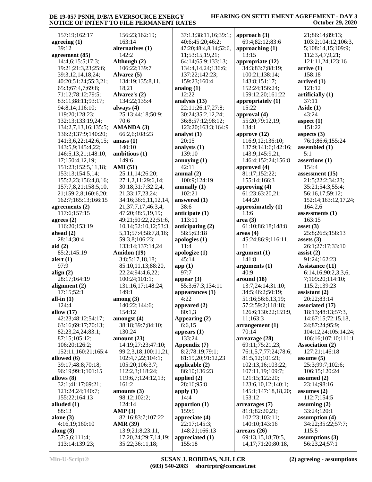### **HEARING ON SETTLEMENT AGREEMENT - DAY 3 October 29, 2020**

| 157:19;162:17                   |                                               |                             |                                              |                                  |
|---------------------------------|-----------------------------------------------|-----------------------------|----------------------------------------------|----------------------------------|
|                                 | 156:23;162:19;                                | 37:13;38:11,16;39:1;        | approach $(3)$                               | 21;86:14;89:13;                  |
| agreeing $(1)$                  | 163:14                                        | 40:6;45:20;46:2;            | 69:4;82:12;83:6                              | 103:2;104:12;106:3,              |
| 39:12                           | alternatives (1)                              | 47:20;48:4,8,14;52:6,       | approaching $(1)$                            | 5;108:14,15;109:9;               |
| agreement (85)                  | 142:2                                         | 11;53:15,19,21;             | 13:15                                        | 112:3,4,7,9,21;                  |
| 14:4,6;15:5;17:3;               | Although (2)                                  | 64:14;65:9;133:13;          | appropriate (12)                             | 121:11,24;123:16                 |
| 19:21;21:3,23;25:6;             | 106:22;139:7                                  | 134:4,14,24;136:6;          | 34:3;83:7;88:19;                             | arrive(1)                        |
| 39:3,12,14,18,24;               | Alvarez (5)                                   | 137:22;142:23;              | 100:21;138:14;                               | 158:18                           |
| 40:20;51:24;55:3,21;            | 134:19;135:8,11,                              | 159:23;160:4                | 143:8;151:17;                                | arrived(1)                       |
|                                 |                                               |                             |                                              | 121:12                           |
| 65:3;67:4,7;69:8;               | 18,21                                         | analog $(1)$<br>12:22       | 152:24;156:24;                               |                                  |
| 71:12;78:12;79:5;               | Alvarez's (2)                                 |                             | 159:12,20;161:22                             | artificially (1)                 |
| 83:11;88:11;93:17;              | 134:22;135:4                                  | analysis (13)               | appropriately (1)                            | 37:11                            |
| 94:8,14;116:10;                 | always $(4)$                                  | 22:11;26:17;27:8;           | 15:22                                        | Aside $(1)$                      |
| 119:20;128:23;                  | 25:13;44:18;50:9;                             | 30:24;35:2,12,24;           | approval $(4)$                               | 43:24                            |
| 132:13;133:19,24;               | 70:6                                          | 36:8;57:12;98:12;           | 55:20;79:12,19;                              | aspect $(1)$                     |
| 134:2,7,13,16;135:5;            | AMANDA (3)                                    | 123:20;163:3;164:9          | 134:1                                        | 151:22                           |
| 136:2;137:9;140:20;             | 66:2,6;108:23                                 | analyst $(1)$               | approve $(12)$                               | aspects $(3)$                    |
| 141:3,6,22;142:6,15;            | amass(1)                                      | 20:15                       | 116:9,12;136:10;                             | 76:1;86:6;155:24                 |
| 143:5,9;145:4,22;               | 140:10                                        | analysts (1)                | 137:9;141:6;142:16;                          | assembled (1)                    |
| 146:5, 13, 21; 148: 10,         | ambitious (1)                                 | 139:10                      | 143:9;145:9,21;                              | 5:1                              |
| 17;150:4,12,19;                 | 149:6                                         | annoying $(1)$              | 146:4;152:24;156:8                           | assertions (1)                   |
| 151:23;152:5,11,18;             | <b>AMI</b> (51)                               | 42:11                       | approved $(4)$                               | 154:4                            |
| 153:13;154:5,14;                | 25:11,14;26:20;                               | annual $(2)$                | 81:17;152:22;                                | assessment $(15)$                |
| 155:2,23;156:4,8,16;            | 27:1,2,11;29:6,14;                            | 100:9;124:19                | 155:14;166:3                                 | 21:5;22:2;34:23;                 |
| 157:7,8,21;158:5,10,            | 30:18;31:7;32:2,4,                            | annually $(1)$              | approving $(4)$                              | 35:21;54:3;55:4;                 |
| 21;159:2,8;160:6,20;            | 21;33:17,23,24;                               | 102:21                      | 61:23;63:20,21;                              | 56:16,17;59:12;                  |
| 162:7;165:13;166:15             | 34:16;36:6,11,12,14,                          | answered (1)                | 144:20                                       | 152:14;163:12,17,24;             |
| agreements $(2)$                | 21;37:7,17;46:3,4;                            | 38:6                        | approximately (1)                            | 164:2,6                          |
| 117:6;157:15                    | 47:20;48:5,19,19;                             | anticipate (1)              | 13:6                                         | assessments $(1)$                |
| agrees $(2)$                    | 49:21;50:22,22;51:6,                          | 113:11                      | area(3)                                      | 163:15                           |
| 116:20;153:19                   | 10, 14; 52: 10, 12; 53: 3,                    | anticipating $(2)$          | 61:10;86:18;148:8                            | asset $(3)$                      |
| ahead $(2)$                     | 5,11;57:4;58:7,8,16;                          | 58:5;63:18                  | area <sub>4</sub>                            | 25:8;26:5;158:13                 |
| 28:14;30:4                      | 59:3,8;106:23;                                | apologies $(1)$             | 45:24;86:9;116:11,                           | assets $(3)$                     |
| aid $(2)$                       | 133:14;137:14,24                              | 11:4                        | 11                                           | 26:1;27:17;33:10                 |
| 85:2;145:19                     | Amidon (19)                                   | apologize (1)               | argument(1)                                  |                                  |
|                                 |                                               |                             | 141:8                                        | assist $(2)$                     |
| alert $(1)$                     | 3:8;5:17,18,18;                               | 45:14                       |                                              | 91:24;162:23                     |
| 97:9                            | 85:10,11,13;88:20,                            | app(1)                      | arguments (1)                                | <b>Assistance</b> (11)           |
| align $(2)$                     | 22, 24; 94: 4, 6, 22;                         | 97:7                        | 40:9                                         | 6:14,16;90:2,3,3,6,              |
|                                 |                                               |                             |                                              |                                  |
| 28:17;164:19                    | 100:24;101:1;                                 | appear $(3)$                | around (18)                                  | 7;109:20;114:10;                 |
| alignment $(2)$                 | 131:16,17;148:24;                             | 55:3;67:3;134:11            | 13:7;24:14;31:10;                            | 115:2;139:23                     |
| 17:15:52:1                      | 149:1                                         | appearances $(1)$           | 34:5;46:2;50:19;                             | assistant $(2)$                  |
| all-in $(1)$                    | among (3)                                     | 4:22                        | 51:16;56:6,13,19;                            | 20:22;83:14                      |
| 124:4                           | 140:22;144:6;                                 | appeared (2)                | 57:2;59:2;118:18;                            | associated (17)                  |
| allow $(17)$                    | 154:12                                        | 80:1.3                      | 126:6;130:22;159:9,                          | 18:13;48:13;57:3,                |
| 42:23;48:12;54:17;              | amongst (4)                                   | Appearing (2)               | 11;163:3                                     | 14;67:15;72:15,18,               |
| 63:16;69:17;70:13;              | 38:18;39:7;84:10;                             | 6:6,15                      | arrangement(1)                               | 24;87:24;95:9;                   |
| 82:23,24,24;83:1;               | 130:24                                        | appears $(1)$               | 70:14                                        | 104:12,24;105:14,24;             |
| 87:15;105:12;                   | amount $(23)$                                 | 133:24                      | arrearage (28)                               | 106:16;107:10;111:1              |
| 106:20;126:2;                   | 14:19;27:23;47:10;                            | Appendix (7)                | 69:11;75:21,23;                              | <b>Association (2)</b>           |
| 152:11;160:21;165:4             | 99:2,3,18;100:11,21;                          | 8:2;78:19;79:1;             | 76:1,5,7;77:24;78:6;                         | 127:21;146:18                    |
| allowed (6)                     | 102:4,7,22;104:1;                             | 81:19,20;91:12,23           | 81:5,12;101:21;                              | assume $(5)$                     |
| 39:17;48:8;70:18;               | 105:20;106:3,7;                               | applicable $(2)$            | 102:13,16;103:22;                            | 25:3;99:7;102:6;                 |
| 96:19;99:1;101:15               | 112:2,3;118:24;                               | 86:10:136:23                | 107:11,19;109:7;                             | 106:15;120:24                    |
| allows (8)                      | 119:6,7;124:12,13;                            | applied $(2)$               | 121:15;122:20;                               | assumed $(2)$                    |
|                                 | 161:2                                         |                             |                                              |                                  |
| 32:1;41:17;69:21;               |                                               | 28:16;95:8                  | 123:6,10,12;140:1;                           | 23:14;98:16                      |
| 121:24,24;140:7;                | amounts $(3)$                                 | apply $(1)$<br>14:4         | 145:1;147:18,18,20;<br>153:12                | assumes $(2)$                    |
| 155:22;164:13                   | 98:12;102:2;                                  |                             |                                              | 112:7;154:5                      |
| alluded $(1)$                   | 124:14                                        | apportion $(1)$             | arrearages (7)                               | assuming $(2)$                   |
| 88:13                           | AMP(3)                                        | 159:5                       | 81:1;82:20,21;                               | 33:24;120:1                      |
| alone $(3)$                     | 82:16;83:7;107:22                             | appreciate $(4)$            | 102:23;103:11;                               | assumption $(4)$                 |
| 4:16,19;160:10                  | <b>AMR</b> (39)                               | 22:17;145:3;                | 140:10;143:16                                | 34:22;35:22;57:7;                |
| along $(8)$                     | 13:9;21:8;23:11,                              | 148:21;166:13               | $\arrears(26)$                               | 115:5                            |
| 57:5,6;111:4;<br>113:14;139:23; | 17, 20, 24; 29: 7, 14, 19;<br>35:22;36:11,18; | appreciated $(1)$<br>155:18 | 69:13,15,18;70:5,<br>14, 17; 71: 20; 80: 18, | assumptions (3)<br>56:23,24;57:1 |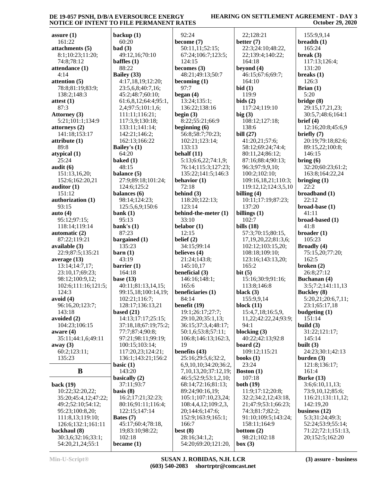#### **HEARING ON SETTLEMENT AGREEMENT - DAY 3 October 29, 2020**

| assure $(1)$                            | backup (1)              |
|-----------------------------------------|-------------------------|
| 161:22                                  | 60:20                   |
| attachments (5)                         | bad(3)                  |
| 8:1;10:23;11:20;                        | 49:12,16                |
| 74:8;78:12                              | baffles $(1)$           |
| attendance (1)                          | 88:22                   |
| 4:14                                    | Bailey (33)             |
| attention (5)                           | 4:17,18,                |
| 78:8;81:19;83:9;<br>138:2;148:3         | 23:5,6,8;<br>45:2;48:   |
| attest (1)                              | 61:6,8,12               |
| 87:3                                    | 2,4;97:5;               |
| <b>Attorney</b> (3)                     | 111:11;1                |
| 5:21;101:1;134:9                        | 117:3,9;                |
| attorneys (2)                           | 133:11;1                |
| 141:18;153:17                           | 142:21;1                |
| attribute (1)                           | 162:13;1                |
| 89:8                                    | <b>Bailey's (1)</b>     |
| atypical (1)                            | 64:20                   |
| 25:24                                   | baked $(1)$             |
| audit (6)                               | 48:15                   |
| 151:13,16,20;<br>152:6;162:20,21        | balance (5)<br>27:9;89: |
| auditor $(1)$                           | 124:6;12                |
| 151:12                                  | balances (              |
| authorization (1)                       | 98:14;12                |
| 93:15                                   | 125:5,6,9               |
| auto $(4)$                              | bank $(1)$              |
| 95:12;97:15;                            | 95:13                   |
| 118:14;119:14                           | bank's $(1)$            |
| automatic (2)                           | 87:23                   |
|                                         |                         |
| 87:22;119:21                            | bargained               |
| available (3)                           | 135:23                  |
| 22:9;87:5;135:21                        | $\rm {barn}$ (1)        |
| average (13)                            | 43:19                   |
| 13:14;14:7,17;<br>23:10,17;69:23;       | barrier (1)<br>164:18   |
| 98:12;100:9,12;                         | base $(13)$             |
| 102:6;111:16;121:5;                     | 40:11;81                |
| 124:3                                   | 99:15,18                |
| avoid (4)                               | 102:21;1                |
| 96:16,20;123:7;                         | 128:17;1                |
| 143:18                                  | based $(21)$            |
| avoided (2)                             | 14:13;17                |
| 104:23;106:15                           | 37:18,18                |
| aware (4)                               | 77:7;87:                |
| 35:11;44:1,6;49:11<br>away $(3)$        | 97:21;98<br>100:15;1    |
| 60:2;123:11;                            | 117:20,2                |
| 135:23                                  | 136:1;14                |
|                                         | basic $(1)$             |
| B                                       | 143:20                  |
|                                         | basically (2            |
| back (19)                               | 37:11;93                |
| 10:22;32:20,22;<br>35:20;45:4,12;47:22; | basis $(8)$<br>16:2;17: |
| 49:2;52:10;54:12;                       | 80:16;91                |
| 95:23;100:8,20;                         | 122:15;1                |
| 111:8,13;119:10;                        | Bates (7)               |
| 126:6;132:1;161:11                      | 45:17;60                |
| backhaul (8)<br>30:3,6;32:16;33:1;      | 19;83:10<br>102:18      |

**backup (1)** 49:12,16;70:10 **Bailey (33)** 4:17,18,19;12:20; 23:5,6,8;40:7,16; 45:2;48:7;60:10; 61:6,8,12;64:4;95:1, 2,4;97:5;101:1,6; 111:11;116:21; 117:3,9;130:18; 133:11;141:14; 142:21;146:2; 62:13;166:22 **Bailey's (1) balance (5)** 27:9;89:18;101:24; 124:6;125:2 **balances (6)** 98:14;124:23; 125:5,6,9;150:6 **bargained (1) barrier (1)** 40:11;81:13,14,15; 99:15,18;100:14,19; 102:21;116:7; 128:17;136:13,21 14:13;17:17;25:15; 37:18,18;67:19;75:2; 77:7;87:4;90:8; 97:21;98:11;99:19; 100:15;103:14; 117:20,23;124:21; 136:1;143:21;156:2 **basically** (2) 37:11;93:7 16:2;17:21;32:23; 80:16;91:11;116:4; 122:15;147:14 45:17;60:4;78:18, 19;83:10;98:22; **became (1)** 92:24 **become (7)** 50:11,11;52:15; 67:24;106:7;123:5; 124:15 **becomes (3)** 48:21;49:13;50:7 **becoming (1)** 97:7 **began (4)** 13:24;135:1; 136:22;138:16 **begin (3)** 8:22;55:21;66:9 **beginning (6)** 56:8;58:7;70:23; 102:21;123:14; 133:13 **behalf (11)** 5:13;6:6,22;74:1,9; 76:14;115:3;127:23; 135:22;141:5;146:3 **behavior (1)** 72:18 **behind (3)** 118:20;122:13; 123:14 **behind-the-meter (1)** 33:10 **belabor (1)** 12:15 **belief (2)** 34:15;99:14 **believes (4)** 21:24;143:8; 145:10,17 **beneficial (3)** 146:16;148:1; 165:6 **beneficiaries (1)** 84:14 **benefit (19)** 19:1;26:17;27:7; 29:10,20;35:1,13; 36:15;37:3,4;48:17; 50:1,6;53:8;57:11; 106:8;146:13;162:3, 19 **benefits (43)** 25:16;29:5,6;32:2, 6,9,10,10;34:20;36:2, 7,10,13,20;37:12,19; 46:5;52:9;53:1,2,10; 68:14;72:16;81:13; 89:24;90:16,19; 105:1;107:10,23,24; 108:4,4,12;109:2,3, 20;144:6;147:6; 152:9;163:9;165:1; 166:7 **best (8)** 28:16;34:1,2; 54:20;69:20;121:20,

 22;128:21 **better (7)** 22:3;24:10;48:22, 22;139:4;140:22; 164:18 **beyond (4)** 46:15;67:6;69:7; 164:10 **bid (1)** 119:9 **bids (2)** 117:24;119:10 **big (3)** 108:12;127:18; 138:6 **bill (27)** 41:20,21;57:6; 58:12;69:24;74:4; 80:11,24;86:12; 87:16;88:4;90:13; 96:3;97:9,9,10; 100:2;102:10; 109:16,18,21;110:3; 119:12,12;124:3,5,10 **billing (4)** 10:11;17:19;87:23; 137:20 **billings (1)** 102:7 **bills (18)** 57:3;70:15;80:15, 17,19,20,22;81:3,6; 102:12;103:15,20; 108:18;109:10; 123:16;143:13,20; 165:2 **bit (5)** 15:16;30:9;91:16; 113:8;146:8 **black (3)** 155:9,9,14 **block (11)** 15:4,7,18;16:5,9, 11,22;42:22,24;93:9; 94:1 **blocking (3)** 40:22;42:13;92:8 **board (2)** 109:12;115:21 **books (1)** 23:24 **Boston (1)** 107:18 **both (19)** 11:9;17:12;20:8; 32:2;34:2,12;43:18, 21;47:9;53:1;66:23; 74:3;81:7;82:2; 91:10;109:5;143:24; 158:11;164:9 **bottom (2)** 98:21;102:18 **box (3)**

 155:9,9,14 **breadth (1)** 165:24 **break (3)** 117:13;126:4; 131:20 **breaks (1)** 126:3 **Brian (1)** 5:20 **bridge (8)** 29:15,17,21,23; 30:5,7;48:6;164:1 **brief (4)** 12:16;20:8;45:6,9 **briefly (7)** 20:19;79:18;82:6; 89:15,22;100:8; 146:15 **bring (6)** 32:20;60:23;61:2; 163:8;164:22,24 **bringing (1)** 22:2 **broadband (1)** 22:12 **broad-base (1)** 41:11 **broad-based (1)** 41:8 **broader (1)** 105:23 **Broadly (4)** 75:15,20;77:20; 162:5 **broken (2)** 26:8;27:12 **Buchanan (4)** 3:5;7:2;141:11,13 **Buckley (8)** 5:20,21;20:6,7,11; 23:1;65:17,18 **budgeting (1)** 151:14 **build (3)** 31:22;121:17; 145:14 **built (3)** 24:23;30:1;42:13 **burden (3)** 121:8;136:17; 161:4 **Burke (13)** 3:6;6:10,11,13; 73:9,10,12;85:6; 116:21;131:11,12; 142:19,20 **business (12)** 5:3;31:24;49:3; 52:24;53:9;55:14; 71:22;72:1;151:13, 20;152:5;162:20

54:20,21,24;55:1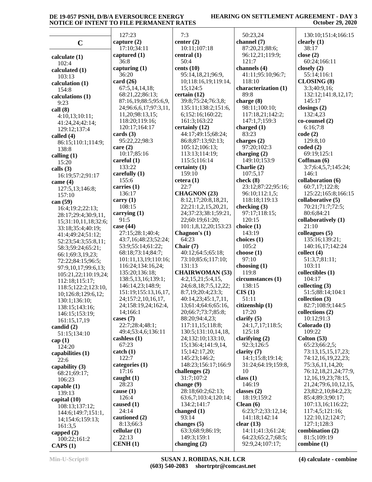### **HEARING ON SETTLEMENT AGREEMENT - DAY 3 October 29, 2020**

|                                             | 127:23                                         | 7:3                                | 50:23,24                             | 130:10;151:4;166:15                      |
|---------------------------------------------|------------------------------------------------|------------------------------------|--------------------------------------|------------------------------------------|
| $\mathbf C$                                 | capture $(2)$                                  | center $(2)$                       | channel (7)                          | clearly $(1)$                            |
|                                             | 17:10:34:11                                    | 10:11;107:18                       | 87:20,21;88:6;                       | 38:17                                    |
| calculate $(1)$                             | captured $(1)$                                 | central $(1)$                      | 96:12,21;119:9;                      | close $(2)$                              |
| 102:4                                       | 36:8                                           | 50:4                               | 121:7                                | 60:24;166:11                             |
| calculated (1)                              | capturing $(1)$                                | cents $(10)$                       | channels (4)                         | closely $(2)$                            |
| 103:13                                      | 36:20                                          | 95:14,18,21;96:9,                  | 41:11;95:10;96:7;                    | 55:14;116:1                              |
| calculation (1)                             | card $(26)$                                    | 10;118:16,19;119:14,               | 118:10                               | CLOSING (8)                              |
| 154:8                                       | 67:5,14,14,18;                                 | 15;124:5                           | characterization (1)                 | 3:3;40:9,16;                             |
| calculations (1)                            | 68:21,22;86:13;                                | certain (12)<br>39:8;75:24;76:3,8; | 89:8                                 | 132:12;141:8,12,17;<br>145:17            |
| 9:23                                        | 87:16,19;88:5;95:6,9,<br>24;96:6,6,17;97:3,11, | 135:11;138:2;151:6,                | charge (8)<br>98:11;100:10;          | closings $(2)$                           |
| call(8)                                     | 11,20;98:13,15;                                | 6;152:16;160:22;                   | 117:18,21;142:2;                     | 132:4,23                                 |
| 4:10,13;10:11;                              | 118:20;119:16;                                 | 161:3;163:22                       | 147:1,7;159:3                        | co-counsel (2)                           |
| 41:24,24;42:14;<br>129:12;137:4             | 120:17;164:17                                  | certainly (12)                     | charged $(1)$                        | 6:16;7:8                                 |
| called (4)                                  | cards $(3)$                                    | 44:17;49:15;68:24;                 | 83:23                                | code(2)                                  |
| 86:15;110:1;114:9;                          | 95:22,22;98:3                                  | 86:8;87:13;92:13;                  | charges (2)                          | 129:8,10                                 |
| 138:8                                       | care $(2)$                                     | 105:12;106:13;                     | 97:20;102:3                          | coded(2)                                 |
| calling $(1)$                               | 10:17;85:16                                    | 113:13;114:19;                     | charging $(2)$                       | 69:19;125:1                              |
| 15:20                                       | careful $(1)$                                  | 115:5;116:14                       | 149:10;153:9                         | Coffman (6)                              |
| calls $(3)$                                 | 133:22                                         | certainty (1)                      | Charlie (2)                          | 3:7;6:4,5,7;145:24;                      |
| 16:19:57:2:91:17                            | carefully (1)                                  | 159:10                             | 107:5,17                             | 146:1                                    |
| came $(4)$                                  | 155:6                                          | cetera $(1)$                       | check $(8)$                          | collaboration (6)                        |
| 127:5,13;146:8;                             | carries (1)<br>136:17                          | 22:7<br><b>CHAGNON (23)</b>        | 23:12;87:22;95:16;<br>96:10;112:1,5; | 60:7,17;122:8;<br>125:22;165:8;166:15    |
| 157:10                                      | carry $(1)$                                    | 8:12,17;20:8,18,21,                | 118:18;119:13                        | collaborative (5)                        |
| can $(59)$                                  | 108:15                                         | 22;21:1,2,15,20,21,                | checking (3)                         | 70:21;71:7;72:5;                         |
| 16:4;19:2;22:13;                            | carrying $(1)$                                 | 24;37:23;38:1;59:21,               | 97:17;118:15;                        | 80:6;84:21                               |
| 28:17;29:4;30:9,11,<br>15;31:10,11,18;32:6; | 91:5                                           | 22;60:19;61:20;                    | 120:15                               | collaboratively (1)                      |
| 33:18;35:4;40:19;                           | case $(44)$                                    | 101:1,8,12,20;153:23               | choice (1)                           | 21:10                                    |
| 41:4;49:24;51:12;                           | 27:15;28:1;40:4;                               | Chagnon's (1)                      | 143:19                               | colleagues $(5)$                         |
| 52:23;54:3;55:8,11;                         | 43:7,16;48:23;52:24;                           | 64:23                              | choices $(1)$                        | 135:16;139:21;                           |
| 58:3;59:24;65:21;                           | 53:9;55:14;61:22;                              | Chair $(7)$                        | 105:2                                | 140:16,17;142:24                         |
| 66:1;69:3,19,23;                            | 68:18;73:14;84:7;                              | 40:12;64:5;65:18;                  | choose $(1)$                         | collect(4)                               |
| 72:22;84:15;96:5;                           | 101:11,13,19;110:16;                           | 73:10;85:6;117:10;                 | 97:10                                | 51:3,7;81:11;                            |
| 97:9,10,17;99:6,13;                         | 116:24;134:16,24;                              | 131:13<br><b>CHAIRWOMAN (53)</b>   | choosing $(1)$                       | 103:11                                   |
| 105:21,22;110:19,24;                        | 135:20;136:18;<br>138:5,13,16;139:1;           | 4:2,15,21;5:4,15,                  | 119:8<br>circumstances (1)           | collectibles (1)<br>104:17               |
| 112:18;115:17;                              | 146:14,23;148:9;                               | 24;6:8,18;7:5,12,22;               | 138:15                               | collecting $(3)$                         |
| 118:5;122:2;123:10,                         | 151:19;155:13,16,17,                           | 8:7,19;20:4;23:3;                  | CIS(1)                               | 51:5;88:14;104:1                         |
| 10;126:8;129:6,12;<br>130:1;136:10;         | 24;157:2,10,16,17,                             | 40:14,23;45:1,7,11,                | 51:11                                | collection (3)                           |
| 138:15;143:16;                              | 24;158:19,24;162:4,                            | 13;61:4;64:6;65:16,                | citizenship (1)                      | 82:7;108:9;144:5                         |
| 146:15;153:19;                              | 14;166:1                                       | 20;66:7;73:7;85:8;                 | 17:20                                | collections (2)                          |
| 161:15,17,19                                | cases $(7)$                                    | 88:20;94:4,23;                     | clarify $(5)$                        | 10:12;91:3                               |
| candid $(2)$                                | 22:7;28:4;48:1;                                | 117:11,15;118:8;                   | 24:1,7,17;118:5;                     | Colorado (1)                             |
| 51:15;134:10                                | 49:4;53:4,6;136:11                             | 130:5;131:10,14,18,                | 125:18                               | 109:22                                   |
| cap $(1)$                                   | cashless (1)                                   | 24;132:10;133:10,                  | clarifying $(2)$                     | Colton $(53)$                            |
| 124:20                                      | 67:23<br>$\text{catch} (1)$                    | 15;136:4;141:9,14,                 | 92:3;126:5                           | 65:23;66:2,5;                            |
| capabilities (1)                            | 122:7                                          | 15;142:17,20;<br>145:23;146:2;     | clarity $(7)$<br>14:1;15:8;19:14;    | 73:13,15,15,17,23;<br>74:12,16,19,22,23; |
| 22:6                                        | categories (1)                                 | 148:23;156:17;166:9                | 31:24;64:19;159:8,                   | 75:3,6,11,14,20;                         |
| capability $(3)$                            | 17:16                                          | challenges (2)                     | 10                                   | 76:12,18,21,24;77:9,                     |
| 68:21;69:17;<br>106:23                      | caught $(1)$                                   | 31:7;107:2                         | class $(1)$                          | 12, 16, 19, 23; 78: 15,                  |
| capable $(1)$                               | 28:23                                          | change $(9)$                       | 146:19                               | 21, 24; 79: 6, 10, 12, 15,               |
| 139:13                                      | cause $(1)$                                    | 28:18;60:2;62:13;                  | classes $(2)$                        | 23;82:2,10;84:2,23;                      |
| capital (10)                                | 126:4                                          | 63:6,7;103:4;120:14;               | 18:19;159:2                          | 85:4;89:3;90:17;                         |
| 108:13;137:12;                              | caused $(1)$                                   | 134:2;141:7                        | Clean $(6)$                          | 107:13,16;116:22;                        |
| 144:6;149:7;151:1,                          | 24:14                                          | changed $(1)$                      | 6:23;7:2;33:12,14;                   | 117:4,5;121:16;                          |
| 14;154:6;159:13;                            | cautioned (2)                                  | 93:14                              | 141:18;142:14                        | 122:10,12;124:7;                         |
| 161:3,5                                     | 8:13;66:3                                      | changes $(5)$                      | clear $(13)$                         | 127:1;128:3                              |
| capped $(2)$                                | cellular $(1)$                                 | 63:3;68:9;86:19;                   | 14:11;41:3;61:24;                    | combination (2)                          |
| 100:22;161:2                                | 22:13                                          | 149:3;159:1                        | 64:23;65:2,7;68:5;                   | 81:5;109:19                              |
| CAPS(1)                                     | CENH(1)                                        | changing $(2)$                     | 92:9,24;107:17;                      | combine (1)                              |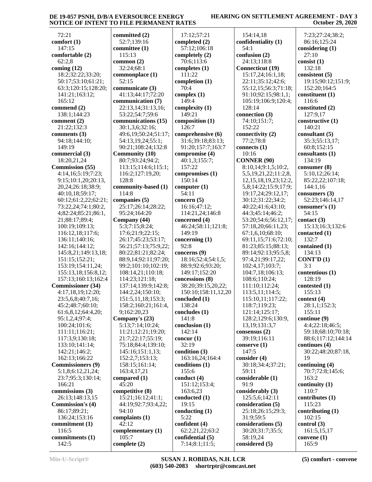#### **HEARING ON SETTLEMENT AGREEMENT - DAY 3 October 29, 2020**

 72:21 **comfort (1)** 147:15 **comfortable (2)** 62:2,8 **coming (12)** 18:2;32:22;33:20; 50:17;53:10;61:21; 63:3;120:15;128:20; 141:21;163:12; 165:12 **commend (2)** 138:1;144:23 **comment (2)** 21:22;132:3 **comments (3)** 94:18;144:10; 149:19 **commercial (3)** 18:20,21,24 **Commission (55)** 4:14,16;5:19;7:23; 9:15;10:1,20;20:13, 20,24;26:18;38:9; 40:10,18;59:17; 60:12;61:2,22;62:21; 73:22,24;74:1;80:2, 4;82:24;85:21;86:1, 21;88:17;89:4; 100:19;109:13; 116:12,18;117:6; 136:11;140:16; 142:16;144:12; 145:8,21;149:13,18; 151:15;152:21; 153:19;154:11,24; 155:13,18;156:8,12; 157:13;160:13;162:4 **Commissioner (34)** 4:17,18,19;12:20; 23:5,6,8;40:7,16; 45:2;48:7;60:10; 61:6,8,12;64:4,20; 95:1,2,4;97:4; 100:24;101:6; 111:11;116:21; 117:3,9;130:18; 133:10;141:14; 142:21;146:2; 162:13;166:22 **Commissioners (9)** 5:1,8;6:12,21,24; 23:7;95:3;130:14; 166:21 **commissions (3)** 26:13;148:13,15 **Commission's (4)** 86:17;89:21; 136:24;153:16 **commitment (1)** 116:5 **commitments (1)** 142:5

**committed (2)** 52:7;139:16 **committee (1)** 115:13 **common (2)** 32:24;68:1 **commonplace (1)** 52:15 **communicate (3)** 41:13;44:17;72:20 **communication (7)** 22:13,14;31:13,16; 53:22;54:7;59:6 **communications (15)** 30:1,3,6;32:16; 49:6,19;50:24;51:17; 54:13,19,24;55:1; 90:21;108:24;132:8 **Community (10)** 80:7;93:24;94:2; 113:15;114:6;115:1; 116:2;127:19,20; 128:8 **community-based (1)** 114:8 **companies (5)** 25:17;26:14;28:22; 95:24;164:20 **Company (44)** 5:3;7:15;8:24; 17:6;21:9;22:15; 26:17;45:23;53:17; 56:21;57:13;75:9,22; 80:22;81:21;82:24; 88:9,14;92:11;97:20; 99:2;101:10;102:19; 108:14,21;110:18; 114:23;121:18; 137:14;139:9;142:8; 144:2,24;150:10; 151:5,11,18;153:3; 158:2;160:21;161:4, 9;162:20,23 **Company's (23)** 5:13;7:14;10:24; 11:21;12:21;19:20; 21:7;22:17;55:19; 75:18;84:4;139:10; 145:16;151:1,13; 152:2,7;153:13; 158:15;161:14; 163:4,17,21 **compared (1)**  $45:20$ **competitive (8)** 15:21;16:12;41:1; 44:19;92:7;93:4,22; 94:10 **complaints (1)** 42:12 **complementary (1)** 105:7 **complete (2)** 70:4 92:8 5:22

 17:12;57:21 **completed (2)** 57:12;106:18 **completely (2)** 70:6;113:6 **completes (1)** 111:22 **completion (1) complex (1)** 149:4 **complexity (1)** 149:21 **composition (1)** 126:7 **comprehensive (6)** 31:6;39:18;83:13; 91:20;157:7;163:7 **compromise (4)** 40:1,3;155:7; 157:22 **compromises (1)** 150:14 **computer (1)** 54:11 **concern (5)** 16:16;47:12; 114:21,24;146:8 **concerned (4)** 46:24;58:11;121:8; 149:19 **concerning (1) concerns (9)** 18:16;52:4;54:1,5; 88:9;92:6;93:20; 149:17;152:20 **concessions (8)** 38:20;39:15,20,22; 150:10;158:11,12,20 **concluded (1)** 138:24 **concludes (1)** 141:8 **conclusion (1)** 142:14 **concur (1)** 32:19 **condition (3)** 163:16,24;164:4 **conditions (1)** 155:6 **conduct (4)** 151:12;153:4; 163:6,23 **conducted (1)** 19:15 **conducting (1) confident (4)** 62:2,21,22;63:2 **confidential (5)** 7:14;8:1;11:5;

 154:14,18 **confidentiality (1)** 54:1 **confusion (2)** 24:13;118:8 **Connecticut (19)** 15:17,24;16:1,18; 22:11;35:12;42:6; 55:12,15;56:3;71:18; 91:10;92:15;98:1,1; 105:19;106:9;120:4; 128:14 **connection (3)** 74:10;151:7; 152:22 **connectivity (2)** 77:2;78:8 **connects (1)** 10:16 **CONNER (90)** 8:10,14;9:1,5;10:2, 5,5,19,21,22;11:2,8, 12,15,18,19,23;12:2, 5,8;14:22;15:9;17:9; 19:17,24;29:12,17; 30:12;31:22;34:2; 40:22;41:6;43:10; 44:3;45:14;46:2; 53:20;54:6;56:12,17; 57:18,20;66:11,23; 67:1,6,10;68:10; 69:11,15;71:6;72:10; 81:23;85:15;88:13; 89:14;92:13;95:5,8; 97:4,21;99:17,22; 102:4,17;103:7; 104:7,18;106:13; 108:6;110:24; 111:10;112:24; 113:5,11;114:5; 115:10,11;117:22; 118:7;119:23; 121:14;125:17; 128:2;129:6;130:9, 13,19;131:3,7 **consensus (2)** 39:19;116:11 **conserve (1)** 147:5 **consider (4)** 30:18;34:4;37:21; 59:11 **considerable (1)** 91:9 **considerably (3)** 125:5,6;142:11 **consideration (5)** 25:18;26:15;29:3; 31:9;59:5 **considerations (5)** 30:20;31:7;35:5; 58:19,24 **considered (5)**

 7:23;27:24;38:2; 86:16;125:24 **considering (1)** 27:10 **consist (1)** 132:18 **consistent (5)** 19:15;90:12;151:9; 152:20;164:5 **constituent (1)** 116:6 **constituted (2)** 127:9,17 **constructive (1)** 140:21 **consultant (5)** 35:3;55:13,17; 60:8;152:15 **consultants (1)** 134:19 **consumer (8)** 5:10,12;26:14; 85:22,22;107:18; 144:1,16 **consumers (3)** 52:23;146:14,17 **consumer's (1)** 54:15 **contact (3)** 15:13;16:3;132:6 **contacted (1)** 132:7 **contained (1)** 134:13 **CONT'D (1)** 3:1 **contentious (1)** 128:19 **contested (1)** 155:13 **context (4)** 28:1,1;152:3; 155:11 **continue (9)** 4:4;22:18;46:5; 59:18;68:10;70:18; 88:6;117:12;144:14 **continues (4)** 30:22;48:20;87:18, 19 **continuing (4)** 70:7;72:8;145:6; 163:2 **continuity (1)** 110:7 **contributes (1)** 115:23 **contributing (1)** 102:15 **control (3)** 161:5,15,17 **convene (1)** 165:9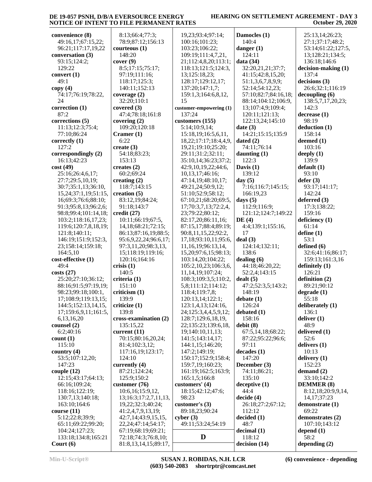## **HEARING ON SETTLEMENT AGREEMENT - DAY 3 October 29, 2020**

| convenience (8)            | 8:13;66:4;77:3;           | 19,23;93:4;97:14;          | Damocles (1)         | 25:13,14;26:23;     |
|----------------------------|---------------------------|----------------------------|----------------------|---------------------|
| 49:16,17;67:15,22;         | 78:9;87:12;156:13         | 100:16;101:23;             | 140:4                | 27:1;37:17;48:2;    |
| 96:21;117:17,19,22         | counteous(1)              | 103:23;106:22;             | danger $(1)$         | 53:14;61:22;127:5,  |
| conversation (3)           | 148:20                    | 109:19;111:4,7,21,         | 124:11               | 13;128:21;134:5;    |
| 93:15;124:2;               | cover(9)                  | 21;112:4,8,20;113:1;       | data $(34)$          | 136:18;146:6        |
| 129:22                     | 8:5;17:15;75:17;          | 118:13;121:5;124:3,        | 32:20,21,21;37:7;    | decision-making (1) |
| convert $(1)$              | 97:19;111:16;             | 13;125:18,23;              | 41:15;42:8,15,20;    | 137:4               |
| 49:1                       | 118:17;125:3;             | 128:17;129:12,17;          | 51:1,3,6,7,8,9,9;    | decisions (3)       |
| copy(4)                    | 140:11;152:13             | 137:20;147:1,7;            | 52:14;54:12,23;      | 26:6;32:1;116:19    |
| 74:17;76:19;78:22,         | coverage $(2)$            | 159:1,3;164:6,8,12,        | 57:10;82:7;84:16,18; | decoupling(6)       |
| 24                         | 32:20;110:1               | 15                         | 88:14;104:12;106:9,  | 138:5,7,17,20,23;   |
| correction (1)             | covered (3)               | customer-empowering (1)    | 13;107:4,9;109:4;    | 142:3               |
| 87:2                       | 47:4;78:18;161:8          | 137:24                     | 120:11;121:13;       | decrease(1)         |
| corrections (5)            | covering $(2)$            | customers (155)            | 122:13,24;145:10     | 98:19               |
| 11:13;12:3;75:4;           | 109:20;120:18             | 5:14;10:9,14;              | date $(3)$           | deduction(1)        |
| 77:10;86:24                | Cramer $(1)$              | 15:18, 19; 16:5, 6, 11,    | 14:21;15:15;135:9    | 158:14              |
| correctly (1)              | 6:22                      | 18,22;17:17;18:4,4,9,      | dated(2)             | deemed (1)          |
| 127:2                      | create $(3)$              | 19,21;19:10;25:20;         | 74:11;76:14          | 103:16              |
| correspondingly (2)        | 54:18;83:23;              | 29:11;31:2;32:11;          | daunting $(1)$       | deeply $(1)$        |
| 16:13;42:23                | 153:13                    | 35:10,14;36:23;37:2;       | 122:3                | 139:9               |
| cost(49)                   | creates $(2)$             | 42:9,10,19,22;44:6,        | Davis $(1)$          | default(1)          |
| 25:16;26:4,6,17;           | 60:2;69:24                | 10,13,17;46:16;            | 139:12               | 93:10               |
|                            |                           |                            |                      |                     |
| 27:7;29:5,10,19;           | creating $(2)$            | 47:14,19;48:10,17;         | day $(5)$            | defer(3)            |
| 30:7;35:1,13;36:10,        | 118:7;143:15              | 49:21,24;50:9,12;          | 7:16;116:7;145:15;   | 93:17;141:17;       |
| 15, 24; 37: 1, 19; 51: 15, | creation $(5)$            | 51:10;52:9;58:12;          | 166:19,23            | 142:24              |
| 16;69:3;76:6;88:10;        | 83:12,19;84:24;           | 67:10,21;68:20;69:5,       | days $(5)$           | deferred $(3)$      |
| 91:3;95:8,13;96:2,6;       | 91:18;143:7               | 17;70:3,7,13;72:2,4,       | 112:9;116:9;         | 17:3;138:22;        |
| 98:8;99:4;101:14,18;       | $\text{credit}$ (27)      | 23;79:22;80:12;            | 121:12;124:7;149:22  | 159:16              |
| 103:2;118:16,17,23;        | 10:11;66:19;67:5,         | 82:17,20;86:11,16;         | DE(4)                | deficiency (1)      |
| 119:6;120:7,8,18,19;       | 14, 18; 68: 21; 72: 15;   | 87:15,17;88:4;89:19;       | 4:4;139:1;155:16,    | 61:14               |
| 121:8;140:11;              | 86:13;87:16,19;88:5;      | 90:8,11,15,22;92:2,        | 17                   | define (1)          |
| 146:19;151:9;152:3,        | 95:6,9,22,24;96:6,17;     | 17,18;93:10,11;95:6,       | deal(3)              | 53:1                |
| 23;158:14;159:18;          | 97:3,11,20;98:3,13,       | 11, 16, 19; 96: 13, 14,    | 124:14;132:11;       | defined (6)         |
| 164:5,10                   | 15;118:19;119:16;         | 15, 20; 97: 6, 15; 98: 13; | 138:6                | 32:6;41:16;86:17;   |
| cost-effective (1)         | 120:16;164:16             | 103:14,20;104:22;          | dealing $(6)$        | 159:13;161:3,16     |
| 49:4                       | crisis(1)                 | 105:2,10,23;106:3,6,       | 44:18;46:20,22;      | definitely $(1)$    |
| costs(27)                  | 140:5                     | 11,14,19;107:24;           | 52:2,4;143:15        | 126:21              |
| 25:20;27:10;36:12;         | criteria (1)              | 108:3;109:3,5;110:2,       | dealt(5)             | definition (2)      |
| 88:16;91:5;97:19,19;       | 151:10                    | 5,8;111:12;114:12;         | 47:2;52:3,5;143:2;   | 89:21;90:12         |
| 98:23;99:18;100:1,         | criticism (1)             | 118:4;119:7,8;             | 148:19               | degree(1)           |
| 17:108:9:119:13.15:        | 139:9                     | 120:13.14:122:1            | debate $(1)$         | 55:18               |
| 144:5;152:13,14,15,        | criticize (1)             | 123:1,4,13;124:16,         | 126:24               | deliberately (1)    |
| 17;159:6,9,11;161:5,       | 139:8                     | 24;125:3,4,4,5,9,12;       | debated (1)          | 136:1               |
| 6,13,16,20                 | cross-examination (2)     | 128:7;129:6,18,19,         | 158:16               | deliver $(1)$       |
| counsel $(2)$              | 135:15,22                 | 22;135:23;139:6,18,        | debit(8)             | 48:9                |
| 6:2;40:16                  | current $(11)$            | 19;140:10,11,13;           | 67:5,14,18;68:22;    | delivered (1)       |
| count(1)                   | 70:15;80:16,20,24;        | 141:5;143:14,17;           | 87:22;95:22;96:6;    | 52:6                |
| 115:10                     | 81:4;102:3,12;            | 144:1,15;146:20;           | 97:11                | delivers (1)        |
| country $(4)$              | 117:16,19;123:17;         | 147:2;149:19;              | decades(1)           | 10:13               |
| 53:5;107:12,20;            | 124:10                    | 150:17;152:9;158:4;        | 147:20               | delivery $(1)$      |
| 147:23                     | currently (4)             | 159:7,19;160:23;           | December (3)         | 152:23              |
| couple $(12)$              | 87:21;124:24;             | 161:19;162:5;163:9;        | 74:11;86:21;         | demand $(2)$        |
| 12:15;43:17;64:13;         | 125:9;150:2               | 165:1,5;166:8              | 135:10               | 33:10;142:2         |
| 66:16;109:24;              | customer (76)             | customers' (4)             | decaptive (1)        | <b>DEMMER (8)</b>   |
| 118:16;122:19;             | 10:6,16;15:9,12,          | 18:15;42:12;47:6;          | 44:4                 | 8:12,18;20:9,9,14,  |
| 130:7,13;140:18;           | 13;16:3;17:2,7,11,13,     | 98:23                      | decide(4)            | 14, 17; 37: 23      |
| 163:10;164:6               | 19,22;32:3;40:24;         | customer's $(3)$           | 26:18;27:2;67:12;    | demonstrate (1)     |
| course(11)                 | 41:2,4,7,9,13,19;         | 89:18,23;90:24             | 112:12               | 69:22               |
| 5:12;22:8;39:9;            | 42:7,14;43:9,15,15,       | cyber $(3)$                | decided(1)           | demonstrates (2)    |
| 65:11;69:22;99:20;         | 22, 24; 47: 14; 54: 17;   | 49:11;53:24;54:19          | 48:7                 | 107:10;143:12       |
|                            | 67:19;68:19;69:21;        |                            |                      |                     |
| 104:24;127:23;             |                           | D                          | decimal(1)           | depend $(1)$        |
| 133:18;134:8;165:21        | 72:18;74:3;76:8,10;       |                            | 118:12               | 58:2                |
| Court $(6)$                | 81:8, 13, 14, 15; 89: 17, |                            | decision (14)        | depending $(2)$     |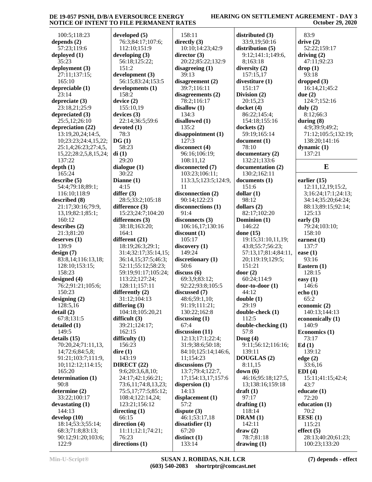#### **HEARING ON SETTLEMENT AGREEMENT - DAY 3 October 29, 2020**

| 100:5;118:23                                 | de  |
|----------------------------------------------|-----|
| depends $(2)$                                |     |
| 57:23;119:6                                  |     |
| deployed (1)<br>35:23                        | de  |
| deployment (3)                               |     |
| 27:11;137:15;                                | de  |
| 165:10<br>depreciable (1)                    | de  |
| 23:14                                        |     |
| depreciate (3)                               | de  |
| 23:18,21;25:9<br>depreciated (3)             |     |
| 25:5,12;26:10                                | de  |
| depreciation (22)                            | de  |
| 13:19,20,24;14:5,                            |     |
| 10;23:23;24:4,15,22;<br>25:1,4;26:23;27:4,5, | DC  |
| 15,22;28:2,5,8,15,24;                        | di  |
| 137:22                                       |     |
| depth(1)<br>165:24                           | dia |
| describe (5)                                 | Di: |
| 54:4;79:18;89:1;                             |     |
| 116:10;118:9                                 | dif |
| described (8)<br>21:17;30:16;79:9,           | dif |
| 13, 19; 82: 1; 85: 1;                        |     |
| 160:12                                       | dif |
| describes (2)<br>21:3;81:20                  |     |
| deserves (1)                                 | dif |
| 139:9                                        |     |
| design(7)                                    |     |
| 83:8,14;116:13,18;<br>128:10;153:15;         |     |
| 158:23                                       |     |
| designed (4)                                 |     |
| 76:2;91:21;105:6;<br>150:23                  | dif |
| designing (2)                                |     |
| 128:5,16                                     | dif |
| detail (2)<br>67:8;131:5                     | dif |
| detailed (1)                                 |     |
| 149:5                                        |     |
| details (15)<br>70:20,24;71:11,13,           | dif |
| 14;72:6;84:5,8;                              | dir |
| 91:21;103:7;111:9,                           |     |
| 10;112:12;114:15;                            | DI  |
| 165:20<br>determination (1)                  | ļ   |
| 90:8                                         |     |
| determine (2)                                |     |
| 33:22;100:17<br>devastating (1)              |     |
| 144:13                                       | dir |
| develop (10)                                 |     |
| 18:14;53:3;55:14;                            | dir |
| 68:3;71:8;83:13;<br>90:12;91:20;103:6;       |     |
| 122:9                                        | dir |

**developed (5)** 76:3;84:17;107:6; 112:10;151:9 **developing (3)** 56:18;125:22; 151:2 **development (3)** 56:15;83:24;153:5 **developments (1)** 158:2 **device (2)** 155:10,19 **devices (3)** 22:14;36:5;59:6 **devoted (1)** 78:3 **DG (1)** 58:23 **di (1)** 29:20 **dialogue (1)** 30:22 **Dianne (1)** 4:15 **differ (3)** 28:5;33:2;105:18 **difference (3)** 15:23;24:7;104:20 **differences (3)** 38:18;163:20; 164:1 **different (21)** 18:19;26:3;29:1; 31:4;32:17;35:14,15; 36:14,15;37:5;46:3; 52:11;55:12;58:23; 59:19;91:17;105:24; 113:22;127:24; 128:11;157:11 **differently (2)** 31:12;104:13 **differing (3)** 104:18;105:20,21 **difficult (3)** 39:21;124:17; 162:15 **difficulty (1)** 156:23 **dire (1)** 143:19 **DIRECT (22)** 9:6;20:3,6,8,10; 24:17;42:1;66:21; 73:6,11;74:8,13,23; 75:5,17;77:5;85:12; 108:4;122:14,24; 123:21;156:12 **directing (1)** 66:15 **direction (4)** 11:11;12:1;74:21; 76:23 **directions (1)**

 158:11 **directly (3)** 10:10;14:23;42:9 **director (3)** 20:22;85:22;132:9 **disagreeing (1)** 39:13 **disagreement (2)** 39:7;116:11 **disagreements (2)** 78:2;116:17 **disallow (1)** 134:3 **disallowed (1)** 135:2 **disappointment (1)** 127:3 **disconnect (4)** 96:16;106:19; 108:11,12 **disconnected (7)** 103:23;106:11; 113:3,5;123:5;124:9, 11 **disconnection (2)** 90:14;122:23 **disconnections (1)** 91:4 **disconnects (3)** 106:16,17;130:16 **discount (1)** 105:17 **discovery (1)** 149:24 **discretionary (1)** 50:6 **discuss (6)** 69:3,9;83:12; 92:22;93:8;105:5 **discussed (7)** 48:6;59:1,10; 91:19;111:21; 130:22;162:8 **discussing (1)** 67:4 **discussion (11)** 12:13;17:1;22:4; 31:9;38:6;50:18; 84:10;125:14;146:6, 11;154:23 **discussions (7)** 13:7;79:4;122:7, 17;154:13,17;157:6 **dispersion (1)** 14:13 **displacement (1)** 57:2 **dispute (3)** 46:1;53:17,18 **dissatisfier (1)** 67:20 **distinct (1)** 133:14

**distributed (3)** 33:9,19;50:16 **distribution (5)** 9:12;141:1;149:6, 8;163:18 **diversity (2)** 157:15,17 **divestiture (1)** 151:17 **Division (2)** 20:15,23 **docket (4)** 86:22;145:4; 154:18;155:16 **dockets (2)** 59:19;165:14 **document (1)** 78:10 **documentary (2)** 132:21;133:6 **documentation (2)** 130:2;162:11 **documents (1)** 151:6 **dollar (1)** 98:12 **dollars (2)** 82:17;102:20 **Dominion (1)** 146:22 **done (15)** 19:15;31:10,11,19; 43:8;55:7;56:23; 57:13,17;81:4;84:11, 20;119:19;129:5; 151:21 **door (2)** 60:24;114:9 **door-to-door (1)** 44:12 **double (1)** 29:19 **double-check (1)** 112:5 **double-checking (1)** 57:8 **Doug (4)** 9:11;56:12;116:16; 139:11 **DOUGLAS (2)** 8:11,15 **down (6)** 46:16;95:18;127:5, 13;138:16;159:18 **draft (1)** 97:17 **drafting (1)** 118:14 **DRAM (1)** 142:11 **draw (2)** 78:7;81:18 **drawing (1)**

 83:9 **drive (2)** 52:22;159:17 **driving (2)** 47:11;92:23 **drop (1)** 93:18 **dropped (3)** 16:14,21;45:2 **due (2)** 124:7;152:16 **duly (2)** 8:12;66:3 **during (8)** 4:9;39:9;49:2; 71:12;105:5;132:19; 138:20;141:16 **dynamic (1)** 137:21 **E earlier (15)** 12:11,12,19;15:2, 3;16:24;17:1;24:13; 34:14;35:20;64:24; 88:13;89:15;92:14; 125:13 **early (3)** 79:24;103:10; 158:10 **earnest (1)** 137:7 **ease (1)** 93:16 **Eastern (1)** 128:15 **easy (1)** 146:6 **echo (1)** 65:2 **economic (2)** 140:13;144:13 **economically (1)** 140:9 **Economics (1)** 73:17 **Ed (1)** 139:12 **edge (2)** 33:6,16 **EDI (4)** 15:11;41:15;42:4; 43:7 **educate (1)** 72:20 **education (1)** 70:2 **EESE (1)** 115:21

 28:13;40:20;61:23; 100:23;133:20

**effect (5)**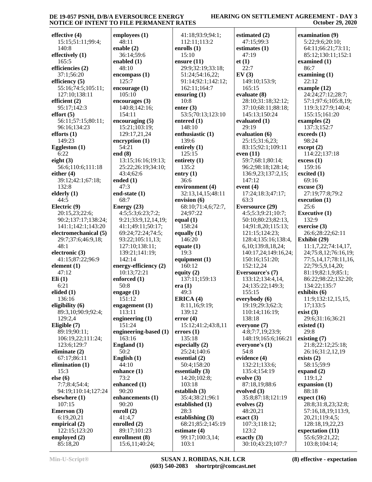#### **HEARING ON SETTLEMENT AGREEMENT - DAY 3 October 29, 2020**

| effective (4)                               | emplo                 |
|---------------------------------------------|-----------------------|
| 15:15;51:11;99:4;<br>140:8                  | 48:1<br>enable        |
| effectively (1)                             | 36:1                  |
| 165:5                                       | enable                |
| efficiencies (2)<br>37:1;56:20              | 48:1<br>encom         |
| efficiency (5)                              | 125:                  |
| 55:16;74:5;105:11;<br>127:10;138:11         | encoul<br>105:        |
| efficient (2)                               | encoul                |
| 95:17;142:3                                 | 140:                  |
| effort(5)<br>56:11;57:15;80:11;             | 154:<br>encoul        |
| 96:16;134:23                                | 15:2                  |
| efforts(1)<br>149:23                        | 129:<br>encryp        |
| Eggleston (1)                               | 54:2                  |
| 6:22                                        | end (8)               |
| eight $(3)$<br>56:6;110:6;111:18            | 13:1<br>25:2          |
| either $(4)$                                | 43:4                  |
| 39:12;42:1;67:18;<br>132:8                  | ended<br>47:3         |
| elderly (1)                                 | end-st                |
| 44:5                                        | 68:7                  |
| Electric (9)<br>20:15,23;22:6;              | <b>Energ</b><br>4:5;  |
| 90:2;137:17;138:24;                         | 9:21                  |
| 141:1;142:1;143:20<br>electromechanical (5) | 41:1<br>69:2          |
| 29:7;37:6;46:9,18;                          | 93:2                  |
| 48:1                                        | 127:<br>139:          |
| electronic (3)<br>41:15;87:22;96:9          | 142:                  |
| element (1)                                 | energy                |
| 47:12<br>Eli(1)                             | 10:1<br>enforc        |
| 6:21                                        | 50:8                  |
| elided (1)<br>136:16                        | engago<br>151:        |
| eligibility (6)                             | engago                |
| 89:3,10;90:9;92:4;<br>129:2,4               | 113:<br>engine        |
| Eligible (7)                                | 151:                  |
| 89:19;90:11;                                | engine                |
| 106:19,22;111:24;<br>123:6;129:7            | 163:<br>Englar        |
| eliminate (2)                               | 50:2                  |
| 67:17;86:11<br>elimination (1)              | <b>Englis</b><br>44:1 |
| 15:3                                        | enhan                 |
| else(6)<br>7:7;8:4;54:4;                    | 73:2<br>enhan         |
| 94:19;110:14;127:24                         | 90:2                  |
| elsewhere (1)                               | enhan                 |
| 107:15<br>Emerson (3)                       | 90:2<br>enroll        |
| 6:19,20,21                                  | 41:4                  |
| empirical (2)<br>122:15;123:20              | enrollo<br>89:1       |
| employed (2)                                | enrollı               |
| 85:18,20                                    | 15:6                  |

| employees (1)                         | 4                     |
|---------------------------------------|-----------------------|
| 48:11                                 | 1                     |
| enable (2)<br>36:14;59:6              | enr<br>1              |
| enabled (1)                           | ens                   |
| 48:10                                 | 2<br>5                |
| encompass (1)<br>125:7                | 9                     |
| encourage (1)                         | $\mathbf{1}$          |
| 105:10                                | ens                   |
| encourages (3)<br>140:8;142:16;       | 1<br>ent              |
| 154:11                                | 5                     |
| encouraging (5)                       | ent                   |
| 15:21;103:19;<br>129:17,21,24         | 1<br>entl             |
| encryption (1)                        | 1                     |
| 54:21                                 | enti                  |
| end (8)<br>13:15;16:16;19:13;         | 1<br>enti             |
| 25:22;26:19;34:10;                    | 1                     |
| 43:4;62:6                             | ent:                  |
| ended (1)<br>47:3                     | 3                     |
| end-state (1)                         | env<br>3              |
| 68:7                                  | env                   |
| Energy $(23)$<br>4:5:5:3;6:23;7:2;    | 6<br>2                |
| 9:21;33:9,12,14,19;                   | equ                   |
| 41:1;49:11;50:17;                     | 1                     |
| 69:24;72:24;74:5;<br>93:22;105:11,13; | equ                   |
| 127:10;138:11;                        | 1<br>equ              |
| 139:21;141:19;                        | 1                     |
| 142:14                                | equ<br>1              |
| energy-efficiency (2)<br>10:13;72:21  | equ                   |
| enforced (1)                          | 1                     |
| 50:8<br>engage (1)                    | era<br>$\overline{4}$ |
| 151:12                                | ER                    |
| engagement (1)                        | 8                     |
| 113:11<br>engineering (1)             | 1<br>err              |
| 151:24                                | 1                     |
| engineering-based (1)                 | err                   |
| 163:16<br>England (1)                 | 1<br>esp              |
| 50:2                                  | 2                     |
| English (1)                           | ess                   |
| 44:10<br>enhance (1)                  | 5<br>ess              |
| 73:2                                  | 1                     |
| enhanced (1)                          | 1                     |
| 90:20<br>enhancements (1)             | esta<br>3             |
| 90:20                                 | esta                  |
| enroll (2)                            | 2                     |
| 41:4,7<br>enrolled (2)                | esta<br>6             |
| 89:17;101:23                          | esti                  |
| enrollment (8)                        | 9                     |
| 15:6,11;40:24;                        | $\mathbf{1}$          |

 41:18;93:9;94:1; 112:11;113:2 **enrolls (1)** 15:10 **ensure (11)** 29:9;32:19;33:18; 51:24;54:16,22; 91:14;92:1;142:12; 162:11;164:7 **ensuring (1)** 10:8 **enter (3)** 53:5;70:13;123:10 **entered (1)** 148:10 **enthusiastic (1)** 139:6 **entirely (1)** 125:15 **entirety (1)** 135:2 **entry (1)** 36:6 **environment (4)** 32:13,14,15;48:11 **envision (6)** 68:10;71:4,6;72:7, 24;97:22 **equal (1)** 158:24 **equally (1)** 146:20 **equate (1)** 19:3 **equipment (1)** 160:12 **equity (2)** 137:11;159:13 **era (1)** 49:3 **ERICA (4)** 8:11,16;9:19; 139:12 **error (4)** 15:12;41:2;43:8,11 **errors (1)** 135:18 **especially (2)** 25:24;140:6 **essential (2)** 50:4;158:20 **essentially (3)** 14:20;102:8; 103:18 **establish (3)** 35:4;38:21;96:1 **established (1)** 28:3 **establishing (3)** 68:21;85:2;145:19 **estimate (4)** 99:17;100:3,14; 103:1

**estimated (2)** 47:15;99:3 **estimates (1)** 47:19 **et (1)** 22:7 **EV (3)** 149:10;153:9; 165:15 **evaluate (8)** 28:10;31:18;32:12; 37:10;68:11;88:18; 145:13;150:24 **evaluated (1)** 29:19 **evaluation (6)** 25:15;31:6,23; 83:15;92:1;109:11 **even (11)** 59:7;68:1;80:14; 96:2;98:18;128:14; 136:9,23;137:2,15; 147:12 **event (4)** 17:24;18:3;47:17; 63:3 **Eversource (29)** 4:5;5:3;9:21;10:7; 50:10;80:23;82:13, 14;91:8,20;115:13; 121:15;124:23; 128:4;135:16;138:4, 6,10;139:8,18,24; 140:17,24;149:16,24; 150:16;151:20; 152:12,24 **Eversource's (7)** 133:12;134:4,14, 24;135:22;149:3; 155:15 **everybody (6)** 19:19;29:3;62:3; 110:14;116:19; 138:18 **everyone (7)** 4:8;7:7,19;23:9; 148:19;165:6;166:21 **everyone's (1)** 54:8 **evidence (4)** 132:21;133:6; 135:4;154:19 **evolve (3)** 87:18,19;88:6 **evolved (3)** 35:8;87:18;121:19 **evolves (2)** 48:20,21 **exact (3)** 107:3;118:12; 123:2 **exactly (3)** 30:10;43:23;107:7

**examination (9)** 5:22;9:6;20:10; 64:11;66:21;73:11; 85:12;130:11;152:1 **examined (1)** 86:7 **examining (1)** 22:12 **example (12)** 24:24;27:12;28:7; 57:1;97:6;105:8,19; 119:3;127:9;140:4; 155:15;161:20 **examples (2)** 137:3;152:7 **exceeds (1)** 98:24 **except (2)** 114:22;137:18 **excess (1)** 159:16 **excited (1)** 69:16 **excuse (3)** 27:19;77:8;79:2 **execution (1)** 25:6 **Executive (1)** 132:9 **exercise (3)** 26:6;28:22;62:11 **Exhibit (29)** 11:1,7,22;74:14,17, 24;75:8,12;76:16,19; 77:5,14,17;78:11,16, 22;79:5,9,14,20; 81:19;82:1,9;85:1; 86:22;98:22;132:20; 134:22;135:7 **exhibits (6)** 11:9;132:12,15,15, 17;133:5 **exist (3)** 29:6;31:16;36:21 **existed (1)** 29:8 **existing (7)** 21:8;22:12;25:18; 26:16;31:2,12,19 **exists (2)** 58:15;59:9 **expand (2)** 119:1,2 **expansion (1)** 88:18 **expect (16)** 28:8;31:8,23;32:8; 57:16,18,19;113:9, 20,21;119:4,5; 128:18,19,22,23 **expectation (11)** 55:6;59:21,22; 103:8;104:14;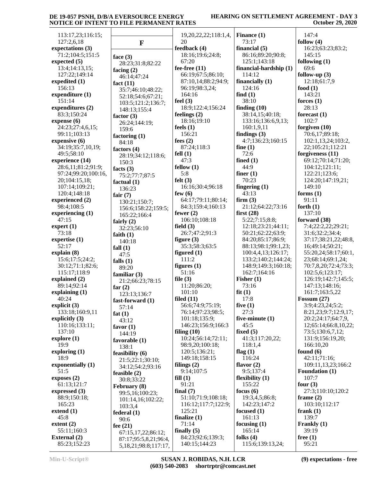### **HEARING ON SETTLEMENT AGREEMENT - DAY 3 October 29, 2020**

| 147:4<br>follow $(4)$<br>16:23;63:23;83:2;<br>145:15<br>following $(1)$ |
|-------------------------------------------------------------------------|
|                                                                         |
|                                                                         |
|                                                                         |
|                                                                         |
|                                                                         |
| 69:6                                                                    |
| follow-up $(3)$                                                         |
| 12:18;61:7,9                                                            |
| food $(1)$                                                              |
| 143:21                                                                  |
|                                                                         |
| forces $(1)$                                                            |
| 28:13                                                                   |
| forecast $(1)$                                                          |
| 102:7                                                                   |
| forgiven (10)                                                           |
| 70:6,17;89:18;                                                          |
| 102:1,13,24;103:2,                                                      |
| 22;105:21;112:21                                                        |
| forgiveness $(11)$                                                      |
| 69:12;70:14;71:20;                                                      |
| 104:12;121:11;                                                          |
| 122:21;123:6;                                                           |
| 124:20;147:19,21;                                                       |
| 149:10                                                                  |
| forms $(1)$                                                             |
| 91:11                                                                   |
| forth $(1)$                                                             |
| 137:10                                                                  |
| forward (38)                                                            |
| 7:4;22:2,22;29:21;                                                      |
| 31:6;32:2;34:4;                                                         |
| 37:17;38:21,22;48:8,                                                    |
| 16;49:14;50:21;                                                         |
| 55:20,24;58:17;60:1,                                                    |
| 23;68:14;69:1,24;                                                       |
| 70:7,8,20;72:4;73:3;                                                    |
| 102:5,6;123:17;                                                         |
| 126:19;142:7;145:5;                                                     |
| 147:13;148:16;                                                          |
| 161:7;163:5,22                                                          |
|                                                                         |
| Fossum $(27)$                                                           |
| 3:9;4:23,24;5:2;                                                        |
| 8:21,23;9:7;12:9,17;                                                    |
| 20:2;24:17;64:7,9,                                                      |
| 12;65:14;66:8,10,22;                                                    |
| 73:5;130:6,7,12;                                                        |
| 131:9;156:19,20;                                                        |
|                                                                         |
| 166:10,20                                                               |
| found $(6)$                                                             |
| 42:11;71:16;                                                            |
| 109:11,13,23;166:2                                                      |
| Foundation (1)                                                          |
| 107:7                                                                   |
| four $(3)$                                                              |
| 27:3;110:10;120:2                                                       |
| frame $(2)$                                                             |
| 103:10;112:17                                                           |
| frank $(1)$                                                             |
| 139:7                                                                   |
| Frankly (1)                                                             |
| 39:19                                                                   |
| free $(1)$<br>95:21                                                     |
|                                                                         |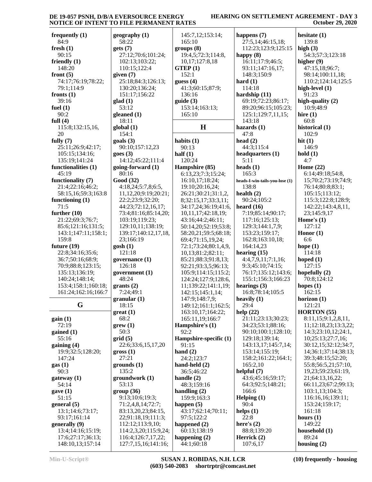#### **HEARING ON SETTLEMENT AGREEMENT - DAY 3 October 29, 2020**

| frequently $(1)$<br>84:9                  | geogra<br>58:2  |
|-------------------------------------------|-----------------|
| ${\bf fresh}$ (1)                         | gets (7         |
| 90:15                                     | 27:1            |
| friendly (1)<br>148:20                    | 102:            |
| front $(5)$                               | 110:<br>given ( |
| 74:17;76:19;78:22;                        | 25:1            |
| 79:1;114:9                                | 130:            |
| fronts $(1)$                              | 151:            |
| 39:16<br>fuel $(1)$                       | glad (1         |
| 90:2                                      | 53:1<br>gleane  |
| full $(4)$                                | 18:1            |
| 115:8;132:15,16,                          | global          |
| 20                                        | 154:            |
| fully $(7)$<br>25:11;26:9;42:17;          | goals (         |
| 105:15;134:16;                            | 90:1<br>goes (3 |
| 135:19;141:24                             | 14:1            |
| functionalities (1)                       | going-          |
| 45:19                                     | 80:1            |
| functionality (7)                         | Good (          |
| 21:4;22:16;46:2;<br>58:15,16;59:3;163:8   | 4:18<br>11,1    |
| functioning $(1)$                         | 22:2            |
| 71:5                                      | 44:2            |
| further $(10)$                            | 73:4            |
| 21:22;69:3;76:7;                          | 103:            |
| 85:6;121:16;131:5;<br>143:1;147:11;158:1; | 129:<br>139:    |
| 159:8                                     | 23;1            |
| future (19)                               | gosh (1         |
| 22:8;34:16;35:6;                          | 121:            |
| 36:7;50:16;68:9;                          | govern          |
| 70:9;88:8;123:15;<br>135:13;136:19;       | 126:<br>govern  |
| 140:24;148:14;                            | 48:2            |
| 153:4;158:1;160:18;                       | grants          |
| 161:24;162:16;166:7                       | 7:24            |
|                                           | granul          |
| G                                         | 18:1<br>great ( |
| gain(1)                                   | 68:2            |
| 72:19                                     | grew (          |
| gained (1)                                | 50:3            |
| 55:16                                     | grid(5)         |
| gaining (4)<br>19:9;32:5;128:20;          | 22:6<br>gross ( |
| 147:24                                    | 27:2            |
| gas(1)                                    | groun           |
| 90:3                                      | 135:            |
| gateway (1)                               | groun           |
| 54:14<br>gave(1)                          | 53:1            |
| 51:15                                     | group<br>9:13   |
| general (5)                               | 71:2            |
| 13:1;14:6;73:17;                          | 83:1            |
| 93:17;161:14                              | 22:9            |
| generally (9)<br>13:4;14:16;15:19;        | 112:<br>114:    |
| 17:6;27:17;36:13;                         | 116:            |
| 148:10,13;157:14                          | 127:            |

| geography (1)              | 145:7,12;153:14;       |
|----------------------------|------------------------|
| 58:22                      | 165:10                 |
| gets (7)                   | groups(8)              |
| 27:12;70:6;101:24;         | 19:4,5;72:3;114:8,     |
| 102:13;103:22;             | 10,17;127:8,18         |
| 110:15;122:4               | GTEP(1)                |
| given (7)                  | 152:1                  |
| 25:18;84:3;126:13;         | guess (4)              |
| 130:20;136:24;             | 41:3;60:15;87:9;       |
| 151:17;156:22              | 136:16                 |
| glad (1)                   | guide (3)              |
| 53:12                      | 153:14;163:13;         |
| gleaned (1)                | 165:10                 |
| 18:11                      |                        |
| global (1)                 | H                      |
| 154:1                      |                        |
| goals (3)                  | habits $(1)$           |
| 90:10;157:12,23            | 90:13                  |
| goes (3)                   | half $(1)$             |
| 14:12;45:22;111:4          | 120:24                 |
| going-forward (1)          | Hampshire (85)         |
| 80:16                      | 6:13,23;7:3;15:24;     |
| Good (32)                  | 16:10,17;18:24;        |
| 4:18,24;5:7,8;6:5,         | 19:10;20:16,24;        |
| 11, 12, 20; 9: 19; 20: 21; | 26:21;30:21;31:1,2,    |
| 22:2;23:9;32:20;           | 8;32:15,17;33:3,11;    |
| 44:23;72:12,16,17;         | 34:17,24;36:19;41:6,   |
| 73:4;81:16;85:14,20;       | 10,11,17;42:18,19;     |
| 103:19;119:23;             | 43:16;44:2;46:11;      |
| 129:10,11;138:19;          | 50:14,20;52:19;53:8;   |
| 139:17;140:12,17,18,       | 58:20,21;59:5;68:18;   |
| 23;166:19                  | 69:4;71:15,19,24;      |
| gosh (1)                   | 72:1;73:24;80:1,4,9,   |
| 121:18                     | 10,13;81:2;82:11;      |
| governance (1)             | 85:21;88:3;91:8,13;    |
| 126:18                     | 92:21;93:3,5;96:13;    |
| government (1)             | 105:9;114:15;115:2;    |
| 48:24                      | 124:24;127:9;128:6,    |
| grants(2)                  | 11;139:22;141:1,19;    |
| 7:24;49:1                  | 142:15;145:1,14;       |
| granular (1)               | 147:9;148:7,9;         |
| 18:15                      | 149:12;161:1;162:5;    |
| great (1)                  | 163:10,17;164:22;      |
| 68:2                       | 165:11,19;166:7        |
| $g$ rew $(1)$              | Hampshire's (1)        |
| 50:3                       | 92:2                   |
| grid (5)                   | Hampshire-specific (1) |
| 22:6;33:6,15,17,20         | 91:15                  |
| gross (1)                  | hand $(2)$             |
| 27:21                      | 24:2;123:7             |
| grounds (1)                | hand-held (2)          |
| 135:2                      | 36:5;46:22             |
| groundwork (1)             | handle (2)             |
| 53:13                      | 48:3;159:16            |
| group (36)                 | handling $(2)$         |
| 9:13;10:6;19:3;            | 159:9;163:3            |
| 71:2,4,8,14;72:7;          | happen $(5)$           |
| 83:13,20,23;84:15,         | 43:17;62:14;70:11;     |
| 22;91:18,19;111:3;         | 97:5;122:2             |
| 112:12;113:9,10;           | happened $(2)$         |
| 114:2,3,20;115:9,24;       | 60:13;138:19           |
| 116:4;126:7,17,22;         | happening $(2)$        |
| 127:7,15,16;141:16;        | 44:1;60:18             |

| RATES                  |                                |
|------------------------|--------------------------------|
|                        |                                |
| 145:7,12;153:14;       | happens $(7)$                  |
| 165:10                 | 27:5,14;46:15,18;              |
| groups (8)             | 112:23;123:9;125:15            |
| 19:4,5;72:3;114:8,     | happy (8)                      |
| 10,17;127:8,18         | 16:11;17:9;46:5;               |
| GTEP(1)                | 93:11;147:16,17;               |
| 152:1                  | 148:3;150:9                    |
| guess (4)              | hard $(1)$                     |
| 41:3;60:15;87:9;       | 114:18                         |
|                        |                                |
| 136:16                 | hardship (11)                  |
| guide (3)              | 69:19;72:23;86:17;             |
| 153:14;163:13;         | 89:20;96:15;105:23;            |
| 165:10                 | 125:1;129:7,11,15;             |
|                        | 143:18                         |
| H                      | hazards $(1)$                  |
|                        | 47:8                           |
| habits (1)             | head $(2)$                     |
| 90:13                  | 44:3;115:4                     |
| half $(1)$             | headquarters (1)               |
|                        |                                |
| 120:24                 | 5:11                           |
| Hampshire (85)         | heads $(1)$                    |
| 6:13,23;7:3;15:24;     | 165:3                          |
| 16:10,17;18:24;        | heads-I-win-tails-you-lose (1) |
| 19:10;20:16,24;        | 138:8                          |
| 26:21;30:21;31:1,2,    | health $(2)$                   |
| 8;32:15,17;33:3,11;    | 90:24;105:2                    |
| 34:17,24;36:19;41:6,   | heard $(16)$                   |
| 10,11,17;42:18,19;     | 7:19;85:14;90:17;              |
| 43:16;44:2;46:11;      | 117:16;125:13;                 |
|                        |                                |
| 50:14,20;52:19;53:8;   | 129:3;144:1,7,9;               |
| 58:20,21;59:5;68:18;   | 153:23;159:17;                 |
| 69:4;71:15,19,24;      | 162:8;163:10,18;               |
| 72:1;73:24;80:1,4,9,   | 164:14,23                      |
| 10,13;81:2;82:11;      | hearing $(15)$                 |
| 85:21;88:3;91:8,13;    | 4:4,7,9,11;7:1,16;             |
| 92:21;93:3,5;96:13;    | 9:3;45:10;74:15;               |
| 105:9;114:15;115:2;    | 76:17;135:12;143:6;            |
| 124:24;127:9;128:6,    | 155:1;156:3;166:23             |
| 11;139:22;141:1,19;    | hearings $(3)$                 |
| 142:15;145:1,14;       | 16:8;78:14;105:5               |
|                        | heavily (1)                    |
| 147:9;148:7,9;         |                                |
| 149:12;161:1;162:5;    | 29:4                           |
| 163:10,17;164:22;      | help (22)                      |
| 165:11,19;166:7        | 21:11;23:13;30:23;             |
| Hampshire's (1)        | 34:23;53:1;88:16;              |
| 92:2                   | 90:10;100:1;128:10;            |
| Hampshire-specific (1) | 129:18;139:14;                 |
| 91:15                  | 143:13,17;145:7,14;            |
| hand $(2)$             | 153:14;155:19;                 |
| 24:2;123:7             | 158:2;161:22;164:1;            |
| hand-held (2)          | 165:2,10                       |
| 36:5;46:22             | helpful $(7)$                  |
|                        |                                |
| handle (2)             | 43:6;45:16;59:17;              |
| 48:3;159:16            | 64:3;92:5;148:21;              |
| handling (2)           | 166:6                          |
| 159:9;163:3            | Helping $(1)$                  |
| happen (5)             | 90:4                           |
| 43:17;62:14;70:11;     | helps $(1)$                    |
| 97:5;122:2             | 22:8                           |
| happened (2)           | here's $(2)$                   |
| 60:13;138:19           | 88:8;139:20                    |
|                        |                                |
| happening (2)          | Herrick (2)                    |
| 44:1;60:18             | 107:6,17                       |

3:9;125:15 15:105:23; **s-you-lose** (1)  $:12;143:6;$  $9:1;128:10;$  $145:7,14;$  $:22;164:1;$ **hesitate (1)** 139:8 **high (3)** 54:3;57:3;123:18 **higher (9)** 47:15,18;96:7; 98:14;100:11,18; 110:2;124:14;125:5 **high-level (1)** 91:23 **high-quality (2)** 10:9;48:9 **hire (1)** 60:8 **historical (1)** 102:9 **hit (1)** 146:9 **hold (1)** 4:7 **Home (22)** 6:14;49:18;54:8, 15;70:2;73:19;74:9; 76:14;80:8;83:1; 105:15;113:12; 115:3;122:8;128:9; 142:22;143:4,8,11, 23;145:9,17 **Home's (1)** 127:12 **Honor (1)** 6:6 **hope (1)** 114:18 **hoped (1)** 127:15 **hopefully (2)** 70:8;124:12 **hopes (1)** 162:15 **horizon (1)** 121:21 **HORTON (55)** 8:11,15;9:1,2,8,11, 11;12:18,23;13:3,22; 14:3;23:10,12;24:1, 10;25:13;27:7,16; 30:12,15;32:12;34:7, 14;36:1;37:14;38:13; 39:3;48:15;52:20; 55:8;56:5,21;57:10, 19,23;59:23;61:19, 21;64:13,16,22; 66:11,23;67:2;99:13; 103:1,13;104:3; 116:16,16;139:11; 153:24;159:17; 161:18 **hours (1)** 149:22 **household (1)** 89:24 **housing (2)**

**Min-U-Script® SUSAN J. ROBIDAS, N.H. LCR (603) 540-2083 shortrptr@comcast.net** **(10) frequently - housing**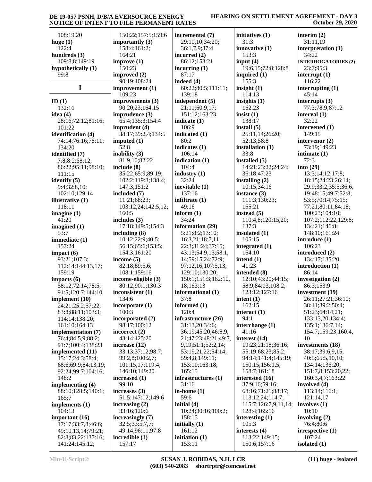## **HEARING ON SETTLEMENT AGREEMENT - DAY 3 October 29, 2020**

| 108:19,20                            | 150:22;157:5;159:6         | incremental (7)            | initiatives (1)                | interim $(2)$              |
|--------------------------------------|----------------------------|----------------------------|--------------------------------|----------------------------|
| huge $(1)$                           | importantly $(3)$          | 29:10,10;34:20;            | 31:3                           | 31:11,19                   |
| 122:4                                | 158:4;161:2;               | 36:1,7,9;37:4              | innovative (1)                 | interpretation (1)         |
| hundreds $(3)$                       | 164:21                     | incurred $(2)$             | 153:3                          | 34:22                      |
| 109:8,8;149:19                       | improve(1)                 | 86:12;153:21               | input $(4)$                    | <b>INTERROGATORIES (2)</b> |
| hypothetically (1)                   | 150:23                     | incurring $(1)$            | 19:6,15;72:8;128:8             | 23:7;95:3                  |
| 99:8                                 | improved (2)               | 87:17                      | inquired $(1)$                 | interrupt $(1)$            |
|                                      | 90:19;108:24               | indeed $(4)$               | 155:3                          | 116:22                     |
| I                                    | improvement (1)            | 60:22;80:5;111:11;         | insight $(1)$                  | interrupting $(1)$         |
|                                      | 109:23                     | 139:18                     | 114:13                         | 45:14                      |
| ID $(1)$                             | improvements (3)           | independent (5)            | insights $(1)$                 | interrupts $(3)$           |
| 132:16                               | 90:20,23;164:15            | 21:11;60:9,17;             | 162:23                         | 77:3;78:9;87:12            |
| idea $(4)$                           | imprudence (3)             | 151:12;163:23              | insist $(1)$                   | interval (1)               |
| 28:16;72:12;81:16;                   | 65:4;135:3;154:4           | indicate $(1)$             | 138:17                         | 32:22                      |
| 101:22                               | imprudent (4)              | 106:9                      | install $(5)$                  | intervened (1)             |
| identification (4)                   | 38:17;39:2,4;134:5         | indicated (1)              | 25:11,14;26:20;                | 149:15                     |
| 74:14;76:16;78:11;                   | imputed $(1)$              | 80:2                       | 52:13;58:8                     | intervenor (2)             |
| 134:20                               | 52:8                       | indicates $(1)$            | installation (1)               | 73:19;149:23               |
| identified (7)                       | inability $(3)$            | 106:14                     | 33:8                           | intimate $(1)$             |
| 7:8;8:2;68:12;                       | 81:9,10:82:22              | indication (1)             | installed (5)                  | 72:3                       |
| 86:22;95:11;98:10;                   | include (8)                | 104:4                      | 14:21;23:22;24:24;             | into $(29)$                |
| 111:15                               | 35:22;65:9;89:19;          | industry $(1)$             | 36:18;47:23                    | 13:3;14:12;17:8;           |
| identify $(5)$                       | 102:2;119:3;138:4;         | 32:24                      | installing $(2)$               | 18:15;24:23;26:14;         |
| 9:4;32:8,10;                         | 147:3;151:2                | inevitable $(1)$           | 10:15:34:16                    | 29:9;33:2;35:5;36:6,       |
| 102:10;129:14                        | included (7)               | 137:16                     | instance (3)                   | 19;48:15;49:7;52:8;        |
| illustrative (1)                     | 11:21;68:23;               | infiltrate $(1)$           | 111:3;130:23;                  | 53:5;70:14;75:15;          |
| 118:11                               | 103:12,24;142:5,12;        | 49:16                      | 155:21                         | 77:21;80:11;84:18;         |
| imagine $(1)$                        | 160:5                      | inform $(1)$               | instead $(5)$                  | 100:23;104:10;             |
| 41:20                                | includes (3)               | 34:24                      | 110:4,8;120:15,20;             | 107:2;112:22;129:8;        |
| imagined $(1)$                       | 17:18;149:5;154:3          | information (29)           | 137:3                          | 134:21;146:8;              |
| 53:7                                 | including $(8)$            | 5:21;8:2;13:10;            | insulated (1)                  | 148:10;161:24              |
| immediate (1)                        | 10:12;22:9;40:5;           | 16:3,21;18:7,11;           | 105:15                         | introduce (1)              |
| 157:24                               | 56:15;65:6;153:5;          | 22:3;31:24;37:15;          | integrated $(1)$               | 106:23                     |
| impect(6)                            | 154:3;161:20               | 43:13;54:9,13;58:1,        | 164:10                         | introduced (2)             |
| 93:21;107:3;                         |                            |                            |                                |                            |
|                                      |                            |                            |                                |                            |
|                                      | income $(5)$               | 14;59:15,24;72:9;          | intend $(1)$                   | 134:17;135:20              |
| 112:14;144:13,17;                    | 82:18;89:5,6;              | 97:12,16;107:5,13;         | 41:23                          | introduction (1)           |
| 159:19                               | 108:1;159:16               | 129:10;130:20;             | intended (8)                   | 86:14                      |
| impacts (6)                          | income-eligible (3)        | 150:1;151:3;162:10,        | 12:10;43:20;44:15;             | investigation (2)          |
| 58:12;72:14;78:5;                    | 80:12;90:1;130:3           | 18;163:13                  | 58:9;84:13;108:2;              | 86:3;153:9                 |
| 91:5;120:7;144:10                    | inconsistent (1)           | informational (1)          | 123:12;127:16                  | investment (19)            |
| implement (10)                       | 134:6                      | 37:8                       | intent $(1)$                   | 26:11;27:21;36:10;         |
| 24:21;25:2;57:22;                    | incorporate (1)            | informed $(1)$             | 162:15                         | 38:11;39:2;50:4;           |
| 83:8;88:11;103:3;                    | 100:3                      | 120:4                      | interact $(1)$                 | 51:23;64:14,21;            |
| 114:14;138:20;                       | incorporated (2)           | infrastructure (26)        | 94:1                           | 133:13,20;134:4;           |
| 161:10;164:13                        | 98:17;100:12               | 31:13,20;34:6;             | interchange (1)                | 135:1;136:7,14;            |
| implementation (7)                   | incorrect (2)              | 36:19;45:20;46:8,9,        | 41:16                          | 154:7;159:23;160:4,        |
| 76:4;84:5,9;88:2;                    | 43:14;125:20               | 21;47:23;48:21;49:7,       | interest $(14)$                | 10                         |
| 91:7;100:4;138:23                    | increase $(12)$            | 9, 19; 51: 1; 52: 2, 14;   | 19:23;21:18;36:16;             | investments (18)           |
| implemented (11)                     | 33:13;37:12;98:7;          | 53:19,21,22;54:14;         | 55:19;68:23;85:2;              | 38:17;39:6,9,15;           |
| 15:17;24:3;58:4;                     | 99:2,8;100:2,7;            | 59:4,8;149:11;             | 94:14;141:4;145:19;            | 40:5;65:5,10,10;           |
| 68:6;69:9;84:13,19;                  | 101:15,17;119:4;           | 153:10;163:18;             | 150:15;156:1,5;                | 134:14;136:20;             |
| 92:24;99:7;104:16;                   | 146:10;149:20              | 165:15                     | 158:7;161:18                   | 151:7,8;153:20,22;         |
| 148:2                                | increased (1)              | infrastructures (1)        | interested (16)                | 160:3,4,7;163:22           |
| implementing (4)                     | 99:10                      | 31:16                      | 37:9,16;59:16;                 | involved (4)               |
| 88:10;128:5;140:1;                   | increases $(3)$            | in-home $(1)$              | 68:16;71:21;88:17;             | 113:14;116:1;              |
| 165:7                                | 51:5;147:12;149:6          | 59:6                       | 113:12,24;114:7;               | 121:14,17                  |
| implements $(1)$                     | increasing $(2)$           | initial $(4)$              | 115:7;126:7,9,11,14;           | involves $(1)$             |
| 104:13                               | 33:16;120:6                | 10:24;30:16;100:2;         | 128:4;165:16                   | 10:10                      |
| important $(16)$                     | increasingly (7)           | 158:15                     | interesting $(1)$              | involving $(2)$            |
| 17:17;33:7,8;46:6;                   | 32:5;33:5,7,7;             | initially $(1)$            | 105:3                          | 76:4;80:6                  |
| 49:10,13,14;79:21;                   | 49:14;96:11;97:8           | 161:12                     | interests $(4)$                | irrespective (1)           |
| 82:8;83:22;137:16;<br>141:24;145:12; | incredible $(1)$<br>157:17 | initiation $(1)$<br>153:11 | 113:22;149:15;<br>150:6;157:16 | 107:24<br>isolated (1)     |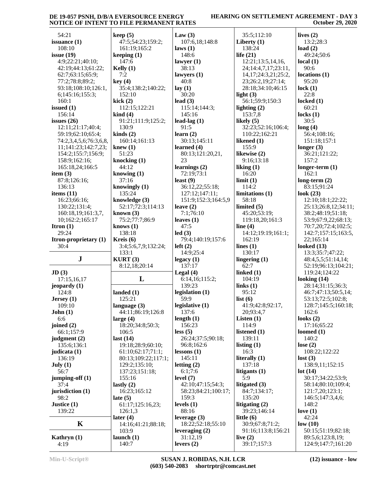## **HEARING ON SETTLEMENT AGREEMENT - DAY 3 October 29, 2020**

| 54:21                         | keep(5)                            | Law $(3)$                             | 35:5;112:10               | lives $(2)$                               |
|-------------------------------|------------------------------------|---------------------------------------|---------------------------|-------------------------------------------|
| issuance $(1)$                | 47:5;54:23;159:2;                  | 107:6,18;148:8                        | Liberty $(1)$             | 13:2;28:3                                 |
| 108:10                        | 161:19;165:2                       | laws(1)                               | 138:24                    | load $(2)$                                |
| issue $(19)$                  | keeping $(1)$                      | 148:6                                 | life $(21)$               | 49:24;50:6                                |
| 4:9;22:21;40:10;              | 147:6                              | lawyer $(1)$                          | 12:21;13:5,14,16,         | local(1)                                  |
| 42:19;44:13;61:22;            | Kelly $(1)$                        | 38:13                                 | 24;14:4,7,17;23:11,       | 90:6                                      |
| 62:7;63:15;65:9;              | 7:2                                | lawyers $(1)$                         | 14, 17; 24: 3, 21; 25: 2, | locations <sub>(1)</sub>                  |
| 77:2;78:8;89:2;               | key(4)                             | 40:8                                  | 23;26:2,19;27:14;         | 95:20                                     |
| 93:18;108:10;126:1,           | 35:4;138:2;140:22;                 | lay(1)                                | 28:18;34:10;46:15         | lock $(1)$                                |
| 6;145:16;155:3;               | 152:10                             | 30:20                                 | light $(3)$               | 22:8                                      |
| 160:1                         | kick(2)                            | lead $(3)$                            | 56:1;59:9;150:3           | locked $(1)$                              |
| issued $(1)$                  | 112:15;122:21                      | 115:14;144:3;                         | lighting $(2)$            | 60:21                                     |
| 156:14                        | $\operatorname{kind}(4)$           | 145:16                                | 153:7,8                   | locks $(1)$                               |
| issues $(26)$                 | 91:21;111:9;125:2;                 | lead-lag $(1)$                        | likely $(5)$              | 30:5                                      |
| 12:11;21:17;40:4;             | 130:9                              | 91:5                                  | 32:23;52:16;106:4;        | long(4)                                   |
| 59:19;62:10;65:4;             | $\text{kinds}(2)$                  | learn $(2)$                           | 110:22;162:21             | 56:4;108:16;                              |
| 74:2,3,4,5,6;76:3,6,8,        | 160:14;161:13                      | 30:13;145:11                          | likened (1)               | 151:18;157:1                              |
| 11;141:23;142:7,23;           | knew(1)                            | learned (4)                           | 155:9                     | longer $(3)$                              |
| 154:2;155:7;156:9;            | 51:23                              | 80:13;121:20,21,                      | likewise (2)              | 36:21;121:22;                             |
| 158:9;162:16;                 | knocking $(1)$                     | 23                                    | 9:16:13:18                | 157:2                                     |
| 165:18,24;166:5               | 44:12                              | learnings $(2)$                       | liking $(1)$              | $longer-term (1)$                         |
| item $(3)$                    | knowing $(1)$                      | 72:19;73:1                            | 16:20                     | 162:1                                     |
| 87:8;126:16;                  | 37:16                              | least $(9)$                           | limit(1)                  | long-term $(2)$                           |
| 136:13                        | knowingly (1)                      | 36:12,22;55:18;                       | 114:2                     | 83:15;91:24                               |
| items $(11)$                  | 135:24                             | 127:12;147:11;<br>151:9;152:3;164:5,9 | limitations (1)<br>58:18  | look $(23)$<br>12:10;18:1;22:22;          |
| 16:23;66:16;<br>130:22;131:4; | knowledge (3)<br>52:17;72:3;114:13 | leave $(2)$                           | limited $(5)$             |                                           |
| 160:18,19;161:3,7,            | known $(3)$                        | 7:1;76:10                             | 45:20;53:19;              | 25:13;26:8,12;34:11;<br>38:2;48:19;51:18; |
| 10;162:2;165:17               | 75:2;77:7;86:9                     | leaves $(1)$                          | 119:18,20;161:3           | 53:9;67:9,22;68:13;                       |
| Itron $(1)$                   | knows $(1)$                        | 47:5                                  | line $(4)$                | 70:7,20;72:4;102:5;                       |
| 29:24                         | 138:18                             | led(3)                                | 14:12;19:19;161:1;        | 142:7;157:15;163:5,                       |
| Itron-proprietary (1)         | Kreis $(6)$                        | 79:4;140:19;157:6                     | 162:19                    | 22;165:14                                 |
|                               |                                    |                                       |                           |                                           |
|                               |                                    |                                       |                           |                                           |
| 30:4                          | 3:4;5:6,7,9;132:24;                | left(2)                               | lines $(1)$               | looked $(13)$                             |
|                               | 133:1                              | 14:9;25:4                             | 130:17                    | 13:3;35:7;47:22;                          |
| ${\bf J}$                     | KURT(3)                            | legacy(1)<br>137:17                   | lingering $(1)$<br>62:7   | 48:4,5,5;51:14,14;<br>52:19;96:13;104:21; |
| JD(3)                         | 8:12,18;20:14                      | Legal $(4)$                           | linked (1)                | 119:24;124:22                             |
| 17:15,16,17                   | L                                  | 6:14,16;115:2;                        | 104:19                    | looking $(14)$                            |
| jeopardy $(1)$                |                                    | 139:23                                | links $(1)$               | 28:14;31:15;36:3;                         |
| 124:8                         | landed $(1)$                       | legislation $(1)$                     | 95:12                     | 46:7;47:13;50:5,14;                       |
| Jersey $(1)$                  | 125:21                             | 59:9                                  | list $(6)$                | 53:13;72:5;102:8;                         |
| 109:10                        | language $(3)$                     | legislative $(1)$                     | 41:9;42:8;92:17,          | 128:7;145:5;160:18;                       |
| John(1)                       | 44:11;86:19;126:8                  | 137:6                                 | 20;93:4,7                 | 162:6                                     |
| 6:6                           | large $(4)$                        | length $(1)$                          | Listen $(1)$              | looks $(2)$                               |
| joined $(2)$                  | 18:20;34:8;50:3;                   | 156:23                                | 114:9                     | 17:16;65:22                               |
| 66:1;157:9                    | 106:5                              | less(5)                               | listened (1)              | loomed $(1)$                              |
| judgment $(2)$                | last $(14)$                        | 26:24;37:5;90:18;                     | 139:11                    | 140:2                                     |
| 135:6;136:1                   | 19:18;28:9;60:10;                  | 96:8;162:6                            | listing $(1)$             | lose $(2)$                                |
| judicata (1)                  | 61:10;62:17;71:1;                  | lessons(1)                            | 16:3                      | 108:22;122:22                             |
| 136:19                        | 80:13;109:22;117:1;                | 145:11                                | literally (1)             | lost(3)                                   |
| July (1)<br>56:7              | 129:2;135:10;<br>137:23;151:18;    | letting $(2)$                         | 137:18                    | 138:9,11;152:15                           |
|                               | 155:16                             | 6:1;7:6<br>level $(7)$                | litigants (1)<br>5:9      | lot(14)<br>30:17;34:22;53:9;              |
| jumping-off $(1)$<br>37:4     | lastly $(2)$                       | 42:10;47:15;54:3;                     | litigated (3)             | 58:14;80:10;109:4;                        |
| jurisdiction (1)              | 16:23;165:12                       | 58:23;84:21;100:17;                   | 84:7;134:17;              | 121:7,20;123:1;                           |
| 98:2                          | late $(5)$                         | 159:3                                 | 135:20                    | 146:5;147:3,4,6;                          |
| Justice $(1)$                 | 61:17;125:16,23;                   | levels $(1)$                          | litigating $(2)$          | 148:2                                     |
| 139:22                        | 126:1,3                            | 88:16                                 | 39:23;146:14              | love $(1)$                                |
|                               | later $(4)$                        | leverage $(3)$                        | little $(6)$              | 42:24                                     |
| K                             | 14:16;41:21;88:18;                 | 18:22;52:18;55:10                     | 30:9;67:8;71:2;           | low(10)                                   |
|                               | 103:9                              | leveraging $(2)$                      | 91:16;113:8;156:21        | 50:15;51:19;82:18;                        |
| Kathryn $(1)$<br>4:19         | launch $(1)$<br>140:7              | 31:12,19<br>levers $(2)$              | live $(2)$<br>39:17;157:3 | 89:5,6;123:8,19;<br>124:9;147:7;161:20    |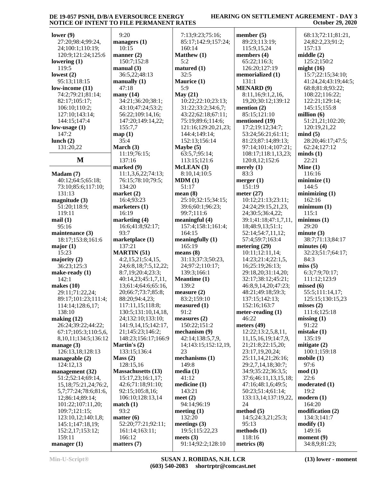#### **HEARING ON SETTLEMENT AGREEMENT - DAY 3 October 29, 2020**

| lower $(9)$                | 9:20                      | 7:13;9:23;75:16;                 | member $(5)$              | 68:13;72:11;81:21,          |
|----------------------------|---------------------------|----------------------------------|---------------------------|-----------------------------|
|                            |                           |                                  |                           |                             |
| 27:20;98:4;99:24,          | managers $(1)$            | 85:17;142:9;157:24;              | 89:23;113:19;             | 24;82:2,23;91:2;            |
| 24;100:1;110:19;           | 10:15                     | 160:14                           | 115:9,15,24               | 157:13                      |
| 120:9;121:24;125:6         | manner $(2)$              | Matthew (1)                      | members (4)               | middle(2)                   |
| lowering $(1)$             | 150:7;152:8               | 5:2                              | 65:22;116:3;              | 125:2;150:2                 |
| 119:5                      | manual(3)                 | matured (1)                      | 126:20;127:19             | might $(16)$                |
| lowest $(2)$               | 36:5,22;48:13             | 32:5                             | memorialized (1)          | 15:7;22:15;34:10;           |
| 95:13;118:15               | manually $(1)$            | Maurice (1)                      | 131:1                     | 41:24,24;43:19;44:5         |
| low-income $(11)$          | 47:18                     | 5:9                              | <b>MENARD</b> (9)         | 68:8;81:8;93:22;            |
| 74:2;79:21;81:14;          | many $(14)$               | May (21)                         | 8:11,16;9:1,2,16,         | 108:22;116:22;              |
| 82:17;105:17;              | 34:21;36:20;38:1;         | 10:22;22:10;23:13;               | 19,20;30:12;139:12        | 122:21;129:14;              |
| 106:10;110:2;              | 43:10;47:24;53:2;         | 31:22;33:2;34:6,7;               | mention $(2)$             | 145:15;155:8                |
| 127:10;143:14;             | 56:22;109:14,16;          | 43:22;62:18;67:11;               | 85:15;121:10              | million $(6)$               |
| 144:15;147:4               | 147:20;149:14,22;         | 75:19;89:6;114:6;                | mentioned (19)            | 51:21,21;102:20;            |
| low-usage $(1)$            | 155:7,7                   | 121:16;129:20,21,23;             | 17:2;19:12;34:7;          | 120:19,21,22                |
| 147:2                      | map(1)                    | 144:4;149:14;                    | 53:24;56:21;61:11;        | mind(5)                     |
| lunch $(2)$                | 35:4                      | 152:13;156:14                    | 81:23;87:14;89:13;        | 28:20;46:17;47:5;           |
| 131:20,22                  | March (3)                 | Maybe $(5)$                      | 97:14;101:4;107:21;       | 62:24;127:12                |
|                            | 11:19;76:15;              | 63:5,7;95:14;                    | 108:17;118:1,13,23;       | minds(1)                    |
| M                          | 137:16                    | 113:15;121:6                     | 120:8,12;152:6            | 22:21                       |
|                            | marked (9)                | McLEAN (3)                       | merely $(1)$              | Mine $(1)$                  |
| Madam (7)                  | 11:1,3,6,22;74:13;        | 8:10,14:10:5                     | 83:3                      | 116:16                      |
| 40:12;64:5;65:18;          | 76:15;78:10;79:5;         | MDM(1)                           | merger $(1)$              | minimize(1)                 |
| 73:10;85:6;117:10;         | 134:20                    | 51:17                            | 151:19                    | 144:5                       |
| 131:13                     | market (2)                | mean(8)                          | meter $(27)$              | minimizing(1)               |
| magnitude $(3)$            | 16:4;93:23                | 25:10;32:15;34:15;               | 10:12;21:13;23:11;        | 162:16                      |
| 51:20;118:9;               | marketers $(1)$           | 39:6;60:1;96:23;                 | 24:24;29:15,21,23,        | minimum(1)                  |
| 119:11                     | 16:19                     | 99:7;111:6                       | 24;30:5;36:4,22;          | 115:1                       |
| mail(1)                    | marketing $(4)$           | meaningful (4)                   | 39:1;41:18;47:1,7,11,     | minimus(1)                  |
| 95:16                      | 16:6;41:8;92:17;          | 157:4;158:1;161:4;               | 18;48:9,13;51:1;          | 29:20                       |
| maintenance (3)            | 93:7                      | 164:15                           | 52:14;54:7,11,12;         | minute(3)                   |
|                            |                           |                                  |                           |                             |
|                            |                           |                                  |                           |                             |
| 18:17;153:8;161:6          | marketplace (1)           | meaningfully $(1)$               | 57:4;59:7;163:4           | 38:7;71:13;84:17            |
| major(1)                   | 137:21                    | 165:19                           | metering (29)             | minutes $(4)$               |
| 15:23                      | <b>MARTIN</b> (51)        | means $(8)$                      | 10:11;12:11,14;           | 32:23;51:7;64:17;           |
| majority $(2)$             | 4:2,15,21;5:4,15,         | 31:13;37:3;50:23,                | 14:23;21:4;22:1,5,        | 84:3                        |
| 36:23;125:3                | 24;6:8,18;7:5,12,22;      | 24;97:2;110:17;                  | 16;25:19;26:13;           | miss(5)                     |
| make-ready (1)             | 8:7,19;20:4;23:3;         | 139:3;166:1                      | 29:18,20;31:14,20;        | 6:3:7:9:70:17:              |
| 142:1                      | 40:14,23;45:1,7,11,       | Meantime (1)                     | 32:17;38:12;45:21;        | 111:12;123:9                |
| makes $(10)$               | 13;61:4;64:6;65:16,       | 139:2                            | 46:8,9,14,20;47:23;       | missed(6)                   |
| 29:11;71:22,24;            | 20;66:7;73:7;85:8;        | measure $(2)$                    | 48:21;49:18;59:3;         | 55:5;111:14,17;             |
| 89:17;101:23;111:4;        | 88:20;94:4,23;            | 83:2;159:10                      | 137:15;142:13;            | 125:15;130:15,23            |
| 114:14;128:6,17;           | 117:11,15;118:8;          | measured $(1)$                   | 152:16;163:7              | misses $(2)$                |
| 138:10                     | 130:5;131:10,14,18,       | 91:2                             | meter-reading (1)         | 111:6;125:18                |
| making $(12)$              | 24;132:10;133:10;         | measures $(2)$                   | 46:22                     | missing $(1)$               |
| 26:24;39:22;44:22;         | 141:9,14,15;142:17,       | 150:22;151:2                     | meters $(49)$             | 91:22                       |
| 67:17;105:3;110:5,6,       | 21;145:23;146:2;          | mechanism (9)                    | 12:22;13:2,5,8,11,        | mistake(1)                  |
| 8, 10, 11; 134: 5; 136: 12 | 148:23;156:17;166:9       | 42:14;138:5,7,9,                 | 11, 15, 16, 19; 14: 7, 9, | 135:19                      |
| manage $(3)$               | Martin's $(2)$            | 14;143:15;152:12,19,             | 21;21:8;22:15,20;         | mitigate $(2)$              |
| 126:13,18;128:13           | 133:15;136:4              | 23                               | 23:17,19,20,24;           | 100:1;159:18                |
| manageable $(2)$           | Mass(2)                   | mechanisms $(1)$                 | 25:11,14,21;26:16;        | mobile(1)                   |
| 124:12,13                  | 128:15,16                 | 149:8                            | 29:2,7,14,18;30:7;        | 97:6                        |
| management (32)            | <b>Massachusetts (13)</b> | media(1)                         | 34:9;35:22;36:3,5;        | mod(1)                      |
| 51:2;52:14;69:14,          | 15:17,23;16:1,17;         | 41:12                            | 37:6;46:11,13,15,18;      | 22:6                        |
| 15, 18; 75: 21, 24; 76: 2, | 42:6;71:18;91:10;         | $\text{ medicine} (1)$           | 47:16;48:1,6;49:5;        | moderated (1)               |
| 5,7;77:24;78:6;81:6,       | 92:15;105:8,16;           | 143:21                           | 50:23;51:4;61:14;         | 19:2                        |
| 12;86:14;89:14;            | 106:10;128:13,14          | meet $(2)$                       | 133:13,14;137:19,22,      | modern(1)                   |
| 101:22;107:11,20;          | match(1)                  | 94:14;96:19                      | 24                        | 164:20                      |
| 109:7;121:15;              | 93:2                      | meeting $(1)$                    | method $(5)$              | modification (2)            |
| 123:10,12;140:1,8;         | matter $(6)$              | 132:20                           | 14:5;24:3,21;25:3;        | 134:3;141:7                 |
| 145:1;147:18,19;           | 52:20;77:21;92:11;        | meetings $(3)$                   | 95:13                     | $\text{modify}(1)$          |
| 152:2,17;153:12;           | 161:14;163:11;            | 19:5;115:22,23                   | methods (1)               | 149:16                      |
| 159:11<br>manager $(1)$    | 166:12<br>matters $(7)$   | meets $(3)$<br>91:14;92:2;128:10 | 118:16<br>metrics $(8)$   | moment (9)<br>34:8,9;81:23; |

 157:13 **(2)**  $2:150:2$  $(16)$  $;22:15;34:10;$  41:24,24;43:19;44:5; 68:8;81:8;93:22; 22;116:22; 21;129:14; 15;155:8 **million (6)** 51:21,21;102:20; 120:19,21,22 **mind (5)** 28:20;46:17;47:5; 4;127:12 **(1)**  22:21 **T** 16 **minimize (1)** 144:5 **izing (1)** 16 **um** (1) 115:1 **minimus (1)** 29:20 **minute (3)** 38:7;71:13;84:17 **minutes (4)** 32:23;51:7;64:17; 84:3 **miss (5)**  $6:9;70:17;$ 12;123:9 **missed (6)** 55:5;111:14,17; 125:15;130:15,23 **misses (2)** 6;125:18 **missing (1)** 91:22 **mise** (1) 135:19 **te** (2) 1;159:18 **mobile (1)** 97:6 **mod (1)** 22:6 **ated** (1) 19:2 **n** (1) 20 cation (2) 3;141:7 **modify (1)** 149:16 **moment (9)**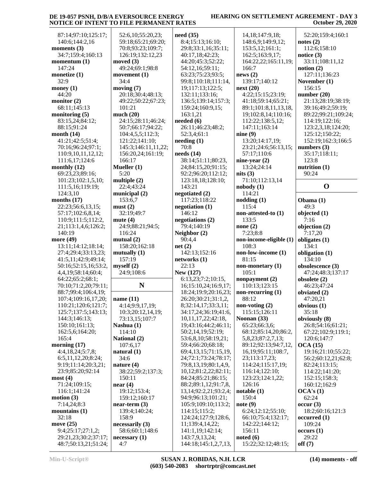| 87:14;97:10;125:17;<br>need(35)<br>52:6,10;55:20,23;<br>14, 18; 147: 9, 18;                                                                                     | 52:20;159:4;160:1   |
|-----------------------------------------------------------------------------------------------------------------------------------------------------------------|---------------------|
| 59:18;65:21;69:20;<br>8:4;15:13;16:10;<br>140:6;144:2,16<br>148:6,9;149:9,12;<br>notes $(2)$                                                                    |                     |
| moments $(3)$<br>29:8;33:1,16;35:11;<br>70:8;93:23;109:7;<br>153:5,12;161:1;                                                                                    | 112:6;158:10        |
| 34:7;159:4;160:13<br>126:19;132:12,23<br>40:17,18;42:23;<br>162:5;163:9,17;<br>notice $(3)$                                                                     |                     |
| momentum $(1)$<br>moved $(3)$<br>44:20;45:3;52:22;<br>164:22,22;165:11,19;                                                                                      | 33:11;108:11,12     |
| 147:24<br>49:24;69:1;98:8<br>166:7<br>notion(2)<br>54:12,16;59:11;                                                                                              |                     |
| news(2)<br>monetize $(1)$<br>movement $(1)$<br>63:23;75:23;93:5;                                                                                                | 127:11;136:23       |
|                                                                                                                                                                 |                     |
| 32:9<br>34:4<br>139:17;140:12<br>99:8;110:18;111:14,                                                                                                            | November (1)        |
| moving $(7)$<br>money $(1)$<br>19;117:13;122:5;<br>next(20)                                                                                                     | 156:15              |
| 44:20<br>20:18;30:4;48:13;<br>4:22;15:15;23:19;<br>132:11;133:16;                                                                                               | number $(20)$       |
| monitor $(2)$<br>136:5;139:14;157:3;<br>49:22;50:22;67:23;<br>41:18;59:14;65:21;                                                                                | 21:13;28:19;38:19;  |
| 68:11;145:13<br>101:21<br>159:24;160:9,15;<br>89:1;101:8,11,13,18,                                                                                              | 39:16;49:2;59:19;   |
| much $(20)$<br>163:1,21<br>19;102:8,14;110:16;<br>monitoring $(5)$                                                                                              | 89:22;99:21;109:24; |
| 24:15;28:11;46:24;<br>needed $(6)$<br>83:15,24;84:12;<br>112:22;138:5,12;                                                                                       | 114:19;122:16;      |
| 26:11;46:23;48:2;<br>88:15;91:24<br>147:11;163:14<br>50:7;66:17;94:22;                                                                                          | 123:2,3,18;124:20;  |
| month $(14)$<br>nine(9)<br>104:4,5,5;112:3;<br>52:3,4;61:1                                                                                                      | 125:12;150:22;      |
| 41:21;42:5;51:4;<br>121:22;141:10;<br>$\mathbf{needing}$ (1)<br>13:20;14:17,19;                                                                                 | 152:19;162:3;166:5  |
| 70:8<br>70:16;96:24;97:1;<br>145:3;146:11,11,22;<br>23:21;24:6;56:13,15;                                                                                        | numbers $(3)$       |
|                                                                                                                                                                 |                     |
| needs $(14)$<br>156:20,24;161:19;<br>57:17;110:6<br>110:9,10,11,12,12;                                                                                          | 35:17;118:11;       |
| 166:17<br>38:14;51:11;80:23,<br>nine-year $(2)$<br>123:8<br>111:6,17;124:6                                                                                      |                     |
| monthly $(12)$<br>Mueller $(1)$<br>13:24;24:14<br>24;84:15,20;91:15;                                                                                            | nutrition (1)       |
| 5:20<br>69:23,23;89:16;<br>nits $(3)$<br>90:24<br>92:2;96:20;112:12;                                                                                            |                     |
| multiple $(2)$<br>71:10;112:13,14<br>101:23;102:1,5,10;<br>123:18,18;128:10;                                                                                    |                     |
| 22:4;43:24<br>143:21<br>111:5,16;119:19;<br>nobody(1)                                                                                                           | $\mathbf 0$         |
| 124:3,10<br>municipal $(2)$<br>negotiated (2)<br>114:21                                                                                                         |                     |
| 153:6,7<br>117:23;118:22<br>nodding(1)<br>months $(17)$<br>Obama (1)                                                                                            |                     |
| 22:23;56:6,13,15;<br>must(2)<br>115:4<br>49:3<br>negotiation $(1)$                                                                                              |                     |
| 32:19;49:7<br>146:12<br>57:17;102:6,8,14;<br>non-attested-to (1)                                                                                                | objected (1)        |
| negotiations (2)<br>133:5<br>7:16<br>110:9;111:5;112:2,<br>mute $(4)$                                                                                           |                     |
| 24:9;88:21;94:5;<br>79:4;140:19<br>21;113:1,4,6;126:2;<br>none $(2)$                                                                                            | objection (2)       |
|                                                                                                                                                                 |                     |
|                                                                                                                                                                 |                     |
| 116:24<br>Neighbor (2)<br>7:23;8:8<br>140:19<br>7:17,20                                                                                                         |                     |
| 90:4,4<br>non-income-eligible (1)<br>more (49)<br>mutual $(2)$                                                                                                  | obligates $(1)$     |
| 13:11;14:12;18:14;<br>158:20;162:18<br>net(2)<br>108:3<br>134:1                                                                                                 |                     |
| 142:13;152:16<br>non-low-income (1)<br>27:4;29:4;33:13,23;<br>mutually $(1)$                                                                                    | obligation (1)      |
| 157:19<br>81:15<br>41:5,11;42:9;49:14;<br>networks(1)                                                                                                           | 134:10              |
| 22:13<br>myself(2)<br>non-monetary (1)<br>50:16;52:15,16;53:2,                                                                                                  | obsolescence (3)    |
| 24:9;108:6<br>New (127)<br>105:1<br>4,4,19;58:14;60:4;                                                                                                          | 47:24;48:3;137:17   |
| 6:13,23;7:2;10:15,<br>nonpayment (2)<br>64:22;65:2;68:1;                                                                                                        | obsolete (2)        |
| N<br>110:13;123:15<br>70:10;71:2,20;79:11;<br>16;15:10,24;16:9,17;                                                                                              | 46:23;47:24         |
| 88:7;99:4;106:4,19;<br>non-recurring $(1)$<br>18:24;19:9;20:16,23;                                                                                              | obviated (2)        |
| 88:12                                                                                                                                                           |                     |
| 107:4;109:16,17,20;<br>26:20;30:21;31:1,2,<br>name $(11)$<br>8;32:14,17;33:3,11;                                                                                | 47:20,21            |
| 110:21;120:6;121:7;<br>non-voting $(2)$<br>4:14;9:9,17,19;                                                                                                      | obvious (1)         |
| 125:7;137:5;143:13;<br>34:17,24;36:19;41:6,<br>115:15;126:11<br>35:18<br>10:3;20:12,14,19;                                                                      |                     |
| Noonan (33)<br>144:3;146:13;<br>73:13,15;107:7<br>10,11,17,22;42:18,                                                                                            | obviously (8)       |
| 150:10;161:13;<br>19;43:16;44:2;46:11;<br>65:23;66:3,6;<br>Nashua (1)                                                                                           | 26:8;54:16;61:21;   |
| 162:5,6;164:20;<br>50:2,14,19;52:19;<br>68:12;85:14,20;86:2,<br>114:10                                                                                          | 67:22;102:9;119:1;  |
| 165:4<br>National (2)<br>53:6,8,10;58:19,21;<br>5,8,23;87:2,7,13;                                                                                               | 120:6;147:7         |
| morning $(17)$<br>59:4;66:20;68:18;<br>89:12;92:13;94:7,12,<br>107:6,17<br>OCA(15)                                                                              |                     |
| 4:4,18,24;5:7,8;<br>69:4,13,15;71:15,19,<br>16, 19; 95: 11; 108: 7,<br>natural $(1)$                                                                            | 19:16;21:10;55:22;  |
| 6:5,11,12,20;8:24;<br>34:6<br>24;72:1;73:24;78:17;<br>23;113:17,23;                                                                                             | 56:2;60:12,21;62:8; |
| 9:19;11:14;20:3,21;<br>nature (4)<br>79:8,13,19;80:1,4,9,<br>114:24;115:17,19;                                                                                  | 82:24;113:15;       |
| 23:9;85:20;92:14<br>38:22;59:2;137:3;<br>10,12;81:2,22;82:11;<br>116:14;122:10;                                                                                 | 114:22;141:20;      |
| most(4)<br>84:24;85:21;86:15;<br>123:23;124:1,22;<br>150:11                                                                                                     | 152:15;158:3;       |
| 71:24;109:15;<br>88:2;89:1,12;91:7,8,<br>near(4)<br>126:16                                                                                                      | 160:12;162:9        |
| 116:1;141:24<br>19:12;153:4;<br>13, 14; 92: 2, 21; 93: 2, 4;<br>notable(1)<br>OCA's(1)                                                                          |                     |
| motion (3)<br>159:12;160:17<br>94:9;96:13;101:21;<br>150:4<br>62:24                                                                                             |                     |
| 7:14,24;8:3<br>105:9;109:10;113:2;<br>note(9)<br>$near-term (3)$<br>occur(3)                                                                                    |                     |
| mountains $(1)$<br>114:15;115:2;<br>6:24;12:12;55:10;<br>139:4;140:24;                                                                                          | 18:2;60:16;121:3    |
| 32:18<br>124:24;127:9;128:6,<br>66:10;75:4;132:17;<br>158:9                                                                                                     | occurred(1)         |
|                                                                                                                                                                 |                     |
| move $(25)$<br>142:22;144:12;<br>necessarily (3)<br>11;139:4,14,22;                                                                                             | 109:24              |
| 9:4;25:17;27:1,2;<br>58:6;60:1;148:6<br>141:1,19;142:14;<br>156:11<br>occurs(1)<br>noted(6)<br>29:21,23;30:2;37:17;<br>necessary (1)<br>143:7,9,13,24;<br>29:22 |                     |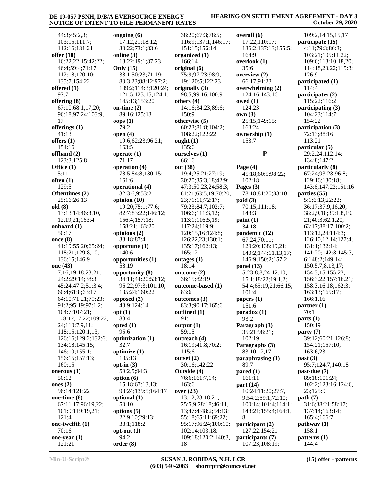#### **HEARING ON SETTLEMENT AGREEMENT - DAY 3 October 29, 2020**

 44:3;45:2,3; 103:15;111:7; 112:16;131:21 **offer (10)** 16:22;22:15;42:22; 46:4;59:4;71:17; 112:18;120:10; 135:7;154:22 **offered (1)** 97:7 **offering (8)** 67:10;68:1,17,20; 96:18;97:24;103:9, 17 **offerings (1)** 41:13 **offers (1)** 154:16 **offhand (2)** 123:3;125:8 **Office (1)** 5:11 **often (1)** 129:5 **Oftentimes (2)** 25:16;26:13 **old (8)** 13:13,14;46:8,10, 12,19,21;163:4 **onboard (1)** 50:17 **once (8)** 41:19;55:20;65:24; 118:21;129:8,10; 136:15;146:9 **one (43)** 7:16;19:18;23:21; 24:2;29:14;38:3; 45:24;47:2;51:3,4; 60:4;61:8;63:17; 64:10;71:21;79:23; 91:2;95:19;97:1,2; 104:7;107:21; 108:12,17,22;109:22, 24;110:7,9,11; 118:15;120:1,13; 126:16;129:2;132:6; 134:18;145:15; 146:19;155:1; 156:15;157:13; 160:15 **onerous (1)** 50:12 **ones (2)** 96:14;121:22 **one-time (8)** 67:11,17;96:19,22; 101:9;119:19,21; 121:4 **one-twelfth (1)** 70:16 **one-year (1)** 121:21

**ongoing (6)** 17:12,21;18:12; 30:22;73:1;83:6 **online (3)** 18:22;19:1;87:23 **Only (15)** 38:1;50:23;71:19; 80:3,23;88:12;97:2; 109:2;114:3;120:24; 121:5;123:15;124:1; 145:13;153:20 **on-time (2)** 89:16;125:13 **oops (1)** 79:2 **open (4)** 19:6;62:23;96:21; 163:5 **operate (1)** 71:17 **operation (4)** 78:5;84:8;130:15; 161:6 **operational (4)** 32:3,6,9;53:2 **opinion (10)** 19:20;75:1;77:6; 82:7;83:22;146:12; 156:4;157:18; 158:21;163:20 **opinions (2)** 38:18;87:4 **opportune (1)** 140:6 **opportunities (1)** 58:19 **opportunity (8)** 34:11;44:20;53:12; 96:22;97:3;101:10; 135:24;160:22 **opposed (2)** 43:9;124:14 **opt (1)** 88:4 **opted (1)**  $95.6$ **optimization (1)** 32:7 **optimize (1)** 105:13 **opt-in (3)** 59:2,5;94:3 **option (6)** 15:18;67:13,13; 98:24;139:5;164:17 **optional (1)** 50:10 **options (5)** 22:9,10;29:13; 38:1;118:2 **opt-out (1)** 94:2 **order (8)**  $38:2$  116:9;137:1;146:17; 151:15;156:14 **organ** 166  $origin$  $75:9$ **origin** 98: **others (4)** 150 **otherw**  $60:2$ 108 **ought (1)** 135:6  $oursel$ 66: **out (38)**  $19:4$  $30:2$  $47:3$  $61:2$ 23; 79:2 106 113:1;116:5,19; 117:24;119:9; 120 126 135:17;162:13; 165 **outage**  $18:$  $outcon$  $36:$ **outco**  83:6  $outco$ 83:  $outlin$  $91:$  $outpu$  $59:$  $outre$ 16: 115:6 **outset (2)**  $30:$ **Outside**  $76:1$ 163 **over (23)** 13:  $25:$  $13:4$ 55: 102 109 18

| 38:20;67:3;78:5;                 | overall (6)                       |
|----------------------------------|-----------------------------------|
| 116:9;137:1;146:17;              | 17:22;110:17;                     |
|                                  |                                   |
| 151:15;156:14                    | 136:2;137:13;15                   |
| organized (1)                    | 164:9                             |
| 166:14                           | overlook (1)                      |
| original (6)                     | 35:6                              |
| 75:9;97:23;98:9,                 | overview (2)                      |
| 19;120:5;122:23                  | 66:17;91:23                       |
| originally (3)                   | overwhelming (2)                  |
| 98:5;99:16;100:9                 | 124:16;143:16                     |
| others (4)                       | owed (1)                          |
| 14:16;34:23;89:6;                | 124:23                            |
| 150:9                            | own(3)                            |
| otherwise (5)                    | 25:15;149:15;                     |
| 60:23;81:8;104:2;                | 163:24                            |
| 108:22;122:22                    | ownership (1)                     |
| ought (1)                        | 153:7                             |
| 135:6                            |                                   |
| ourselves (1)                    | P                                 |
| 66:16                            |                                   |
|                                  |                                   |
| out (38)                         | Page $(4)$                        |
| 19:4;25:21;27:19;                | 45:18;60:5;98:2                   |
| 30:20;35:3,18;42:9;              | 102:18                            |
| 47:3;50:23,24;58:3;              | Pages (3)                         |
| 61:21;63:5,19;70:20,             | 78:18;81:20;83:                   |
| 23;71:11;72:17;                  | paid (3)                          |
| 79:23;84:7;102:7;                | 70:15;111:18;                     |
| 106:6;111:3,12;                  | 148:3                             |
| 113:1;116:5,19;                  | paint (1)                         |
| 117:24;119:9;                    | 34:18                             |
| 120:15,16;124:8;                 | pandemic (12)                     |
| 126:22,23;130:1;                 | 67:24;70:11;                      |
| 135:17;162:13;                   | 129:20;138:19,2                   |
| 165:12                           | 140:2;144:11,13                   |
| outages (1)                      | 146:9;150:2;157                   |
| 18:14                            | panel $(13)$                      |
| outcome (2)                      | 5:23;8:8,24;12:1                  |
| 36:15;82:19                      | 15:1;18:22;19:1                   |
| outcome-based (1)                | 54:4;65:19,21;66                  |
| 83:6                             | 101:4                             |
| outcomes (3)                     | papers (1)                        |
| 83:3;90:17;165:6                 | 151:6                             |
| outlined (1)                     | paradox (1)                       |
| 91:11                            | 93:2                              |
| output (1)                       | Paragraph (3)                     |
| 59:15                            | 35:21;98:21;                      |
| outreach (4)                     | 102:19                            |
|                                  |                                   |
|                                  |                                   |
| 16:19;41:8;70:2;                 | Paragraphs (3)                    |
| 115:6                            | 83:10,12,17                       |
| outset (2)                       | paraphrasing (1)                  |
| 30:16;142:22                     | 89:7                              |
| Outside (4)                      | $\boldsymbol{\mathrm{pared}}$ (1) |
| 76:6;161:7,14;                   | 161:11                            |
| 163:6                            | part (14)                         |
|                                  | 10:24;11:20;27:                   |
| 13:12;23:18,21;                  | 9;54:2;59:1;72:1                  |
| over (23)<br>25:5,9;28:18;46:11, | 100:14;101:4;11                   |
| 13;47:4;48:2;54:13;              | 148:21;155:4;16                   |
| 55:18;65:11;69:22;               | 8                                 |
| 95:17;96:24;100:10;              | participant (2)                   |
| 102:14;103:18;                   | 127:22;154:21                     |
| 109:18;120:2;140:3,              | participants (7)                  |

37:13:155:5: 45:18;60:5;98:22; 81:20;83:10 129:20;138:19,21; 140:2;144:11,13,17; 146:9;150:2;157:2 5:23;8:8,24;12:10;  $:22;19:1,2;$  54:4;65:19,21;66:15;  $1:20;27:7,$  9;54:2;59:1;72:10; 100:14;101:4;114:1; 155:4;164:1, 109:2,14,15,15,17 **participate (15)** 4:11;79:3;86:3; 103:21;105:11,22; 109:6;113:10,18,20; 114:18,20,22;115:3; 126:9 **participated (1)** 114:4 **participates (2)** 115:22;116:2 **participating (3)** 104:23;114:7; 154:22 **participation (3)** 72:13;88:16; 113:21 **particular (5)** 29:2,24;112:14; 134:8;147:2 **particularly (8)** 67:24;93:23;96:8; 129:16;130:18; 143:6;147:23;151:16 **parties (55)** 5:1;6:13;22:22; 36:17;37:9,16,20; 38:2,9,18;39:1,8,19, 21;40:3;62:1,20; 63:17;88:17;100:2; 113:12,24;114:3; 126:10,12,14;127:4; 131:1;132:14; 141:20;142:8;145:3, 6;148:2;149:14; 150:5,7,8,13,17; 154:3,15;155:23; 156:3,22;157:16,21; 158:3,16,18;162:3; 163:13;165:17; 166:1,16 **partner (1)** 70:1 **parts (1)** 150:19 **party (7)** 39:12;60:21;126:8; 154:21;157:10; 163:6,23 **past (3)** 95:7;124:7;140:18 **past-due (7)** 89:18;101:24; 102:2;123:16;124:6, 23;125:9 **path (7)** 31:6;38:21;58:17; 137:14;163:14; 165:4;166:7 **pathway (1)** 158:1 **patterns (1)** 144:4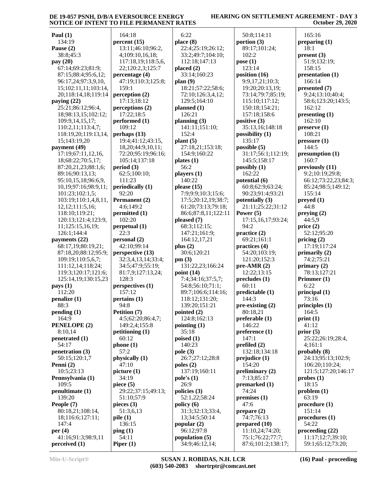#### **HEARING ON SETTLEMENT AGREEMENT - DAY 3 October 29, 2020**

| Paul $(1)$                                  | 164:18                     |
|---------------------------------------------|----------------------------|
| 134:19                                      | percent (15)               |
| Pause (2)                                   | 13:11;46:10;96:2,          |
| 38:8;45:3                                   | 4;109:10,16,18;            |
| pay (20)                                    | 117:18,19;118:5,6          |
| 67:14;69:23;81:9;                           | 22;120:2,3;125:7           |
| 87:15;88:4;95:6,12;                         | percentage (4)             |
| 96:17,24;97:3,9,10,<br>15;102:11,11;103:14, | 47:19;110:3;125:8<br>159:1 |
| 20;118:14,18;119:14                         | perception (2)             |
| paying $(22)$                               | 17:13;18:12                |
| 25:21;86:12;96:4,                           | perceptions (2)            |
| 18;98:13,15;102:12;                         | 17:22;18:5                 |
| 109:9,14,15,17;                             | performed (1)              |
| 110:2,11;113:4,7;                           | 109:12                     |
| 118:19,20;119:13,14,                        | perhaps $(13)$             |
| 15;143:19,20                                | 19:4;41:12;43:15,          |
| payment (49)                                | 18,20;44:9,10,11;          |
| 17:19;67:11,12,16,                          | 72:20;95:19;96:16          |
| 18;68:22;70:5,17;                           | 105:14;137:18              |
| 87:20,21,23;88:1,6;                         | period (3)                 |
| 89:16;90:13,13;                             | 62:5;100:10;               |
| 95:10,15,18;96:6,9,<br>10,19;97:16;98:9,11; | 111:23<br>periodically (1) |
| 101:23;102:1,5;                             | 92:20                      |
| 103:19;110:1,4,8,11,                        | Permanent (2)              |
| 12, 12; 111: 5, 16;                         | 4:6;149:2                  |
| 118:10;119:21;                              | permitted (1)              |
| 120:13;121:4;123:9,                         | 102:20                     |
| 11;125:15,16,19;                            | perpetual (1)              |
| 126:1;144:4                                 | 22:3                       |
| payments (22)                               | personal (2)               |
| 68:17,19;80:19,21;                          | 42:10;99:14                |
| 87:18,20;88:12;95:9;                        | perspective (13)           |
| 109:19;110:5,6,7;                           | 32:3,4,13,14;33:4;         |
| 111:12,14;118:24;<br>119:3;120:17;121:6;    | 34:5;47:9;55:19;           |
| 125:14,19;130:15,23                         | 81:7,9;127:13,24;<br>128:3 |
| pays (1)                                    | perspectives (1)           |
| 112:20                                      | 157:12                     |
| penalize (1)                                | pertains (1)               |
| 88:3                                        | 94:8                       |
| pending (1)                                 | Petition (7)               |
| 164:9                                       | 4:5;62:20;86:4,7;          |
| PENELOPE (2)                                | 149:2,4;155:8              |
| 8:10,14                                     | petitioning $(1)$          |
| penetrated (1)                              | 60:12                      |
| 54:17                                       | phone(1)                   |
| penetration (3)                             | 57:2                       |
| 50:15;120:1,7<br>Penni (2)                  | physically (1)<br>47:10    |
| 10:5;23:13                                  | picture $(1)$              |
| Pennsylvania (1)                            | 34:19                      |
| 109:5                                       | piece $(5)$                |
| penultimate (1)                             | 29:22;37:15;49:13          |
| 139:20                                      | 51:10;57:9                 |
| People (7)                                  | pieces $(3)$               |
| 80:18,21;108:14,                            | 51:3,6,13                  |
| 18;116:6;127:11;                            | pile(1)                    |
| 147:4                                       | 136:15                     |
| per $(4)$                                   | $\pi$ ping $(1)$           |
| 41:16;91:3;98:9,11                          | 54:11                      |
| perceived (1)                               | Piper $(1)$                |

**percent (15)** 13:11;46:10;96:2, 4;109:10,16,18; 117:18,19;118:5,6, 22;120:2,3;125:7 **rcentage (4)**  47:19;110:3;125:8; 17:13;18:12 **perceptions (2)**  17:22;18:5 formed (1) **perhaps (13)** 9:4;41:12;43:15, 8,20;44:9,10,11; 72:20;95:19;96:16; 105:14;137:18  $62:5:100:10;$ **periodically (1) Permanent** (2) 4:6;149:2 **permitted (1) perpetual (1) personal (2)** 42:10;99:14 **productive (13)**  32:3,4,13,14;33:4; 34:5;47:9;55:19; 81:7,9;127:13,24; **persually propertives** (1) **pertains (1)** *Petition* (7)  $4:5:62:20:86:4,7;$  149:2,4;155:8 *itioning* (1) **physically (1)** 29:22;37:15;49:13; 51:10;57:9 51:3,6,13 6:22 **place (8)** 22:4;25:19;26:12; 33:2;49:7;104:10; 112:18;147:13 **placed (2)** 33:14;160:23 **plan (9)** 18:21;57:22;58:6; 72:10;126:3,4,12; 129:5;164:10 **planned (1)** 126:21 **planning (3)** 141:11;151:10; 152:4 **plant (5)** 27:18,21;153:18; 154:9;160:22 **plates (1)** 56:2 **players (1)** 140:22 **please (15)** 7:9;9:9;10:3;15:6; 17:5;20:12,19;38:7; 61:20;73:13;79:18; 86:6;87:8,11;122:11 **pleased (7)** 68:3;112:15; 147:21;161:9; 164:12,17,21 **plus (2)** 30:6;120:21 **pm (3)** 131:22,23;166:24 **point (14)** 7:4;34:16;37:5,7; 54:8;56:10;71:1; 89:7;106:6;114:16; 118:12;131:20; 139:20;151:21 **pointed (2)** 124:8;162:13 **pointing (1)** 35:18 **poised (1)** 140:23 **pole (3)** 26:7;27:12;28:8 **poles (2)** 137:19;160:11 **pole's (1)** 26:9 **policies (3)** 52:1,22;58:24 **policy (6)** 31:3;32:13;33:4, 13;34:5;50:14 **popular (2)** 96:12;97:8 **population (5)** 34:9;46:12,14;

 50:8;114:11 **portion (3)** 89:17;101:24; 102:2 **pose (1)** 123:14 **position (16)** 9:9,17,21;10:3; 19:20;20:13,19; 73:14;79:7;85:19; 115:10;117:12; 150:18;154:21; 157:18;158:6 **positive (3)** 35:13,16;148:18 **possibility (1)** 135:17 **possible (5)** 31:17;56:1;112:19; 145:5;158:17 **possibly (1)** 162:22 **potential (6)** 60:8;62:9;63:24; 90:23;91:4;93:21 **potentially (3)** 21:11;25:22;31:12 **Power (5)** 17:15,16,17;93:24; 94:2 **practice (2)** 69:21;161:1 **practices (4)** 54:20;103:19; 121:20;152:3 **pre-AMR (2)** 12:22;13:15 **precludes (1)** 60:11 **predictable (1)** 144:3 **pre-existing (2)** 80:18,21 **preferable (1)** 146:22 **preference (1)** 147:1 **prefiled (2)** 132:18;134:18 **prejudice (1)** 154:20 **preliminary (2)** 7:13;85:17 **premarked (1)** 74:24 **premises (1)** 47:6 **prepare (2)** 74:7;76:13 **prepared (10)** 11:10,24;74:20; 75:1;76:22;77:7; 87:6;101:2;138:17;

 165:16 **preparing (1)** 18:1 **present (3)** 51:9;132:19; 158:15 **presentation (1)** 166:14 **presented (7)** 9:24;13:10;40:4; 58:6;123:20;143:5; 162:12 **presenting (1)** 162:10 **preserve (1)** 108:21 **pressure (1)** 144:5 **presumption (1)** 160:7 **previously (11)** 9:2;10:19;29:8; 66:12;73:22,23;84:3; 85:24;98:5;149:12; 155:14 **preyed (1)** 44:8 **preying (2)** 44:5,9 **price (2)** 52:12;95:20 **pricing (2)** 17:19;117:24 **primarily (2)** 74:2;75:21 **primary (2)** 78:13;127:21 **Primmer (1)** 6:22 **principal (1)** 73:16 **principles (1)** 164:5 **print (1)** 41:12 **prior (5)** 25:22;26:19;28:4, 4;161:1 **probably (8)** 24:13;95:13;102:9; 106:20;110:24; 121:5;127:20;146:17 **probes (1)** 18:15 **problem (1)** 63:19 **procedure (1)** 151:14 **procedures (1)** 54:22 **proceeding (22)** 11:17;12:7;39:10; 59:1;65:12;73:20;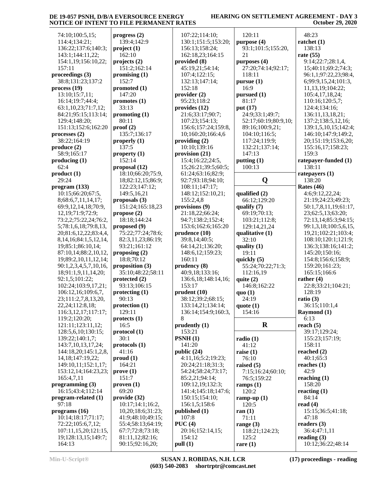| 74:10;100:5,15;                              | progress (2)                           | 10         |
|----------------------------------------------|----------------------------------------|------------|
| 114:4;134:21;                                | 139:4;142:9                            | 13         |
| 136:22;137:6;140:3;                          | project(1)                             | 15         |
| 143:1;144:11,22;                             | 162:10                                 | 16         |
| 154:1,19;156:10,22;<br>157:11                | projects (2)<br>151:2;162:14           | prov<br>45 |
| proceedings (3)                              | promising (1)                          | 10         |
| 38:8;131:23;137:2                            | 152:7                                  | 13         |
| process(19)                                  | promoted (1)                           | 15         |
| 13:10;15:7,11;                               | 147:20                                 | prov       |
| 16:14;19:7;44:4;                             | promotes (1)                           | 95         |
| 63:1,10,23;71:7,12;                          | 33:13                                  | prov       |
| 84:21;95:15;113:14;                          | promoting (1)                          | 21         |
| 129:4;148:20;                                | 80:11                                  | 10         |
| 151:13;152:6;162:20<br>processes $(2)$       | proof(2)<br>135:7;136:17               | 15<br>10   |
| 38:22;164:19                                 | properly $(1)$                         | prov       |
| produce (2)                                  | 137:5                                  | 10         |
| 58:9;165:17                                  | property $(1)$                         | prov       |
| producing (1)                                | 152:14                                 | 15         |
| 62:4                                         | proposal (12)                          | 15         |
| product(1)                                   | 18:10;66:20;75:9,                      | 61         |
| 29:24                                        | 18;82:12,15;86:9;                      | 92         |
| program (133)                                | 122:23;147:12;                         | 10         |
| 10:15;66:20;67:5,<br>8;68:6,7,11,14,17;      | 149:5,16,21<br>proposals (3)           | 14<br>15   |
| 69:9,12,14,18;70:9,                          | 151:24;165:18,23                       | prov       |
| 12, 19; 71: 9; 72: 9;                        | propose (2)                            | 21         |
| 73:2,2;75:22,24;76:2,                        | 18:18;144:24                           | 94         |
| 5;78:1,6,18;79:8,13,                         | proposed (9)                           | 15         |
| 20;81:6,12,22;83:4,4,                        | 75:22;77:24;78:6;                      | prud       |
| 8, 14, 16; 84: 1, 5, 12, 14,                 | 82:3,11,23;86:19;                      | 39         |
| 19;85:1;86:10,14;                            | 93:21;161:12                           | 64         |
| 87:10,14;88:2,10,12,<br>19;89:2,10,11,12,14; | proposing (2)<br>18:8;70:12            | 14<br>16   |
| 90:1,2,3,4,5,7,10,16,                        | proposition (3)                        | prud       |
| 18;91:1,9,11,14,20;                          | 35:10;48:22;58:11                      | 40         |
| 92:1,5;101:22;                               | protected (2)                          | 13         |
| 102:24;103:9,17,21;                          | 93:13;106:15                           | 15         |
| 106:12,16;109:6,7,                           | protecting (1)                         | prud       |
| 23;111:2,7,8,13,20,                          | 90:13                                  | 38         |
| 22, 24; 112: 8, 18;                          | protection (1)<br>129:11               | 13         |
| 116:3,12,17;117:17;<br>119:2;120:20;         | protects <sub>(1)</sub>                | 13<br>8    |
| 121:11;123:11,12;                            | 16:5                                   | pruo       |
| 128:5,6,10;130:15;                           | protocol (1)                           | 15         |
| 139:22;140:1,7;                              | 30:1                                   | <b>PSN</b> |
| 143:7,10,13,17,24;                           | protocols (1)                          | 14         |
| 144:18,20;145:1,2,8,                         | 41:16                                  | publ       |
| 14, 18; 147: 19, 22;                         | prod(1)                                | 4:         |
| 149:10,11;152:1,17;<br>153:12,14;164:23,23;  | 164:21<br>prove(1)                     | 20<br>54   |
| 165:4,7,11                                   | 151:7                                  | 85         |
| programming $(3)$                            | proven(1)                              | 10         |
| 16:15;43:4;112:14                            | 69:20                                  | 14         |
| program-related (1)                          | provide (32)                           | 15         |
| 97:18                                        | 10:17;14:1;16:2,                       | 15         |
| programs (16)<br>10:14;18:17;71:17;          | 10,20;18:6;31:23;<br>41:9;48:10;49:15; | publ<br>10 |
| 72:22;105:6,7,12;                            | 55:4;58:13;64:19;                      | <b>PUC</b> |
| 107:11,15,20;121:15,                         | 67:7;72:8;73:18;                       | 20         |
| 19;128:13,15;149:7;                          | 81:11,12;82:16;                        | 15         |
| 164:13                                       | 90:15;92:16,20;                        | pull       |

| 107:22;114:10;      | 120    |
|---------------------|--------|
| 130:1;151:5;153:20; | purpo  |
| 156:13;158:24;      | 93:    |
| 162:18,23;164:15    | 21     |
| provided (8)        | purpo  |
| 45:19,21;54:14;     | 27:    |
| 107:4;122:15;       | 118    |
| 132:13;147:14;      | pursu  |
| 152:18              | 16:    |
| provider (2)        | pursu  |
| 95:23;118:2         | 81:    |
| provides (12)       | put (1 |
| 21:6;33:17;90:7;    | 24:    |
| 107:23;154:13;      | 52:    |
| 156:6;157:24;159:8, | 89:    |
|                     | 104    |
| 10;160:20;166:4,6   |        |
| providing (2)       | 117    |
| 10:10;139:16        | 132    |
| provision (21)      | 147    |
| 15:4;16:22;24:5,    | puttir |
| 15;26:21;39:5;60:5; | 100    |
| 61:24;63:16;82:9;   |        |
| 92:7;93:18;94:10;   |        |
| 108:11;147:17;      |        |
| 148:12;152:10,21;   | qualif |
| 155:2,4,8           | 66:    |
| provisions (9)      | qualif |
| 21:18,22;66:24;     | 69:    |
| 94:7;138:2;152:4;   | 103    |
| 153:6;162:6;165:20  | 129    |
| prudence (10)       | qualit |
| 39:8,14;40:5;       | 32:    |
| 64:14,21;136:20;    | qualit |
| 148:6,12;159:23;    | 19:    |
| 160:11              | quick  |
| prudency (8)        | 55:    |
| 40:9,18;133:16;     | 112    |
| 136:6,18;148:14,16; | quite  |
| 153:17              | 146    |
| prudent (10)        | quo(   |
| 38:12;39:2;68:15;   | 24:    |
| 133:14,21;134:14;   | quote  |
| 136:14;154:9;160:3, | 154    |
| 8                   |        |
| prudently (1)       |        |
| 153:21              |        |
| PSNH(1)             | radio  |
| 141:20              | 41:    |
| public (24)         | raise  |
| 4:11,16;5:2;19:23;  | 76:    |
| 20:24;21:18;31:3;   | raised |
| 54:24;58:24;73:17;  | 7:1.   |
| 85:2,21;94:14;      | 76:    |
| 109:12,19;132:3;    | ramp   |
| 141:4;145:18;147:6; | 120    |
| 150:15;154:10;      | ramp   |
| 156:1,5;158:6       | 120    |
| published (1)       | ran (1 |
| 107:8               | 71:    |
| PUC(4)              | range  |
| 20:16;152:14,15;    | 118    |
| 154:12<br>pull (1)  | 125    |
|                     | rare ( |

| 120:11                                  | 48:23                 |
|-----------------------------------------|-----------------------|
| purpose (4)                             | ratchet (1)           |
| 93:1;101:5;155:20,                      | 138:13                |
| 21                                      | rate $(55)$           |
| purposes (4)                            | 9:14;22:7;28:1,4,     |
| 27:20;74:14;92:17;                      | 15;40:11;69:2;74:3;   |
| 118:11                                  | 96:1,1;97:22,23;98:4, |
| pursue(1)                               | 6;99:9,15,24;101:3,   |
| 16:9                                    | 11,13,19;104:22;      |
| pursued (1)                             | 105:4,17,18,24;       |
| 81:17                                   | 110:16;120:5,7;       |
| put (17)                                | 124:4;134:16;         |
| 24:9;33:1;49:7;                         | 136:11,13,18,21;      |
|                                         | 137:2;138:5,12,16;    |
| 52:17;60:19;80:9,10;<br>89:16;100:9,21; | 139:1,5,10,15;142:4;  |
|                                         |                       |
| 104:10;116:5;                           | 146:10;147:9;149:2,   |
| 117:24;119:9;                           | 20;151:19;153:6,20;   |
| 132:21;137:14;                          | 155:16,17;158:23;     |
| 147:13                                  | 159:3                 |
| putting (1)                             | ratepayer-funded (1)  |
| 100:13                                  | 138:11                |
|                                         | ratepayers (1)        |
| Q                                       | 138:20                |
|                                         | Rates (46)            |
| qualified (2)                           | 4:6;9:12,22,24;       |
| 66:12;129:20                            | 21:19;24:23;49:23;    |
| qualify (7)                             | 50:1,7,8,11,19;61:17, |
| 69:19;70:13;                            | 23;62:5,13;63:20;     |
| 103:21;112:8;                           | 72:13,14;85:3;94:15;  |
| 129:14,21,24                            | 99:1,3,18;100:5,6,15, |
| qualitative (1)                         | 19,21;102:21;103:4;   |
| 32:10                                   | 108:10;120:1;121:9;   |
| quality $(1)$                           | 136:3;138:16;141:2;   |
| 19:11                                   | 145:20;150:16;        |
| quickly (5)                             | 154:8;156:6;158:9;    |
| 55:24;70:22;71:3;                       | 159:20;161:23;        |
| 112:16,19                               | 165:15;166:6          |
| quite $(2)$                             | rather $(4)$          |
| 146:8;162:22                            | 22:8;33:21;104:21;    |
| quo $(1)$                               | 128:19                |
| 24:19                                   | ratio $(3)$           |
| quote $(1)$                             | 36:15;110:1,4         |
| 154:16                                  | Raymond (1)           |
|                                         | 6:13                  |
| $\bf R$                                 | reach $(5)$           |
|                                         | 39:17;129:24;         |
| radio (1)                               | 155:23;157:19;        |
| 41:12                                   | 158:11                |
| raise (1)                               | reached $(2)$         |
| 76:10                                   | 40:1;65:3             |
| raised $(5)$                            | reaches $(1)$         |
| 7:15;16:24;60:10;                       | 42:9                  |
| 76:5;159:22                             | reaching $(1)$        |
| ramps $(1)$                             | 158:20                |
| 120:2                                   | reacting $(1)$        |
| ramp-up $(1)$                           | 84:14                 |
| 120:5                                   | read $(4)$            |
| ran $(1)$                               | 15:15;36:5;41:18;     |
| 71:11                                   | 47:18                 |
| range $(3)$                             | readers $(3)$         |
| 118:21;124:23;                          | 36:4;47:1,11          |
| 125:2                                   | reading $(3)$         |
| rare $(1)$                              | 10:12;36:22;48:14     |
|                                         |                       |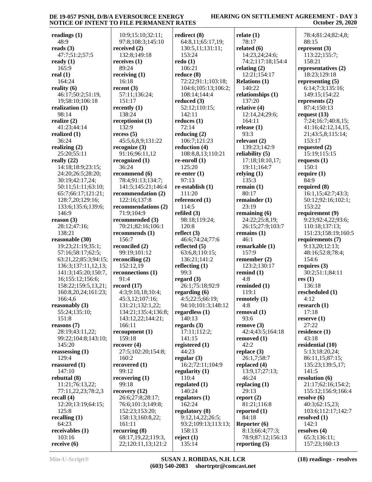| readings $(1)$<br>48:9 | 10:9;15:10;32:11;<br>97:8;108:3;145:10 | redirect $(8)$<br>64:8,11;65:17,19; | relate $(1)$<br>78:17 | 78:4;81:24;82:4,8;<br>88:15 |
|------------------------|----------------------------------------|-------------------------------------|-----------------------|-----------------------------|
| reads $(3)$            | received $(2)$                         | 130:5,11;131:11;                    | related $(6)$         | represent $(3)$             |
| 47:7;51:2;57:5         | 132:8;149:18                           | 153:24                              | 14:23,24;24:6;        | 113:22;155:7;               |
| ready $(1)$            | receives $(1)$                         | redo(1)                             | 74:2;117:18;154:4     | 158:21                      |
| 165:9                  | 89:24                                  | 106:21                              | relating $(2)$        | representatives (2)         |
| real $(1)$             | receiving $(1)$                        | reduce $(8)$                        | 12:21;154:17          | 18:23;129:18                |
| 164:24                 | 16:18                                  | 72:22;91:1;103:18;                  | <b>Relations (1)</b>  | representing $(5)$          |
| reality $(6)$          | recent $(3)$                           | 104:6;105:13;106:2;                 | 140:22                | 6:14;7:3;135:16;            |
| 46:17;50:2;51:19,      | 57:11;136:24;                          | 108:14;144:4                        | relationships (1)     | 149:15;154:22               |
| 19;58:10;106:18        | 151:17                                 | reduced $(3)$                       | 137:20                | represents $(2)$            |
|                        |                                        | 52:12;110:15;                       | relative $(4)$        | 87:4;150:13                 |
| realization $(1)$      | recently $(1)$                         |                                     |                       |                             |
| 98:14                  | 138:24                                 | 142:11                              | 12:14,24;29:6;        | request $(13)$              |
| realize $(2)$          | receptionist (1)                       | reduces $(1)$                       | 164:11                | 7:24;16:7;40:8,15;          |
| 41:23;44:14            | 132:9                                  | 72:14                               | release $(1)$         | 41:16;42:12,14,15,          |
| realized $(1)$         | recess(5)                              | reducing $(2)$                      | 93:3                  | 21;43:5,8;115:14;           |
| 36:24                  | 45:5,6,8,9;131:22                      | 106:7;121:23                        | relevant $(2)$        | 153:17                      |
| realizing $(2)$        | recognize $(3)$                        | reduction (4)                       | 139:23;142:9          | requested $(2)$             |
| 25:20;55:11            | 91:16:96:11,12                         | 108:8,8,13;110:21                   | reliability $(5)$     | 15:19;115:15                |
| really $(22)$          | recognized (1)                         | re-enroll $(1)$                     | 17:18:18:10,17;       | requests $(1)$              |
| 14:18;18:9;23:15;      | 36:24                                  | 125:20                              | 19:11;164:7           | 150:1                       |
| 24:20;26:5;28:20;      | recommend (6)                          | re-enter $(1)$                      | relying $(1)$         | require $(1)$               |
| 30:19;42:17,24;        | 78:4;91:13;134:7;                      | 97:13                               | 135:3                 | 84:9                        |
| 50:11;51:11;63:10;     | 141:5;145:21;146:4                     | re-establish (1)                    | remain $(1)$          | required $(8)$              |
| 65:7;66:17;121:21;     | recommendation (2)                     | 111:20                              | 80:17                 | 16:1,15;42:7;43:3;          |
| 128:7,20;129:16;       | 122:16;137:8                           | referenced (1)                      | remainder $(1)$       | 50:12;92:16;102:1;          |
| 133:6;135:6;139:6;     | recommendations (2)                    | 114:5                               | 23:19                 | 153:22                      |
| 146:9                  | 71:9;104:9                             | refiled $(3)$                       | remaining $(6)$       | requirement (9)             |
| reason $(3)$           | recommended (3)                        | 98:18;119:24;                       | 24:22;25:8,19;        | 9:23;92:4,22;93:6;          |
| 28:12;47:16;           | 70:21;82:16;106:1                      | 120:8                               | 26:15;27:9;103:7      | 110:18;137:13;              |
| 138:21                 | recommends (1)                         | reflect $(3)$                       | remains $(1)$         | 151:23;158:19;160:5         |
| reasonable (30)        | 156:7                                  | 46:6;74:24;77:6                     | 46:1                  | requirements $(7)$          |
| 19:23;21:19;35:1;      | reconciled (2)                         | reflected $(5)$                     | remarkable (1)        | 9:13,20;12:13;              |
| 57:16;58:17;62:5;      | 99:19;101:12                           | 63:6,8;110:15;                      | 157:9                 | 48:16;52:8;78:4;            |
| 63:21,22;85:3;94:15;   | reconciling $(2)$                      | 136:21;141:2                        | remember $(2)$        | 154:6                       |
| 136:3;137:11,12,13;    | 152:12,19                              | reflecting $(1)$                    | 123:2;130:17          | requires $(3)$              |
| 141:3;145:20;150:7,    | reconnections (1)                      | 99:3                                | remind $(1)$          | 30:2;51:1;84:11             |
| 16;155:12;156:6;       | 91:4                                   | regard $(3)$                        | 4:8                   | res $(1)$                   |
| 158:22;159:5,13,21;    | record $(17)$                          | 26:1;75:18;92:9                     | reminded (1)          | 136:18                      |
|                        | 4:3;9:10,18;10:4;                      |                                     |                       | rescheduled (1)             |
| 160:8,20,24;161:23;    |                                        | regarding $(6)$                     | 119:1                 |                             |
| 166:4,6                | 45:3,12;107:16;                        | 4:5;22:5;66:19;                     | remotely $(1)$        | 4:12                        |
| reasonably $(3)$       | 131:21;132:1,22;                       | 94:10;101:3;148:12                  | 4:8                   | research $(1)$              |
| 55:24;135:10;          | 134:21;135:4;136:8;                    | regardless $(1)$                    | removal $(1)$         | 17:18                       |
| 151:8                  | 143:12,22;144:21;                      | 140:13                              | 93:6                  | reserve $(1)$               |
| reasons(7)             | 166:11                                 | regards $(3)$                       | remove(3)             | 27:22                       |
| 28:19;43:11,22;        | recomponent(1)                         | 17:11;112:2;                        | 42:4;43:5;164:18      | residence $(1)$             |
| 99:22;104:8;143:10;    | 159:18                                 | 141:15                              | removed (1)           | 43:18                       |
| 145:20                 | recover $(4)$                          | registered $(1)$                    | 42:2                  | residential (10)            |
| reassessing $(1)$      | 27:5;102:20;154:8;                     | 44:23                               | replace $(3)$         | 5:13;18:20,24;              |
| 129:4                  | 160:2                                  | regular $(3)$                       | 26:1,7;58:7           | 86:11,15;87:15;             |
| reassured $(1)$        | recovered $(1)$                        | 16:2;72:11;104:9                    | replaced $(4)$        | 135:23;139:5,17;            |
| 147:10                 | 99:12                                  | regularity $(1)$                    | 13:9,17;27:13;        | 141:5                       |
| rebuttal $(8)$         | recovering $(1)$                       | 110:4                               | 46:24                 | resolution (6)              |
| 11:21;76:13,22;        | 99:18                                  | regulated $(1)$                     | replacing $(1)$       | 21:17;62:16;154:2;          |
| 77:11,22,23;78:2,3     | recovery $(12)$                        | 140:24                              | 29:13                 | 155:12;156:9;166:4          |
| recall $(4)$           | 26:6;27:8;28:17;                       | regulators $(1)$                    | report $(2)$          | resolve $(6)$               |
| 12:20;13:19;64:15;     | 76:6;101:3;149:8;                      | 162:24                              | 81:21;116:8           | 40:3;62:15,23;              |
| 125:8                  | 152:23;153:20;                         | regulatory (8)                      | reported $(1)$        | 103:6;112:17;142:7          |
| recalling $(1)$        | 158:13;160:8,22;                       | 9:12,14,22;26:5;                    | 84:18                 | resolved $(1)$              |
| 64:23                  | 161:11                                 | 93:2;109:13;113:13;                 | Reporter (6)          | 142:1                       |
| receivables $(1)$      | recurring $(8)$                        | 158:13                              | 8:13;66:4;77:3;       | resolves $(4)$              |
| 103:16                 | 68:17,19,22;119:3,                     | reject $(1)$                        | 78:9;87:12;156:13     | 65:3;136:11;                |
| receive $(6)$          | 22;120:11,13;121:2                     | 135:14                              | reporting $(5)$       | 157:23;160:13               |
|                        |                                        |                                     |                       |                             |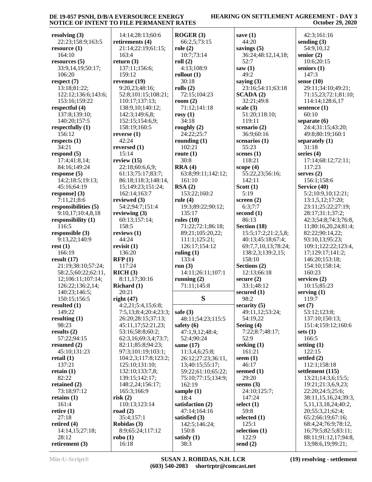| resolving $(3)$                   |                                    |                       |                        |                                           |
|-----------------------------------|------------------------------------|-----------------------|------------------------|-------------------------------------------|
|                                   | 14:14;28:13;60:6                   | ROGER(3)              | save $(1)$             | 42:3;161:16                               |
| 22:23;158:9;163:5                 | retirements (4)                    | 66:2,5;73:15          | 44:20                  | sending $(3)$                             |
| resource(1)                       | 21:14;22:19;61:15;                 | role(2)               | savings $(5)$          | 54:9,10,12                                |
| 164:10                            | 163:4                              | 10:7;73:14            | 36:24;48:12,14,18;     | senior $(2)$                              |
| resources $(5)$                   | return $(3)$                       | roll $(2)$            | 52:7                   | 10:6;20:15                                |
| 33:9,14,19;50:17;                 | 137:11;156:6;                      | 4:13:108:9            | saw(1)                 | seniors $(1)$                             |
| 106:20                            | 159:12                             | rollout $(1)$         | 49:2                   | 147:3                                     |
| respect $(7)$                     | revenue $(19)$                     | 30:18                 | saying $(3)$           | sense $(10)$                              |
| 13:18;81:22;                      | 9:20,23;48:16;                     | rolls $(2)$           | 23:16;54:11;63:18      | 29:11;34:10;49:21;                        |
| 122:12;136:6;143:6;               | 52:8;101:15;108:21;                | 72:15;104:23          | SCADA(2)               | 71:15,23;72:1;81:10;                      |
| 153:16;159:22                     | 110:17;137:13;                     | room $(2)$            | 32:21;49:8             | 114:14;128:6,17                           |
| respectful (4)                    | 138:9,10;140:12;                   | 71:12;141:18          | scale $(3)$            | sentence $(1)$                            |
| 137:8;139:10;                     | 142:3;149:6,8;                     | rosy $(1)$            | 51:20;118:10;          | 60:10                                     |
| 140:20;157:5                      | 152:15;154:6,9;                    | 34:18                 | 119:11                 | separate $(6)$                            |
| respectfully $(1)$                | 158:19;160:5                       | roughly $(2)$         | scenario $(2)$         | 24:4;31:15;43:20;                         |
| 156:12                            | reverse $(1)$                      | 24:22;25:7            | 36:9;60:16             | 49:8;80:19;160:1                          |
| respects $(1)$                    | 42:24                              | rounding $(1)$        | scenarios (1)          | separately $(1)$                          |
| 34:21                             | reversed $(1)$                     | 102:21                | 55:23                  | 31:18                                     |
| respond $(5)$                     | 15:14                              | route $(1)$           | scenes $(1)$           | series $(4)$                              |
| 17:4;41:8,14;                     | review $(15)$                      | 30:8                  | 118:21                 | 17:14;68:12;72:11;                        |
| 84:16;149:24                      | 22:18;60:6,6,9;                    | RRA(4)                | scope $(4)$            | 117:23                                    |
| response $(5)$                    | 61:13;75:17;83:7;                  | 63:8;99:11;142:12;    | 55:22,23;56:16;        | serves $(2)$                              |
| 14:2;18:5;19:13;                  | 86:18;118:3;148:14,                | 161:10                | 142:11                 | 156:1;158:6                               |
| 45:16;64:19                       | 15;149:23;151:24;                  | RSA(2)                | Scott $(1)$            | Service (40)                              |
| response] $(3)$                   | 162:14;163:7                       | 153:22;160:2          | 5:19                   | 5:2;10:9,10;12:21;                        |
| 7:11,21;8:6                       | reviewed (3)                       | rule $(4)$            | screen $(2)$           | 13:1,5,12;17:20;                          |
| responsibilities (5)              | 54:2;94:7;151:4                    | 19:3;89:22;90:12;     | 6:3;7:7                | 23:11;25:22;27:19;                        |
| 9:10,17;10:4,8,18                 | reviewing $(3)$                    | 135:17                | second $(1)$           | 28:17;31:1;37:2;                          |
| responsibility (1)                | 60:13;157:14;                      | rules $(10)$          | 86:13                  | 42:3;54:8;74:3;76:8,                      |
| 116:5                             | 158:5                              | 71:22;72:1;86:18;     | Section (18)           | 11;80:16,20,24;81:4;                      |
| responsible $(3)$                 | reviews $(1)$                      | 89:21;105:20,22;      | 15:5;17:2;21:2,5,8;    | 82:22;90:14,22;                           |
| 9:13,22;140:9                     | 44:24                              | 111:1;125:21;         | 40:13;45:18;67:4;      | 93:10,13;95:23;                           |
| rest(1)                           | revisit $(1)$                      | 126:17;154:12         | 69:7,7,10,13;78:24;    | 109:1;122:22;123:4,                       |
| 166:19                            | 136:20                             | ruling $(1)$          | 138:2,3;139:2,15;      | 17;129:17;141:2;                          |
| result $(17)$                     | RFP(1)                             | 133:4                 | 158:10                 | 146:20;153:18;                            |
|                                   |                                    |                       |                        |                                           |
|                                   |                                    |                       |                        |                                           |
| 21:19;38:10;57:24;                | 117:24                             | run $(3)$             | Sections (2)           | 154:10;158:14;                            |
| 58:2,5;60:22;62:11,               | RICH(3)                            | 14:11;26:11;107:1     | 12:13;66:18            | 160:23                                    |
| 12;106:11;107:14;                 | 8:11,17;30:16                      | running $(2)$         | secure $(2)$           | services (2)<br>10:15:85:23               |
| 126:22;136:2,14;<br>140:23;146:5; | Richard (1)<br>20:21               | 71:11;145:8           | 33:1;48:12             |                                           |
|                                   |                                    |                       | secured $(1)$          | serving $(1)$<br>119:7                    |
| 150:15;156:5<br>resulted $(1)$    | right $(47)$<br>4:2,21;5:4,15;6:8; | S                     | 98:2<br>security $(5)$ | set $(7)$                                 |
| 149:22                            | 7:5,13;8:4;20:4;23:3;              | safe $(3)$            | 49:11,12;53:24;        | 53:12;123:8;                              |
| resulting $(1)$                   | 26:20;28:15;37:13;                 | 48:11;54:23;115:5     | 54:19,22               | 137:10;150:13;                            |
| 98:23                             | 45:11,17;52:21,23;                 | safety $(6)$          | Seeing $(4)$           | 151:4;159:12;160:6                        |
| results $(2)$                     | 53:16;58:8;60:2;                   | 47:1,9,12;48:4;       | 7:22;8:7;48:17;        | sets $(1)$                                |
| 57:22;94:15                       | 62:3,16;69:3,4;73:7;               | 52:4;90:24            | 52:9                   | 166:5                                     |
| resumed (2)                       | 82:11;85:8;94:23;                  | same (17)             | seeking $(1)$          | setting $(1)$                             |
| 45:10;131:23                      | 97:3;101:19;103:1;                 | 11:3,4,6;25:8;        | 161:21                 | 122:15                                    |
| retail $(1)$                      | 104:2,3;117:8;123:2;               | 26:12;27:23;36:11,    | seem $(1)$             | settled $(2)$                             |
| 137:21                            | 125:10;131:10;                     | 13;40:15;55:17;       | 46:17                  | 112:1;158:18                              |
| retain $(1)$                      | 132:10;133:7,8;                    | 59:22;61:10;65:22;    | seemed (1)             | settlement (115)                          |
| 82:22                             | 139:15;142:17;                     | 75:10;77:15;134:9;    | 29:20                  | 13:21;14:3,6;15:5;                        |
| retained $(2)$                    | 148:2,24;156:17;                   | 162:19                | seems $(3)$            | 19:21:21:3,6,9,23;                        |
| 73:18;97:12                       | 165:3;166:9                        | sample $(1)$          | 24:10;125:7;           | 22:20;24:5;25:6;                          |
| retains $(1)$                     | risk(2)                            | 18:4                  | 147:24                 | 38:11,15,16,24;39:3,                      |
| 161:4                             | 110:13;123:14                      | satisfaction (2)      | select (1)             | 5, 11, 13, 18, 24; 40: 2,                 |
| retire $(1)$                      | road $(2)$                         | 47:14;164:16          | 59:8                   | 20;55:3,21;62:4;                          |
| 27:18                             | 35:4;157:1                         | satisfied (3)         | selected $(1)$         | 65:2;66:19;67:16;                         |
| retired $(4)$                     | Robidas (3)                        | 142:5;146:24;         | 125:1                  | 68:4,24;76:9;78:12,                       |
| 14:14,15;27:18;                   | 8:9;65:24;117:12                   | 150:8                 | selection $(1)$        | 16;79:5;82:5;83:11;                       |
| 28:12<br>retirement (3)           | $\text{robo}(1)$<br>16:18          | satisfy $(1)$<br>38:3 | 122:9<br>send $(2)$    | 88:11;91:12,17;94:8,<br>13;98:6,19;99:21; |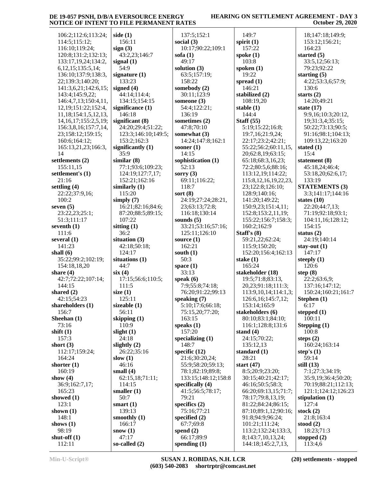## **HEARING ON SETTLEMENT AGREEMENT - DAY 3 October 29, 2020**

| 106:2;112:6;113:24;                                                       | side $(1)$            | 137:5;152:1               | 149:7                                    | 18;147:18;149:9;            |
|---------------------------------------------------------------------------|-----------------------|---------------------------|------------------------------------------|-----------------------------|
| 114:5;115:12;                                                             | 156:11                | social $(3)$              | spirit $(1)$                             | 153:12;156:21;              |
| 116:10;119:24;                                                            | sign(3)               | 10:17;90:22;109:1         | 157:22                                   | 164:23                      |
| 120:8;131:2;132:13;                                                       | 43:2,23;146:7         | sofa $(1)$                | spoke $(1)$                              | started $(5)$               |
| 133:17,19,24;134:2,                                                       | signal $(1)$          | 49:17                     | 103:8                                    | 33:5,12;56:13;              |
| 6, 12, 15; 135: 5, 14;                                                    | 54:9                  | solution (3)              | spoken $(1)$                             | 79:23;92:22                 |
| 136:10;137:9;138:3,                                                       | signature $(1)$       | 63:5;157:19;              | 19:22                                    | starting $(5)$              |
|                                                                           |                       |                           |                                          |                             |
| 22;139:3;140:20;                                                          | 133:23                | 158:22                    | spread $(1)$                             | 4:22;53:3,6;57:9;           |
| 141:3,6,21;142:6,15;                                                      | signed $(4)$          | somebody (2)              | 146:21                                   | 130:6                       |
| 143:4;145:9,22;                                                           | 44:14;114:4;          | 30:11;123:9               | stabilized (2)                           | starts $(2)$                |
| 146:4,7,13;150:4,11,                                                      | 134:15;154:15         | someone $(3)$             | 108:19,20                                | 14:20;49:21                 |
| 12, 19; 151: 22; 152: 4,                                                  | significance $(1)$    | 54:4;122:21;              | stable $(1)$                             | state $(17)$                |
| 11, 18; 154: 1, 5, 12, 13,                                                | 146:18                | 136:19                    | 144:4                                    | 9:9,16;10:3;20:12,          |
| 14, 16, 17; 155: 2, 5, 19;                                                | significant $(8)$     | sometimes (2)             | Staff $(55)$                             | 19;31:3,4;35:15;            |
| 156:3,8,16;157:7,14,                                                      | 24:20;29:4;51:22;     | 47:8;70:10                | 5:19;15:22;16:8;                         | 50:22;73:13;90:5;           |
| 23;158:12;159:15;                                                         | 123:3;146:10;149:5;   | somewhat (3)              | 19:7,16;21:9,24;                         | 91:16;98:1;104:13;          |
| 160:6;164:12;                                                             | 153:2;162:3           | 14:24;147:8;162:1         | 22:17;23:2;42:21;                        | 109:13,22;163:20            |
| 165:13,21,23;166:3,                                                       | significantly $(1)$   | sooner $(1)$              | 55:22;56:2;60:11,15,                     | stated $(1)$                |
| 14                                                                        | 35:9                  | 14:15                     | 20;62:8,19;63:15;                        | 15:4                        |
|                                                                           | similar(8)            | sophistication (1)        |                                          | statement (8)               |
| settlements (2)                                                           |                       |                           | 65:18;68:3,16,23;                        |                             |
| 155:11,15                                                                 | 77:1;93:6;109:23;     | 52:13                     | 72:2;80:5,6;88:16;                       | 45:18,24;46:4;              |
| settlement's (1)                                                          | 124:19;127:7,17;      | sorry $(3)$               | 113:12,19;114:22;                        | 53:18,20;62:6,17;           |
| 21:16                                                                     | 152:21;162:16         | 69:11;116:22;             | 115:8, 12, 16, 19, 22, 23,               | 133:19                      |
| settling $(4)$                                                            | similarly $(1)$       | 118:7                     | 23;122:8;126:10;                         | <b>STATEMENTS (3)</b>       |
| 22:22;37:9,16;                                                            | 115:20                | sort $(8)$                | 128:9;140:16;                            | 3:3;141:17;144:16           |
| 100:2                                                                     | simply $(7)$          | 24:19;27:24;28:21,        | 141:20;149:22;                           | states $(10)$               |
| seven $(5)$                                                               | 16:21;82:16;84:6;     | 23;63:13;72:8;            | 150:9,23;151:4,11;                       | 22:20;44:7,13;              |
| 23:22,23;25:1;                                                            | 87:20;88:5;89:15;     | 116:18;130:14             | 152:8;153:2,11,19;                       | 71:19;92:18;93:1;           |
| 51:3;111:17                                                               | 107:22                | sounds $(5)$              | 155:22;156:7;158:3;                      | 104:11,16;128:12;           |
| seventh $(1)$                                                             | sitting $(1)$         | 33:21;53:16;57:16;        | 160:2;162:9                              | 154:15                      |
| 111:6                                                                     | 36:2                  | 125:11;126:10             | Staff's $(8)$                            | status $(2)$                |
|                                                                           |                       |                           |                                          |                             |
|                                                                           |                       |                           |                                          |                             |
| several $(1)$                                                             | situation $(3)$       | source $(1)$              | 59:21,22;62:24;                          | 24:19;140:14                |
| 141:23                                                                    | 42:18;50:18;          | 162:21                    | 115:9;150:20;                            | stay-out $(1)$              |
| shall $(6)$                                                               | 124:17                | south $(1)$               | 152:20;156:4;162:13                      | 147:17                      |
| 35:22;99:2;102:19;                                                        | situations (1)        | 50:3                      | stake $(1)$                              | steeply $(1)$               |
| 154:18,18,20                                                              | 44:7                  | space $(1)$               | 165:24                                   | 120:6                       |
| share $(4)$                                                               | six(4)                | 33:13                     | stakeholder (18)                         | step $(8)$                  |
| 42:7;72:22;107:14;                                                        | 17:15;56:6;110:5;     | speak $(6)$               | 19:5;71:8;83:13,                         | 22:2;63:6,9;                |
| 144:15                                                                    | 111:5                 | 7:9:55:8:74:18;           | 20,23;91:18;111:3;                       | 137:16;147:12;              |
| shared $(2)$                                                              | size $(1)$            | 76:20;91:22;99:13         | 113:9, 10, 14; 114: 1, 3;                | 150:24;160:21;161:7         |
| 42:15;54:23                                                               | 125:11                | speaking $(7)$            | 126:6, 16; 145:7, 12;                    | Stephen $(1)$               |
| shareholders (1)                                                          | sizeable (1)          | 5:10;17:6;66:18;          | 153:14;165:9                             | 6:17                        |
| 156:7                                                                     | 56:11                 | 75:15,20;77:20;           | stakeholders (6)                         | stepped $(1)$               |
| Sheehan $(1)$                                                             | skipping $(1)$        | 163:15                    | 80:10;83:1;84:10;                        | 100:11                      |
| 73:16                                                                     | 110:9                 | speaks $(1)$              | 116:1;128:8;131:6                        | Stepping $(1)$              |
|                                                                           | slight $(1)$          | 157:20                    | stand $(4)$                              | 100:8                       |
| 157:3                                                                     | 24:18                 | specializing $(1)$        | 24:15;70:22;                             | steps $(2)$                 |
|                                                                           | slightly $(2)$        | 148:7                     | 135:12,13                                | 160:24;163:14               |
| 112:17;159:24;                                                            | 26:22;35:16           | specific $(12)$           | standard (1)                             | step's $(1)$                |
| 164:24                                                                    | slow $(1)$            | 21:6;30:20,24;            | 28:21                                    | 59:14                       |
|                                                                           | 46:16                 | 55:9;58:20;59:13;         | start $(47)$                             | still $(13)$                |
| 160:19                                                                    | small $(4)$           | 78:1;82:19;89:8;          | 8:5;20:9;23:20;                          | 7:1;27:3;34:19;             |
|                                                                           | 62:15,18;71:11;       | 133:15;148:12;158:8       | 30:15;40:21;42:17;                       | 35:9,19;36:4;50:20;         |
| 36:9;162:7,17;                                                            | 114:15                | specifically $(4)$        | 46:16;50:5;58:3;                         | 70:19;88:21;112:13;         |
| 165:23                                                                    |                       | 41:5;56:5;78:17;          | 66:20;69:13,15;71:7;                     | 121:1;124:12;126:23         |
|                                                                           | smaller $(1)$<br>50:7 | 79:21                     |                                          |                             |
| shift $(1)$<br>short $(3)$<br>shorter $(1)$<br>show $(4)$<br>showed $(1)$ |                       |                           | 78:17;79:8,13,19;                        | stipulation $(1)$           |
| 123:1                                                                     | smart $(1)$           | specifics (2)             | 81:22;84:24;86:15;                       | 127:4                       |
| shown $(1)$                                                               | 139:13                | 75:16;77:21               | 87:10;89:1,12;90:16;                     | stock $(2)$                 |
| 148:1                                                                     | smoothly $(1)$        | specified $(2)$           | 91:8;94:9;96:24;                         | 21:8;163:4                  |
| shows $(1)$                                                               | 166:17                | 67:7;69:8                 | 101:21;111:24;                           | stood $(2)$                 |
| 98:19<br>shut-off $(1)$                                                   | snow $(1)$<br>47:17   | spend $(2)$<br>66:17;89:9 | 113:2;132:24;133:3,<br>8;143:7,10,13,24; | 18:23;71:3<br>stopped $(2)$ |

112:11

**so-called (2)**

**spending (1)**

113:4,6

144:18;145:2,7,13,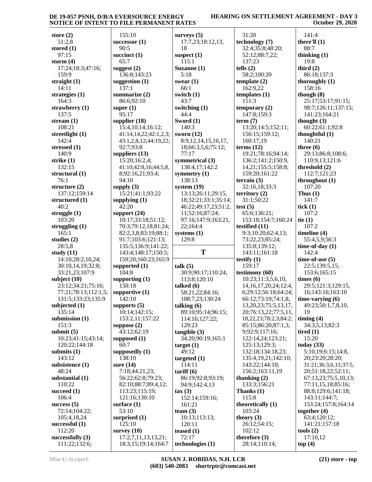#### **HEARING ON SETTLEMENT AGREEMENT - DAY 3 October 29, 2020**

| store $(2)$                                | 155:10                                   |
|--------------------------------------------|------------------------------------------|
| 51:2,8                                     | successor (1)                            |
| stored (1)                                 | 90:5                                     |
| 97:15<br>storm $(4)$                       | succinct $(1)$                           |
| 17:24;18:3;47:16;                          | 65:7<br>suggest $(2)$                    |
| 159:9                                      | 136:8;143:23                             |
| straight $(1)$                             | suggestion (1)                           |
| 14:11                                      | 137:1                                    |
| strategies (1)                             | summarize (2)                            |
| 164:3                                      | 86:6;92:10                               |
| strawberry (1)                             | super $(1)$                              |
| 137:5<br>stream $(1)$                      | 95:17<br>supplier $(18)$                 |
| 108:21                                     | 15:4,10,14;16:12;                        |
| streetlight (1)                            | 41:14,14,22;42:1,2                       |
| 142:4                                      | 43:1,2,8,12;44:19,2                      |
| stressed (1)                               | 92:7;93:8                                |
| 140:9                                      | suppliers $(13)$                         |
| strike (1)                                 | 15:20;16:2,4;                            |
| 132:15                                     | 41:10;42:8,16;44:5<br>8;92:16,21;93:4;   |
| structural (1)<br>76:1                     | 94:10                                    |
| structure $(2)$                            | supply (3)                               |
| 137:12;159:14                              | 15:21;41:1;93:22                         |
| structured (1)                             | supplying $(1)$                          |
| 40:2                                       | 42:20                                    |
| struggle $(1)$                             | support $(24)$                           |
| 103:20                                     | 10:17;33:18;51:12                        |
| struggling $(1)$<br>165:1                  | 70:3;79:12,18;81:2<br>82:2,3,8;83:19;88: |
| studies (2)                                | 91:7;103:6;121:13                        |
| 28:5,8                                     | 135:5;136:9;141:2                        |
| study $(11)$                               | 143:4;148:17;150:                        |
| 14:10;28:2,10,24;                          | 159:20;160:23;165                        |
| 30:10,14,19;32:8;                          | supported (1)                            |
| 33:21,23;107:9                             | 104:8                                    |
| subject $(10)$                             | supporting $(1)$                         |
| 23:12;34:21;75:16;<br>77:21;78:13;112:1,5; | 150:18<br>supportive $(1)$               |
| 131:5;133:23;135:9                         | 142:10                                   |
| subjected (1)                              | supports $(5)$                           |
| 135:14                                     | 10:14;142:15;                            |
| submission (1)                             | 153:2,11;157:22                          |
| 151:3                                      | suppose $(2)$                            |
| submit $(5)$                               | 43:12;62:19                              |
| 10:23;41:15;43:14;<br>120:22;144:18        | supposed (1)<br>60:7                     |
| submits $(1)$                              | supposedly $(1)$                         |
| 143:12                                     | 138:10                                   |
| subsistence (1)                            | sure $(14)$                              |
| 48:24                                      | 7:18;44:21,23;                           |
| substantial (1)                            | 56:22;62:8;79:23;                        |
| 110:22                                     | 82:10;88:7;89:4,12                       |
| succeed $(1)$<br>106:4                     | 113:23;115:19;<br>121:16;130:10          |
| success $(5)$                              | surface $(1)$                            |
| 72:14;104:22;                              | 53:10                                    |
| 105:4,18,24                                | surprised (1)                            |
| successful $(1)$                           | 125:10                                   |
| 112:20                                     | survey $(10)$                            |
| successfully $(3)$                         | 17:2,7,11,13,13,21                       |
| 111:22;132:6;                              | 18:3,15;19:14;164                        |

| 155:10                                     | surveys $(5)$                        | 31         |
|--------------------------------------------|--------------------------------------|------------|
| successor $(1)$                            | 17:7,23;18:12,13,                    | tech       |
| 90:5                                       | 18                                   | 32         |
| succinct $(1)$                             | suspect $(1)$                        | 52         |
| 65:7                                       | 115:1                                | 13         |
|                                            |                                      | tells      |
| suggest $(2)$<br>136:8;143:23              | Suzanne (1)<br>5:18                  | 58         |
|                                            |                                      |            |
| suggestion $(1)$                           | swear $(1)$                          | temp       |
| 137:1                                      | 66:1                                 | 16         |
| summarize (2)                              | switch (1)                           | temp       |
| 86:6;92:10                                 | 43:7                                 | 15         |
| super $(1)$                                | switching (1)                        | temp       |
| 95:17                                      | 44:4                                 | 14         |
| supplier $(18)$                            | Sword (1)                            | term       |
| 15:4, 10, 14; 16: 12;                      | 140:3                                | 13         |
| 41:14,14,22;42:1,2,3;                      | sworn $(12)$                         | 15         |
| 43:1,2,8,12;44:19,22;                      | 8:9, 12, 14, 15, 16, 17,             | 16         |
| 92:7;93:8                                  | 18;66:3,5,6;75:12;                   | term       |
| suppliers $(13)$                           | 77:17                                | 19         |
| 15:20;16:2,4;                              | symmetrical (3)                      | 13         |
| 41:10;42:8,16;44:5,8,                      | 138:4,17;142:2                       | 14         |
| 8;92:16,21;93:4;                           | symmetry $(1)$                       | 15         |
| 94:10                                      | 138:13                               | terra      |
| supply $(3)$                               | system $(19)$                        | 32         |
| 15:21;41:1;93:22                           | 13:13;26:11;29:15,                   | terri      |
| supplying $(1)$                            | 18;32:21;33:1;35:14;                 | 31         |
| 42:20                                      | 46:22;49:17,23;51:2,                 | test       |
| support (24)                               | 11;52:16;87:24;                      | 65         |
| 10:17;33:18;51:12;                         | 97:16;147:9;163:21,                  | 15         |
| 70:3;79:12,18;81:24;                       | 22;164:4                             | testi      |
| 82:2,3,8;83:19;88:1;                       | systems $(1)$                        | 9:         |
|                                            | 129:8                                | 73         |
| 91:7;103:6;121:13;                         |                                      |            |
| 135:5;136:9;141:22;                        |                                      | 13         |
| 143:4;148:17;150:5;                        | T                                    | 14         |
| 159:20;160:23;165:9                        |                                      | testi      |
|                                            | talk (5)                             | 15         |
| supported (1)<br>104:8                     | 30:9;90:17;110:24;                   | testi      |
|                                            | 113:8;120:10                         | 10         |
| supporting $(1)$<br>150:18                 | talked (6)                           | 14         |
| supportive $(1)$                           | 58:21,22;84:16;                      | 6;         |
| 142:10                                     |                                      |            |
|                                            | 108:7,23;130:24                      | 66<br>13   |
| supports $(5)$<br>10:14;142:15;            | talking $(6)$                        | 20         |
| 153:2,11;157:22                            | 89:10;95:14;96:15;<br>114:16;127:22; | 18         |
|                                            | 129:23                               | 85         |
| suppose $(2)$                              |                                      |            |
| 43:12;62:19                                | tangible(3)                          | 9;<br>12   |
| supposed $(1)$<br>60:7                     | 34:20;90:19;165:1                    | 12         |
|                                            | target(1)<br>49:12                   | 13         |
| supposedly $(1)$                           |                                      | 13         |
| 138:10                                     | targeted $(1)$                       | 14         |
| sure $(14)$<br>7:18;44:21,23;              | 114:11                               | 15         |
|                                            | $\text{tariff}(6)$                   | than       |
| 56:22;62:8;79:23;                          | 86:19;92:8;93:19;<br>94:9;142:4,13   | 13         |
| 82:10;88:7;89:4,12;                        |                                      | Thar       |
| 113:23;115:19;                             | tax(3)                               | 11         |
| 121:16;130:10                              | 152:14;159:16;                       | theo       |
| surface $(1)$<br>53:10                     | 161:21                               | 10         |
|                                            | team $(3)$                           |            |
| surprised (1)                              | 10:13;113:13;                        | theo<br>26 |
| 125:10                                     | 120:11                               | 10         |
| survey $(10)$                              | teased $(1)$<br>72:17                | ther       |
| 17:2,7,11,13,13,21;<br>18:3,15;19:14;164:7 | technologies (1)                     | 28         |

| 31:20                                | 141:4                  |
|--------------------------------------|------------------------|
| technology (7)                       | there'll $(1)$         |
| 32:4;35:8;48:20;                     | 88:7                   |
| 52:12;88:7,22;                       | thinking $(1)$         |
| 137:23                               | 19:8                   |
| tells $(2)$                          | third $(2)$            |
| 58:2;100:20                          | 86:18;137              |
| template (2)                         | thoroughly             |
| 162:9,22                             | 158:16                 |
| templates (1)                        | though (8)             |
| 151:3                                | 25:17;53:              |
| temporary $(2)$                      | 98:7;126:              |
| 147:8;159:3                          | 141:23;16              |
| term(7)                              | thought $(3)$          |
| 13:20;14:5;152:11;                   | 60:22;61:              |
| 156:15;159:12;                       | thoughtful             |
| 160:17,19                            | 140:21                 |
| terms $(12)$                         | three $(6)$            |
| 19:21;78:16;94:14;                   | 29:13;86:              |
| 136:2;141:2;150:9,                   | 110:9,13;              |
| 14,21;155:5;158:8;                   | threshold (2           |
| 159:20;161:22                        | 112:7;121              |
| $\text{terrain} (3)$                 | throughout             |
| 32:16,18;33:3                        | 107:20                 |
| territory $(2)$                      | Thus $(1)$             |
| 31:1;50:22                           | 141:7                  |
| test(5)                              | tick $(1)$             |
| 65:6;136:21;                         | 107:2                  |
| 153:18;154:7;160:24                  | tie $(1)$              |
| testified (11)                       | 107:2                  |
| 9:3;10:20;62:4,13;                   | timeline (4)           |
| 73:22,23;85:24;                      | 55:4,5,9;5             |
| 135:8;139:12;                        | time-of-day            |
| 143:11;161:18                        | 142:4                  |
| testify $(1)$                        | time-of-use            |
| 159:17                               | 22:5;139:              |
| testimony (60)<br>10:23;11:3,5,6,10, | 153:6;165<br>times (6) |
| 14, 16, 17, 20, 24; 12: 4,           | 29:5;121:              |
| 6;29:12;56:18;64:24;                 | 16;143:16              |
| 66:12;73:19;74:1,8,                  | time-varyin            |
| 13, 20, 23; 75: 5, 13, 17,           | 49:23;50:              |
| 20;76:13,22;77:5,11,                 | 19                     |
| 18, 22, 23; 78: 2, 3; 84: 2;         | $t$ iming $(4)$        |
| 85:15;86:20;87:1,3,                  | 34:3,5,13              |
| 9;92:9;117:16;                       | tired $(1)$            |
| 122:14,24;123:21;                    | 15:20                  |
| 125:13;129:3;                        | today $(33)$           |
| 132:18;134:18,23;                    | 5:10,19;6              |
| 135:4,19,21;142:10;                  | 20;23:20;              |
| 143:22;144:10;                       | 31:21;36:3             |
| 156:2;163:11,19                      | 20;51:18,              |
| thanking $(2)$                       | 67:13,23;              |
| 133:3;156:21                         | 77:11,15,              |
| Thanks $(1)$                         | 88:8;129:              |
| 115:8                                | 143:11;14              |
| theoretically (1)                    | 153:24;15              |
| 103:24                               | together (4)           |
| theory $(3)$                         | 63:4;120:              |
| 26:12;54:15;                         | 141:21;15              |
| 102:12                               | tools(2)               |
| therefore (3)                        | 17:10,12               |
| 28:14;110:14;                        | top(4)                 |

 141:4 **there'll (1)** 88:7 **thinking (1)** 19:8 **third (2)** 86:18;137:3 **thoroughly (1)** 158:16 **though (8)** 25:17;53:17;91:15; 98:7;126:11;137:15; 141:23;164:21 **thought (3)** 60:22;61:1;92:8 **thoughtful (1)** 140:21 **three (6)** 29:13;86:8;108:6; 110:9,13;121:6 **threshold (2)** 112:7;121:23 **throughout (1)** 107:20 **Thus (1)** 141:7 **tick (1)** 107:2 107:2 **timeline (4)** 55:4,5,9;56:3 **time-of-day (1)** 142:4 **time-of-use (5)** 22:5;139:5,15; 153:6;165:15 **times (6)** 29:5;121:3;129:15, 16;143:16;163:10 **time-varying (6)** 49:23;50:1,7,8,10, 19 **timing (4)** 34:3,5,13;82:3 **tired (1)** 15:20 **today (33)** 5:10,19;6:15;14:8, 20;23:20;28:20; 31:21;36:3,6,11;37:5, 20;51:18,22;52:11; 67:13,23;75:5,10,13; 77:11,15,18;85:16; 88:8;129:6;141:18; 143:11;144:7; 153:24;157:8;164:14 **together (4)** 63:4;120:12; 141:21;157:18 **tools (2)** 17:10,12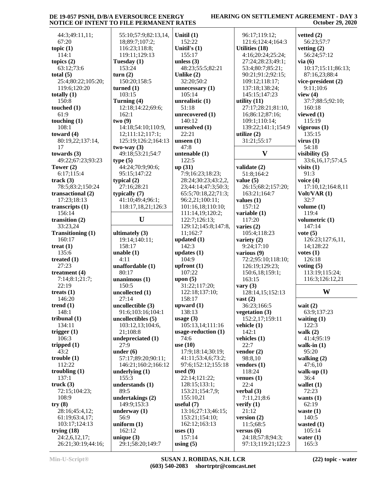#### **HEARING ON SETTLEMENT AGREEMENT - DAY 3 October 29, 2020**

 44:3;49:11,11; 67:20 **topic (1)** 114:1 **topics (2)** 63:12;73:6 **total (5)** 25:4;80:22;105:20; 119:6;120:20 **totally (1)** 150:8 **touched (1)** 61:9 **touching (1)** 108:1 **toward (4)** 80:19,22;137:14, 17 **towards (3)** 49:22;67:23;93:23 **Tower (2)** 6:17;115:4 **track (3)** 78:5;83:2;150:24 **transactional (2)** 17:23;18:13 **transcripts (1)** 156:14 **transition (2)** 33:23,24 **Transitioning (1)** 160:17 **treat (1)** 135:6 **treated (1)** 27:23 **treatment (4)** 7:14;8:1;21:7; 22:19 **treats (1)** 146:20 **trend (1)** 148:1 **tribunal (1)** 134:11 **trigger (1)** 106:3 **tripped (1)** 43:2 **trouble (1)** 112:22 **troubling (1)** 137:1 **truck (3)** 72:15;104:23; 108:9 **try (8)** 28:16;45:4,12; 61:19;63:4,17; 103:17;124:13 **trying (18)** 24:2,6,12,17; 26:21;30:19;44:16;

 55:10;57:9;82:13,14, 18;89:7;107:2; 116:23;118:8; 119:11;129:13 **Tuesday (1)** 153:24 **turn (2)** 150:20;158:5 **turned (1)** 103:15 **Turning (4)** 12:18;14:22;69:6; 162:1 **two (9)** 14:18;54:10;110:9, 12;111:12;117:1; 125:19;126:2;164:13 **two-way (3)** 49:18;53:21;54:7 **type (5)** 44:24;70:9;90:6; 95:15;147:22 **typical (2)** 27:16;28:21 **typically (7)** 41:10;49:4;96:1; 118:17,18,21;126:3  $\mathbf{U}$  | 1 **ultimately (3)** 19:14;140:11; 158:17 **unable (1)** 4:11 **unaffordable (1)** 80:17 **unanimous (1)** 150:5 **uncollected (1)** 27:14 **uncollectible (3)** 91:6;103:16;104:1 **uncollectibles (5)** 103:12,13;104:6, 21;108:8 **undepreciated (1)** 27:9 **under (6)** 57:17;89:20;90:11; 146:21;160:2;166:12 **underlying (1)** 155:3 **understands (1)**  $89 - 5$ **undertakings (2)** 149:9;153:3 **underway (1)** 56:9 **uniform (1)** 162:12 **unique (3)** 29:1;58:20;149:7 **Unitil (1)**  $152:$ **Unitil'**  $155:$ **unless (3)**  $48:2$ **Unlike (2)**  $32:20$ unnece 105: **unreal**  $51:1$ **unreco**  $140:$ **unreso**  $22:2$ **unseen (1)** 47:8 **untena**  $122:$ **up (31)**  $7:9:$  $28:2$  $23:4$ 65:5 96:2. 101:  $111:$ 122: 129:  $11;1$  $u$ pdate  $142:$ **updates (1)** 104:  $u$ pfron  $107:$ **upon** (5)  $31:2$ 122: 158: upwar 138: **usage (3)**  $105:$ usage- 74:6 **use (10)** 17:9 41:1 97:6 **used (9)**  $22:1$  $128:$  $153:$ 155: **useful (7)** 13:1  $153:$  $162:$ **uses (1)**  $157:$ **using (5)**

| $\bf(1)$                      | 96:17;119:12;                  |
|-------------------------------|--------------------------------|
| 22                            | 121:6;124:4;164:3              |
| s (1)                         | <b>Utilities (18)</b>          |
| 17                            | 4:16;20:24;25:24;              |
| (3)                           | 27:24;28:23;49:1;              |
| 3;55:5;82:21                  | 53:4;80:7;85:21;               |
| $\cdot$ (2)                   | 90:21;91:2;92:15;              |
| 0;50:2                        | 109:12;118:17;                 |
| $\text{essary}\left(1\right)$ | 137:18;138:24;                 |
| 14                            | 145:15;147:23                  |
| istic (1)                     | utility $(11)$                 |
| 8                             | 27:17;28:21;81:10,             |
| overed (1)                    | 16;86:12;87:16;                |
| 12                            | 109:1;110:14;                  |
| $d$ lved $(1)$                | 139:22;141:1;154:9             |
| $\mathbf{1}$                  | utilize $(2)$                  |
| $\mathbf{1}$ $(1)$            | 31:21;55:17                    |
|                               |                                |
| able (1)                      | V                              |
| 5                             |                                |
| $\overline{\phantom{a}}$      | validate (2)                   |
| 16:23;18:23;                  | 51:8;164:2                     |
| 4;30:23;43:2,2,               | value $(5)$                    |
| 4:14;47:3;50:3;               | 26:15;68:2;157:20;             |
| ;70:18,22;71:3;               | 163:21;164:7                   |
| ,21;100:11;                   | values $(1)$                   |
| 16,18;110:10;                 | 157:12                         |
| 14, 19; 120: 2;               | variable (1)                   |
| 7;126:13;                     | 117:20                         |
| 12;145:8;147:8,               | varies (2)                     |
| 62:7                          | 105:4;118:23                   |
| ed $(1)$                      | variety (2)                    |
| 3                             | 9:24;17:10                     |
| es (1)                        | various (9)                    |
| 9                             | 72:2;95:10;118:10;             |
| it(1)                         | 126:19;129:23;                 |
| 22                            | 150:6,18;159:1;                |
| 5)                            | 163:15                         |
| 2;117:20;<br>18;137:10;       | vary $(3)$<br>128:14,15;152:13 |
| 17                            | $\text{vast}(2)$               |
| 'd (1)                        | 36:23;166:5                    |
| 13                            | vegetation (3)                 |
| (3)                           | 152:2,17;159:11                |
| 13, 14; 111: 16               | vehicle (1)                    |
| reduction (1)                 | 142:1                          |
|                               | vehicles (1)                   |
| )                             | 22:7                           |
| ;18:14;30:19;                 | vendor $(2)$                   |
| 1;53:4,6;73:2;                | 98:8,10                        |
| ;152:12;155:18                | vendors (1)                    |
| 9)                            | 118:24                         |
| 4;121:22;                     | venues $(1)$                   |
| 15;133:1;                     | 22:4                           |
| 21;154:7,9;                   | verbal (3)                     |
| 10,21                         | 7:11,21;8:6                    |
| (7)                           | verify $(1)$                   |
| 6;27:13;46:15;                | 21:12                          |
| 21;154:10;                    | version $(2)$                  |
| 12;163:13                     | 11:5;68:5                      |
| .)                            | versus(6)                      |
| 14<br>(5)                     | 24:18;57:8;94:3;               |
|                               | 97:13;119:21;122:3             |

24:4:164:3  $:24:25:24;$  $28:23:49:1$ : 53:4;80:7;85:21; 91:2;92:15; 28:21;81:10, 139:22;141:1;154:9 **V visibility (5)** 68:2:157:20; 5:10;118:10; 15:152:13 152:2,17;159:11 **vetted (2)** 56:23;57:7 **vetting (2)** 56:24;57:12 **via (6)** 10:17;15:11;86:13; 87:16,23;88:4 **vice-president (2)** 9:11;10:6 **view (4)** 37:7;88:5;92:10; 160:18 **viewed (1)** 115:19 **vigorous (1)** 135:15 **virus (1)** 54:18 33:6,16,17;57:4,5 **visits (1)** 91:3 **voice (4)** 17:10,12;164:8,11 **Volt/VAR (1)** 32:7 **volume (1)** 119:4 **volumetric (1)** 147:14 **vote (5)** 126:23;127:6,11, 14;128:22 **votes (1)** 126:18 **voting (5)** 113:19;115:24; 116:3;126:12,21 **W wait (2)** 63:9;137:23 **waiting (1)** 122:3

**walk (2)** 41:4;95:19 **walk-in (1)** 95:20 **walking (2)** 47:6,10 **walk-up (1)** 36:4 **wallet (1)** 72:23 **wants (1)** 62:19 **waste (1)** 140:5 **wasted (1)** 105:14 **water (1)** 165:3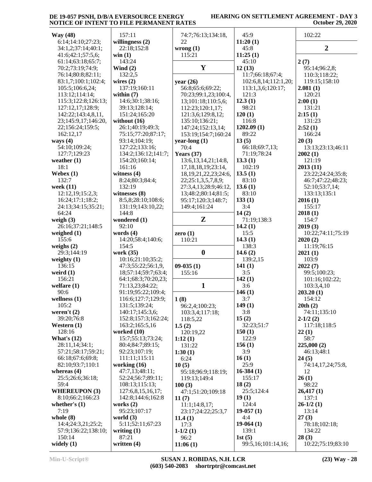| <b>Way</b> (48)                          | 157:11                                 | 74:7;76:13;134:18,                         | 45:9                       | 102:22             |
|------------------------------------------|----------------------------------------|--------------------------------------------|----------------------------|--------------------|
| 6:14;14:10;27:23;                        | willingness $(2)$                      | 22                                         | 11:20(1)                   |                    |
| 34:1,2;37:14;40:1;                       | 22:18;152:8                            | wrong(1)                                   | 45:8                       | $\overline{2}$     |
| 41:6;42:1;57:5,6;                        | win(1)                                 | 115:21                                     | 11:25(1)                   |                    |
| 61:14;63:18;65:7;                        | 143:24                                 |                                            | 45:10                      | 2(7)               |
| 70:2;73:19;74:9;                         | Wind $(2)$                             | $\mathbf{Y}$                               | 12(13)                     | 95:14;96:2,8;      |
| 76:14;80:8;82:11;                        | 132:2,5                                |                                            | 11:7;66:18;67:4;           | 110:3;118:22;      |
| 83:1,7;100:1;102:4;                      | wires $(2)$<br>137:19;160:11           | year $(26)$                                | 102:6,8,14;112:1,20;       | 119:15;158:10      |
| 105:5;106:6,24;<br>113:12;114:14;        | within $(7)$                           | 56:8;65:6;69:22;                           | 113:1,3,6;120:17;<br>121:3 | 2.081(1)           |
| 115:3;122:8;126:13;                      | 14:6;30:1;38:16;                       | 70:23;99:1,23;100:4,<br>13;101:18;110:5,6; | 12.3(1)                    | 120:21<br>2:00(1)  |
| 127:12,17;128:9;                         | 39:13;128:14;                          | 112:23;120:1,17;                           | 98:21                      | 131:21             |
| 142:22;143:4,8,11,                       | 151:24;165:20                          | 121:3,6;129:8,12;                          | 120(1)                     | 2:15(1)            |
| 23;145:9,17;146:20,                      | without $(16)$                         | 135:10;136:21;                             | 116:8                      | 131:23             |
| 22;156:24;159:5;                         | 26:1;40:19;49:3;                       | 147:24;152:13,14;                          | 1202.09(1)                 | 2:52(1)            |
| 162:12,17                                | 75:15;77:20;87:17;                     | 153:19;154:7;160:24                        | 89:22                      | 166:24             |
| ways $(4)$                               | 93:14;104:19;                          | year-long $(1)$                            | 13(5)                      | 20(3)              |
| 54:10;109:24;                            | 127:22;133:16;                         | 70:4                                       | 66:18;69:7,13;             | 13:13;23:13;46:11  |
| 127:7;129:23                             | 134:2;136:12;141:7;                    | Years $(37)$                               | 71:19;78:24                | 2002(1)            |
| weather $(1)$                            | 154:20;160:14;                         | 13:6, 13, 14, 21; 14:8,                    | 13.3(1)                    | 121:19             |
| 18:1                                     | 161:16                                 | 17, 18, 18, 19; 23: 14,                    | 102:19                     | 2013(11)           |
| Webex $(1)$                              | witness $(4)$                          | 18, 19, 21, 22, 23; 24: 6,                 | 13.5(1)                    | 23:22;24:24;35:8;  |
| 132:7                                    | 8:24;80:3;84:4;                        | 22;25:1,3,5,7,8,9;                         | 83:10                      | 46:7;47:22;48:23;  |
| week (11)                                | 132:19                                 | 27:3,4,13;28:9;46:12,                      | 13.6(1)                    | 52:10;53:7,14;     |
| 12:12,19;15:2,3;                         | witnesses (8)                          | 13;48:2;80:14;81:5;                        | 83:10                      | 133:13;135:1       |
| 16:24;17:1;18:2;                         | 8:5,8;28:10;108:6;                     | 95:17;120:3;148:7;                         | 133(1)                     | 2016(1)            |
| 24:13;34:15;35:21;                       | 131:19;143:10,22;                      | 149:4;161:24                               | 3:4                        | 155:17             |
| 64:24                                    | 144:8                                  |                                            | 14(2)                      | 2018(1)            |
| weigh $(3)$                              | wondered (1)                           | Z                                          | 71:19;138:3                | 154:7              |
| 26:16;37:21;148:5                        | 92:10                                  |                                            | 14.2(1)                    | 2019(3)            |
| weighed $(1)$                            | words $(4)$                            | zero $(1)$                                 | 15:5                       | 10:22;74:11;75:19  |
| 155:6                                    | 14:20;58:4;140:6;                      | 110:21                                     | 14.3(1)                    | 2020(2)            |
| weighs $(2)$                             | 154:5                                  | $\boldsymbol{0}$                           | 138:3                      | 11:19;76:15        |
| 29:3;144:19<br>weighty $(1)$             | work (35)<br>10:16;21:10;35:2;         |                                            | 14.6 $(2)$<br>139:2,15     | 2021(1)<br>103:9   |
| 136:15                                   | 47:3;55:22;56:1,9,                     | $09-035(1)$                                | 141(1)                     | 2022(7)            |
| weird $(1)$                              | 18;57:14;59:7;63:4;                    | 155:16                                     | 3:5                        | 99:5;100:23;       |
| 156:21                                   | 64:1;68:3;70:20,23;                    |                                            | 142(1)                     | 101:16;102:22;     |
| welfare $(1)$                            | 71:13,23;84:22;                        | $\mathbf{1}$                               | 3:6                        | 103:3,4,10         |
| 90:6                                     | 91:19;95:22;109:4;                     |                                            | 146(1)                     | 203.20(1)          |
| wellness $(1)$                           | 116:6;127:7;129:9;                     | 1(8)                                       | 3:7                        | 154:12             |
| 105:2                                    | 131:5;139:24;                          | 96:2,4;100:23;                             | 149(1)                     | 20th(2)            |
| weren't $(2)$                            | 140:17;145:3,6;                        | 103:3,4;117:18;                            | 3:8                        | 74:11;135:10       |
| 39:20;76:8                               | 152:8;157:3;162:24;                    | 118:5,22                                   | 15(2)                      | $2-1/2(2)$         |
| Western $(1)$                            | 163:2;165:5,16                         | 1.5(2)                                     | 32:23;51:7                 | 117:18;118:5       |
| 128:16                                   | worked $(10)$                          | 120:19,22                                  | 150(1)                     | 22(1)              |
| What's $(12)$                            | 15:7:55:13:73:24;                      | 1:12(1)                                    | 122:9                      | 58:7               |
| 28:11,14;34:1;                           | 80:4;84:7;89:15;                       | 131:22                                     | 156(1)                     | 225,000(2)         |
| 57:21;58:17;59:21;                       | 92:23;107:19;                          | 1:30(1)                                    | 3:9                        | 46:13;48:1         |
| 66:18;67:6;69:8;                         | 111:11;115:11                          | 6:24                                       | 16(1)                      | 24(5)              |
| 82:10;93:7;110:1                         | working $(16)$                         | 10(5)                                      | 25:9                       | 74:14,17,24;75:8,  |
| whereas $(4)$                            | 47:7,13;48:11;                         | 95:18:96:9;118:19;                         | $16-384(1)$                | 12                 |
| 25:5;26:6;36:18;                         | 52:24;56:7;89:11;                      | 119:13;149:4                               | 155:17                     | 26(1)              |
| 59:4                                     | 108:13;115:13;                         | 100(3)                                     | 18(2)                      | 98:22              |
| <b>WHEREUPON (3)</b><br>8:10;66:2;166:23 | 127:6,8,15,16,17;<br>142:8;144:6;162:8 | 47:1;51:20;109:18                          | 25:5;124:4<br>19(1)        | 26,417(1)<br>137:1 |
| whether's $(1)$                          | works $(2)$                            | 11(7)                                      | 124:4                      | $26-1/2(1)$        |
| 7:19                                     | 95:23;107:17                           | 11:1;14:8,17;<br>23:17;24:22;25:3,7        | $19-057(1)$                | 13:14              |
| whole $(8)$                              | world $(3)$                            | 11.4(1)                                    | 4:4                        | 27(3)              |
| 14:4;24:3,21;25:2;                       | 5:11;52:11;67:23                       | 17:3                                       | $19-064(1)$                | 78:18;102:18;      |
| 57:9;136:22;138:10;                      | writing $(1)$                          | $1-1/2(1)$                                 | 139:1                      | 134:22             |
| 150:14                                   | 87:21                                  | 96:2                                       | 1st $(5)$                  | 28(3)              |
| widely $(1)$                             | written $(4)$                          | 11:06(1)                                   | 99:5,16;101:14,16;         | 10:22;75:19;83:10  |